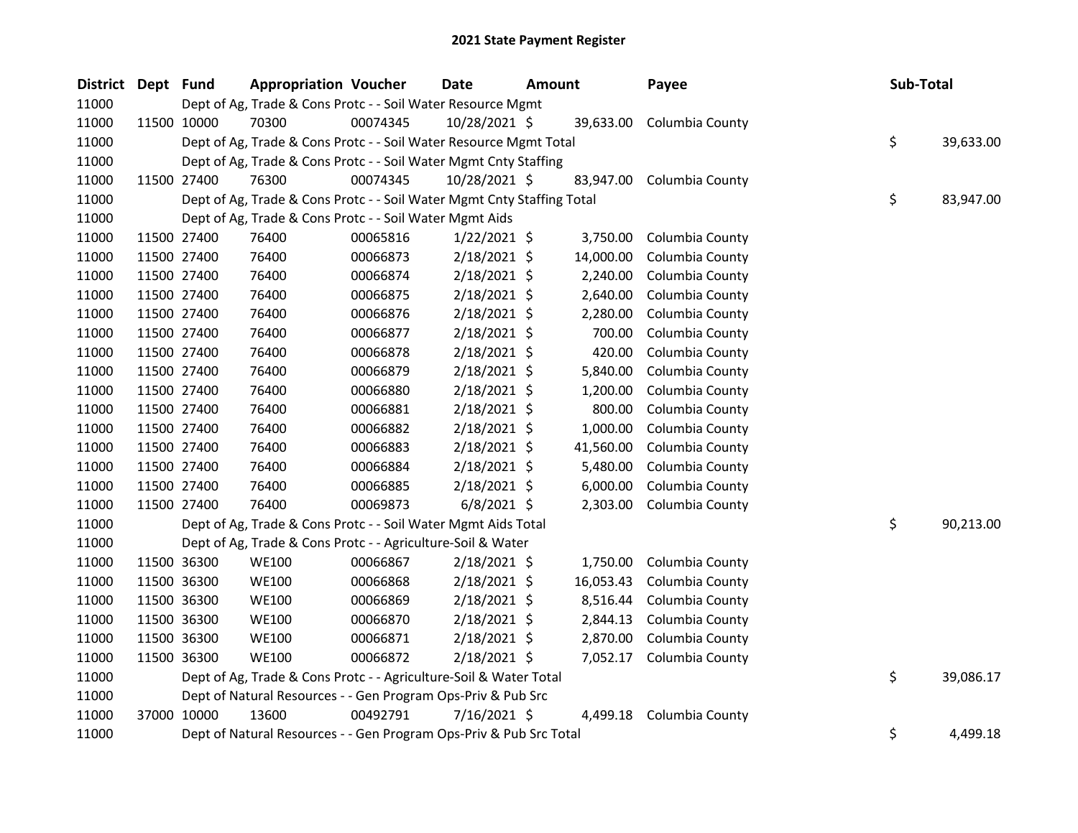| District Dept Fund |             | <b>Appropriation Voucher</b>                                           |          | Date           | <b>Amount</b> |           | Payee           | Sub-Total |           |
|--------------------|-------------|------------------------------------------------------------------------|----------|----------------|---------------|-----------|-----------------|-----------|-----------|
| 11000              |             | Dept of Ag, Trade & Cons Protc - - Soil Water Resource Mgmt            |          |                |               |           |                 |           |           |
| 11000              | 11500 10000 | 70300                                                                  | 00074345 | 10/28/2021 \$  |               | 39,633.00 | Columbia County |           |           |
| 11000              |             | Dept of Ag, Trade & Cons Protc - - Soil Water Resource Mgmt Total      |          |                |               |           |                 | \$        | 39,633.00 |
| 11000              |             | Dept of Ag, Trade & Cons Protc - - Soil Water Mgmt Cnty Staffing       |          |                |               |           |                 |           |           |
| 11000              | 11500 27400 | 76300                                                                  | 00074345 | 10/28/2021 \$  |               | 83,947.00 | Columbia County |           |           |
| 11000              |             | Dept of Ag, Trade & Cons Protc - - Soil Water Mgmt Cnty Staffing Total |          |                |               |           |                 | \$        | 83,947.00 |
| 11000              |             | Dept of Ag, Trade & Cons Protc - - Soil Water Mgmt Aids                |          |                |               |           |                 |           |           |
| 11000              | 11500 27400 | 76400                                                                  | 00065816 | $1/22/2021$ \$ |               | 3,750.00  | Columbia County |           |           |
| 11000              | 11500 27400 | 76400                                                                  | 00066873 | 2/18/2021 \$   |               | 14,000.00 | Columbia County |           |           |
| 11000              | 11500 27400 | 76400                                                                  | 00066874 | 2/18/2021 \$   |               | 2,240.00  | Columbia County |           |           |
| 11000              | 11500 27400 | 76400                                                                  | 00066875 | 2/18/2021 \$   |               | 2,640.00  | Columbia County |           |           |
| 11000              | 11500 27400 | 76400                                                                  | 00066876 | $2/18/2021$ \$ |               | 2,280.00  | Columbia County |           |           |
| 11000              | 11500 27400 | 76400                                                                  | 00066877 | $2/18/2021$ \$ |               | 700.00    | Columbia County |           |           |
| 11000              | 11500 27400 | 76400                                                                  | 00066878 | 2/18/2021 \$   |               | 420.00    | Columbia County |           |           |
| 11000              | 11500 27400 | 76400                                                                  | 00066879 | 2/18/2021 \$   |               | 5,840.00  | Columbia County |           |           |
| 11000              | 11500 27400 | 76400                                                                  | 00066880 | 2/18/2021 \$   |               | 1,200.00  | Columbia County |           |           |
| 11000              | 11500 27400 | 76400                                                                  | 00066881 | 2/18/2021 \$   |               | 800.00    | Columbia County |           |           |
| 11000              | 11500 27400 | 76400                                                                  | 00066882 | 2/18/2021 \$   |               | 1,000.00  | Columbia County |           |           |
| 11000              | 11500 27400 | 76400                                                                  | 00066883 | 2/18/2021 \$   |               | 41,560.00 | Columbia County |           |           |
| 11000              | 11500 27400 | 76400                                                                  | 00066884 | $2/18/2021$ \$ |               | 5,480.00  | Columbia County |           |           |
| 11000              | 11500 27400 | 76400                                                                  | 00066885 | 2/18/2021 \$   |               | 6,000.00  | Columbia County |           |           |
| 11000              | 11500 27400 | 76400                                                                  | 00069873 | $6/8/2021$ \$  |               | 2,303.00  | Columbia County |           |           |
| 11000              |             | Dept of Ag, Trade & Cons Protc - - Soil Water Mgmt Aids Total          |          |                |               |           |                 | \$        | 90,213.00 |
| 11000              |             | Dept of Ag, Trade & Cons Protc - - Agriculture-Soil & Water            |          |                |               |           |                 |           |           |
| 11000              | 11500 36300 | <b>WE100</b>                                                           | 00066867 | 2/18/2021 \$   |               | 1,750.00  | Columbia County |           |           |
| 11000              | 11500 36300 | <b>WE100</b>                                                           | 00066868 | 2/18/2021 \$   |               | 16,053.43 | Columbia County |           |           |
| 11000              | 11500 36300 | <b>WE100</b>                                                           | 00066869 | 2/18/2021 \$   |               | 8,516.44  | Columbia County |           |           |
| 11000              | 11500 36300 | <b>WE100</b>                                                           | 00066870 | 2/18/2021 \$   |               | 2,844.13  | Columbia County |           |           |
| 11000              | 11500 36300 | <b>WE100</b>                                                           | 00066871 | $2/18/2021$ \$ |               | 2,870.00  | Columbia County |           |           |
| 11000              | 11500 36300 | <b>WE100</b>                                                           | 00066872 | 2/18/2021 \$   |               | 7,052.17  | Columbia County |           |           |
| 11000              |             | Dept of Ag, Trade & Cons Protc - - Agriculture-Soil & Water Total      |          |                |               |           |                 | \$        | 39,086.17 |
| 11000              |             | Dept of Natural Resources - - Gen Program Ops-Priv & Pub Src           |          |                |               |           |                 |           |           |
| 11000              | 37000 10000 | 13600                                                                  | 00492791 | 7/16/2021 \$   |               | 4,499.18  | Columbia County |           |           |
| 11000              |             | Dept of Natural Resources - - Gen Program Ops-Priv & Pub Src Total     |          |                |               |           |                 | \$        | 4,499.18  |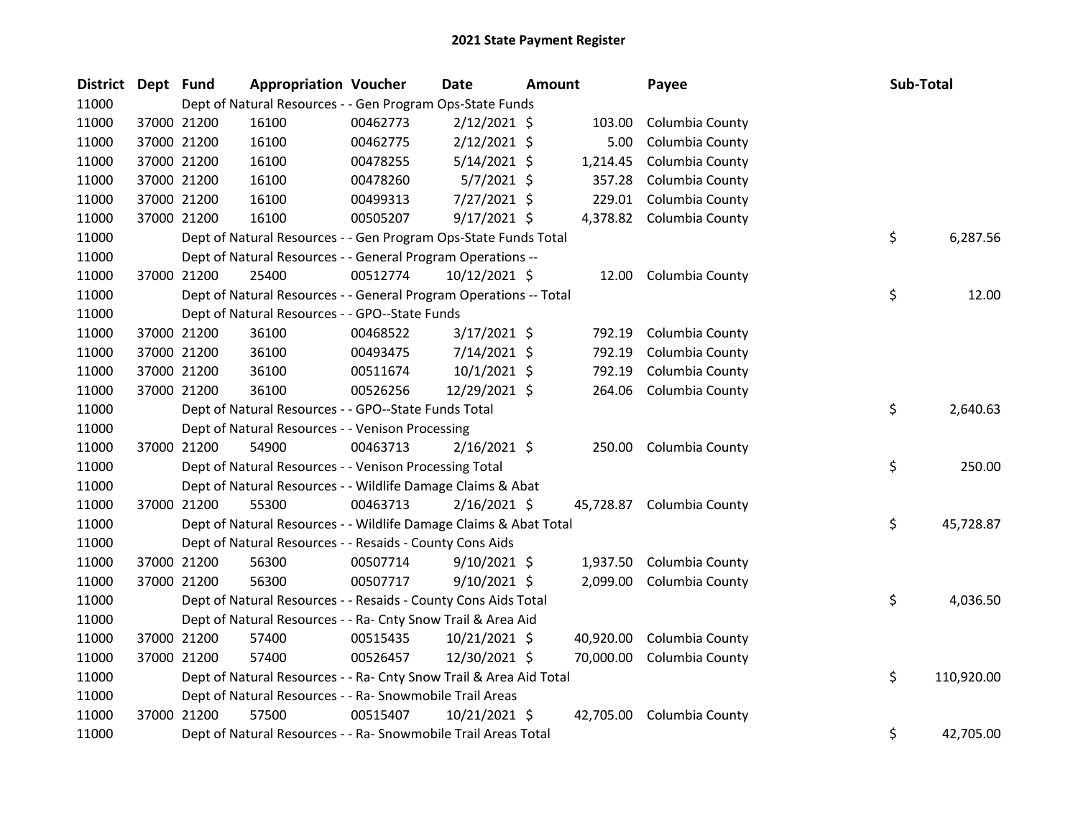| District Dept Fund |             | <b>Appropriation Voucher</b>                                       |          | Date           | Amount |           | Payee                     | Sub-Total        |
|--------------------|-------------|--------------------------------------------------------------------|----------|----------------|--------|-----------|---------------------------|------------------|
| 11000              |             | Dept of Natural Resources - - Gen Program Ops-State Funds          |          |                |        |           |                           |                  |
| 11000              | 37000 21200 | 16100                                                              | 00462773 | $2/12/2021$ \$ |        | 103.00    | Columbia County           |                  |
| 11000              | 37000 21200 | 16100                                                              | 00462775 | $2/12/2021$ \$ |        | 5.00      | Columbia County           |                  |
| 11000              | 37000 21200 | 16100                                                              | 00478255 | $5/14/2021$ \$ |        | 1,214.45  | Columbia County           |                  |
| 11000              | 37000 21200 | 16100                                                              | 00478260 | $5/7/2021$ \$  |        | 357.28    | Columbia County           |                  |
| 11000              | 37000 21200 | 16100                                                              | 00499313 | 7/27/2021 \$   |        | 229.01    | Columbia County           |                  |
| 11000              | 37000 21200 | 16100                                                              | 00505207 | $9/17/2021$ \$ |        |           | 4,378.82 Columbia County  |                  |
| 11000              |             | Dept of Natural Resources - - Gen Program Ops-State Funds Total    |          |                |        |           |                           | \$<br>6,287.56   |
| 11000              |             | Dept of Natural Resources - - General Program Operations --        |          |                |        |           |                           |                  |
| 11000              | 37000 21200 | 25400                                                              | 00512774 | 10/12/2021 \$  |        | 12.00     | Columbia County           |                  |
| 11000              |             | Dept of Natural Resources - - General Program Operations -- Total  |          |                |        |           |                           | \$<br>12.00      |
| 11000              |             | Dept of Natural Resources - - GPO--State Funds                     |          |                |        |           |                           |                  |
| 11000              | 37000 21200 | 36100                                                              | 00468522 | $3/17/2021$ \$ |        | 792.19    | Columbia County           |                  |
| 11000              | 37000 21200 | 36100                                                              | 00493475 | 7/14/2021 \$   |        | 792.19    | Columbia County           |                  |
| 11000              | 37000 21200 | 36100                                                              | 00511674 | $10/1/2021$ \$ |        | 792.19    | Columbia County           |                  |
| 11000              | 37000 21200 | 36100                                                              | 00526256 | 12/29/2021 \$  |        | 264.06    | Columbia County           |                  |
| 11000              |             | Dept of Natural Resources - - GPO--State Funds Total               |          |                |        |           |                           | \$<br>2,640.63   |
| 11000              |             | Dept of Natural Resources - - Venison Processing                   |          |                |        |           |                           |                  |
| 11000              | 37000 21200 | 54900                                                              | 00463713 | $2/16/2021$ \$ |        | 250.00    | Columbia County           |                  |
| 11000              |             | Dept of Natural Resources - - Venison Processing Total             |          |                |        |           |                           | \$<br>250.00     |
| 11000              |             | Dept of Natural Resources - - Wildlife Damage Claims & Abat        |          |                |        |           |                           |                  |
| 11000              | 37000 21200 | 55300                                                              | 00463713 | $2/16/2021$ \$ |        |           | 45,728.87 Columbia County |                  |
| 11000              |             | Dept of Natural Resources - - Wildlife Damage Claims & Abat Total  |          |                |        |           |                           | \$<br>45,728.87  |
| 11000              |             | Dept of Natural Resources - - Resaids - County Cons Aids           |          |                |        |           |                           |                  |
| 11000              | 37000 21200 | 56300                                                              | 00507714 | $9/10/2021$ \$ |        | 1,937.50  | Columbia County           |                  |
| 11000              | 37000 21200 | 56300                                                              | 00507717 | $9/10/2021$ \$ |        | 2,099.00  | Columbia County           |                  |
| 11000              |             | Dept of Natural Resources - - Resaids - County Cons Aids Total     |          |                |        |           |                           | \$<br>4,036.50   |
| 11000              |             | Dept of Natural Resources - - Ra- Cnty Snow Trail & Area Aid       |          |                |        |           |                           |                  |
| 11000              | 37000 21200 | 57400                                                              | 00515435 | 10/21/2021 \$  |        | 40,920.00 | Columbia County           |                  |
| 11000              | 37000 21200 | 57400                                                              | 00526457 | 12/30/2021 \$  |        | 70,000.00 | Columbia County           |                  |
| 11000              |             | Dept of Natural Resources - - Ra- Cnty Snow Trail & Area Aid Total |          |                |        |           |                           | \$<br>110,920.00 |
| 11000              |             | Dept of Natural Resources - - Ra- Snowmobile Trail Areas           |          |                |        |           |                           |                  |
| 11000              | 37000 21200 | 57500                                                              | 00515407 | 10/21/2021 \$  |        | 42,705.00 | Columbia County           |                  |
| 11000              |             | Dept of Natural Resources - - Ra- Snowmobile Trail Areas Total     |          |                |        |           |                           | \$<br>42,705.00  |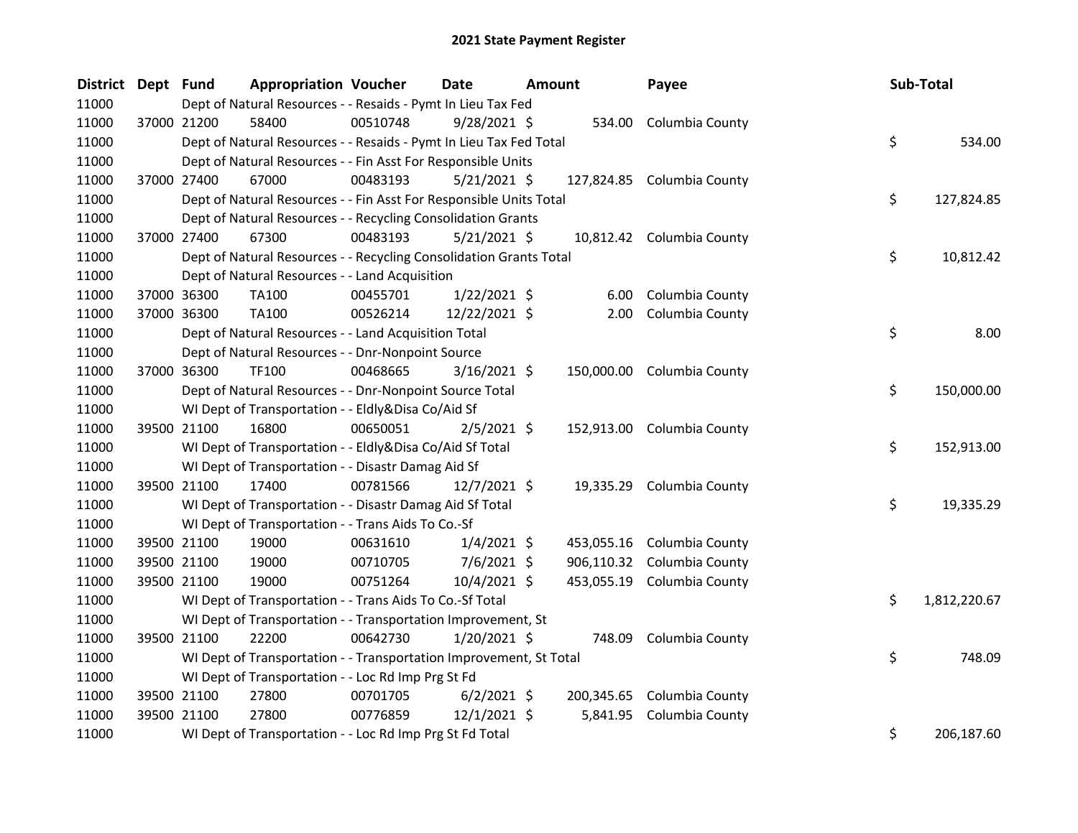| District Dept Fund |             | <b>Appropriation Voucher</b>                                       |          | Date           | <b>Amount</b> | Payee                      | Sub-Total          |
|--------------------|-------------|--------------------------------------------------------------------|----------|----------------|---------------|----------------------------|--------------------|
| 11000              |             | Dept of Natural Resources - - Resaids - Pymt In Lieu Tax Fed       |          |                |               |                            |                    |
| 11000              | 37000 21200 | 58400                                                              | 00510748 | $9/28/2021$ \$ |               | 534.00 Columbia County     |                    |
| 11000              |             | Dept of Natural Resources - - Resaids - Pymt In Lieu Tax Fed Total |          |                |               |                            | \$<br>534.00       |
| 11000              |             | Dept of Natural Resources - - Fin Asst For Responsible Units       |          |                |               |                            |                    |
| 11000              | 37000 27400 | 67000                                                              | 00483193 | $5/21/2021$ \$ |               | 127,824.85 Columbia County |                    |
| 11000              |             | Dept of Natural Resources - - Fin Asst For Responsible Units Total |          |                |               |                            | \$<br>127,824.85   |
| 11000              |             | Dept of Natural Resources - - Recycling Consolidation Grants       |          |                |               |                            |                    |
| 11000              | 37000 27400 | 67300                                                              | 00483193 | $5/21/2021$ \$ |               | 10,812.42 Columbia County  |                    |
| 11000              |             | Dept of Natural Resources - - Recycling Consolidation Grants Total |          |                |               |                            | \$<br>10,812.42    |
| 11000              |             | Dept of Natural Resources - - Land Acquisition                     |          |                |               |                            |                    |
| 11000              | 37000 36300 | TA100                                                              | 00455701 | $1/22/2021$ \$ | 6.00          | Columbia County            |                    |
| 11000              | 37000 36300 | TA100                                                              | 00526214 | 12/22/2021 \$  |               | 2.00 Columbia County       |                    |
| 11000              |             | Dept of Natural Resources - - Land Acquisition Total               |          |                |               |                            | \$<br>8.00         |
| 11000              |             | Dept of Natural Resources - - Dnr-Nonpoint Source                  |          |                |               |                            |                    |
| 11000              | 37000 36300 | <b>TF100</b>                                                       | 00468665 | $3/16/2021$ \$ |               | 150,000.00 Columbia County |                    |
| 11000              |             | Dept of Natural Resources - - Dnr-Nonpoint Source Total            |          |                |               |                            | \$<br>150,000.00   |
| 11000              |             | WI Dept of Transportation - - Eldly&Disa Co/Aid Sf                 |          |                |               |                            |                    |
| 11000              | 39500 21100 | 16800                                                              | 00650051 | $2/5/2021$ \$  |               | 152,913.00 Columbia County |                    |
| 11000              |             | WI Dept of Transportation - - Eldly&Disa Co/Aid Sf Total           |          |                |               |                            | \$<br>152,913.00   |
| 11000              |             | WI Dept of Transportation - - Disastr Damag Aid Sf                 |          |                |               |                            |                    |
| 11000              | 39500 21100 | 17400                                                              | 00781566 | $12/7/2021$ \$ |               | 19,335.29 Columbia County  |                    |
| 11000              |             | WI Dept of Transportation - - Disastr Damag Aid Sf Total           |          |                |               |                            | \$<br>19,335.29    |
| 11000              |             | WI Dept of Transportation - - Trans Aids To Co.-Sf                 |          |                |               |                            |                    |
| 11000              | 39500 21100 | 19000                                                              | 00631610 | $1/4/2021$ \$  |               | 453,055.16 Columbia County |                    |
| 11000              | 39500 21100 | 19000                                                              | 00710705 | $7/6/2021$ \$  |               | 906,110.32 Columbia County |                    |
| 11000              | 39500 21100 | 19000                                                              | 00751264 | 10/4/2021 \$   |               | 453,055.19 Columbia County |                    |
| 11000              |             | WI Dept of Transportation - - Trans Aids To Co.-Sf Total           |          |                |               |                            | \$<br>1,812,220.67 |
| 11000              |             | WI Dept of Transportation - - Transportation Improvement, St       |          |                |               |                            |                    |
| 11000              | 39500 21100 | 22200                                                              | 00642730 | $1/20/2021$ \$ | 748.09        | Columbia County            |                    |
| 11000              |             | WI Dept of Transportation - - Transportation Improvement, St Total |          |                |               |                            | \$<br>748.09       |
| 11000              |             | WI Dept of Transportation - - Loc Rd Imp Prg St Fd                 |          |                |               |                            |                    |
| 11000              | 39500 21100 | 27800                                                              | 00701705 | $6/2/2021$ \$  |               | 200,345.65 Columbia County |                    |
| 11000              | 39500 21100 | 27800                                                              | 00776859 | $12/1/2021$ \$ | 5,841.95      | Columbia County            |                    |
| 11000              |             | WI Dept of Transportation - - Loc Rd Imp Prg St Fd Total           |          |                |               |                            | \$<br>206,187.60   |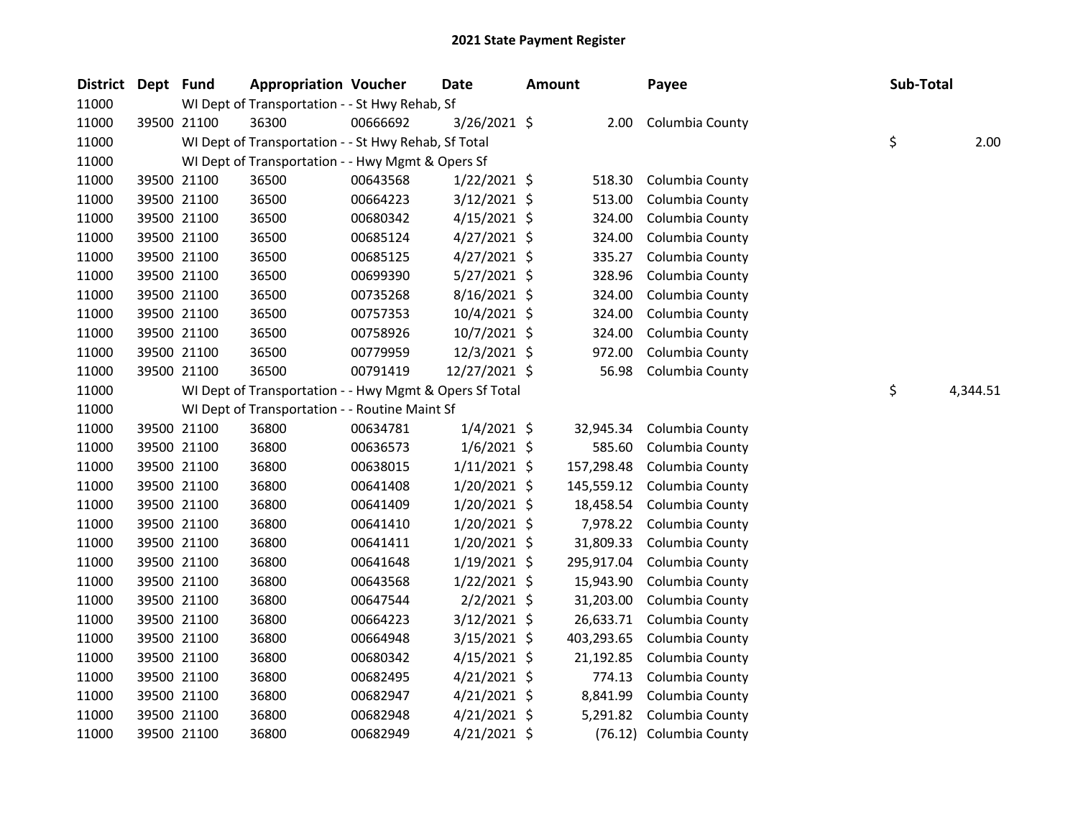| <b>District</b> | Dept Fund |             | <b>Appropriation Voucher</b>                            |          | Date           | <b>Amount</b> |            | Payee                   | Sub-Total |          |
|-----------------|-----------|-------------|---------------------------------------------------------|----------|----------------|---------------|------------|-------------------------|-----------|----------|
| 11000           |           |             | WI Dept of Transportation - - St Hwy Rehab, Sf          |          |                |               |            |                         |           |          |
| 11000           |           | 39500 21100 | 36300                                                   | 00666692 | 3/26/2021 \$   |               | 2.00       | Columbia County         |           |          |
| 11000           |           |             | WI Dept of Transportation - - St Hwy Rehab, Sf Total    |          |                |               |            |                         | \$        | 2.00     |
| 11000           |           |             | WI Dept of Transportation - - Hwy Mgmt & Opers Sf       |          |                |               |            |                         |           |          |
| 11000           |           | 39500 21100 | 36500                                                   | 00643568 | $1/22/2021$ \$ |               | 518.30     | Columbia County         |           |          |
| 11000           |           | 39500 21100 | 36500                                                   | 00664223 | 3/12/2021 \$   |               | 513.00     | Columbia County         |           |          |
| 11000           |           | 39500 21100 | 36500                                                   | 00680342 | $4/15/2021$ \$ |               | 324.00     | Columbia County         |           |          |
| 11000           |           | 39500 21100 | 36500                                                   | 00685124 | $4/27/2021$ \$ |               | 324.00     | Columbia County         |           |          |
| 11000           |           | 39500 21100 | 36500                                                   | 00685125 | $4/27/2021$ \$ |               | 335.27     | Columbia County         |           |          |
| 11000           |           | 39500 21100 | 36500                                                   | 00699390 | $5/27/2021$ \$ |               | 328.96     | Columbia County         |           |          |
| 11000           |           | 39500 21100 | 36500                                                   | 00735268 | 8/16/2021 \$   |               | 324.00     | Columbia County         |           |          |
| 11000           |           | 39500 21100 | 36500                                                   | 00757353 | 10/4/2021 \$   |               | 324.00     | Columbia County         |           |          |
| 11000           |           | 39500 21100 | 36500                                                   | 00758926 | 10/7/2021 \$   |               | 324.00     | Columbia County         |           |          |
| 11000           |           | 39500 21100 | 36500                                                   | 00779959 | 12/3/2021 \$   |               | 972.00     | Columbia County         |           |          |
| 11000           |           | 39500 21100 | 36500                                                   | 00791419 | 12/27/2021 \$  |               | 56.98      | Columbia County         |           |          |
| 11000           |           |             | WI Dept of Transportation - - Hwy Mgmt & Opers Sf Total |          |                |               |            |                         | \$        | 4,344.51 |
| 11000           |           |             | WI Dept of Transportation - - Routine Maint Sf          |          |                |               |            |                         |           |          |
| 11000           |           | 39500 21100 | 36800                                                   | 00634781 | $1/4/2021$ \$  |               | 32,945.34  | Columbia County         |           |          |
| 11000           |           | 39500 21100 | 36800                                                   | 00636573 | $1/6/2021$ \$  |               | 585.60     | Columbia County         |           |          |
| 11000           |           | 39500 21100 | 36800                                                   | 00638015 | $1/11/2021$ \$ |               | 157,298.48 | Columbia County         |           |          |
| 11000           |           | 39500 21100 | 36800                                                   | 00641408 | $1/20/2021$ \$ |               | 145,559.12 | Columbia County         |           |          |
| 11000           |           | 39500 21100 | 36800                                                   | 00641409 | $1/20/2021$ \$ |               | 18,458.54  | Columbia County         |           |          |
| 11000           |           | 39500 21100 | 36800                                                   | 00641410 | $1/20/2021$ \$ |               | 7,978.22   | Columbia County         |           |          |
| 11000           |           | 39500 21100 | 36800                                                   | 00641411 | $1/20/2021$ \$ |               | 31,809.33  | Columbia County         |           |          |
| 11000           |           | 39500 21100 | 36800                                                   | 00641648 | $1/19/2021$ \$ |               | 295,917.04 | Columbia County         |           |          |
| 11000           |           | 39500 21100 | 36800                                                   | 00643568 | $1/22/2021$ \$ |               | 15,943.90  | Columbia County         |           |          |
| 11000           |           | 39500 21100 | 36800                                                   | 00647544 | $2/2/2021$ \$  |               | 31,203.00  | Columbia County         |           |          |
| 11000           |           | 39500 21100 | 36800                                                   | 00664223 | $3/12/2021$ \$ |               | 26,633.71  | Columbia County         |           |          |
| 11000           |           | 39500 21100 | 36800                                                   | 00664948 | $3/15/2021$ \$ |               | 403,293.65 | Columbia County         |           |          |
| 11000           |           | 39500 21100 | 36800                                                   | 00680342 | $4/15/2021$ \$ |               | 21,192.85  | Columbia County         |           |          |
| 11000           |           | 39500 21100 | 36800                                                   | 00682495 | $4/21/2021$ \$ |               | 774.13     | Columbia County         |           |          |
| 11000           |           | 39500 21100 | 36800                                                   | 00682947 | $4/21/2021$ \$ |               | 8,841.99   | Columbia County         |           |          |
| 11000           |           | 39500 21100 | 36800                                                   | 00682948 | $4/21/2021$ \$ |               | 5,291.82   | Columbia County         |           |          |
| 11000           |           | 39500 21100 | 36800                                                   | 00682949 | $4/21/2021$ \$ |               |            | (76.12) Columbia County |           |          |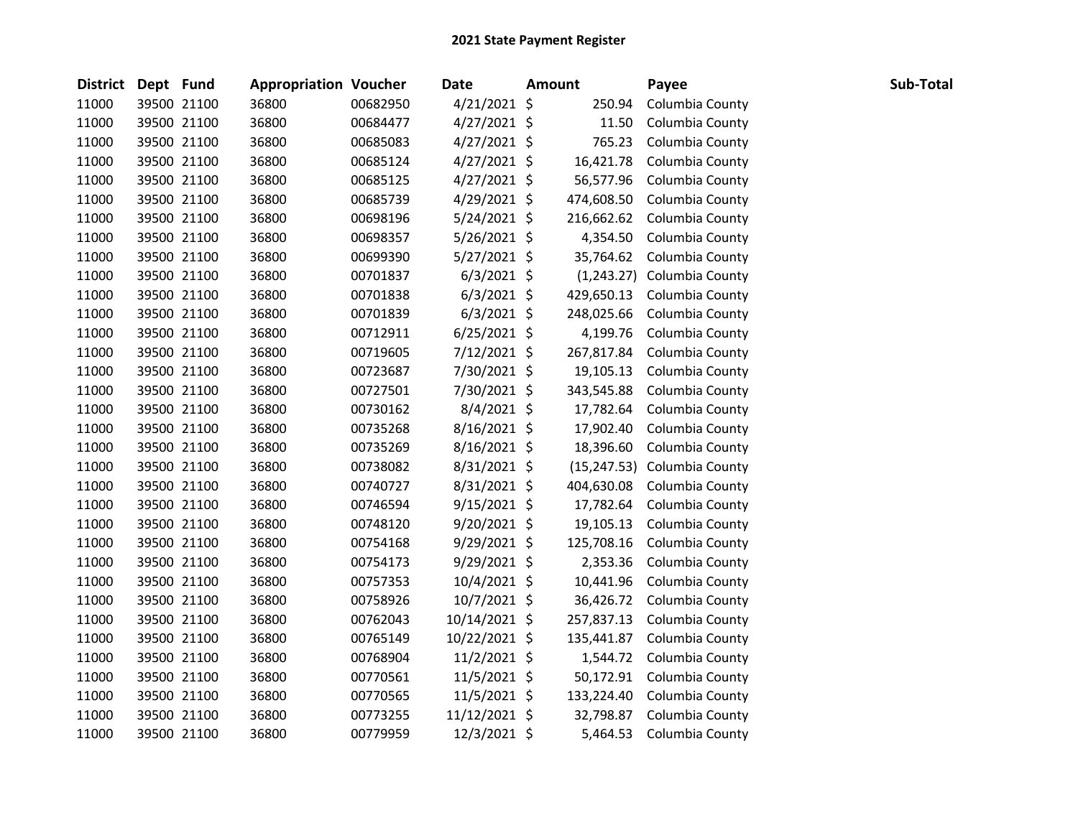| District Dept Fund |             | <b>Appropriation Voucher</b> |          | Date           | <b>Amount</b> | Payee                       | Sub-Total |
|--------------------|-------------|------------------------------|----------|----------------|---------------|-----------------------------|-----------|
| 11000              | 39500 21100 | 36800                        | 00682950 | $4/21/2021$ \$ | 250.94        | Columbia County             |           |
| 11000              | 39500 21100 | 36800                        | 00684477 | 4/27/2021 \$   | 11.50         | Columbia County             |           |
| 11000              | 39500 21100 | 36800                        | 00685083 | $4/27/2021$ \$ | 765.23        | Columbia County             |           |
| 11000              | 39500 21100 | 36800                        | 00685124 | $4/27/2021$ \$ | 16,421.78     | Columbia County             |           |
| 11000              | 39500 21100 | 36800                        | 00685125 | $4/27/2021$ \$ | 56,577.96     | Columbia County             |           |
| 11000              | 39500 21100 | 36800                        | 00685739 | $4/29/2021$ \$ | 474,608.50    | Columbia County             |           |
| 11000              | 39500 21100 | 36800                        | 00698196 | $5/24/2021$ \$ | 216,662.62    | Columbia County             |           |
| 11000              | 39500 21100 | 36800                        | 00698357 | $5/26/2021$ \$ | 4,354.50      | Columbia County             |           |
| 11000              | 39500 21100 | 36800                        | 00699390 | $5/27/2021$ \$ | 35,764.62     | Columbia County             |           |
| 11000              | 39500 21100 | 36800                        | 00701837 | $6/3/2021$ \$  |               | (1,243.27) Columbia County  |           |
| 11000              | 39500 21100 | 36800                        | 00701838 | $6/3/2021$ \$  | 429,650.13    | Columbia County             |           |
| 11000              | 39500 21100 | 36800                        | 00701839 | $6/3/2021$ \$  | 248,025.66    | Columbia County             |           |
| 11000              | 39500 21100 | 36800                        | 00712911 | $6/25/2021$ \$ | 4,199.76      | Columbia County             |           |
| 11000              | 39500 21100 | 36800                        | 00719605 | 7/12/2021 \$   | 267,817.84    | Columbia County             |           |
| 11000              | 39500 21100 | 36800                        | 00723687 | 7/30/2021 \$   | 19,105.13     | Columbia County             |           |
| 11000              | 39500 21100 | 36800                        | 00727501 | 7/30/2021 \$   | 343,545.88    | Columbia County             |           |
| 11000              | 39500 21100 | 36800                        | 00730162 | 8/4/2021 \$    | 17,782.64     | Columbia County             |           |
| 11000              | 39500 21100 | 36800                        | 00735268 | 8/16/2021 \$   | 17,902.40     | Columbia County             |           |
| 11000              | 39500 21100 | 36800                        | 00735269 | $8/16/2021$ \$ | 18,396.60     | Columbia County             |           |
| 11000              | 39500 21100 | 36800                        | 00738082 | $8/31/2021$ \$ |               | (15,247.53) Columbia County |           |
| 11000              | 39500 21100 | 36800                        | 00740727 | $8/31/2021$ \$ | 404,630.08    | Columbia County             |           |
| 11000              | 39500 21100 | 36800                        | 00746594 | $9/15/2021$ \$ | 17,782.64     | Columbia County             |           |
| 11000              | 39500 21100 | 36800                        | 00748120 | $9/20/2021$ \$ | 19,105.13     | Columbia County             |           |
| 11000              | 39500 21100 | 36800                        | 00754168 | $9/29/2021$ \$ | 125,708.16    | Columbia County             |           |
| 11000              | 39500 21100 | 36800                        | 00754173 | $9/29/2021$ \$ | 2,353.36      | Columbia County             |           |
| 11000              | 39500 21100 | 36800                        | 00757353 | 10/4/2021 \$   | 10,441.96     | Columbia County             |           |
| 11000              | 39500 21100 | 36800                        | 00758926 | 10/7/2021 \$   | 36,426.72     | Columbia County             |           |
| 11000              | 39500 21100 | 36800                        | 00762043 | 10/14/2021 \$  | 257,837.13    | Columbia County             |           |
| 11000              | 39500 21100 | 36800                        | 00765149 | 10/22/2021 \$  | 135,441.87    | Columbia County             |           |
| 11000              | 39500 21100 | 36800                        | 00768904 | $11/2/2021$ \$ | 1,544.72      | Columbia County             |           |
| 11000              | 39500 21100 | 36800                        | 00770561 | 11/5/2021 \$   | 50,172.91     | Columbia County             |           |
| 11000              | 39500 21100 | 36800                        | 00770565 | 11/5/2021 \$   | 133,224.40    | Columbia County             |           |
| 11000              | 39500 21100 | 36800                        | 00773255 | 11/12/2021 \$  | 32,798.87     | Columbia County             |           |
| 11000              | 39500 21100 | 36800                        | 00779959 | 12/3/2021 \$   | 5,464.53      | Columbia County             |           |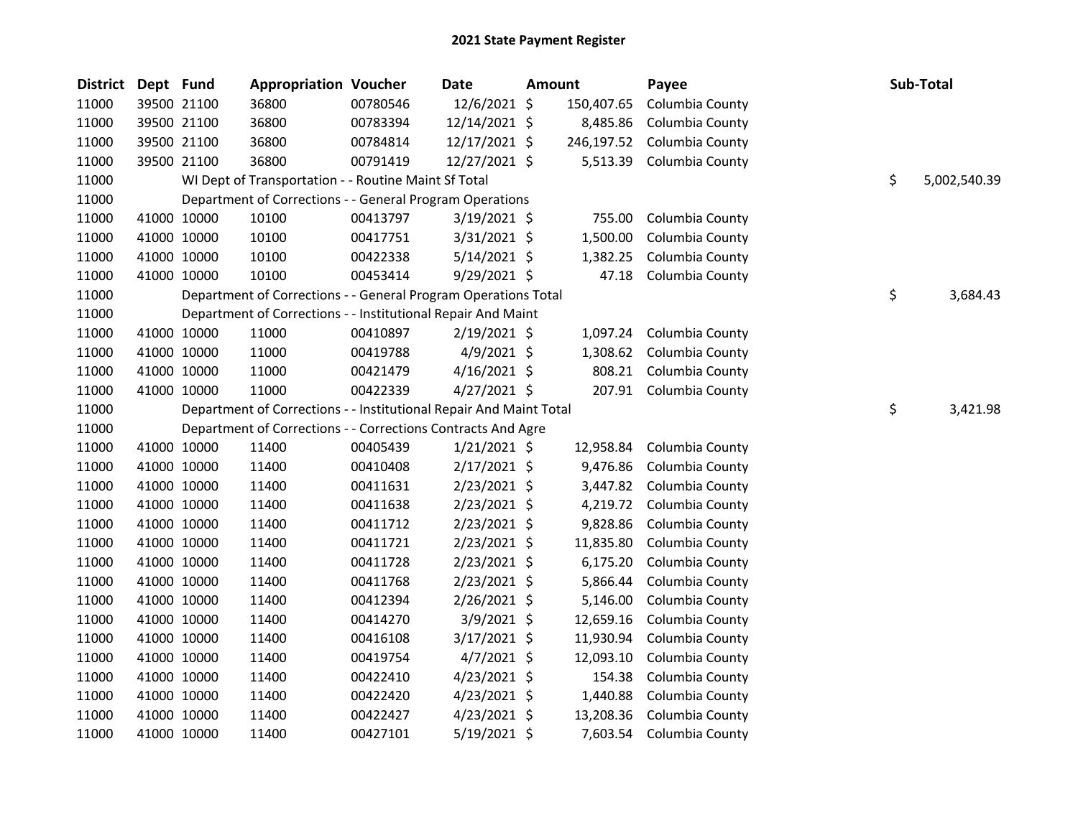| <b>District</b> | Dept Fund |             | <b>Appropriation Voucher</b>                                       |          | Date           | <b>Amount</b> | Payee                  | Sub-Total          |
|-----------------|-----------|-------------|--------------------------------------------------------------------|----------|----------------|---------------|------------------------|--------------------|
| 11000           |           | 39500 21100 | 36800                                                              | 00780546 | 12/6/2021 \$   | 150,407.65    | Columbia County        |                    |
| 11000           |           | 39500 21100 | 36800                                                              | 00783394 | 12/14/2021 \$  | 8,485.86      | Columbia County        |                    |
| 11000           |           | 39500 21100 | 36800                                                              | 00784814 | 12/17/2021 \$  | 246,197.52    | Columbia County        |                    |
| 11000           |           | 39500 21100 | 36800                                                              | 00791419 | 12/27/2021 \$  | 5,513.39      | Columbia County        |                    |
| 11000           |           |             | WI Dept of Transportation - - Routine Maint Sf Total               |          |                |               |                        | \$<br>5,002,540.39 |
| 11000           |           |             | Department of Corrections - - General Program Operations           |          |                |               |                        |                    |
| 11000           |           | 41000 10000 | 10100                                                              | 00413797 | 3/19/2021 \$   | 755.00        | Columbia County        |                    |
| 11000           |           | 41000 10000 | 10100                                                              | 00417751 | $3/31/2021$ \$ | 1,500.00      | Columbia County        |                    |
| 11000           |           | 41000 10000 | 10100                                                              | 00422338 | $5/14/2021$ \$ | 1,382.25      | Columbia County        |                    |
| 11000           |           | 41000 10000 | 10100                                                              | 00453414 | 9/29/2021 \$   | 47.18         | Columbia County        |                    |
| 11000           |           |             | Department of Corrections - - General Program Operations Total     |          |                |               |                        | \$<br>3,684.43     |
| 11000           |           |             | Department of Corrections - - Institutional Repair And Maint       |          |                |               |                        |                    |
| 11000           |           | 41000 10000 | 11000                                                              | 00410897 | $2/19/2021$ \$ | 1,097.24      | Columbia County        |                    |
| 11000           |           | 41000 10000 | 11000                                                              | 00419788 | $4/9/2021$ \$  | 1,308.62      | Columbia County        |                    |
| 11000           |           | 41000 10000 | 11000                                                              | 00421479 | $4/16/2021$ \$ | 808.21        | Columbia County        |                    |
| 11000           |           | 41000 10000 | 11000                                                              | 00422339 | $4/27/2021$ \$ |               | 207.91 Columbia County |                    |
| 11000           |           |             | Department of Corrections - - Institutional Repair And Maint Total |          |                |               |                        | \$<br>3,421.98     |
| 11000           |           |             | Department of Corrections - - Corrections Contracts And Agre       |          |                |               |                        |                    |
| 11000           |           | 41000 10000 | 11400                                                              | 00405439 | $1/21/2021$ \$ | 12,958.84     | Columbia County        |                    |
| 11000           |           | 41000 10000 | 11400                                                              | 00410408 | $2/17/2021$ \$ | 9,476.86      | Columbia County        |                    |
| 11000           |           | 41000 10000 | 11400                                                              | 00411631 | $2/23/2021$ \$ | 3,447.82      | Columbia County        |                    |
| 11000           |           | 41000 10000 | 11400                                                              | 00411638 | $2/23/2021$ \$ | 4,219.72      | Columbia County        |                    |
| 11000           |           | 41000 10000 | 11400                                                              | 00411712 | 2/23/2021 \$   | 9,828.86      | Columbia County        |                    |
| 11000           |           | 41000 10000 | 11400                                                              | 00411721 | 2/23/2021 \$   | 11,835.80     | Columbia County        |                    |
| 11000           |           | 41000 10000 | 11400                                                              | 00411728 | 2/23/2021 \$   | 6,175.20      | Columbia County        |                    |
| 11000           |           | 41000 10000 | 11400                                                              | 00411768 | 2/23/2021 \$   | 5,866.44      | Columbia County        |                    |
| 11000           |           | 41000 10000 | 11400                                                              | 00412394 | 2/26/2021 \$   | 5,146.00      | Columbia County        |                    |
| 11000           |           | 41000 10000 | 11400                                                              | 00414270 | 3/9/2021 \$    | 12,659.16     | Columbia County        |                    |
| 11000           |           | 41000 10000 | 11400                                                              | 00416108 | $3/17/2021$ \$ | 11,930.94     | Columbia County        |                    |
| 11000           |           | 41000 10000 | 11400                                                              | 00419754 | $4/7/2021$ \$  | 12,093.10     | Columbia County        |                    |
| 11000           |           | 41000 10000 | 11400                                                              | 00422410 | $4/23/2021$ \$ | 154.38        | Columbia County        |                    |
| 11000           |           | 41000 10000 | 11400                                                              | 00422420 | $4/23/2021$ \$ | 1,440.88      | Columbia County        |                    |
| 11000           |           | 41000 10000 | 11400                                                              | 00422427 | $4/23/2021$ \$ | 13,208.36     | Columbia County        |                    |
| 11000           |           | 41000 10000 | 11400                                                              | 00427101 | 5/19/2021 \$   | 7,603.54      | Columbia County        |                    |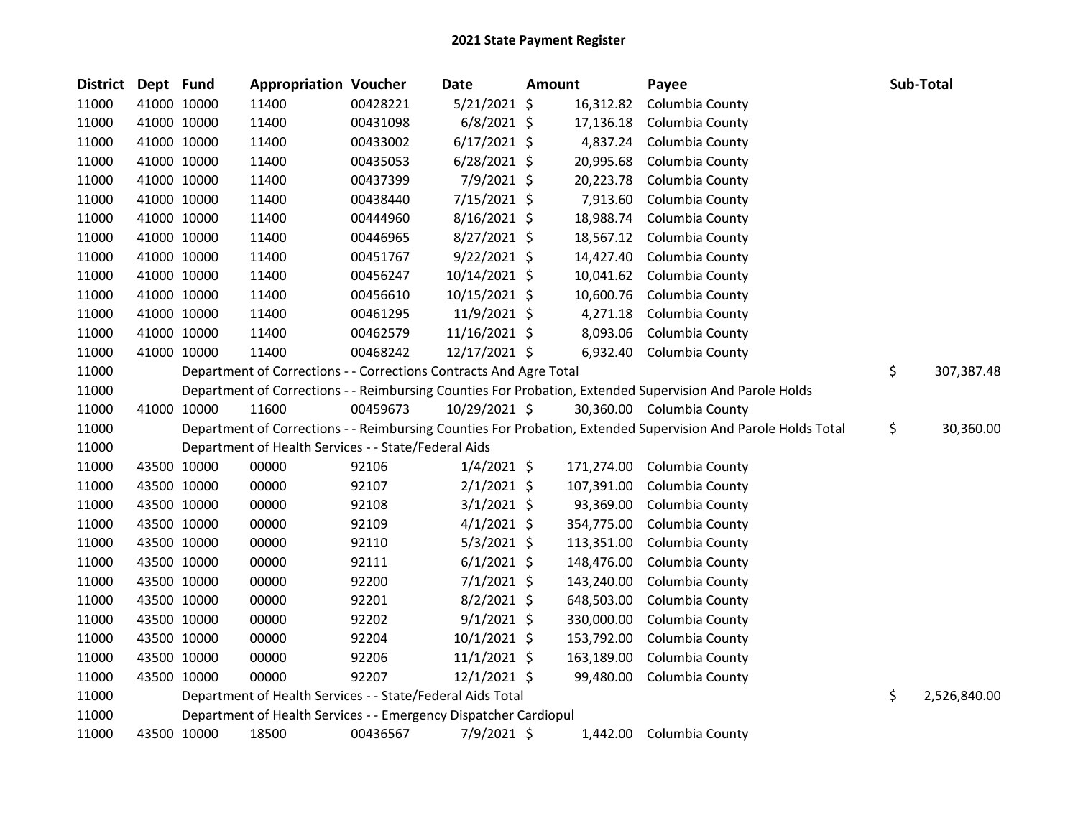| <b>District</b> | Dept Fund |             | <b>Appropriation Voucher</b>                                       |          | Date           | <b>Amount</b> |            | Payee                                                                                                         | Sub-Total          |
|-----------------|-----------|-------------|--------------------------------------------------------------------|----------|----------------|---------------|------------|---------------------------------------------------------------------------------------------------------------|--------------------|
| 11000           |           | 41000 10000 | 11400                                                              | 00428221 | $5/21/2021$ \$ |               | 16,312.82  | Columbia County                                                                                               |                    |
| 11000           |           | 41000 10000 | 11400                                                              | 00431098 | $6/8/2021$ \$  |               | 17,136.18  | Columbia County                                                                                               |                    |
| 11000           |           | 41000 10000 | 11400                                                              | 00433002 | $6/17/2021$ \$ |               | 4,837.24   | Columbia County                                                                                               |                    |
| 11000           |           | 41000 10000 | 11400                                                              | 00435053 | $6/28/2021$ \$ |               | 20,995.68  | Columbia County                                                                                               |                    |
| 11000           |           | 41000 10000 | 11400                                                              | 00437399 | 7/9/2021 \$    |               | 20,223.78  | Columbia County                                                                                               |                    |
| 11000           |           | 41000 10000 | 11400                                                              | 00438440 | 7/15/2021 \$   |               | 7,913.60   | Columbia County                                                                                               |                    |
| 11000           |           | 41000 10000 | 11400                                                              | 00444960 | $8/16/2021$ \$ |               | 18,988.74  | Columbia County                                                                                               |                    |
| 11000           |           | 41000 10000 | 11400                                                              | 00446965 | 8/27/2021 \$   |               | 18,567.12  | Columbia County                                                                                               |                    |
| 11000           |           | 41000 10000 | 11400                                                              | 00451767 | $9/22/2021$ \$ |               | 14,427.40  | Columbia County                                                                                               |                    |
| 11000           |           | 41000 10000 | 11400                                                              | 00456247 | 10/14/2021 \$  |               | 10,041.62  | Columbia County                                                                                               |                    |
| 11000           |           | 41000 10000 | 11400                                                              | 00456610 | 10/15/2021 \$  |               | 10,600.76  | Columbia County                                                                                               |                    |
| 11000           |           | 41000 10000 | 11400                                                              | 00461295 | 11/9/2021 \$   |               | 4,271.18   | Columbia County                                                                                               |                    |
| 11000           |           | 41000 10000 | 11400                                                              | 00462579 | 11/16/2021 \$  |               | 8,093.06   | Columbia County                                                                                               |                    |
| 11000           |           | 41000 10000 | 11400                                                              | 00468242 | 12/17/2021 \$  |               |            | 6,932.40 Columbia County                                                                                      |                    |
| 11000           |           |             | Department of Corrections - - Corrections Contracts And Agre Total |          |                |               |            |                                                                                                               | \$<br>307,387.48   |
| 11000           |           |             |                                                                    |          |                |               |            | Department of Corrections - - Reimbursing Counties For Probation, Extended Supervision And Parole Holds       |                    |
| 11000           |           | 41000 10000 | 11600                                                              | 00459673 | 10/29/2021 \$  |               |            | 30,360.00 Columbia County                                                                                     |                    |
| 11000           |           |             |                                                                    |          |                |               |            | Department of Corrections - - Reimbursing Counties For Probation, Extended Supervision And Parole Holds Total | \$<br>30,360.00    |
| 11000           |           |             | Department of Health Services - - State/Federal Aids               |          |                |               |            |                                                                                                               |                    |
| 11000           |           | 43500 10000 | 00000                                                              | 92106    | $1/4/2021$ \$  |               | 171,274.00 | Columbia County                                                                                               |                    |
| 11000           |           | 43500 10000 | 00000                                                              | 92107    | $2/1/2021$ \$  |               | 107,391.00 | Columbia County                                                                                               |                    |
| 11000           |           | 43500 10000 | 00000                                                              | 92108    | $3/1/2021$ \$  |               | 93,369.00  | Columbia County                                                                                               |                    |
| 11000           |           | 43500 10000 | 00000                                                              | 92109    | $4/1/2021$ \$  |               | 354,775.00 | Columbia County                                                                                               |                    |
| 11000           |           | 43500 10000 | 00000                                                              | 92110    | $5/3/2021$ \$  |               | 113,351.00 | Columbia County                                                                                               |                    |
| 11000           |           | 43500 10000 | 00000                                                              | 92111    | $6/1/2021$ \$  |               | 148,476.00 | Columbia County                                                                                               |                    |
| 11000           |           | 43500 10000 | 00000                                                              | 92200    | $7/1/2021$ \$  |               | 143,240.00 | Columbia County                                                                                               |                    |
| 11000           |           | 43500 10000 | 00000                                                              | 92201    | $8/2/2021$ \$  |               | 648,503.00 | Columbia County                                                                                               |                    |
| 11000           |           | 43500 10000 | 00000                                                              | 92202    | $9/1/2021$ \$  |               | 330,000.00 | Columbia County                                                                                               |                    |
| 11000           |           | 43500 10000 | 00000                                                              | 92204    | 10/1/2021 \$   |               | 153,792.00 | Columbia County                                                                                               |                    |
| 11000           |           | 43500 10000 | 00000                                                              | 92206    | $11/1/2021$ \$ |               | 163,189.00 | Columbia County                                                                                               |                    |
| 11000           |           | 43500 10000 | 00000                                                              | 92207    | $12/1/2021$ \$ |               | 99,480.00  | Columbia County                                                                                               |                    |
| 11000           |           |             | Department of Health Services - - State/Federal Aids Total         |          |                |               |            |                                                                                                               | \$<br>2,526,840.00 |
| 11000           |           |             | Department of Health Services - - Emergency Dispatcher Cardiopul   |          |                |               |            |                                                                                                               |                    |
| 11000           |           | 43500 10000 | 18500                                                              | 00436567 | 7/9/2021 \$    |               | 1,442.00   | Columbia County                                                                                               |                    |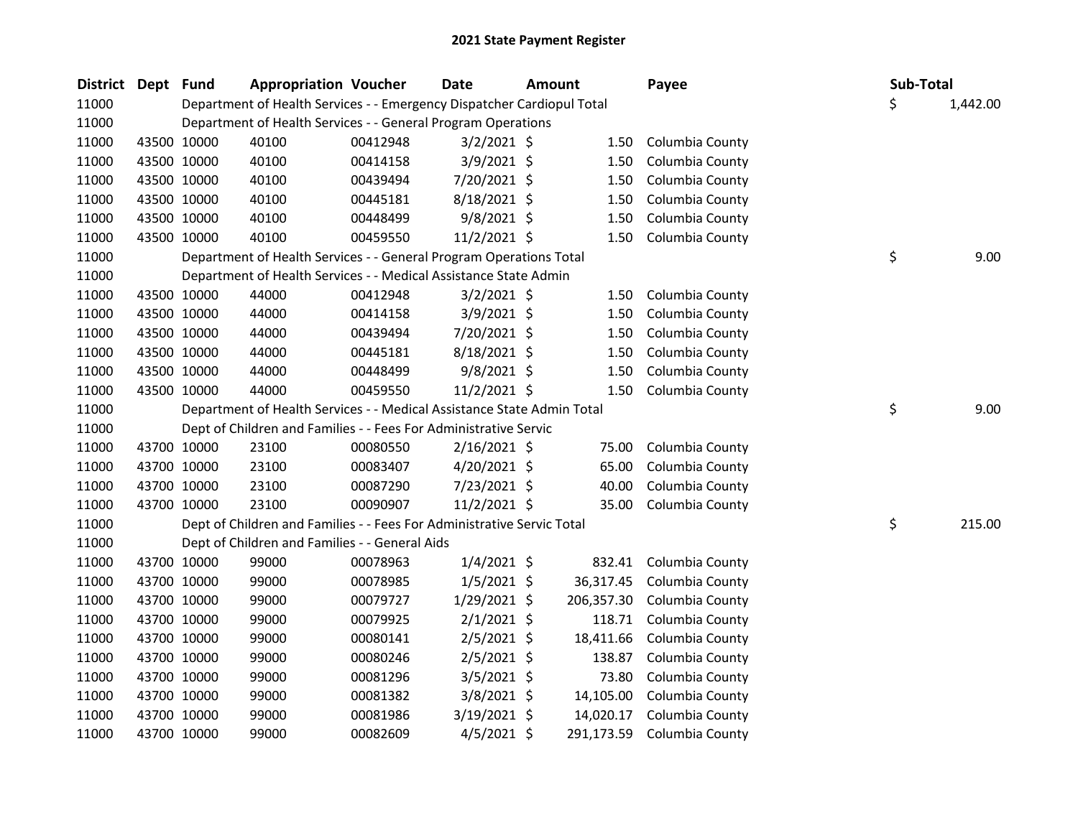| <b>District</b> | Dept Fund |             | <b>Appropriation Voucher</b>                                           |          | <b>Date</b>    | <b>Amount</b> |            | Payee           | Sub-Total |          |
|-----------------|-----------|-------------|------------------------------------------------------------------------|----------|----------------|---------------|------------|-----------------|-----------|----------|
| 11000           |           |             | Department of Health Services - - Emergency Dispatcher Cardiopul Total |          |                |               |            |                 | \$        | 1,442.00 |
| 11000           |           |             | Department of Health Services - - General Program Operations           |          |                |               |            |                 |           |          |
| 11000           |           | 43500 10000 | 40100                                                                  | 00412948 | $3/2/2021$ \$  |               | 1.50       | Columbia County |           |          |
| 11000           |           | 43500 10000 | 40100                                                                  | 00414158 | $3/9/2021$ \$  |               | 1.50       | Columbia County |           |          |
| 11000           |           | 43500 10000 | 40100                                                                  | 00439494 | 7/20/2021 \$   |               | 1.50       | Columbia County |           |          |
| 11000           |           | 43500 10000 | 40100                                                                  | 00445181 | $8/18/2021$ \$ |               | 1.50       | Columbia County |           |          |
| 11000           |           | 43500 10000 | 40100                                                                  | 00448499 | 9/8/2021 \$    |               | 1.50       | Columbia County |           |          |
| 11000           |           | 43500 10000 | 40100                                                                  | 00459550 | 11/2/2021 \$   |               | 1.50       | Columbia County |           |          |
| 11000           |           |             | Department of Health Services - - General Program Operations Total     |          |                |               |            |                 | \$        | 9.00     |
| 11000           |           |             | Department of Health Services - - Medical Assistance State Admin       |          |                |               |            |                 |           |          |
| 11000           |           | 43500 10000 | 44000                                                                  | 00412948 | $3/2/2021$ \$  |               | 1.50       | Columbia County |           |          |
| 11000           |           | 43500 10000 | 44000                                                                  | 00414158 | $3/9/2021$ \$  |               | 1.50       | Columbia County |           |          |
| 11000           |           | 43500 10000 | 44000                                                                  | 00439494 | 7/20/2021 \$   |               | 1.50       | Columbia County |           |          |
| 11000           |           | 43500 10000 | 44000                                                                  | 00445181 | $8/18/2021$ \$ |               | 1.50       | Columbia County |           |          |
| 11000           |           | 43500 10000 | 44000                                                                  | 00448499 | 9/8/2021 \$    |               | 1.50       | Columbia County |           |          |
| 11000           |           | 43500 10000 | 44000                                                                  | 00459550 | 11/2/2021 \$   |               | 1.50       | Columbia County |           |          |
| 11000           |           |             | Department of Health Services - - Medical Assistance State Admin Total |          |                |               |            |                 | \$        | 9.00     |
| 11000           |           |             | Dept of Children and Families - - Fees For Administrative Servic       |          |                |               |            |                 |           |          |
| 11000           |           | 43700 10000 | 23100                                                                  | 00080550 | 2/16/2021 \$   |               | 75.00      | Columbia County |           |          |
| 11000           |           | 43700 10000 | 23100                                                                  | 00083407 | $4/20/2021$ \$ |               | 65.00      | Columbia County |           |          |
| 11000           |           | 43700 10000 | 23100                                                                  | 00087290 | 7/23/2021 \$   |               | 40.00      | Columbia County |           |          |
| 11000           |           | 43700 10000 | 23100                                                                  | 00090907 | $11/2/2021$ \$ |               | 35.00      | Columbia County |           |          |
| 11000           |           |             | Dept of Children and Families - - Fees For Administrative Servic Total |          |                |               |            |                 | \$        | 215.00   |
| 11000           |           |             | Dept of Children and Families - - General Aids                         |          |                |               |            |                 |           |          |
| 11000           |           | 43700 10000 | 99000                                                                  | 00078963 | $1/4/2021$ \$  |               | 832.41     | Columbia County |           |          |
| 11000           |           | 43700 10000 | 99000                                                                  | 00078985 | $1/5/2021$ \$  |               | 36,317.45  | Columbia County |           |          |
| 11000           |           | 43700 10000 | 99000                                                                  | 00079727 | 1/29/2021 \$   |               | 206,357.30 | Columbia County |           |          |
| 11000           |           | 43700 10000 | 99000                                                                  | 00079925 | $2/1/2021$ \$  |               | 118.71     | Columbia County |           |          |
| 11000           |           | 43700 10000 | 99000                                                                  | 00080141 | $2/5/2021$ \$  |               | 18,411.66  | Columbia County |           |          |
| 11000           |           | 43700 10000 | 99000                                                                  | 00080246 | $2/5/2021$ \$  |               | 138.87     | Columbia County |           |          |
| 11000           |           | 43700 10000 | 99000                                                                  | 00081296 | $3/5/2021$ \$  |               | 73.80      | Columbia County |           |          |
| 11000           |           | 43700 10000 | 99000                                                                  | 00081382 | 3/8/2021 \$    |               | 14,105.00  | Columbia County |           |          |
| 11000           |           | 43700 10000 | 99000                                                                  | 00081986 | 3/19/2021 \$   |               | 14,020.17  | Columbia County |           |          |
| 11000           |           | 43700 10000 | 99000                                                                  | 00082609 | $4/5/2021$ \$  |               | 291,173.59 | Columbia County |           |          |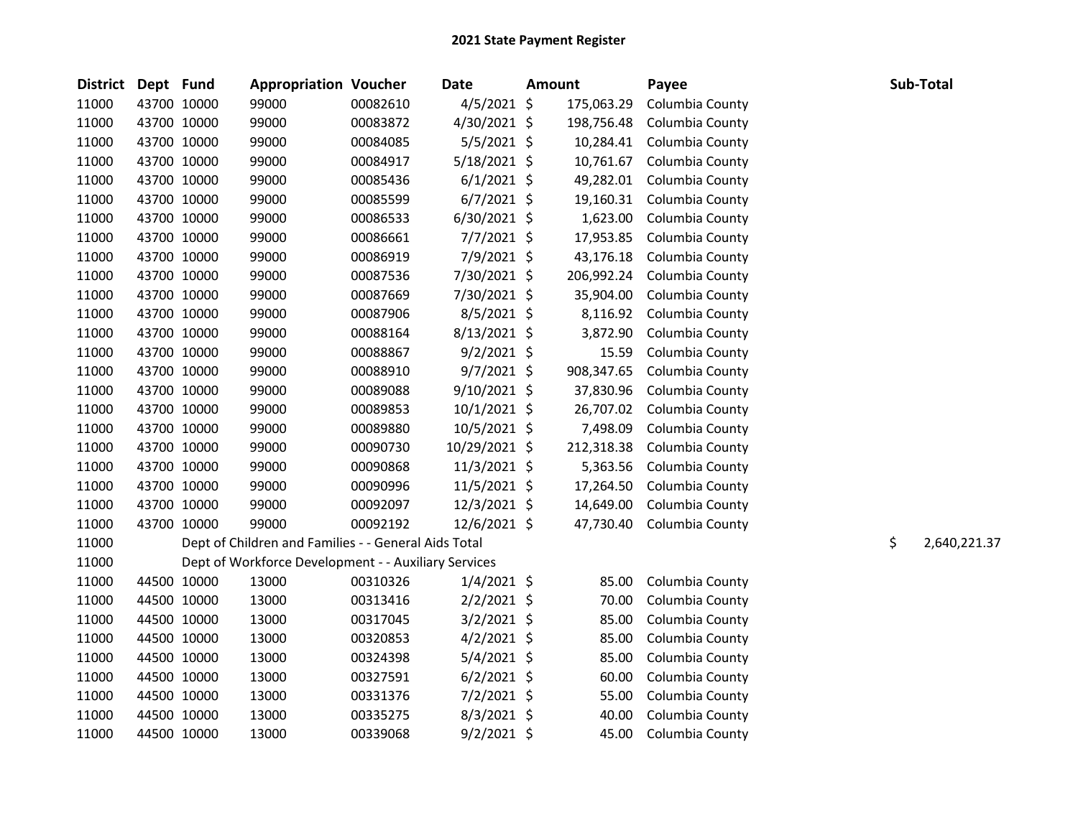| District Dept Fund |             | <b>Appropriation Voucher</b>                         |          | <b>Date</b>    | <b>Amount</b> |            | Payee           |    | Sub-Total    |
|--------------------|-------------|------------------------------------------------------|----------|----------------|---------------|------------|-----------------|----|--------------|
| 11000              | 43700 10000 | 99000                                                | 00082610 | $4/5/2021$ \$  |               | 175,063.29 | Columbia County |    |              |
| 11000              | 43700 10000 | 99000                                                | 00083872 | 4/30/2021 \$   |               | 198,756.48 | Columbia County |    |              |
| 11000              | 43700 10000 | 99000                                                | 00084085 | $5/5/2021$ \$  |               | 10,284.41  | Columbia County |    |              |
| 11000              | 43700 10000 | 99000                                                | 00084917 | $5/18/2021$ \$ |               | 10,761.67  | Columbia County |    |              |
| 11000              | 43700 10000 | 99000                                                | 00085436 | $6/1/2021$ \$  |               | 49,282.01  | Columbia County |    |              |
| 11000              | 43700 10000 | 99000                                                | 00085599 | $6/7/2021$ \$  |               | 19,160.31  | Columbia County |    |              |
| 11000              | 43700 10000 | 99000                                                | 00086533 | $6/30/2021$ \$ |               | 1,623.00   | Columbia County |    |              |
| 11000              | 43700 10000 | 99000                                                | 00086661 | $7/7/2021$ \$  |               | 17,953.85  | Columbia County |    |              |
| 11000              | 43700 10000 | 99000                                                | 00086919 | 7/9/2021 \$    |               | 43,176.18  | Columbia County |    |              |
| 11000              | 43700 10000 | 99000                                                | 00087536 | 7/30/2021 \$   |               | 206,992.24 | Columbia County |    |              |
| 11000              | 43700 10000 | 99000                                                | 00087669 | 7/30/2021 \$   |               | 35,904.00  | Columbia County |    |              |
| 11000              | 43700 10000 | 99000                                                | 00087906 | $8/5/2021$ \$  |               | 8,116.92   | Columbia County |    |              |
| 11000              | 43700 10000 | 99000                                                | 00088164 | $8/13/2021$ \$ |               | 3,872.90   | Columbia County |    |              |
| 11000              | 43700 10000 | 99000                                                | 00088867 | $9/2/2021$ \$  |               | 15.59      | Columbia County |    |              |
| 11000              | 43700 10000 | 99000                                                | 00088910 | $9/7/2021$ \$  |               | 908,347.65 | Columbia County |    |              |
| 11000              | 43700 10000 | 99000                                                | 00089088 | $9/10/2021$ \$ |               | 37,830.96  | Columbia County |    |              |
| 11000              | 43700 10000 | 99000                                                | 00089853 | $10/1/2021$ \$ |               | 26,707.02  | Columbia County |    |              |
| 11000              | 43700 10000 | 99000                                                | 00089880 | 10/5/2021 \$   |               | 7,498.09   | Columbia County |    |              |
| 11000              | 43700 10000 | 99000                                                | 00090730 | 10/29/2021 \$  |               | 212,318.38 | Columbia County |    |              |
| 11000              | 43700 10000 | 99000                                                | 00090868 | 11/3/2021 \$   |               | 5,363.56   | Columbia County |    |              |
| 11000              | 43700 10000 | 99000                                                | 00090996 | 11/5/2021 \$   |               | 17,264.50  | Columbia County |    |              |
| 11000              | 43700 10000 | 99000                                                | 00092097 | $12/3/2021$ \$ |               | 14,649.00  | Columbia County |    |              |
| 11000              | 43700 10000 | 99000                                                | 00092192 | 12/6/2021 \$   |               | 47,730.40  | Columbia County |    |              |
| 11000              |             | Dept of Children and Families - - General Aids Total |          |                |               |            |                 | \$ | 2,640,221.37 |
| 11000              |             | Dept of Workforce Development - - Auxiliary Services |          |                |               |            |                 |    |              |
| 11000              | 44500 10000 | 13000                                                | 00310326 | $1/4/2021$ \$  |               | 85.00      | Columbia County |    |              |
| 11000              | 44500 10000 | 13000                                                | 00313416 | $2/2/2021$ \$  |               | 70.00      | Columbia County |    |              |
| 11000              | 44500 10000 | 13000                                                | 00317045 | $3/2/2021$ \$  |               | 85.00      | Columbia County |    |              |
| 11000              | 44500 10000 | 13000                                                | 00320853 | $4/2/2021$ \$  |               | 85.00      | Columbia County |    |              |
| 11000              | 44500 10000 | 13000                                                | 00324398 | $5/4/2021$ \$  |               | 85.00      | Columbia County |    |              |
| 11000              | 44500 10000 | 13000                                                | 00327591 | $6/2/2021$ \$  |               | 60.00      | Columbia County |    |              |
| 11000              | 44500 10000 | 13000                                                | 00331376 | $7/2/2021$ \$  |               | 55.00      | Columbia County |    |              |
| 11000              | 44500 10000 | 13000                                                | 00335275 | $8/3/2021$ \$  |               | 40.00      | Columbia County |    |              |
| 11000              | 44500 10000 | 13000                                                | 00339068 | $9/2/2021$ \$  |               | 45.00      | Columbia County |    |              |
|                    |             |                                                      |          |                |               |            |                 |    |              |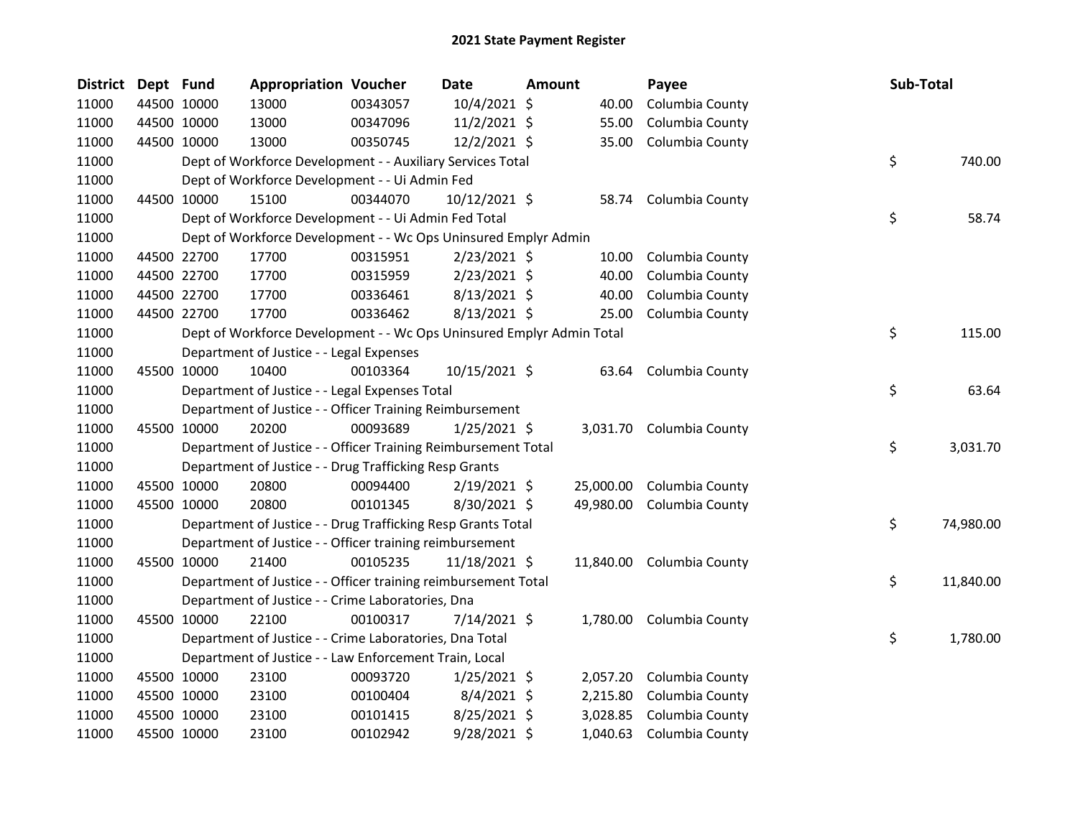| <b>District</b> | Dept Fund |             | <b>Appropriation Voucher</b>                                          |          | <b>Date</b>    | Amount |           | Payee                     | Sub-Total       |
|-----------------|-----------|-------------|-----------------------------------------------------------------------|----------|----------------|--------|-----------|---------------------------|-----------------|
| 11000           |           | 44500 10000 | 13000                                                                 | 00343057 | 10/4/2021 \$   |        | 40.00     | Columbia County           |                 |
| 11000           |           | 44500 10000 | 13000                                                                 | 00347096 | 11/2/2021 \$   |        | 55.00     | Columbia County           |                 |
| 11000           |           | 44500 10000 | 13000                                                                 | 00350745 | 12/2/2021 \$   |        | 35.00     | Columbia County           |                 |
| 11000           |           |             | Dept of Workforce Development - - Auxiliary Services Total            |          |                |        |           |                           | \$<br>740.00    |
| 11000           |           |             | Dept of Workforce Development - - Ui Admin Fed                        |          |                |        |           |                           |                 |
| 11000           |           | 44500 10000 | 15100                                                                 | 00344070 | 10/12/2021 \$  |        |           | 58.74 Columbia County     |                 |
| 11000           |           |             | Dept of Workforce Development - - Ui Admin Fed Total                  |          |                |        |           |                           | \$<br>58.74     |
| 11000           |           |             | Dept of Workforce Development - - Wc Ops Uninsured Emplyr Admin       |          |                |        |           |                           |                 |
| 11000           |           | 44500 22700 | 17700                                                                 | 00315951 | $2/23/2021$ \$ |        | 10.00     | Columbia County           |                 |
| 11000           |           | 44500 22700 | 17700                                                                 | 00315959 | $2/23/2021$ \$ |        | 40.00     | Columbia County           |                 |
| 11000           |           | 44500 22700 | 17700                                                                 | 00336461 | 8/13/2021 \$   |        | 40.00     | Columbia County           |                 |
| 11000           |           | 44500 22700 | 17700                                                                 | 00336462 | 8/13/2021 \$   |        | 25.00     | Columbia County           |                 |
| 11000           |           |             | Dept of Workforce Development - - Wc Ops Uninsured Emplyr Admin Total |          |                |        |           |                           | \$<br>115.00    |
| 11000           |           |             | Department of Justice - - Legal Expenses                              |          |                |        |           |                           |                 |
| 11000           |           | 45500 10000 | 10400                                                                 | 00103364 | 10/15/2021 \$  |        | 63.64     | Columbia County           |                 |
| 11000           |           |             | Department of Justice - - Legal Expenses Total                        |          |                |        |           |                           | \$<br>63.64     |
| 11000           |           |             | Department of Justice - - Officer Training Reimbursement              |          |                |        |           |                           |                 |
| 11000           |           | 45500 10000 | 20200                                                                 | 00093689 | $1/25/2021$ \$ |        |           | 3,031.70 Columbia County  |                 |
| 11000           |           |             | Department of Justice - - Officer Training Reimbursement Total        |          |                |        |           |                           | \$<br>3,031.70  |
| 11000           |           |             | Department of Justice - - Drug Trafficking Resp Grants                |          |                |        |           |                           |                 |
| 11000           |           | 45500 10000 | 20800                                                                 | 00094400 | $2/19/2021$ \$ |        | 25,000.00 | Columbia County           |                 |
| 11000           |           | 45500 10000 | 20800                                                                 | 00101345 | 8/30/2021 \$   |        | 49,980.00 | Columbia County           |                 |
| 11000           |           |             | Department of Justice - - Drug Trafficking Resp Grants Total          |          |                |        |           |                           | \$<br>74,980.00 |
| 11000           |           |             | Department of Justice - - Officer training reimbursement              |          |                |        |           |                           |                 |
| 11000           |           | 45500 10000 | 21400                                                                 | 00105235 | 11/18/2021 \$  |        |           | 11,840.00 Columbia County |                 |
| 11000           |           |             | Department of Justice - - Officer training reimbursement Total        |          |                |        |           |                           | \$<br>11,840.00 |
| 11000           |           |             | Department of Justice - - Crime Laboratories, Dna                     |          |                |        |           |                           |                 |
| 11000           |           | 45500 10000 | 22100                                                                 | 00100317 | $7/14/2021$ \$ |        |           | 1,780.00 Columbia County  |                 |
| 11000           |           |             | Department of Justice - - Crime Laboratories, Dna Total               |          |                |        |           |                           | \$<br>1,780.00  |
| 11000           |           |             | Department of Justice - - Law Enforcement Train, Local                |          |                |        |           |                           |                 |
| 11000           |           | 45500 10000 | 23100                                                                 | 00093720 | $1/25/2021$ \$ |        | 2,057.20  | Columbia County           |                 |
| 11000           |           | 45500 10000 | 23100                                                                 | 00100404 | $8/4/2021$ \$  |        | 2,215.80  | Columbia County           |                 |
| 11000           |           | 45500 10000 | 23100                                                                 | 00101415 | 8/25/2021 \$   |        | 3,028.85  | Columbia County           |                 |
| 11000           |           | 45500 10000 | 23100                                                                 | 00102942 | 9/28/2021 \$   |        | 1,040.63  | Columbia County           |                 |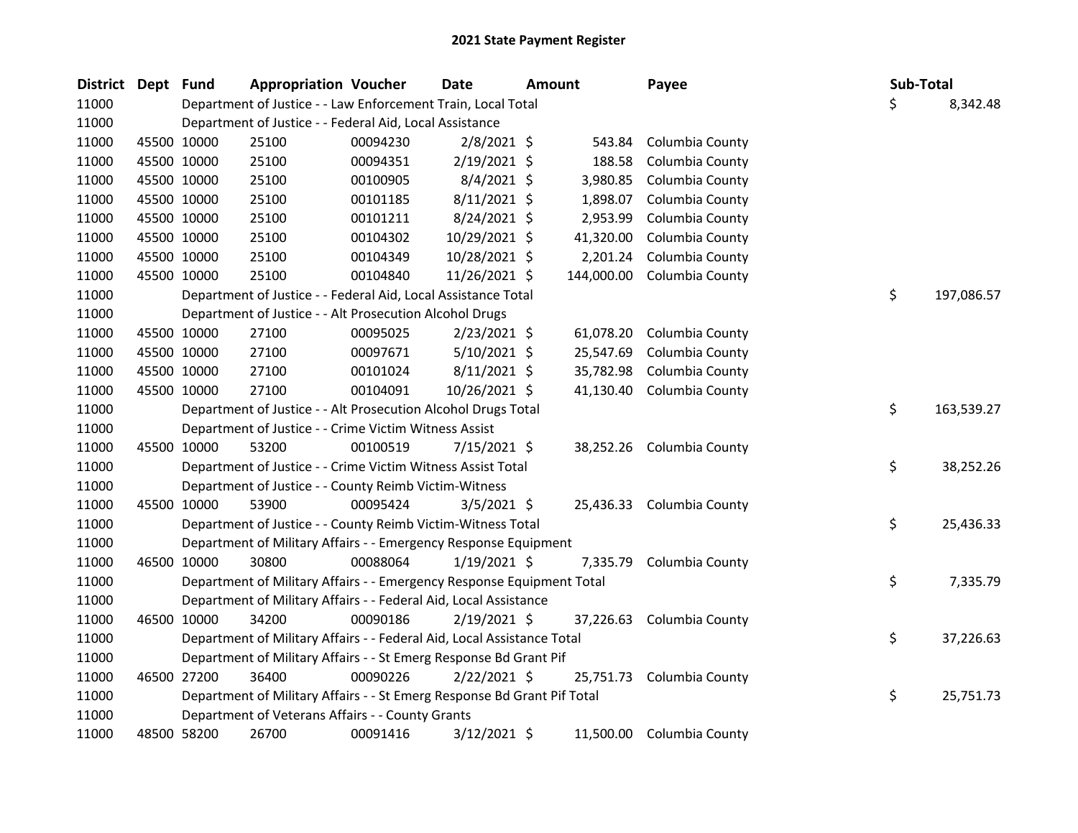| <b>District</b> | Dept Fund |             | <b>Appropriation Voucher</b>                                            |          | <b>Date</b>    | <b>Amount</b> |            | Payee                     | Sub-Total |            |
|-----------------|-----------|-------------|-------------------------------------------------------------------------|----------|----------------|---------------|------------|---------------------------|-----------|------------|
| 11000           |           |             | Department of Justice - - Law Enforcement Train, Local Total            |          |                |               |            |                           | \$        | 8,342.48   |
| 11000           |           |             | Department of Justice - - Federal Aid, Local Assistance                 |          |                |               |            |                           |           |            |
| 11000           |           | 45500 10000 | 25100                                                                   | 00094230 | $2/8/2021$ \$  |               | 543.84     | Columbia County           |           |            |
| 11000           |           | 45500 10000 | 25100                                                                   | 00094351 | 2/19/2021 \$   |               | 188.58     | Columbia County           |           |            |
| 11000           |           | 45500 10000 | 25100                                                                   | 00100905 | 8/4/2021 \$    |               | 3,980.85   | Columbia County           |           |            |
| 11000           |           | 45500 10000 | 25100                                                                   | 00101185 | $8/11/2021$ \$ |               | 1,898.07   | Columbia County           |           |            |
| 11000           |           | 45500 10000 | 25100                                                                   | 00101211 | 8/24/2021 \$   |               | 2,953.99   | Columbia County           |           |            |
| 11000           |           | 45500 10000 | 25100                                                                   | 00104302 | 10/29/2021 \$  |               | 41,320.00  | Columbia County           |           |            |
| 11000           |           | 45500 10000 | 25100                                                                   | 00104349 | 10/28/2021 \$  |               | 2,201.24   | Columbia County           |           |            |
| 11000           |           | 45500 10000 | 25100                                                                   | 00104840 | 11/26/2021 \$  |               | 144,000.00 | Columbia County           |           |            |
| 11000           |           |             | Department of Justice - - Federal Aid, Local Assistance Total           |          |                |               |            |                           | \$        | 197,086.57 |
| 11000           |           |             | Department of Justice - - Alt Prosecution Alcohol Drugs                 |          |                |               |            |                           |           |            |
| 11000           |           | 45500 10000 | 27100                                                                   | 00095025 | $2/23/2021$ \$ |               | 61,078.20  | Columbia County           |           |            |
| 11000           |           | 45500 10000 | 27100                                                                   | 00097671 | $5/10/2021$ \$ |               | 25,547.69  | Columbia County           |           |            |
| 11000           |           | 45500 10000 | 27100                                                                   | 00101024 | $8/11/2021$ \$ |               | 35,782.98  | Columbia County           |           |            |
| 11000           |           | 45500 10000 | 27100                                                                   | 00104091 | 10/26/2021 \$  |               | 41,130.40  | Columbia County           |           |            |
| 11000           |           |             | Department of Justice - - Alt Prosecution Alcohol Drugs Total           |          |                |               |            |                           | \$        | 163,539.27 |
| 11000           |           |             | Department of Justice - - Crime Victim Witness Assist                   |          |                |               |            |                           |           |            |
| 11000           |           | 45500 10000 | 53200                                                                   | 00100519 | $7/15/2021$ \$ |               |            | 38,252.26 Columbia County |           |            |
| 11000           |           |             | Department of Justice - - Crime Victim Witness Assist Total             |          |                |               |            |                           | \$        | 38,252.26  |
| 11000           |           |             | Department of Justice - - County Reimb Victim-Witness                   |          |                |               |            |                           |           |            |
| 11000           |           | 45500 10000 | 53900                                                                   | 00095424 | $3/5/2021$ \$  |               | 25,436.33  | Columbia County           |           |            |
| 11000           |           |             | Department of Justice - - County Reimb Victim-Witness Total             |          |                |               |            |                           | \$        | 25,436.33  |
| 11000           |           |             | Department of Military Affairs - - Emergency Response Equipment         |          |                |               |            |                           |           |            |
| 11000           |           | 46500 10000 | 30800                                                                   | 00088064 | $1/19/2021$ \$ |               | 7,335.79   | Columbia County           |           |            |
| 11000           |           |             | Department of Military Affairs - - Emergency Response Equipment Total   |          |                |               |            |                           | \$        | 7,335.79   |
| 11000           |           |             | Department of Military Affairs - - Federal Aid, Local Assistance        |          |                |               |            |                           |           |            |
| 11000           |           | 46500 10000 | 34200                                                                   | 00090186 | 2/19/2021 \$   |               | 37,226.63  | Columbia County           |           |            |
| 11000           |           |             | Department of Military Affairs - - Federal Aid, Local Assistance Total  |          |                |               |            |                           | \$        | 37,226.63  |
| 11000           |           |             | Department of Military Affairs - - St Emerg Response Bd Grant Pif       |          |                |               |            |                           |           |            |
| 11000           |           | 46500 27200 | 36400                                                                   | 00090226 | $2/22/2021$ \$ |               | 25,751.73  | Columbia County           |           |            |
| 11000           |           |             | Department of Military Affairs - - St Emerg Response Bd Grant Pif Total |          |                |               |            |                           | \$        | 25,751.73  |
| 11000           |           |             | Department of Veterans Affairs - - County Grants                        |          |                |               |            |                           |           |            |
| 11000           |           | 48500 58200 | 26700                                                                   | 00091416 | 3/12/2021 \$   |               | 11,500.00  | Columbia County           |           |            |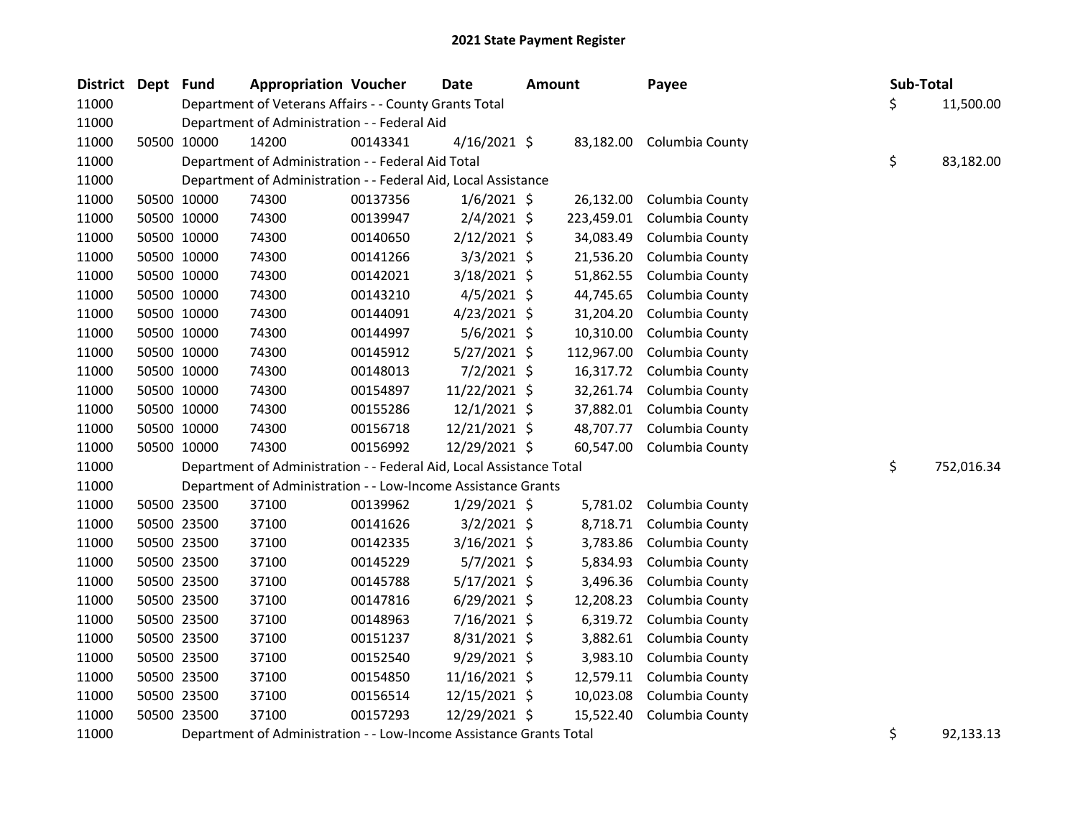| <b>District</b> | Dept | Fund        | <b>Appropriation Voucher</b>                                         |          | <b>Date</b>    | <b>Amount</b> | Payee                     |    | Sub-Total  |
|-----------------|------|-------------|----------------------------------------------------------------------|----------|----------------|---------------|---------------------------|----|------------|
| 11000           |      |             | Department of Veterans Affairs - - County Grants Total               |          |                |               |                           | Ś. | 11,500.00  |
| 11000           |      |             | Department of Administration - - Federal Aid                         |          |                |               |                           |    |            |
| 11000           |      | 50500 10000 | 14200                                                                | 00143341 | $4/16/2021$ \$ |               | 83,182.00 Columbia County |    |            |
| 11000           |      |             | Department of Administration - - Federal Aid Total                   |          |                |               |                           | \$ | 83,182.00  |
| 11000           |      |             | Department of Administration - - Federal Aid, Local Assistance       |          |                |               |                           |    |            |
| 11000           |      | 50500 10000 | 74300                                                                | 00137356 | $1/6/2021$ \$  | 26,132.00     | Columbia County           |    |            |
| 11000           |      | 50500 10000 | 74300                                                                | 00139947 | $2/4/2021$ \$  | 223,459.01    | Columbia County           |    |            |
| 11000           |      | 50500 10000 | 74300                                                                | 00140650 | $2/12/2021$ \$ | 34,083.49     | Columbia County           |    |            |
| 11000           |      | 50500 10000 | 74300                                                                | 00141266 | $3/3/2021$ \$  | 21,536.20     | Columbia County           |    |            |
| 11000           |      | 50500 10000 | 74300                                                                | 00142021 | $3/18/2021$ \$ | 51,862.55     | Columbia County           |    |            |
| 11000           |      | 50500 10000 | 74300                                                                | 00143210 | $4/5/2021$ \$  | 44,745.65     | Columbia County           |    |            |
| 11000           |      | 50500 10000 | 74300                                                                | 00144091 | $4/23/2021$ \$ | 31,204.20     | Columbia County           |    |            |
| 11000           |      | 50500 10000 | 74300                                                                | 00144997 | $5/6/2021$ \$  | 10,310.00     | Columbia County           |    |            |
| 11000           |      | 50500 10000 | 74300                                                                | 00145912 | 5/27/2021 \$   | 112,967.00    | Columbia County           |    |            |
| 11000           |      | 50500 10000 | 74300                                                                | 00148013 | 7/2/2021 \$    | 16,317.72     | Columbia County           |    |            |
| 11000           |      | 50500 10000 | 74300                                                                | 00154897 | 11/22/2021 \$  | 32,261.74     | Columbia County           |    |            |
| 11000           |      | 50500 10000 | 74300                                                                | 00155286 | $12/1/2021$ \$ | 37,882.01     | Columbia County           |    |            |
| 11000           |      | 50500 10000 | 74300                                                                | 00156718 | 12/21/2021 \$  | 48,707.77     | Columbia County           |    |            |
| 11000           |      | 50500 10000 | 74300                                                                | 00156992 | 12/29/2021 \$  | 60,547.00     | Columbia County           |    |            |
| 11000           |      |             | Department of Administration - - Federal Aid, Local Assistance Total |          |                |               |                           | \$ | 752,016.34 |
| 11000           |      |             | Department of Administration - - Low-Income Assistance Grants        |          |                |               |                           |    |            |
| 11000           |      | 50500 23500 | 37100                                                                | 00139962 | $1/29/2021$ \$ | 5,781.02      | Columbia County           |    |            |
| 11000           |      | 50500 23500 | 37100                                                                | 00141626 | $3/2/2021$ \$  | 8,718.71      | Columbia County           |    |            |
| 11000           |      | 50500 23500 | 37100                                                                | 00142335 | $3/16/2021$ \$ | 3,783.86      | Columbia County           |    |            |
| 11000           |      | 50500 23500 | 37100                                                                | 00145229 | 5/7/2021 \$    | 5,834.93      | Columbia County           |    |            |
| 11000           |      | 50500 23500 | 37100                                                                | 00145788 | 5/17/2021 \$   | 3,496.36      | Columbia County           |    |            |
| 11000           |      | 50500 23500 | 37100                                                                | 00147816 | $6/29/2021$ \$ | 12,208.23     | Columbia County           |    |            |
| 11000           |      | 50500 23500 | 37100                                                                | 00148963 | 7/16/2021 \$   | 6,319.72      | Columbia County           |    |            |
| 11000           |      | 50500 23500 | 37100                                                                | 00151237 | 8/31/2021 \$   | 3,882.61      | Columbia County           |    |            |
| 11000           |      | 50500 23500 | 37100                                                                | 00152540 | $9/29/2021$ \$ | 3,983.10      | Columbia County           |    |            |
| 11000           |      | 50500 23500 | 37100                                                                | 00154850 | 11/16/2021 \$  | 12,579.11     | Columbia County           |    |            |
| 11000           |      | 50500 23500 | 37100                                                                | 00156514 | 12/15/2021 \$  | 10,023.08     | Columbia County           |    |            |
| 11000           |      | 50500 23500 | 37100                                                                | 00157293 | 12/29/2021 \$  | 15,522.40     | Columbia County           |    |            |
| 11000           |      |             | Department of Administration - - Low-Income Assistance Grants Total  |          |                |               |                           | \$ | 92,133.13  |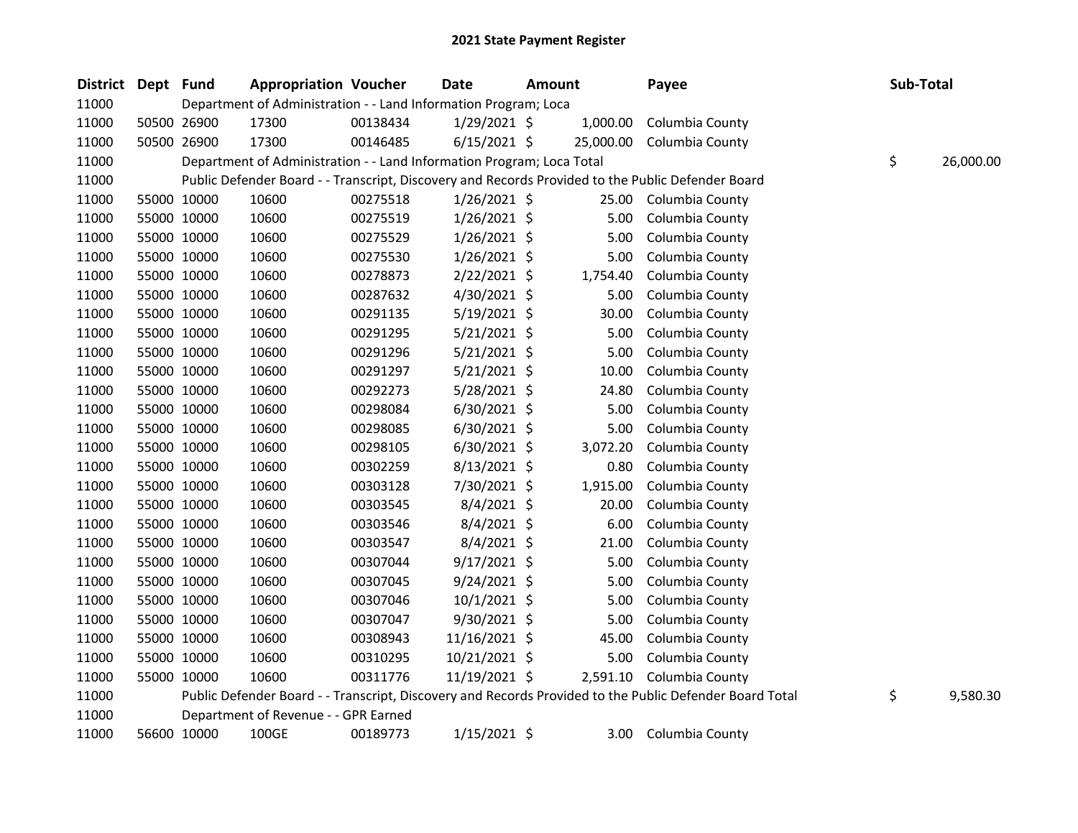| District Dept Fund |             | <b>Appropriation Voucher</b>                                          |          | <b>Date</b>    | <b>Amount</b> |                   | Payee                                                                                                   | Sub-Total |           |
|--------------------|-------------|-----------------------------------------------------------------------|----------|----------------|---------------|-------------------|---------------------------------------------------------------------------------------------------------|-----------|-----------|
| 11000              |             | Department of Administration - - Land Information Program; Loca       |          |                |               |                   |                                                                                                         |           |           |
| 11000              | 50500 26900 | 17300                                                                 | 00138434 | $1/29/2021$ \$ |               | 1,000.00          | Columbia County                                                                                         |           |           |
| 11000              | 50500 26900 | 17300                                                                 | 00146485 | $6/15/2021$ \$ |               | 25,000.00         | Columbia County                                                                                         |           |           |
| 11000              |             | Department of Administration - - Land Information Program; Loca Total |          |                |               |                   |                                                                                                         | \$        | 26,000.00 |
| 11000              |             |                                                                       |          |                |               |                   | Public Defender Board - - Transcript, Discovery and Records Provided to the Public Defender Board       |           |           |
| 11000              | 55000 10000 | 10600                                                                 | 00275518 | $1/26/2021$ \$ |               | 25.00             | Columbia County                                                                                         |           |           |
| 11000              | 55000 10000 | 10600                                                                 | 00275519 | $1/26/2021$ \$ |               | 5.00              | Columbia County                                                                                         |           |           |
| 11000              | 55000 10000 | 10600                                                                 | 00275529 | 1/26/2021 \$   |               | 5.00              | Columbia County                                                                                         |           |           |
| 11000              | 55000 10000 | 10600                                                                 | 00275530 | $1/26/2021$ \$ |               | 5.00              | Columbia County                                                                                         |           |           |
| 11000              | 55000 10000 | 10600                                                                 | 00278873 | $2/22/2021$ \$ |               | 1,754.40          | Columbia County                                                                                         |           |           |
| 11000              | 55000 10000 | 10600                                                                 | 00287632 | 4/30/2021 \$   |               | 5.00              | Columbia County                                                                                         |           |           |
| 11000              | 55000 10000 | 10600                                                                 | 00291135 | $5/19/2021$ \$ |               | 30.00             | Columbia County                                                                                         |           |           |
| 11000              | 55000 10000 | 10600                                                                 | 00291295 | $5/21/2021$ \$ |               | 5.00              | Columbia County                                                                                         |           |           |
| 11000              | 55000 10000 | 10600                                                                 | 00291296 | $5/21/2021$ \$ |               | 5.00              | Columbia County                                                                                         |           |           |
| 11000              | 55000 10000 | 10600                                                                 | 00291297 | $5/21/2021$ \$ |               | 10.00             | Columbia County                                                                                         |           |           |
| 11000              | 55000 10000 | 10600                                                                 | 00292273 | 5/28/2021 \$   |               | 24.80             | Columbia County                                                                                         |           |           |
| 11000              | 55000 10000 | 10600                                                                 | 00298084 | $6/30/2021$ \$ |               | 5.00              | Columbia County                                                                                         |           |           |
| 11000              | 55000 10000 | 10600                                                                 | 00298085 | $6/30/2021$ \$ |               | 5.00              | Columbia County                                                                                         |           |           |
| 11000              | 55000 10000 | 10600                                                                 | 00298105 | $6/30/2021$ \$ |               | 3,072.20          | Columbia County                                                                                         |           |           |
| 11000              | 55000 10000 | 10600                                                                 | 00302259 | $8/13/2021$ \$ |               | 0.80              | Columbia County                                                                                         |           |           |
| 11000              | 55000 10000 | 10600                                                                 | 00303128 | 7/30/2021 \$   |               | 1,915.00          | Columbia County                                                                                         |           |           |
| 11000              | 55000 10000 | 10600                                                                 | 00303545 | $8/4/2021$ \$  |               | 20.00             | Columbia County                                                                                         |           |           |
| 11000              | 55000 10000 | 10600                                                                 | 00303546 | $8/4/2021$ \$  |               | 6.00              | Columbia County                                                                                         |           |           |
| 11000              | 55000 10000 | 10600                                                                 | 00303547 | $8/4/2021$ \$  |               | 21.00             | Columbia County                                                                                         |           |           |
| 11000              | 55000 10000 | 10600                                                                 | 00307044 | $9/17/2021$ \$ |               | 5.00              | Columbia County                                                                                         |           |           |
| 11000              | 55000 10000 | 10600                                                                 | 00307045 | $9/24/2021$ \$ |               | 5.00              | Columbia County                                                                                         |           |           |
| 11000              | 55000 10000 | 10600                                                                 | 00307046 | $10/1/2021$ \$ |               | 5.00              | Columbia County                                                                                         |           |           |
| 11000              | 55000 10000 | 10600                                                                 | 00307047 | 9/30/2021 \$   |               | 5.00              | Columbia County                                                                                         |           |           |
| 11000              | 55000 10000 | 10600                                                                 | 00308943 | 11/16/2021 \$  |               | 45.00             | Columbia County                                                                                         |           |           |
| 11000              | 55000 10000 | 10600                                                                 | 00310295 | 10/21/2021 \$  |               | 5.00              | Columbia County                                                                                         |           |           |
| 11000              | 55000 10000 | 10600                                                                 | 00311776 | 11/19/2021 \$  |               | 2,591.10          | Columbia County                                                                                         |           |           |
| 11000              |             |                                                                       |          |                |               |                   | Public Defender Board - - Transcript, Discovery and Records Provided to the Public Defender Board Total | \$        | 9,580.30  |
| 11000              |             | Department of Revenue - - GPR Earned                                  |          |                |               |                   |                                                                                                         |           |           |
| 11000              | 56600 10000 | 100GE                                                                 | 00189773 | $1/15/2021$ \$ |               | 3.00 <sub>1</sub> | Columbia County                                                                                         |           |           |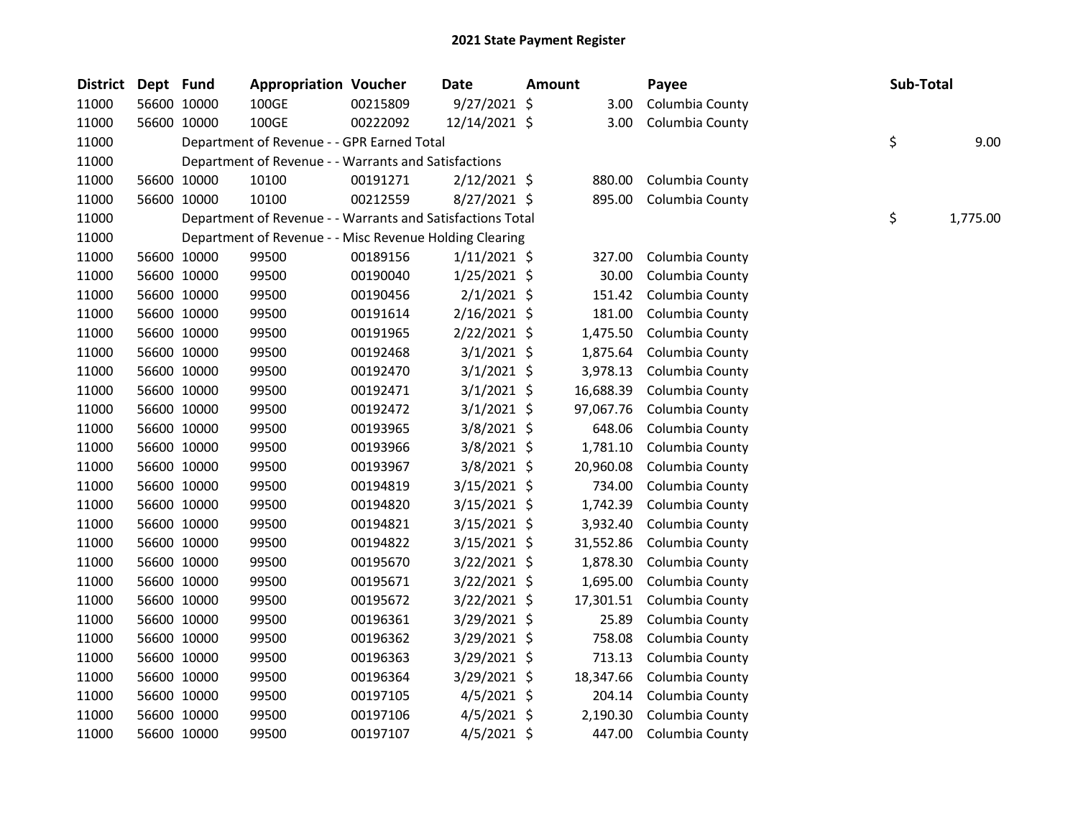| <b>District</b> | Dept Fund |             | <b>Appropriation Voucher</b>                               |          | <b>Date</b>    | <b>Amount</b> | Payee           | Sub-Total |          |
|-----------------|-----------|-------------|------------------------------------------------------------|----------|----------------|---------------|-----------------|-----------|----------|
| 11000           |           | 56600 10000 | 100GE                                                      | 00215809 | $9/27/2021$ \$ | 3.00          | Columbia County |           |          |
| 11000           |           | 56600 10000 | 100GE                                                      | 00222092 | 12/14/2021 \$  | 3.00          | Columbia County |           |          |
| 11000           |           |             | Department of Revenue - - GPR Earned Total                 |          |                |               |                 | \$        | 9.00     |
| 11000           |           |             | Department of Revenue - - Warrants and Satisfactions       |          |                |               |                 |           |          |
| 11000           |           | 56600 10000 | 10100                                                      | 00191271 | $2/12/2021$ \$ | 880.00        | Columbia County |           |          |
| 11000           |           | 56600 10000 | 10100                                                      | 00212559 | 8/27/2021 \$   | 895.00        | Columbia County |           |          |
| 11000           |           |             | Department of Revenue - - Warrants and Satisfactions Total |          |                |               |                 | \$        | 1,775.00 |
| 11000           |           |             | Department of Revenue - - Misc Revenue Holding Clearing    |          |                |               |                 |           |          |
| 11000           |           | 56600 10000 | 99500                                                      | 00189156 | $1/11/2021$ \$ | 327.00        | Columbia County |           |          |
| 11000           |           | 56600 10000 | 99500                                                      | 00190040 | $1/25/2021$ \$ | 30.00         | Columbia County |           |          |
| 11000           |           | 56600 10000 | 99500                                                      | 00190456 | $2/1/2021$ \$  | 151.42        | Columbia County |           |          |
| 11000           |           | 56600 10000 | 99500                                                      | 00191614 | $2/16/2021$ \$ | 181.00        | Columbia County |           |          |
| 11000           |           | 56600 10000 | 99500                                                      | 00191965 | 2/22/2021 \$   | 1,475.50      | Columbia County |           |          |
| 11000           |           | 56600 10000 | 99500                                                      | 00192468 | $3/1/2021$ \$  | 1,875.64      | Columbia County |           |          |
| 11000           |           | 56600 10000 | 99500                                                      | 00192470 | $3/1/2021$ \$  | 3,978.13      | Columbia County |           |          |
| 11000           |           | 56600 10000 | 99500                                                      | 00192471 | $3/1/2021$ \$  | 16,688.39     | Columbia County |           |          |
| 11000           |           | 56600 10000 | 99500                                                      | 00192472 | $3/1/2021$ \$  | 97,067.76     | Columbia County |           |          |
| 11000           |           | 56600 10000 | 99500                                                      | 00193965 | 3/8/2021 \$    | 648.06        | Columbia County |           |          |
| 11000           |           | 56600 10000 | 99500                                                      | 00193966 | 3/8/2021 \$    | 1,781.10      | Columbia County |           |          |
| 11000           |           | 56600 10000 | 99500                                                      | 00193967 | 3/8/2021 \$    | 20,960.08     | Columbia County |           |          |
| 11000           |           | 56600 10000 | 99500                                                      | 00194819 | 3/15/2021 \$   | 734.00        | Columbia County |           |          |
| 11000           |           | 56600 10000 | 99500                                                      | 00194820 | $3/15/2021$ \$ | 1,742.39      | Columbia County |           |          |
| 11000           |           | 56600 10000 | 99500                                                      | 00194821 | $3/15/2021$ \$ | 3,932.40      | Columbia County |           |          |
| 11000           |           | 56600 10000 | 99500                                                      | 00194822 | $3/15/2021$ \$ | 31,552.86     | Columbia County |           |          |
| 11000           |           | 56600 10000 | 99500                                                      | 00195670 | $3/22/2021$ \$ | 1,878.30      | Columbia County |           |          |
| 11000           |           | 56600 10000 | 99500                                                      | 00195671 | $3/22/2021$ \$ | 1,695.00      | Columbia County |           |          |
| 11000           |           | 56600 10000 | 99500                                                      | 00195672 | 3/22/2021 \$   | 17,301.51     | Columbia County |           |          |
| 11000           |           | 56600 10000 | 99500                                                      | 00196361 | 3/29/2021 \$   | 25.89         | Columbia County |           |          |
| 11000           |           | 56600 10000 | 99500                                                      | 00196362 | 3/29/2021 \$   | 758.08        | Columbia County |           |          |
| 11000           |           | 56600 10000 | 99500                                                      | 00196363 | 3/29/2021 \$   | 713.13        | Columbia County |           |          |
| 11000           |           | 56600 10000 | 99500                                                      | 00196364 | 3/29/2021 \$   | 18,347.66     | Columbia County |           |          |
| 11000           |           | 56600 10000 | 99500                                                      | 00197105 | $4/5/2021$ \$  | 204.14        | Columbia County |           |          |
| 11000           |           | 56600 10000 | 99500                                                      | 00197106 | $4/5/2021$ \$  | 2,190.30      | Columbia County |           |          |
| 11000           |           | 56600 10000 | 99500                                                      | 00197107 | 4/5/2021 \$    | 447.00        | Columbia County |           |          |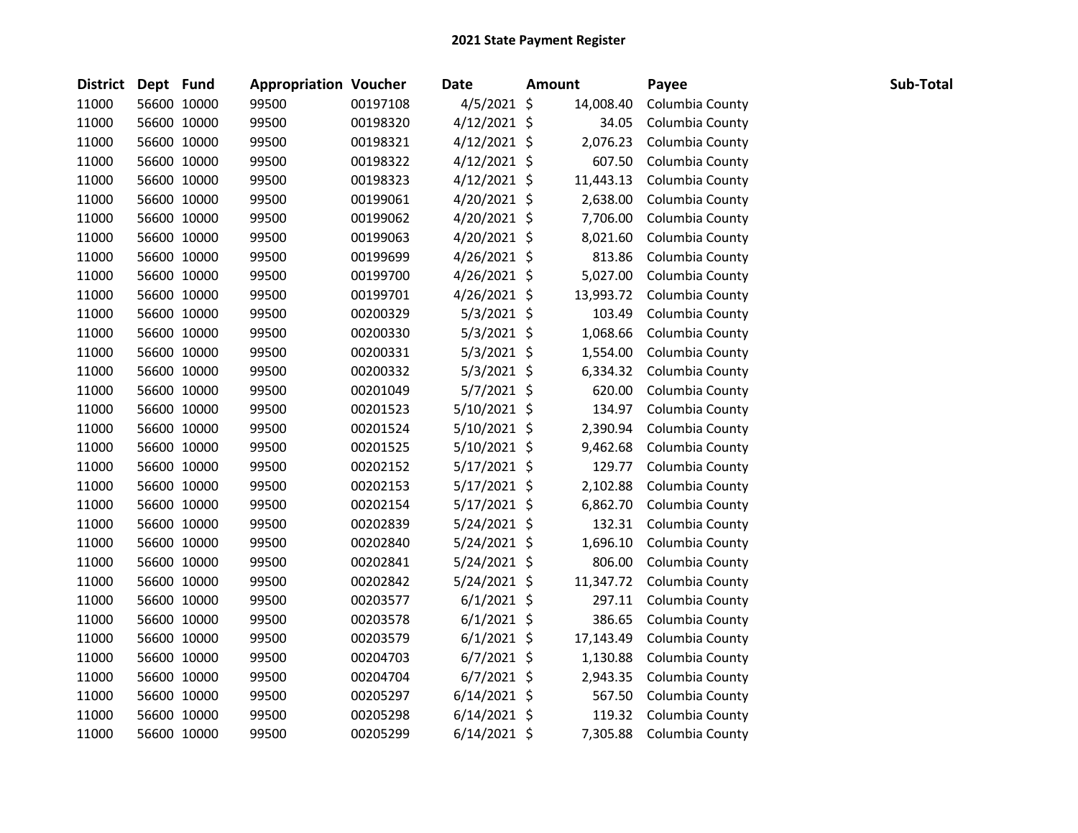| District Dept Fund |             | <b>Appropriation Voucher</b> |          | Date           | <b>Amount</b> | Payee           | Sub-Total |
|--------------------|-------------|------------------------------|----------|----------------|---------------|-----------------|-----------|
| 11000              | 56600 10000 | 99500                        | 00197108 | $4/5/2021$ \$  | 14,008.40     | Columbia County |           |
| 11000              | 56600 10000 | 99500                        | 00198320 | $4/12/2021$ \$ | 34.05         | Columbia County |           |
| 11000              | 56600 10000 | 99500                        | 00198321 | $4/12/2021$ \$ | 2,076.23      | Columbia County |           |
| 11000              | 56600 10000 | 99500                        | 00198322 | $4/12/2021$ \$ | 607.50        | Columbia County |           |
| 11000              | 56600 10000 | 99500                        | 00198323 | $4/12/2021$ \$ | 11,443.13     | Columbia County |           |
| 11000              | 56600 10000 | 99500                        | 00199061 | $4/20/2021$ \$ | 2,638.00      | Columbia County |           |
| 11000              | 56600 10000 | 99500                        | 00199062 | 4/20/2021 \$   | 7,706.00      | Columbia County |           |
| 11000              | 56600 10000 | 99500                        | 00199063 | $4/20/2021$ \$ | 8,021.60      | Columbia County |           |
| 11000              | 56600 10000 | 99500                        | 00199699 | $4/26/2021$ \$ | 813.86        | Columbia County |           |
| 11000              | 56600 10000 | 99500                        | 00199700 | $4/26/2021$ \$ | 5,027.00      | Columbia County |           |
| 11000              | 56600 10000 | 99500                        | 00199701 | $4/26/2021$ \$ | 13,993.72     | Columbia County |           |
| 11000              | 56600 10000 | 99500                        | 00200329 | $5/3/2021$ \$  | 103.49        | Columbia County |           |
| 11000              | 56600 10000 | 99500                        | 00200330 | $5/3/2021$ \$  | 1,068.66      | Columbia County |           |
| 11000              | 56600 10000 | 99500                        | 00200331 | $5/3/2021$ \$  | 1,554.00      | Columbia County |           |
| 11000              | 56600 10000 | 99500                        | 00200332 | $5/3/2021$ \$  | 6,334.32      | Columbia County |           |
| 11000              | 56600 10000 | 99500                        | 00201049 | $5/7/2021$ \$  | 620.00        | Columbia County |           |
| 11000              | 56600 10000 | 99500                        | 00201523 | $5/10/2021$ \$ | 134.97        | Columbia County |           |
| 11000              | 56600 10000 | 99500                        | 00201524 | 5/10/2021 \$   | 2,390.94      | Columbia County |           |
| 11000              | 56600 10000 | 99500                        | 00201525 | $5/10/2021$ \$ | 9,462.68      | Columbia County |           |
| 11000              | 56600 10000 | 99500                        | 00202152 | $5/17/2021$ \$ | 129.77        | Columbia County |           |
| 11000              | 56600 10000 | 99500                        | 00202153 | $5/17/2021$ \$ | 2,102.88      | Columbia County |           |
| 11000              | 56600 10000 | 99500                        | 00202154 | $5/17/2021$ \$ | 6,862.70      | Columbia County |           |
| 11000              | 56600 10000 | 99500                        | 00202839 | $5/24/2021$ \$ | 132.31        | Columbia County |           |
| 11000              | 56600 10000 | 99500                        | 00202840 | $5/24/2021$ \$ | 1,696.10      | Columbia County |           |
| 11000              | 56600 10000 | 99500                        | 00202841 | $5/24/2021$ \$ | 806.00        | Columbia County |           |
| 11000              | 56600 10000 | 99500                        | 00202842 | $5/24/2021$ \$ | 11,347.72     | Columbia County |           |
| 11000              | 56600 10000 | 99500                        | 00203577 | $6/1/2021$ \$  | 297.11        | Columbia County |           |
| 11000              | 56600 10000 | 99500                        | 00203578 | $6/1/2021$ \$  | 386.65        | Columbia County |           |
| 11000              | 56600 10000 | 99500                        | 00203579 | $6/1/2021$ \$  | 17,143.49     | Columbia County |           |
| 11000              | 56600 10000 | 99500                        | 00204703 | $6/7/2021$ \$  | 1,130.88      | Columbia County |           |
| 11000              | 56600 10000 | 99500                        | 00204704 | $6/7/2021$ \$  | 2,943.35      | Columbia County |           |
| 11000              | 56600 10000 | 99500                        | 00205297 | $6/14/2021$ \$ | 567.50        | Columbia County |           |
| 11000              | 56600 10000 | 99500                        | 00205298 | $6/14/2021$ \$ | 119.32        | Columbia County |           |
| 11000              | 56600 10000 | 99500                        | 00205299 | $6/14/2021$ \$ | 7,305.88      | Columbia County |           |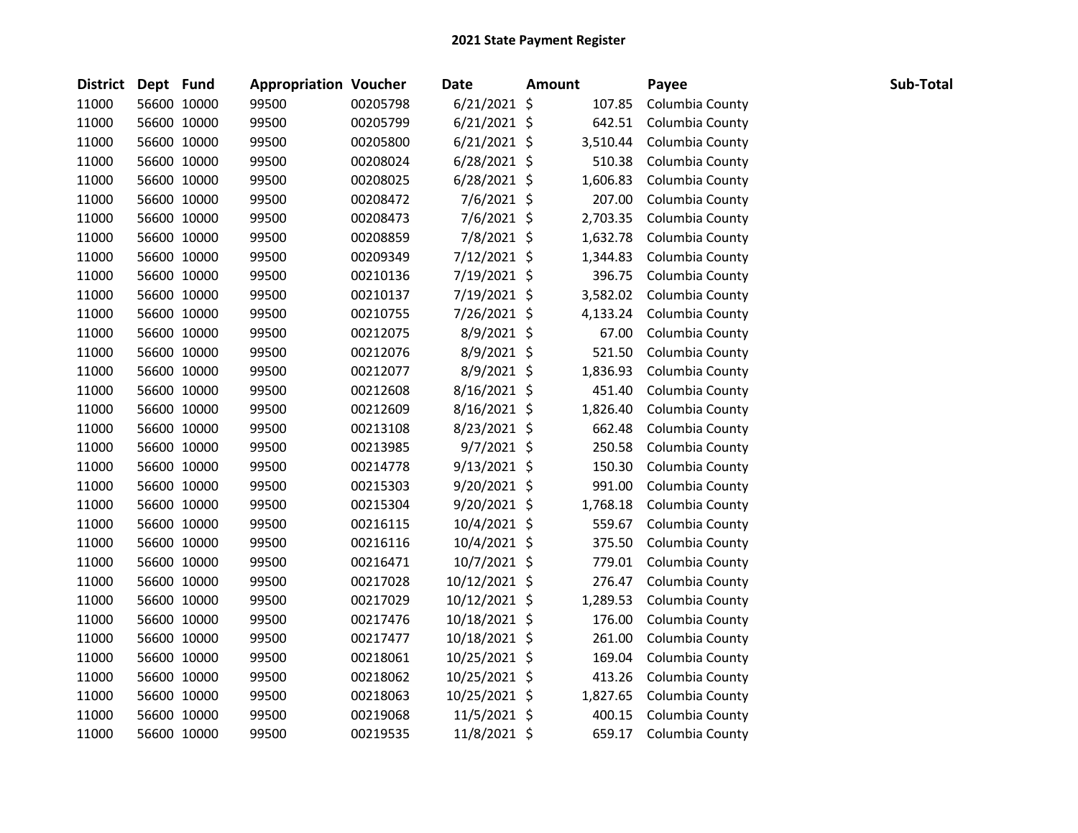|       | District Dept Fund |             | <b>Appropriation Voucher</b> |          | Date           | <b>Amount</b> | Payee           | Sub-Total |
|-------|--------------------|-------------|------------------------------|----------|----------------|---------------|-----------------|-----------|
| 11000 |                    | 56600 10000 | 99500                        | 00205798 | $6/21/2021$ \$ | 107.85        | Columbia County |           |
| 11000 |                    | 56600 10000 | 99500                        | 00205799 | $6/21/2021$ \$ | 642.51        | Columbia County |           |
| 11000 |                    | 56600 10000 | 99500                        | 00205800 | $6/21/2021$ \$ | 3,510.44      | Columbia County |           |
| 11000 |                    | 56600 10000 | 99500                        | 00208024 | $6/28/2021$ \$ | 510.38        | Columbia County |           |
| 11000 |                    | 56600 10000 | 99500                        | 00208025 | $6/28/2021$ \$ | 1,606.83      | Columbia County |           |
| 11000 |                    | 56600 10000 | 99500                        | 00208472 | 7/6/2021 \$    | 207.00        | Columbia County |           |
| 11000 |                    | 56600 10000 | 99500                        | 00208473 | 7/6/2021 \$    | 2,703.35      | Columbia County |           |
| 11000 |                    | 56600 10000 | 99500                        | 00208859 | 7/8/2021 \$    | 1,632.78      | Columbia County |           |
| 11000 |                    | 56600 10000 | 99500                        | 00209349 | 7/12/2021 \$   | 1,344.83      | Columbia County |           |
| 11000 |                    | 56600 10000 | 99500                        | 00210136 | 7/19/2021 \$   | 396.75        | Columbia County |           |
| 11000 |                    | 56600 10000 | 99500                        | 00210137 | 7/19/2021 \$   | 3,582.02      | Columbia County |           |
| 11000 |                    | 56600 10000 | 99500                        | 00210755 | 7/26/2021 \$   | 4,133.24      | Columbia County |           |
| 11000 |                    | 56600 10000 | 99500                        | 00212075 | 8/9/2021 \$    | 67.00         | Columbia County |           |
| 11000 |                    | 56600 10000 | 99500                        | 00212076 | 8/9/2021 \$    | 521.50        | Columbia County |           |
| 11000 |                    | 56600 10000 | 99500                        | 00212077 | 8/9/2021 \$    | 1,836.93      | Columbia County |           |
| 11000 |                    | 56600 10000 | 99500                        | 00212608 | 8/16/2021 \$   | 451.40        | Columbia County |           |
| 11000 |                    | 56600 10000 | 99500                        | 00212609 | 8/16/2021 \$   | 1,826.40      | Columbia County |           |
| 11000 |                    | 56600 10000 | 99500                        | 00213108 | 8/23/2021 \$   | 662.48        | Columbia County |           |
| 11000 |                    | 56600 10000 | 99500                        | 00213985 | 9/7/2021 \$    | 250.58        | Columbia County |           |
| 11000 |                    | 56600 10000 | 99500                        | 00214778 | $9/13/2021$ \$ | 150.30        | Columbia County |           |
| 11000 |                    | 56600 10000 | 99500                        | 00215303 | $9/20/2021$ \$ | 991.00        | Columbia County |           |
| 11000 |                    | 56600 10000 | 99500                        | 00215304 | $9/20/2021$ \$ | 1,768.18      | Columbia County |           |
| 11000 |                    | 56600 10000 | 99500                        | 00216115 | 10/4/2021 \$   | 559.67        | Columbia County |           |
| 11000 |                    | 56600 10000 | 99500                        | 00216116 | 10/4/2021 \$   | 375.50        | Columbia County |           |
| 11000 |                    | 56600 10000 | 99500                        | 00216471 | 10/7/2021 \$   | 779.01        | Columbia County |           |
| 11000 |                    | 56600 10000 | 99500                        | 00217028 | 10/12/2021 \$  | 276.47        | Columbia County |           |
| 11000 |                    | 56600 10000 | 99500                        | 00217029 | 10/12/2021 \$  | 1,289.53      | Columbia County |           |
| 11000 |                    | 56600 10000 | 99500                        | 00217476 | 10/18/2021 \$  | 176.00        | Columbia County |           |
| 11000 |                    | 56600 10000 | 99500                        | 00217477 | 10/18/2021 \$  | 261.00        | Columbia County |           |
| 11000 |                    | 56600 10000 | 99500                        | 00218061 | 10/25/2021 \$  | 169.04        | Columbia County |           |
| 11000 |                    | 56600 10000 | 99500                        | 00218062 | 10/25/2021 \$  | 413.26        | Columbia County |           |
| 11000 |                    | 56600 10000 | 99500                        | 00218063 | 10/25/2021 \$  | 1,827.65      | Columbia County |           |
| 11000 |                    | 56600 10000 | 99500                        | 00219068 | 11/5/2021 \$   | 400.15        | Columbia County |           |
| 11000 |                    | 56600 10000 | 99500                        | 00219535 | 11/8/2021 \$   | 659.17        | Columbia County |           |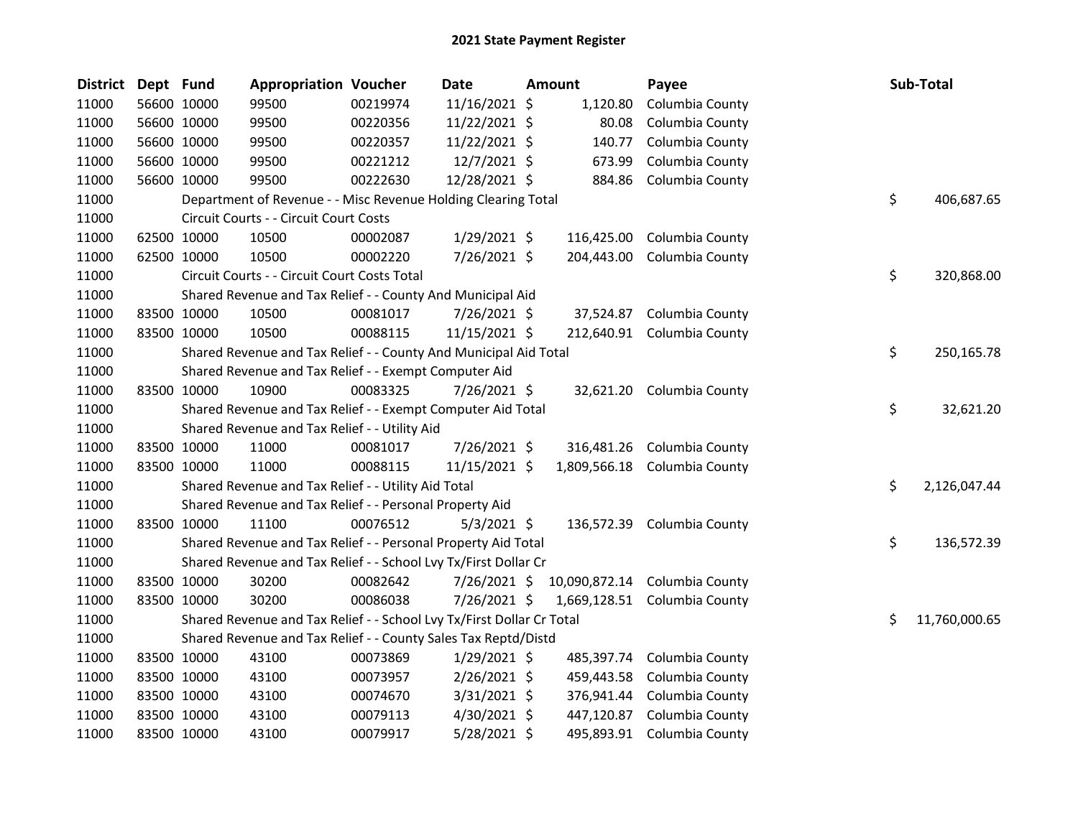| <b>District</b> | Dept Fund |             | <b>Appropriation Voucher</b>                                          |          | Date           | Amount     | Payee                         | Sub-Total           |
|-----------------|-----------|-------------|-----------------------------------------------------------------------|----------|----------------|------------|-------------------------------|---------------------|
| 11000           |           | 56600 10000 | 99500                                                                 | 00219974 | 11/16/2021 \$  | 1,120.80   | Columbia County               |                     |
| 11000           |           | 56600 10000 | 99500                                                                 | 00220356 | 11/22/2021 \$  | 80.08      | Columbia County               |                     |
| 11000           |           | 56600 10000 | 99500                                                                 | 00220357 | 11/22/2021 \$  | 140.77     | Columbia County               |                     |
| 11000           |           | 56600 10000 | 99500                                                                 | 00221212 | 12/7/2021 \$   | 673.99     | Columbia County               |                     |
| 11000           |           | 56600 10000 | 99500                                                                 | 00222630 | 12/28/2021 \$  | 884.86     | Columbia County               |                     |
| 11000           |           |             | Department of Revenue - - Misc Revenue Holding Clearing Total         |          |                |            |                               | \$<br>406,687.65    |
| 11000           |           |             | Circuit Courts - - Circuit Court Costs                                |          |                |            |                               |                     |
| 11000           |           | 62500 10000 | 10500                                                                 | 00002087 | $1/29/2021$ \$ | 116,425.00 | Columbia County               |                     |
| 11000           |           | 62500 10000 | 10500                                                                 | 00002220 | 7/26/2021 \$   | 204,443.00 | Columbia County               |                     |
| 11000           |           |             | Circuit Courts - - Circuit Court Costs Total                          |          |                |            |                               | \$<br>320,868.00    |
| 11000           |           |             | Shared Revenue and Tax Relief - - County And Municipal Aid            |          |                |            |                               |                     |
| 11000           |           | 83500 10000 | 10500                                                                 | 00081017 | 7/26/2021 \$   | 37,524.87  | Columbia County               |                     |
| 11000           |           | 83500 10000 | 10500                                                                 | 00088115 | 11/15/2021 \$  |            | 212,640.91 Columbia County    |                     |
| 11000           |           |             | Shared Revenue and Tax Relief - - County And Municipal Aid Total      |          |                |            |                               | \$<br>250,165.78    |
| 11000           |           |             | Shared Revenue and Tax Relief - - Exempt Computer Aid                 |          |                |            |                               |                     |
| 11000           |           | 83500 10000 | 10900                                                                 | 00083325 | 7/26/2021 \$   |            | 32,621.20 Columbia County     |                     |
| 11000           |           |             | Shared Revenue and Tax Relief - - Exempt Computer Aid Total           |          |                |            |                               | \$<br>32,621.20     |
| 11000           |           |             | Shared Revenue and Tax Relief - - Utility Aid                         |          |                |            |                               |                     |
| 11000           |           | 83500 10000 | 11000                                                                 | 00081017 | 7/26/2021 \$   |            | 316,481.26 Columbia County    |                     |
| 11000           |           | 83500 10000 | 11000                                                                 | 00088115 | 11/15/2021 \$  |            | 1,809,566.18 Columbia County  |                     |
| 11000           |           |             | Shared Revenue and Tax Relief - - Utility Aid Total                   |          |                |            |                               | \$<br>2,126,047.44  |
| 11000           |           |             | Shared Revenue and Tax Relief - - Personal Property Aid               |          |                |            |                               |                     |
| 11000           |           | 83500 10000 | 11100                                                                 | 00076512 | $5/3/2021$ \$  |            | 136,572.39 Columbia County    |                     |
| 11000           |           |             | Shared Revenue and Tax Relief - - Personal Property Aid Total         |          |                |            |                               | \$<br>136,572.39    |
| 11000           |           |             | Shared Revenue and Tax Relief - - School Lvy Tx/First Dollar Cr       |          |                |            |                               |                     |
| 11000           |           | 83500 10000 | 30200                                                                 | 00082642 | 7/26/2021 \$   |            | 10,090,872.14 Columbia County |                     |
| 11000           |           | 83500 10000 | 30200                                                                 | 00086038 | 7/26/2021 \$   |            | 1,669,128.51 Columbia County  |                     |
| 11000           |           |             | Shared Revenue and Tax Relief - - School Lvy Tx/First Dollar Cr Total |          |                |            |                               | \$<br>11,760,000.65 |
| 11000           |           |             | Shared Revenue and Tax Relief - - County Sales Tax Reptd/Distd        |          |                |            |                               |                     |
| 11000           |           | 83500 10000 | 43100                                                                 | 00073869 | $1/29/2021$ \$ | 485,397.74 | Columbia County               |                     |
| 11000           |           | 83500 10000 | 43100                                                                 | 00073957 | $2/26/2021$ \$ | 459,443.58 | Columbia County               |                     |
| 11000           |           | 83500 10000 | 43100                                                                 | 00074670 | $3/31/2021$ \$ | 376,941.44 | Columbia County               |                     |
| 11000           |           | 83500 10000 | 43100                                                                 | 00079113 | $4/30/2021$ \$ | 447,120.87 | Columbia County               |                     |
| 11000           |           | 83500 10000 | 43100                                                                 | 00079917 | 5/28/2021 \$   | 495,893.91 | Columbia County               |                     |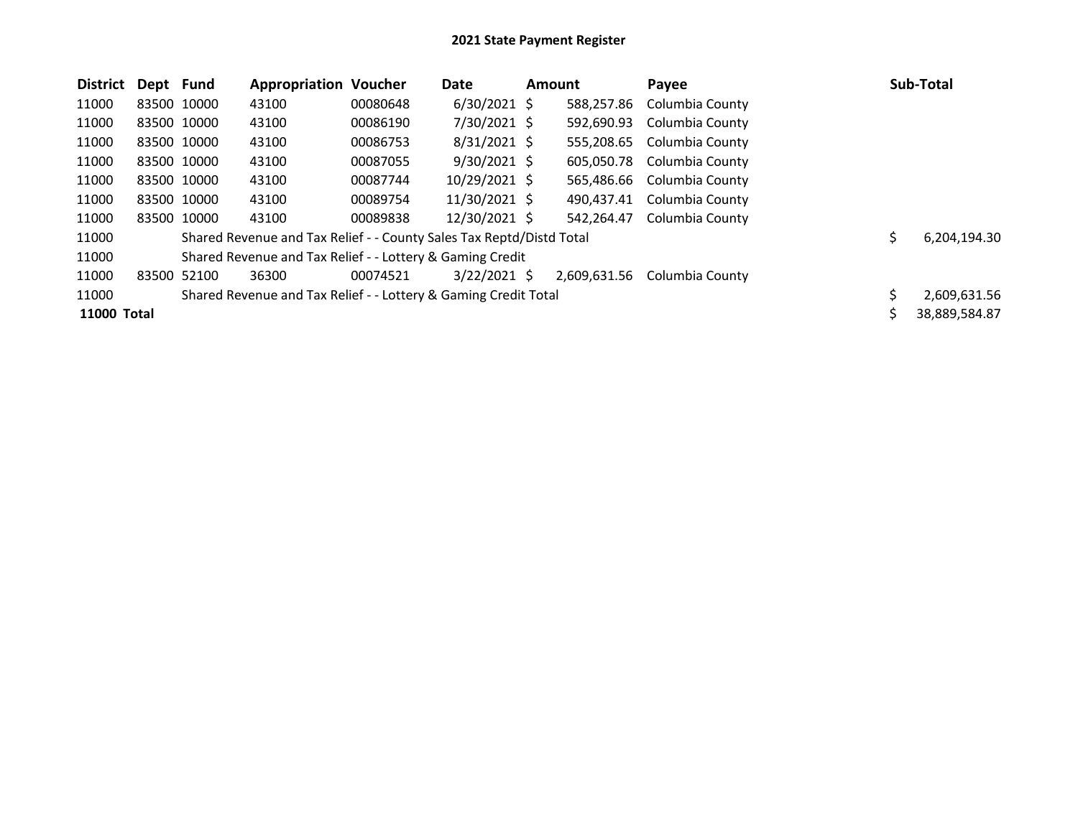| <b>District</b> | Dept Fund   | <b>Appropriation Voucher</b>                                         |          | Date           | <b>Amount</b> |              | Payee           |    | Sub-Total     |
|-----------------|-------------|----------------------------------------------------------------------|----------|----------------|---------------|--------------|-----------------|----|---------------|
| 11000           | 83500 10000 | 43100                                                                | 00080648 | $6/30/2021$ \$ |               | 588,257.86   | Columbia County |    |               |
| 11000           | 83500 10000 | 43100                                                                | 00086190 | 7/30/2021 \$   |               | 592,690.93   | Columbia County |    |               |
| 11000           | 83500 10000 | 43100                                                                | 00086753 | $8/31/2021$ \$ |               | 555,208.65   | Columbia County |    |               |
| 11000           | 83500 10000 | 43100                                                                | 00087055 | $9/30/2021$ \$ |               | 605.050.78   | Columbia County |    |               |
| 11000           | 83500 10000 | 43100                                                                | 00087744 | 10/29/2021 \$  |               | 565,486.66   | Columbia County |    |               |
| 11000           | 83500 10000 | 43100                                                                | 00089754 | 11/30/2021 \$  |               | 490,437.41   | Columbia County |    |               |
| 11000           | 83500 10000 | 43100                                                                | 00089838 | 12/30/2021 \$  |               | 542,264.47   | Columbia County |    |               |
| 11000           |             | Shared Revenue and Tax Relief - - County Sales Tax Reptd/Distd Total |          |                |               |              |                 | Ś. | 6,204,194.30  |
| 11000           |             | Shared Revenue and Tax Relief - - Lottery & Gaming Credit            |          |                |               |              |                 |    |               |
| 11000           | 83500 52100 | 36300                                                                | 00074521 | $3/22/2021$ \$ |               | 2,609,631.56 | Columbia County |    |               |
| 11000           |             | Shared Revenue and Tax Relief - - Lottery & Gaming Credit Total      |          |                |               |              |                 |    | 2,609,631.56  |
| 11000 Total     |             |                                                                      |          |                |               |              |                 |    | 38,889,584.87 |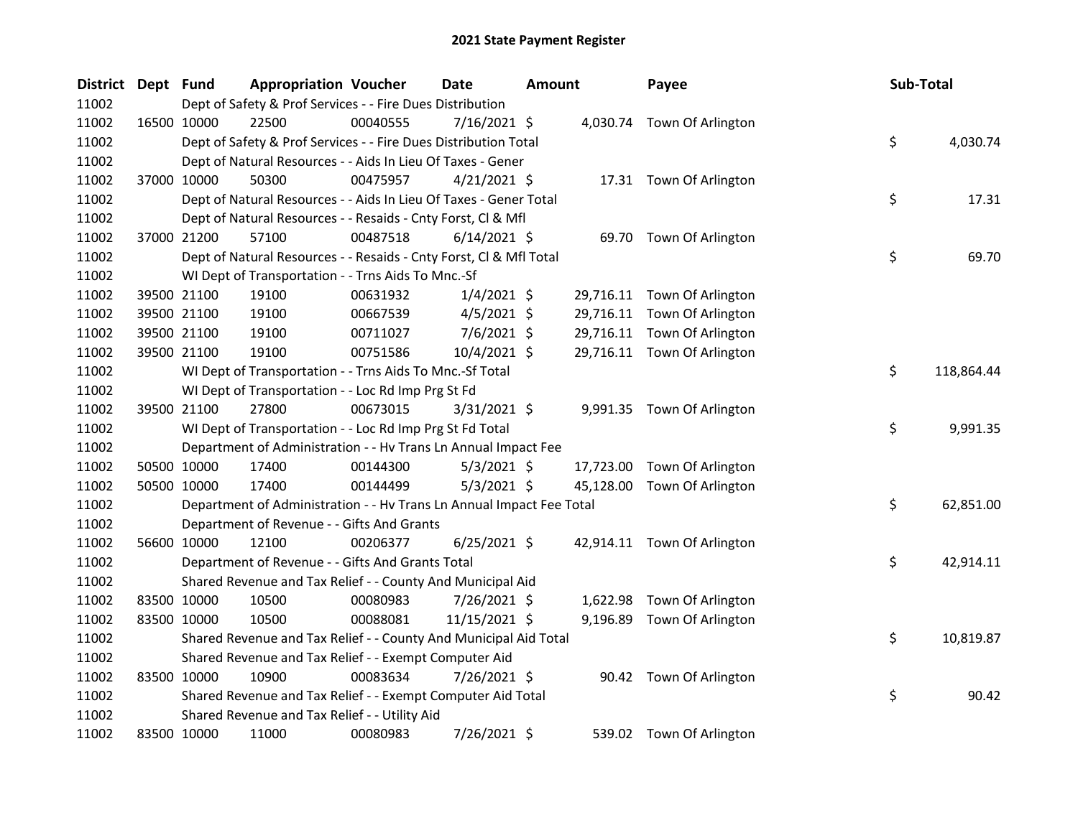| <b>District</b> | Dept Fund |             | <b>Appropriation Voucher</b>                                         |          | Date           | <b>Amount</b> |           | Payee                       | Sub-Total |            |
|-----------------|-----------|-------------|----------------------------------------------------------------------|----------|----------------|---------------|-----------|-----------------------------|-----------|------------|
| 11002           |           |             | Dept of Safety & Prof Services - - Fire Dues Distribution            |          |                |               |           |                             |           |            |
| 11002           |           | 16500 10000 | 22500                                                                | 00040555 | 7/16/2021 \$   |               |           | 4,030.74 Town Of Arlington  |           |            |
| 11002           |           |             | Dept of Safety & Prof Services - - Fire Dues Distribution Total      |          |                |               |           |                             | \$        | 4,030.74   |
| 11002           |           |             | Dept of Natural Resources - - Aids In Lieu Of Taxes - Gener          |          |                |               |           |                             |           |            |
| 11002           |           | 37000 10000 | 50300                                                                | 00475957 | $4/21/2021$ \$ |               |           | 17.31 Town Of Arlington     |           |            |
| 11002           |           |             | Dept of Natural Resources - - Aids In Lieu Of Taxes - Gener Total    |          |                |               |           |                             | \$        | 17.31      |
| 11002           |           |             | Dept of Natural Resources - - Resaids - Cnty Forst, Cl & Mfl         |          |                |               |           |                             |           |            |
| 11002           |           | 37000 21200 | 57100                                                                | 00487518 | $6/14/2021$ \$ |               |           | 69.70 Town Of Arlington     |           |            |
| 11002           |           |             | Dept of Natural Resources - - Resaids - Cnty Forst, CI & Mfl Total   |          |                |               |           |                             | \$        | 69.70      |
| 11002           |           |             | WI Dept of Transportation - - Trns Aids To Mnc.-Sf                   |          |                |               |           |                             |           |            |
| 11002           |           | 39500 21100 | 19100                                                                | 00631932 | $1/4/2021$ \$  |               | 29,716.11 | Town Of Arlington           |           |            |
| 11002           |           | 39500 21100 | 19100                                                                | 00667539 | 4/5/2021 \$    |               |           | 29,716.11 Town Of Arlington |           |            |
| 11002           |           | 39500 21100 | 19100                                                                | 00711027 | $7/6/2021$ \$  |               |           | 29,716.11 Town Of Arlington |           |            |
| 11002           |           | 39500 21100 | 19100                                                                | 00751586 | 10/4/2021 \$   |               |           | 29,716.11 Town Of Arlington |           |            |
| 11002           |           |             | WI Dept of Transportation - - Trns Aids To Mnc.-Sf Total             |          |                |               |           |                             | \$        | 118,864.44 |
| 11002           |           |             | WI Dept of Transportation - - Loc Rd Imp Prg St Fd                   |          |                |               |           |                             |           |            |
| 11002           |           | 39500 21100 | 27800                                                                | 00673015 | $3/31/2021$ \$ |               |           | 9,991.35 Town Of Arlington  |           |            |
| 11002           |           |             | WI Dept of Transportation - - Loc Rd Imp Prg St Fd Total             |          |                |               |           |                             | \$        | 9,991.35   |
| 11002           |           |             | Department of Administration - - Hv Trans Ln Annual Impact Fee       |          |                |               |           |                             |           |            |
| 11002           |           | 50500 10000 | 17400                                                                | 00144300 | $5/3/2021$ \$  |               |           | 17,723.00 Town Of Arlington |           |            |
| 11002           |           | 50500 10000 | 17400                                                                | 00144499 | $5/3/2021$ \$  |               | 45,128.00 | Town Of Arlington           |           |            |
| 11002           |           |             | Department of Administration - - Hv Trans Ln Annual Impact Fee Total |          |                |               |           |                             | \$        | 62,851.00  |
| 11002           |           |             | Department of Revenue - - Gifts And Grants                           |          |                |               |           |                             |           |            |
| 11002           |           | 56600 10000 | 12100                                                                | 00206377 | $6/25/2021$ \$ |               |           | 42,914.11 Town Of Arlington |           |            |
| 11002           |           |             | Department of Revenue - - Gifts And Grants Total                     |          |                |               |           |                             | \$        | 42,914.11  |
| 11002           |           |             | Shared Revenue and Tax Relief - - County And Municipal Aid           |          |                |               |           |                             |           |            |
| 11002           |           | 83500 10000 | 10500                                                                | 00080983 | 7/26/2021 \$   |               |           | 1,622.98 Town Of Arlington  |           |            |
| 11002           |           | 83500 10000 | 10500                                                                | 00088081 | 11/15/2021 \$  |               |           | 9,196.89 Town Of Arlington  |           |            |
| 11002           |           |             | Shared Revenue and Tax Relief - - County And Municipal Aid Total     |          |                |               |           |                             | \$        | 10,819.87  |
| 11002           |           |             | Shared Revenue and Tax Relief - - Exempt Computer Aid                |          |                |               |           |                             |           |            |
| 11002           |           | 83500 10000 | 10900                                                                | 00083634 | 7/26/2021 \$   |               |           | 90.42 Town Of Arlington     |           |            |
| 11002           |           |             | Shared Revenue and Tax Relief - - Exempt Computer Aid Total          |          |                |               |           |                             | \$        | 90.42      |
| 11002           |           |             | Shared Revenue and Tax Relief - - Utility Aid                        |          |                |               |           |                             |           |            |
| 11002           |           | 83500 10000 | 11000                                                                | 00080983 | 7/26/2021 \$   |               | 539.02    | Town Of Arlington           |           |            |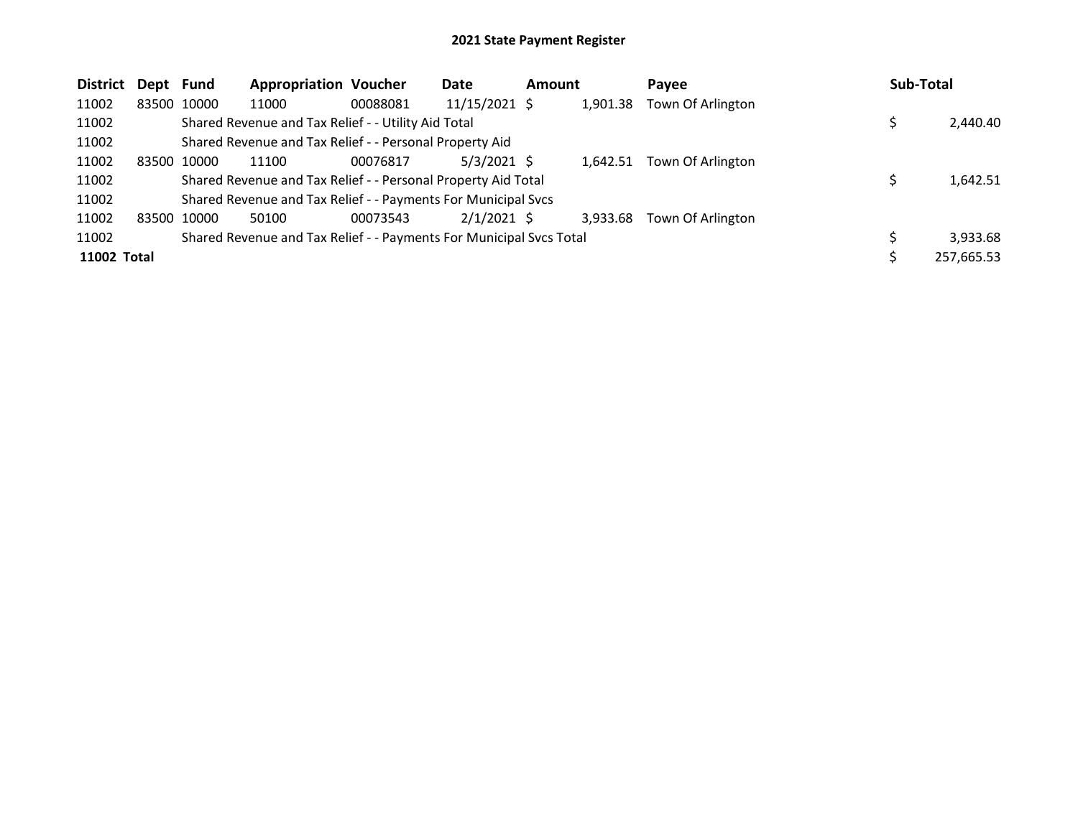| District    | Dept Fund |             | <b>Appropriation Voucher</b>                                        |          | Date            | <b>Amount</b> |          | Payee             | <b>Sub-Total</b> |            |
|-------------|-----------|-------------|---------------------------------------------------------------------|----------|-----------------|---------------|----------|-------------------|------------------|------------|
| 11002       |           | 83500 10000 | 11000                                                               | 00088081 | $11/15/2021$ \$ |               | 1,901.38 | Town Of Arlington |                  |            |
| 11002       |           |             | Shared Revenue and Tax Relief - - Utility Aid Total                 |          |                 |               |          |                   |                  | 2,440.40   |
| 11002       |           |             | Shared Revenue and Tax Relief - - Personal Property Aid             |          |                 |               |          |                   |                  |            |
| 11002       |           | 83500 10000 | 11100                                                               | 00076817 | $5/3/2021$ \$   |               | 1.642.51 | Town Of Arlington |                  |            |
| 11002       |           |             | Shared Revenue and Tax Relief - - Personal Property Aid Total       |          |                 |               |          |                   |                  | 1,642.51   |
| 11002       |           |             | Shared Revenue and Tax Relief - - Payments For Municipal Svcs       |          |                 |               |          |                   |                  |            |
| 11002       |           | 83500 10000 | 50100                                                               | 00073543 | $2/1/2021$ \$   |               | 3.933.68 | Town Of Arlington |                  |            |
| 11002       |           |             | Shared Revenue and Tax Relief - - Payments For Municipal Svcs Total |          |                 |               |          |                   |                  | 3,933.68   |
| 11002 Total |           |             |                                                                     |          |                 |               |          |                   |                  | 257,665.53 |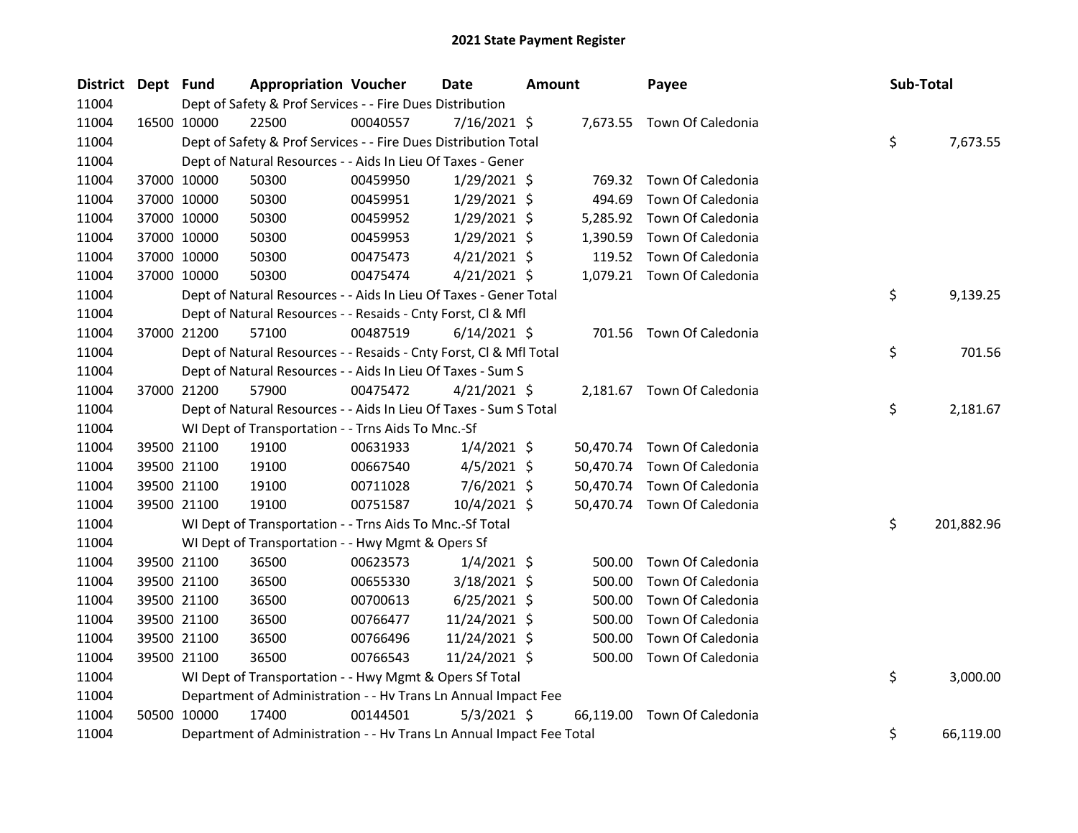| District Dept Fund |             | <b>Appropriation Voucher</b>                                         |          | Date           | <b>Amount</b> |           | Payee                       | Sub-Total |            |
|--------------------|-------------|----------------------------------------------------------------------|----------|----------------|---------------|-----------|-----------------------------|-----------|------------|
| 11004              |             | Dept of Safety & Prof Services - - Fire Dues Distribution            |          |                |               |           |                             |           |            |
| 11004              | 16500 10000 | 22500                                                                | 00040557 | $7/16/2021$ \$ |               |           | 7,673.55 Town Of Caledonia  |           |            |
| 11004              |             | Dept of Safety & Prof Services - - Fire Dues Distribution Total      |          |                |               |           |                             | \$        | 7,673.55   |
| 11004              |             | Dept of Natural Resources - - Aids In Lieu Of Taxes - Gener          |          |                |               |           |                             |           |            |
| 11004              | 37000 10000 | 50300                                                                | 00459950 | $1/29/2021$ \$ |               | 769.32    | Town Of Caledonia           |           |            |
| 11004              | 37000 10000 | 50300                                                                | 00459951 | $1/29/2021$ \$ |               | 494.69    | Town Of Caledonia           |           |            |
| 11004              | 37000 10000 | 50300                                                                | 00459952 | $1/29/2021$ \$ |               | 5,285.92  | Town Of Caledonia           |           |            |
| 11004              | 37000 10000 | 50300                                                                | 00459953 | $1/29/2021$ \$ |               | 1,390.59  | Town Of Caledonia           |           |            |
| 11004              | 37000 10000 | 50300                                                                | 00475473 | $4/21/2021$ \$ |               |           | 119.52 Town Of Caledonia    |           |            |
| 11004              | 37000 10000 | 50300                                                                | 00475474 | $4/21/2021$ \$ |               |           | 1,079.21 Town Of Caledonia  |           |            |
| 11004              |             | Dept of Natural Resources - - Aids In Lieu Of Taxes - Gener Total    |          |                |               |           |                             | \$        | 9,139.25   |
| 11004              |             | Dept of Natural Resources - - Resaids - Cnty Forst, Cl & Mfl         |          |                |               |           |                             |           |            |
| 11004              | 37000 21200 | 57100                                                                | 00487519 | $6/14/2021$ \$ |               |           | 701.56 Town Of Caledonia    |           |            |
| 11004              |             | Dept of Natural Resources - - Resaids - Cnty Forst, Cl & Mfl Total   |          |                |               |           |                             | \$        | 701.56     |
| 11004              |             | Dept of Natural Resources - - Aids In Lieu Of Taxes - Sum S          |          |                |               |           |                             |           |            |
| 11004              | 37000 21200 | 57900                                                                | 00475472 | $4/21/2021$ \$ |               |           | 2,181.67 Town Of Caledonia  |           |            |
| 11004              |             | Dept of Natural Resources - - Aids In Lieu Of Taxes - Sum S Total    |          |                |               |           |                             | \$        | 2,181.67   |
| 11004              |             | WI Dept of Transportation - - Trns Aids To Mnc.-Sf                   |          |                |               |           |                             |           |            |
| 11004              | 39500 21100 | 19100                                                                | 00631933 | $1/4/2021$ \$  |               |           | 50,470.74 Town Of Caledonia |           |            |
| 11004              | 39500 21100 | 19100                                                                | 00667540 | $4/5/2021$ \$  |               |           | 50,470.74 Town Of Caledonia |           |            |
| 11004              | 39500 21100 | 19100                                                                | 00711028 | 7/6/2021 \$    |               | 50,470.74 | Town Of Caledonia           |           |            |
| 11004              | 39500 21100 | 19100                                                                | 00751587 | 10/4/2021 \$   |               |           | 50,470.74 Town Of Caledonia |           |            |
| 11004              |             | WI Dept of Transportation - - Trns Aids To Mnc.-Sf Total             |          |                |               |           |                             | \$        | 201,882.96 |
| 11004              |             | WI Dept of Transportation - - Hwy Mgmt & Opers Sf                    |          |                |               |           |                             |           |            |
| 11004              | 39500 21100 | 36500                                                                | 00623573 | $1/4/2021$ \$  |               | 500.00    | Town Of Caledonia           |           |            |
| 11004              | 39500 21100 | 36500                                                                | 00655330 | 3/18/2021 \$   |               | 500.00    | Town Of Caledonia           |           |            |
| 11004              | 39500 21100 | 36500                                                                | 00700613 | $6/25/2021$ \$ |               | 500.00    | Town Of Caledonia           |           |            |
| 11004              | 39500 21100 | 36500                                                                | 00766477 | 11/24/2021 \$  |               | 500.00    | Town Of Caledonia           |           |            |
| 11004              | 39500 21100 | 36500                                                                | 00766496 | 11/24/2021 \$  |               | 500.00    | Town Of Caledonia           |           |            |
| 11004              | 39500 21100 | 36500                                                                | 00766543 | 11/24/2021 \$  |               | 500.00    | Town Of Caledonia           |           |            |
| 11004              |             | WI Dept of Transportation - - Hwy Mgmt & Opers Sf Total              |          |                |               |           |                             | \$        | 3,000.00   |
| 11004              |             | Department of Administration - - Hv Trans Ln Annual Impact Fee       |          |                |               |           |                             |           |            |
| 11004              | 50500 10000 | 17400                                                                | 00144501 | $5/3/2021$ \$  |               | 66,119.00 | Town Of Caledonia           |           |            |
| 11004              |             | Department of Administration - - Hv Trans Ln Annual Impact Fee Total |          |                |               |           |                             | \$        | 66,119.00  |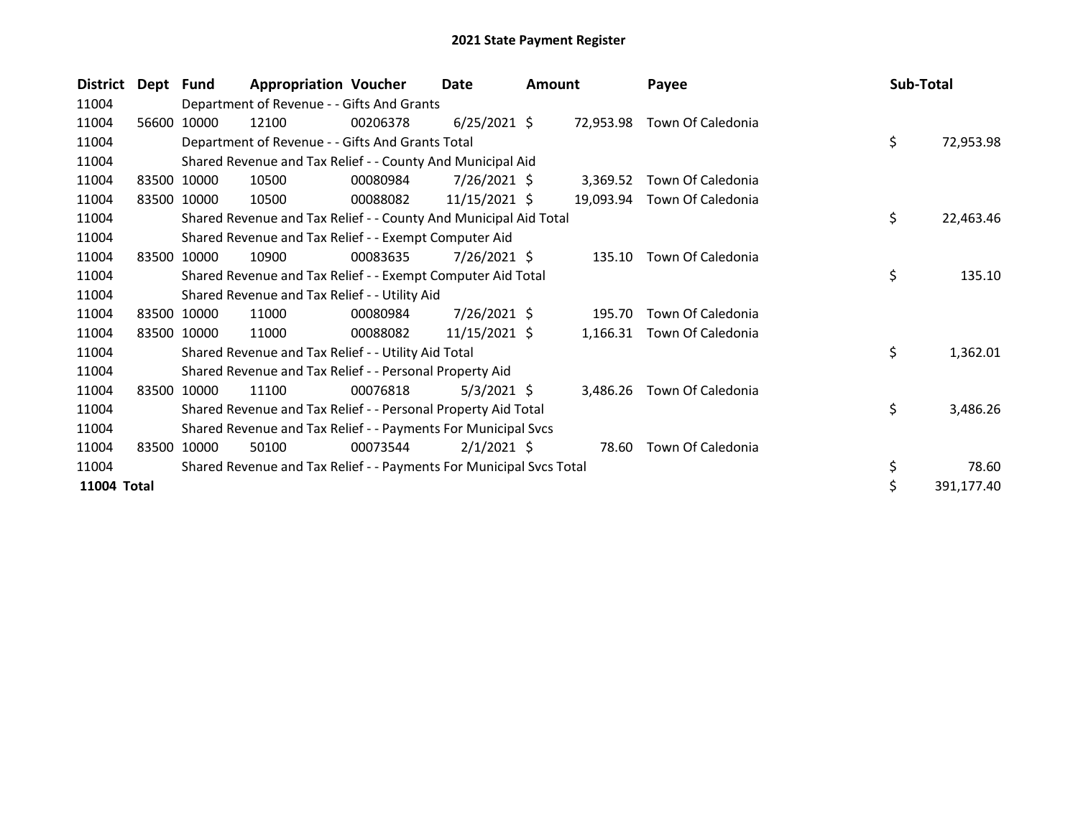| <b>District</b> | Dept Fund |             | <b>Appropriation Voucher</b>                                        |          | Date            | <b>Amount</b> |           | Payee             | Sub-Total |            |
|-----------------|-----------|-------------|---------------------------------------------------------------------|----------|-----------------|---------------|-----------|-------------------|-----------|------------|
| 11004           |           |             | Department of Revenue - - Gifts And Grants                          |          |                 |               |           |                   |           |            |
| 11004           | 56600     | 10000       | 12100                                                               | 00206378 | $6/25/2021$ \$  |               | 72,953.98 | Town Of Caledonia |           |            |
| 11004           |           |             | Department of Revenue - - Gifts And Grants Total                    |          |                 |               |           |                   | \$        | 72,953.98  |
| 11004           |           |             | Shared Revenue and Tax Relief - - County And Municipal Aid          |          |                 |               |           |                   |           |            |
| 11004           |           | 83500 10000 | 10500                                                               | 00080984 | $7/26/2021$ \$  |               | 3,369.52  | Town Of Caledonia |           |            |
| 11004           |           | 83500 10000 | 10500                                                               | 00088082 | $11/15/2021$ \$ |               | 19,093.94 | Town Of Caledonia |           |            |
| 11004           |           |             | Shared Revenue and Tax Relief - - County And Municipal Aid Total    |          |                 |               |           |                   | \$        | 22,463.46  |
| 11004           |           |             | Shared Revenue and Tax Relief - - Exempt Computer Aid               |          |                 |               |           |                   |           |            |
| 11004           |           | 83500 10000 | 10900                                                               | 00083635 | 7/26/2021 \$    |               | 135.10    | Town Of Caledonia |           |            |
| 11004           |           |             | Shared Revenue and Tax Relief - - Exempt Computer Aid Total         |          |                 |               |           |                   | \$        | 135.10     |
| 11004           |           |             | Shared Revenue and Tax Relief - - Utility Aid                       |          |                 |               |           |                   |           |            |
| 11004           |           | 83500 10000 | 11000                                                               | 00080984 | 7/26/2021 \$    |               | 195.70    | Town Of Caledonia |           |            |
| 11004           |           | 83500 10000 | 11000                                                               | 00088082 | 11/15/2021 \$   |               | 1,166.31  | Town Of Caledonia |           |            |
| 11004           |           |             | Shared Revenue and Tax Relief - - Utility Aid Total                 |          |                 |               |           |                   | \$        | 1,362.01   |
| 11004           |           |             | Shared Revenue and Tax Relief - - Personal Property Aid             |          |                 |               |           |                   |           |            |
| 11004           |           | 83500 10000 | 11100                                                               | 00076818 | $5/3/2021$ \$   |               | 3,486.26  | Town Of Caledonia |           |            |
| 11004           |           |             | Shared Revenue and Tax Relief - - Personal Property Aid Total       |          |                 |               |           |                   | \$        | 3,486.26   |
| 11004           |           |             | Shared Revenue and Tax Relief - - Payments For Municipal Svcs       |          |                 |               |           |                   |           |            |
| 11004           | 83500     | 10000       | 50100                                                               | 00073544 | $2/1/2021$ \$   |               | 78.60     | Town Of Caledonia |           |            |
| 11004           |           |             | Shared Revenue and Tax Relief - - Payments For Municipal Svcs Total |          |                 |               |           |                   | \$        | 78.60      |
| 11004 Total     |           |             |                                                                     |          |                 |               |           |                   | \$        | 391,177.40 |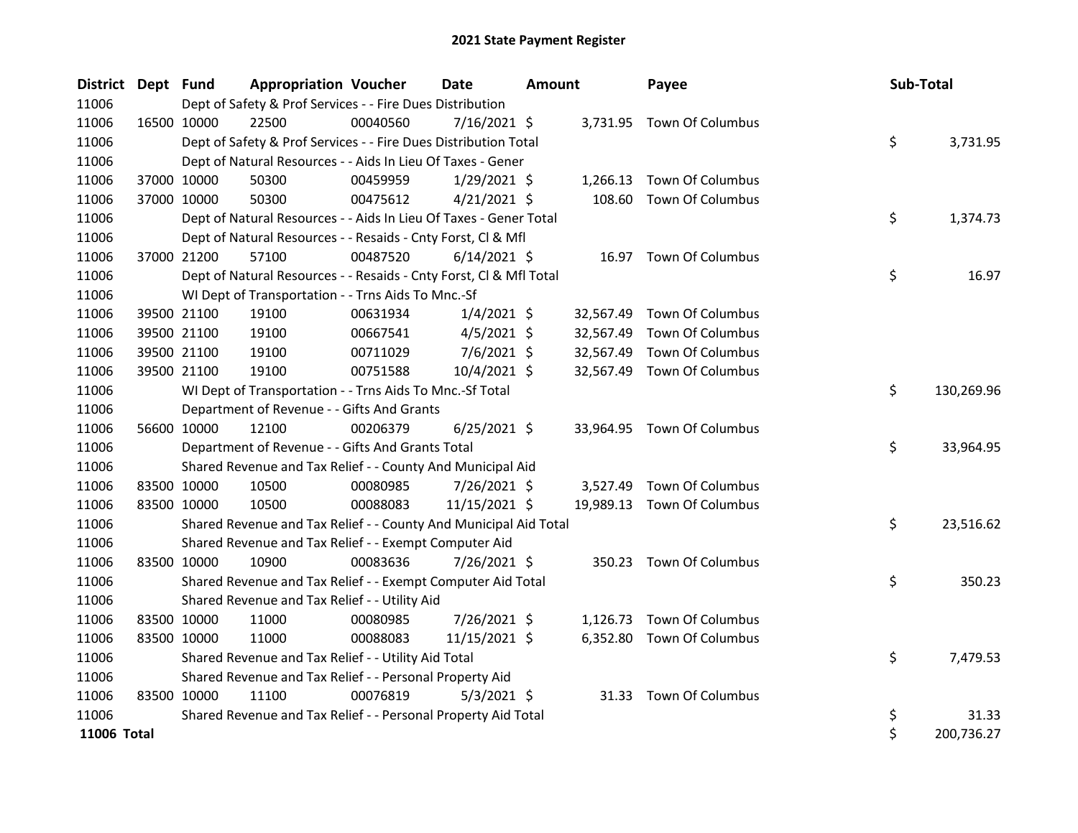| District Dept Fund |             |             | <b>Appropriation Voucher</b>                                       |          | Date           | <b>Amount</b> |           | Payee                      | Sub-Total |            |
|--------------------|-------------|-------------|--------------------------------------------------------------------|----------|----------------|---------------|-----------|----------------------------|-----------|------------|
| 11006              |             |             | Dept of Safety & Prof Services - - Fire Dues Distribution          |          |                |               |           |                            |           |            |
| 11006              |             | 16500 10000 | 22500                                                              | 00040560 | $7/16/2021$ \$ |               |           | 3,731.95 Town Of Columbus  |           |            |
| 11006              |             |             | Dept of Safety & Prof Services - - Fire Dues Distribution Total    |          |                |               |           |                            | \$        | 3,731.95   |
| 11006              |             |             | Dept of Natural Resources - - Aids In Lieu Of Taxes - Gener        |          |                |               |           |                            |           |            |
| 11006              |             | 37000 10000 | 50300                                                              | 00459959 | $1/29/2021$ \$ |               |           | 1,266.13 Town Of Columbus  |           |            |
| 11006              |             | 37000 10000 | 50300                                                              | 00475612 | $4/21/2021$ \$ |               | 108.60    | <b>Town Of Columbus</b>    |           |            |
| 11006              |             |             | Dept of Natural Resources - - Aids In Lieu Of Taxes - Gener Total  |          |                |               |           |                            | \$        | 1,374.73   |
| 11006              |             |             | Dept of Natural Resources - - Resaids - Cnty Forst, Cl & Mfl       |          |                |               |           |                            |           |            |
| 11006              |             | 37000 21200 | 57100                                                              | 00487520 | $6/14/2021$ \$ |               |           | 16.97 Town Of Columbus     |           |            |
| 11006              |             |             | Dept of Natural Resources - - Resaids - Cnty Forst, Cl & Mfl Total |          |                |               |           |                            | \$        | 16.97      |
| 11006              |             |             | WI Dept of Transportation - - Trns Aids To Mnc.-Sf                 |          |                |               |           |                            |           |            |
| 11006              |             | 39500 21100 | 19100                                                              | 00631934 | $1/4/2021$ \$  |               | 32,567.49 | <b>Town Of Columbus</b>    |           |            |
| 11006              |             | 39500 21100 | 19100                                                              | 00667541 | $4/5/2021$ \$  |               | 32,567.49 | Town Of Columbus           |           |            |
| 11006              |             | 39500 21100 | 19100                                                              | 00711029 | $7/6/2021$ \$  |               | 32,567.49 | Town Of Columbus           |           |            |
| 11006              |             | 39500 21100 | 19100                                                              | 00751588 | 10/4/2021 \$   |               | 32,567.49 | Town Of Columbus           |           |            |
| 11006              |             |             | WI Dept of Transportation - - Trns Aids To Mnc.-Sf Total           |          |                |               |           |                            | \$        | 130,269.96 |
| 11006              |             |             | Department of Revenue - - Gifts And Grants                         |          |                |               |           |                            |           |            |
| 11006              |             | 56600 10000 | 12100                                                              | 00206379 | $6/25/2021$ \$ |               |           | 33,964.95 Town Of Columbus |           |            |
| 11006              |             |             | Department of Revenue - - Gifts And Grants Total                   |          |                |               |           |                            | \$        | 33,964.95  |
| 11006              |             |             | Shared Revenue and Tax Relief - - County And Municipal Aid         |          |                |               |           |                            |           |            |
| 11006              |             | 83500 10000 | 10500                                                              | 00080985 | 7/26/2021 \$   |               | 3,527.49  | <b>Town Of Columbus</b>    |           |            |
| 11006              |             | 83500 10000 | 10500                                                              | 00088083 | 11/15/2021 \$  |               |           | 19,989.13 Town Of Columbus |           |            |
| 11006              |             |             | Shared Revenue and Tax Relief - - County And Municipal Aid Total   |          |                |               |           |                            | \$        | 23,516.62  |
| 11006              |             |             | Shared Revenue and Tax Relief - - Exempt Computer Aid              |          |                |               |           |                            |           |            |
| 11006              | 83500 10000 |             | 10900                                                              | 00083636 | 7/26/2021 \$   |               |           | 350.23 Town Of Columbus    |           |            |
| 11006              |             |             | Shared Revenue and Tax Relief - - Exempt Computer Aid Total        |          |                |               |           |                            | \$        | 350.23     |
| 11006              |             |             | Shared Revenue and Tax Relief - - Utility Aid                      |          |                |               |           |                            |           |            |
| 11006              | 83500 10000 |             | 11000                                                              | 00080985 | $7/26/2021$ \$ |               |           | 1,126.73 Town Of Columbus  |           |            |
| 11006              | 83500 10000 |             | 11000                                                              | 00088083 | 11/15/2021 \$  |               | 6,352.80  | Town Of Columbus           |           |            |
| 11006              |             |             | Shared Revenue and Tax Relief - - Utility Aid Total                |          |                |               |           |                            | \$        | 7,479.53   |
| 11006              |             |             | Shared Revenue and Tax Relief - - Personal Property Aid            |          |                |               |           |                            |           |            |
| 11006              | 83500 10000 |             | 11100                                                              | 00076819 | $5/3/2021$ \$  |               |           | 31.33 Town Of Columbus     |           |            |
| 11006              |             |             | Shared Revenue and Tax Relief - - Personal Property Aid Total      |          |                |               |           |                            | \$        | 31.33      |
| <b>11006 Total</b> |             |             |                                                                    |          |                |               |           |                            | \$        | 200,736.27 |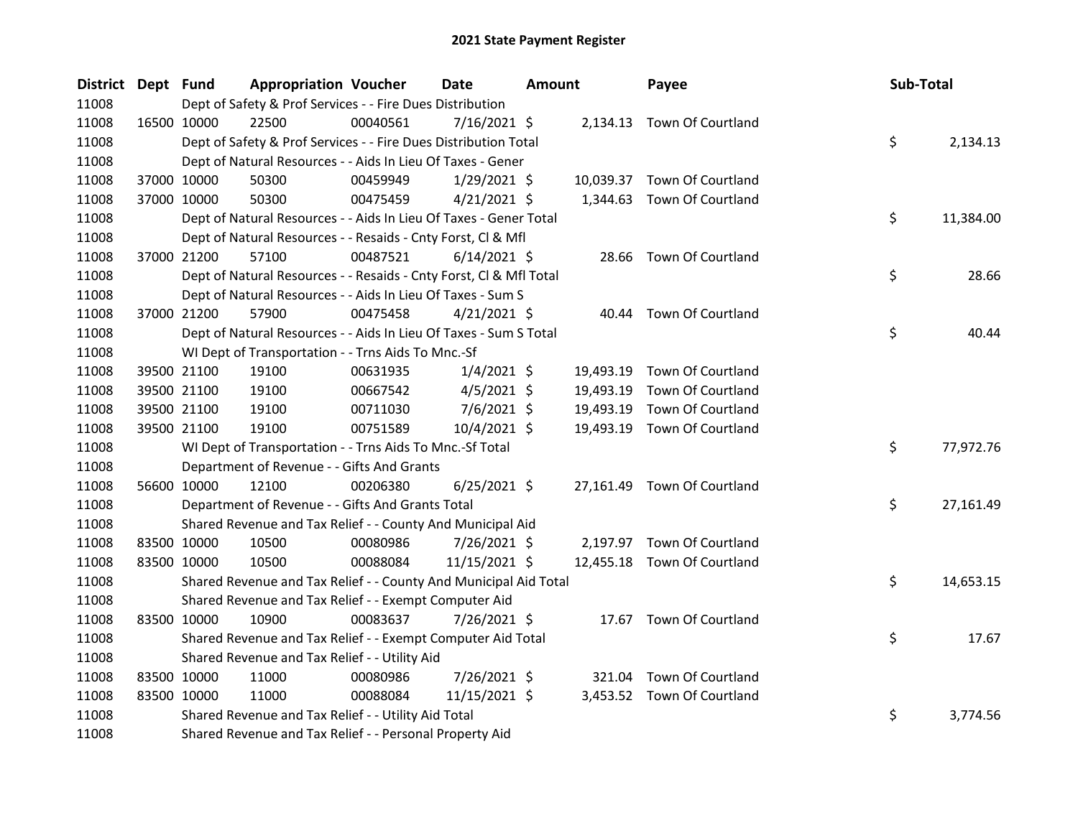| District Dept Fund |             | <b>Appropriation Voucher</b>                                       |          | <b>Date</b>    | Amount |           | Payee                       | Sub-Total |           |
|--------------------|-------------|--------------------------------------------------------------------|----------|----------------|--------|-----------|-----------------------------|-----------|-----------|
| 11008              |             | Dept of Safety & Prof Services - - Fire Dues Distribution          |          |                |        |           |                             |           |           |
| 11008              | 16500 10000 | 22500                                                              | 00040561 | 7/16/2021 \$   |        |           | 2,134.13 Town Of Courtland  |           |           |
| 11008              |             | Dept of Safety & Prof Services - - Fire Dues Distribution Total    |          |                |        |           |                             | \$        | 2,134.13  |
| 11008              |             | Dept of Natural Resources - - Aids In Lieu Of Taxes - Gener        |          |                |        |           |                             |           |           |
| 11008              | 37000 10000 | 50300                                                              | 00459949 | $1/29/2021$ \$ |        |           | 10,039.37 Town Of Courtland |           |           |
| 11008              | 37000 10000 | 50300                                                              | 00475459 | $4/21/2021$ \$ |        | 1,344.63  | Town Of Courtland           |           |           |
| 11008              |             | Dept of Natural Resources - - Aids In Lieu Of Taxes - Gener Total  |          |                |        |           |                             | \$        | 11,384.00 |
| 11008              |             | Dept of Natural Resources - - Resaids - Cnty Forst, Cl & Mfl       |          |                |        |           |                             |           |           |
| 11008              | 37000 21200 | 57100                                                              | 00487521 | $6/14/2021$ \$ |        | 28.66     | Town Of Courtland           |           |           |
| 11008              |             | Dept of Natural Resources - - Resaids - Cnty Forst, Cl & Mfl Total |          |                |        |           |                             | \$        | 28.66     |
| 11008              |             | Dept of Natural Resources - - Aids In Lieu Of Taxes - Sum S        |          |                |        |           |                             |           |           |
| 11008              | 37000 21200 | 57900                                                              | 00475458 | $4/21/2021$ \$ |        |           | 40.44 Town Of Courtland     |           |           |
| 11008              |             | Dept of Natural Resources - - Aids In Lieu Of Taxes - Sum S Total  |          |                |        |           |                             | \$        | 40.44     |
| 11008              |             | WI Dept of Transportation - - Trns Aids To Mnc.-Sf                 |          |                |        |           |                             |           |           |
| 11008              | 39500 21100 | 19100                                                              | 00631935 | $1/4/2021$ \$  |        | 19,493.19 | Town Of Courtland           |           |           |
| 11008              | 39500 21100 | 19100                                                              | 00667542 | $4/5/2021$ \$  |        | 19,493.19 | Town Of Courtland           |           |           |
| 11008              | 39500 21100 | 19100                                                              | 00711030 | 7/6/2021 \$    |        | 19,493.19 | Town Of Courtland           |           |           |
| 11008              | 39500 21100 | 19100                                                              | 00751589 | 10/4/2021 \$   |        | 19,493.19 | Town Of Courtland           |           |           |
| 11008              |             | WI Dept of Transportation - - Trns Aids To Mnc.-Sf Total           |          |                |        |           |                             | \$        | 77,972.76 |
| 11008              |             | Department of Revenue - - Gifts And Grants                         |          |                |        |           |                             |           |           |
| 11008              | 56600 10000 | 12100                                                              | 00206380 | $6/25/2021$ \$ |        |           | 27,161.49 Town Of Courtland |           |           |
| 11008              |             | Department of Revenue - - Gifts And Grants Total                   |          |                |        |           |                             | \$        | 27,161.49 |
| 11008              |             | Shared Revenue and Tax Relief - - County And Municipal Aid         |          |                |        |           |                             |           |           |
| 11008              | 83500 10000 | 10500                                                              | 00080986 | 7/26/2021 \$   |        |           | 2,197.97 Town Of Courtland  |           |           |
| 11008              | 83500 10000 | 10500                                                              | 00088084 | 11/15/2021 \$  |        |           | 12,455.18 Town Of Courtland |           |           |
| 11008              |             | Shared Revenue and Tax Relief - - County And Municipal Aid Total   |          |                |        |           |                             | \$        | 14,653.15 |
| 11008              |             | Shared Revenue and Tax Relief - - Exempt Computer Aid              |          |                |        |           |                             |           |           |
| 11008              | 83500 10000 | 10900                                                              | 00083637 | 7/26/2021 \$   |        |           | 17.67 Town Of Courtland     |           |           |
| 11008              |             | Shared Revenue and Tax Relief - - Exempt Computer Aid Total        |          |                |        |           |                             | \$        | 17.67     |
| 11008              |             | Shared Revenue and Tax Relief - - Utility Aid                      |          |                |        |           |                             |           |           |
| 11008              | 83500 10000 | 11000                                                              | 00080986 | 7/26/2021 \$   |        |           | 321.04 Town Of Courtland    |           |           |
| 11008              | 83500 10000 | 11000                                                              | 00088084 | 11/15/2021 \$  |        |           | 3,453.52 Town Of Courtland  |           |           |
| 11008              |             | Shared Revenue and Tax Relief - - Utility Aid Total                |          |                |        |           |                             | \$        | 3,774.56  |
| 11008              |             | Shared Revenue and Tax Relief - - Personal Property Aid            |          |                |        |           |                             |           |           |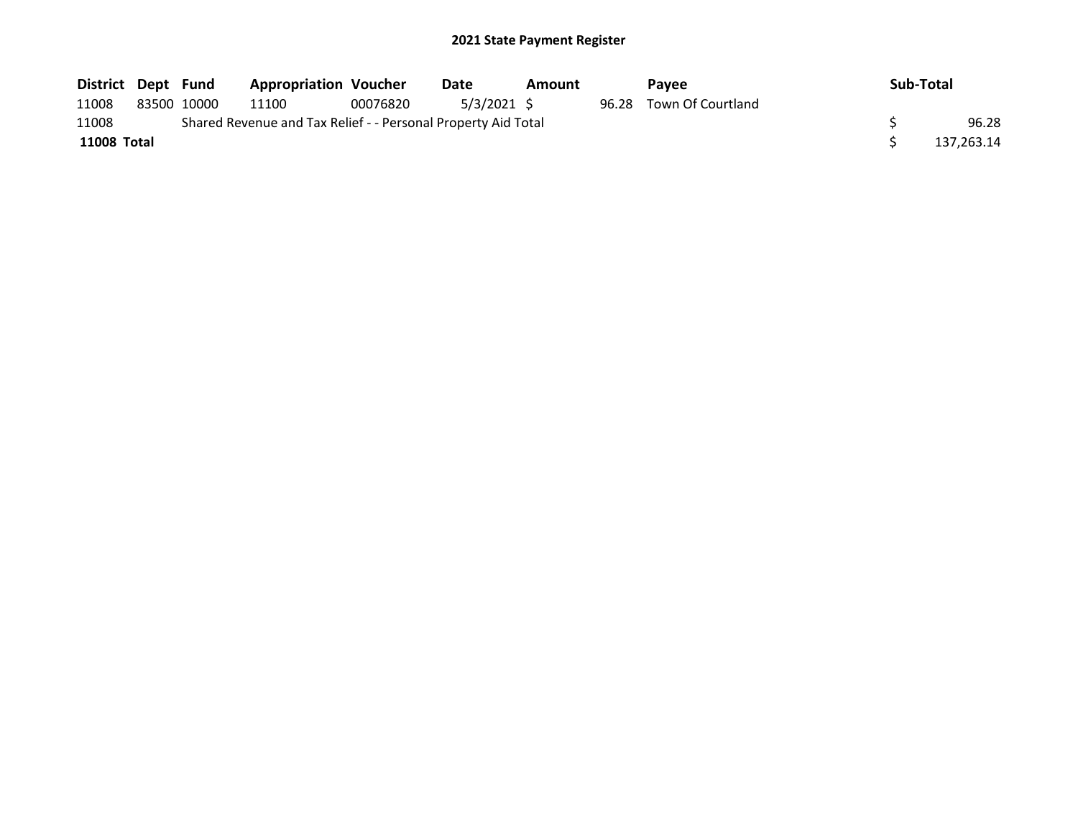| District Dept Fund |             | <b>Appropriation Voucher</b>                                  |          | Date        | Amount |       | <b>Pavee</b>      | Sub-Total  |
|--------------------|-------------|---------------------------------------------------------------|----------|-------------|--------|-------|-------------------|------------|
| 11008              | 83500 10000 | 11100                                                         | 00076820 | 5/3/2021 \$ |        | 96.28 | Town Of Courtland |            |
| 11008              |             | Shared Revenue and Tax Relief - - Personal Property Aid Total |          |             |        |       |                   | 96.28      |
| 11008 Total        |             |                                                               |          |             |        |       |                   | 137,263.14 |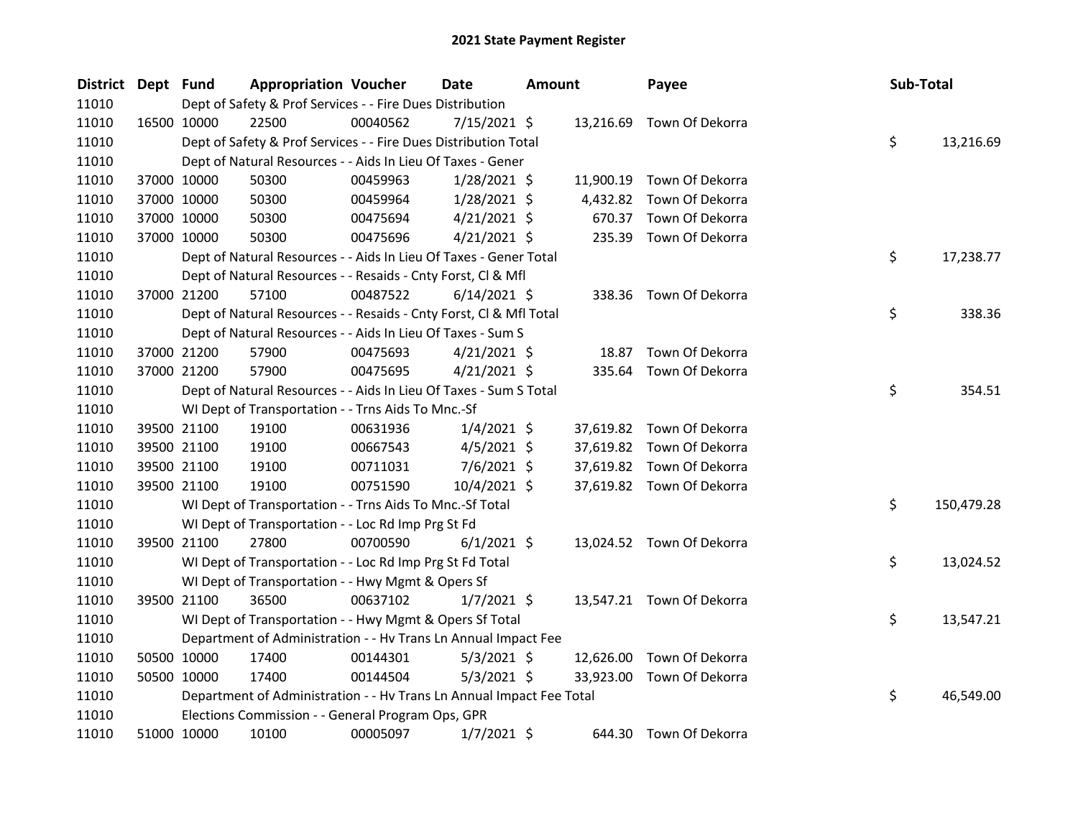| District Dept Fund |             | <b>Appropriation Voucher</b>                                         |          | <b>Date</b>    | <b>Amount</b> |           | Payee                     | Sub-Total |            |
|--------------------|-------------|----------------------------------------------------------------------|----------|----------------|---------------|-----------|---------------------------|-----------|------------|
| 11010              |             | Dept of Safety & Prof Services - - Fire Dues Distribution            |          |                |               |           |                           |           |            |
| 11010              | 16500 10000 | 22500                                                                | 00040562 | $7/15/2021$ \$ |               |           | 13,216.69 Town Of Dekorra |           |            |
| 11010              |             | Dept of Safety & Prof Services - - Fire Dues Distribution Total      |          |                |               |           |                           | \$        | 13,216.69  |
| 11010              |             | Dept of Natural Resources - - Aids In Lieu Of Taxes - Gener          |          |                |               |           |                           |           |            |
| 11010              | 37000 10000 | 50300                                                                | 00459963 | $1/28/2021$ \$ |               |           | 11,900.19 Town Of Dekorra |           |            |
| 11010              | 37000 10000 | 50300                                                                | 00459964 | $1/28/2021$ \$ |               | 4,432.82  | Town Of Dekorra           |           |            |
| 11010              | 37000 10000 | 50300                                                                | 00475694 | $4/21/2021$ \$ |               | 670.37    | Town Of Dekorra           |           |            |
| 11010              | 37000 10000 | 50300                                                                | 00475696 | $4/21/2021$ \$ |               |           | 235.39 Town Of Dekorra    |           |            |
| 11010              |             | Dept of Natural Resources - - Aids In Lieu Of Taxes - Gener Total    |          |                |               |           |                           | \$        | 17,238.77  |
| 11010              |             | Dept of Natural Resources - - Resaids - Cnty Forst, Cl & Mfl         |          |                |               |           |                           |           |            |
| 11010              | 37000 21200 | 57100                                                                | 00487522 | $6/14/2021$ \$ |               |           | 338.36 Town Of Dekorra    |           |            |
| 11010              |             | Dept of Natural Resources - - Resaids - Cnty Forst, Cl & Mfl Total   |          |                |               |           |                           | \$        | 338.36     |
| 11010              |             | Dept of Natural Resources - - Aids In Lieu Of Taxes - Sum S          |          |                |               |           |                           |           |            |
| 11010              | 37000 21200 | 57900                                                                | 00475693 | $4/21/2021$ \$ |               | 18.87     | Town Of Dekorra           |           |            |
| 11010              | 37000 21200 | 57900                                                                | 00475695 | $4/21/2021$ \$ |               | 335.64    | Town Of Dekorra           |           |            |
| 11010              |             | Dept of Natural Resources - - Aids In Lieu Of Taxes - Sum S Total    |          |                |               |           |                           | \$        | 354.51     |
| 11010              |             | WI Dept of Transportation - - Trns Aids To Mnc.-Sf                   |          |                |               |           |                           |           |            |
| 11010              | 39500 21100 | 19100                                                                | 00631936 | $1/4/2021$ \$  |               |           | 37,619.82 Town Of Dekorra |           |            |
| 11010              | 39500 21100 | 19100                                                                | 00667543 | $4/5/2021$ \$  |               |           | 37,619.82 Town Of Dekorra |           |            |
| 11010              | 39500 21100 | 19100                                                                | 00711031 | $7/6/2021$ \$  |               |           | 37,619.82 Town Of Dekorra |           |            |
| 11010              | 39500 21100 | 19100                                                                | 00751590 | 10/4/2021 \$   |               |           | 37,619.82 Town Of Dekorra |           |            |
| 11010              |             | WI Dept of Transportation - - Trns Aids To Mnc.-Sf Total             |          |                |               |           |                           | \$        | 150,479.28 |
| 11010              |             | WI Dept of Transportation - - Loc Rd Imp Prg St Fd                   |          |                |               |           |                           |           |            |
| 11010              | 39500 21100 | 27800                                                                | 00700590 | $6/1/2021$ \$  |               |           | 13,024.52 Town Of Dekorra |           |            |
| 11010              |             | WI Dept of Transportation - - Loc Rd Imp Prg St Fd Total             |          |                |               |           |                           | \$        | 13,024.52  |
| 11010              |             | WI Dept of Transportation - - Hwy Mgmt & Opers Sf                    |          |                |               |           |                           |           |            |
| 11010              | 39500 21100 | 36500                                                                | 00637102 | $1/7/2021$ \$  |               |           | 13,547.21 Town Of Dekorra |           |            |
| 11010              |             | WI Dept of Transportation - - Hwy Mgmt & Opers Sf Total              |          |                |               |           |                           | \$        | 13,547.21  |
| 11010              |             | Department of Administration - - Hv Trans Ln Annual Impact Fee       |          |                |               |           |                           |           |            |
| 11010              | 50500 10000 | 17400                                                                | 00144301 | $5/3/2021$ \$  |               | 12,626.00 | Town Of Dekorra           |           |            |
| 11010              | 50500 10000 | 17400                                                                | 00144504 | $5/3/2021$ \$  |               | 33,923.00 | Town Of Dekorra           |           |            |
| 11010              |             | Department of Administration - - Hv Trans Ln Annual Impact Fee Total |          |                |               |           |                           | \$        | 46,549.00  |
| 11010              |             | Elections Commission - - General Program Ops, GPR                    |          |                |               |           |                           |           |            |
| 11010              | 51000 10000 | 10100                                                                | 00005097 | $1/7/2021$ \$  |               | 644.30    | Town Of Dekorra           |           |            |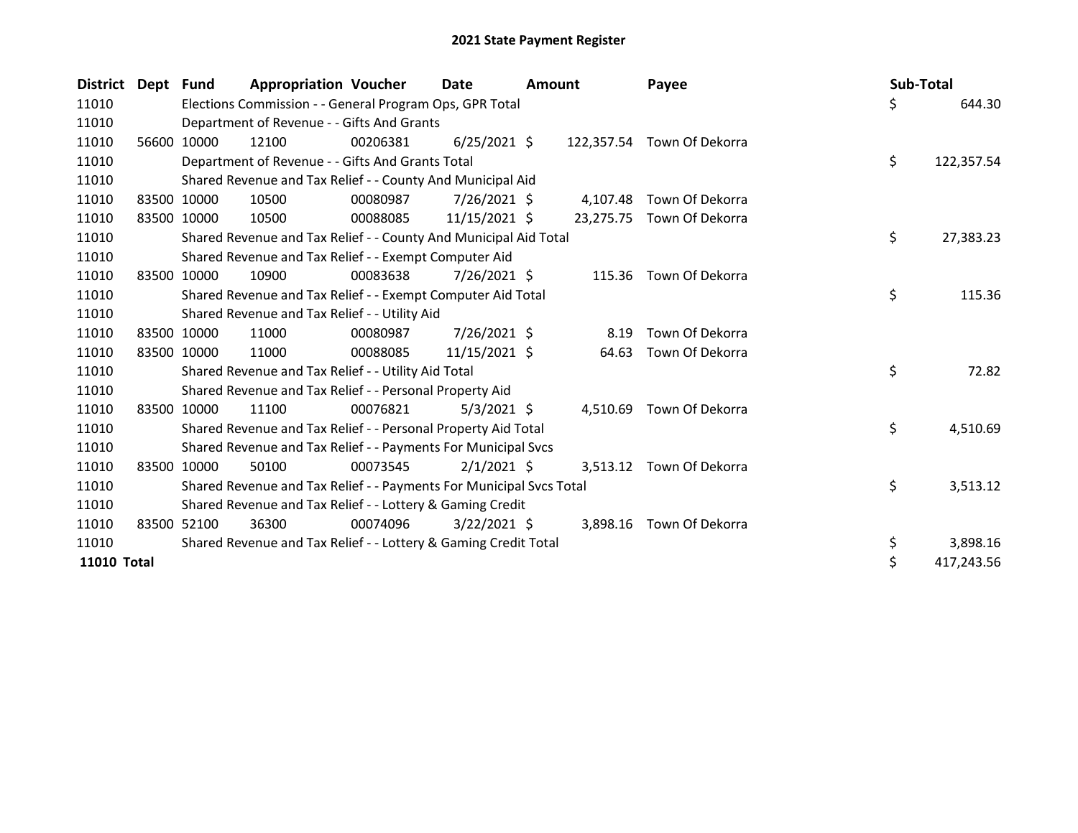| <b>District Dept</b> |       | Fund        | <b>Appropriation Voucher</b>                                        |          | Date           | <b>Amount</b> |          | Payee                      | Sub-Total |            |
|----------------------|-------|-------------|---------------------------------------------------------------------|----------|----------------|---------------|----------|----------------------------|-----------|------------|
| 11010                |       |             | Elections Commission - - General Program Ops, GPR Total             |          |                |               |          |                            | \$        | 644.30     |
| 11010                |       |             | Department of Revenue - - Gifts And Grants                          |          |                |               |          |                            |           |            |
| 11010                | 56600 | 10000       | 12100                                                               | 00206381 | $6/25/2021$ \$ |               |          | 122,357.54 Town Of Dekorra |           |            |
| 11010                |       |             | Department of Revenue - - Gifts And Grants Total                    |          |                |               |          |                            | \$        | 122,357.54 |
| 11010                |       |             | Shared Revenue and Tax Relief - - County And Municipal Aid          |          |                |               |          |                            |           |            |
| 11010                |       | 83500 10000 | 10500                                                               | 00080987 | $7/26/2021$ \$ |               | 4,107.48 | Town Of Dekorra            |           |            |
| 11010                | 83500 | 10000       | 10500                                                               | 00088085 | 11/15/2021 \$  |               |          | 23,275.75 Town Of Dekorra  |           |            |
| 11010                |       |             | Shared Revenue and Tax Relief - - County And Municipal Aid Total    |          |                |               |          |                            | \$        | 27,383.23  |
| 11010                |       |             | Shared Revenue and Tax Relief - - Exempt Computer Aid               |          |                |               |          |                            |           |            |
| 11010                |       | 83500 10000 | 10900                                                               | 00083638 | $7/26/2021$ \$ |               |          | 115.36 Town Of Dekorra     |           |            |
| 11010                |       |             | Shared Revenue and Tax Relief - - Exempt Computer Aid Total         |          |                |               |          |                            | \$        | 115.36     |
| 11010                |       |             | Shared Revenue and Tax Relief - - Utility Aid                       |          |                |               |          |                            |           |            |
| 11010                |       | 83500 10000 | 11000                                                               | 00080987 | 7/26/2021 \$   |               | 8.19     | Town Of Dekorra            |           |            |
| 11010                |       | 83500 10000 | 11000                                                               | 00088085 | 11/15/2021 \$  |               | 64.63    | Town Of Dekorra            |           |            |
| 11010                |       |             | Shared Revenue and Tax Relief - - Utility Aid Total                 |          |                |               |          |                            | \$        | 72.82      |
| 11010                |       |             | Shared Revenue and Tax Relief - - Personal Property Aid             |          |                |               |          |                            |           |            |
| 11010                | 83500 | 10000       | 11100                                                               | 00076821 | $5/3/2021$ \$  |               | 4,510.69 | Town Of Dekorra            |           |            |
| 11010                |       |             | Shared Revenue and Tax Relief - - Personal Property Aid Total       |          |                |               |          |                            | \$        | 4,510.69   |
| 11010                |       |             | Shared Revenue and Tax Relief - - Payments For Municipal Svcs       |          |                |               |          |                            |           |            |
| 11010                | 83500 | 10000       | 50100                                                               | 00073545 | $2/1/2021$ \$  |               |          | 3,513.12 Town Of Dekorra   |           |            |
| 11010                |       |             | Shared Revenue and Tax Relief - - Payments For Municipal Svcs Total |          |                |               |          |                            | \$        | 3,513.12   |
| 11010                |       |             | Shared Revenue and Tax Relief - - Lottery & Gaming Credit           |          |                |               |          |                            |           |            |
| 11010                |       | 83500 52100 | 36300                                                               | 00074096 | $3/22/2021$ \$ |               | 3,898.16 | Town Of Dekorra            |           |            |
| 11010                |       |             | Shared Revenue and Tax Relief - - Lottery & Gaming Credit Total     |          |                |               |          |                            | \$        | 3,898.16   |
| <b>11010 Total</b>   |       |             |                                                                     |          |                |               |          |                            | \$        | 417,243.56 |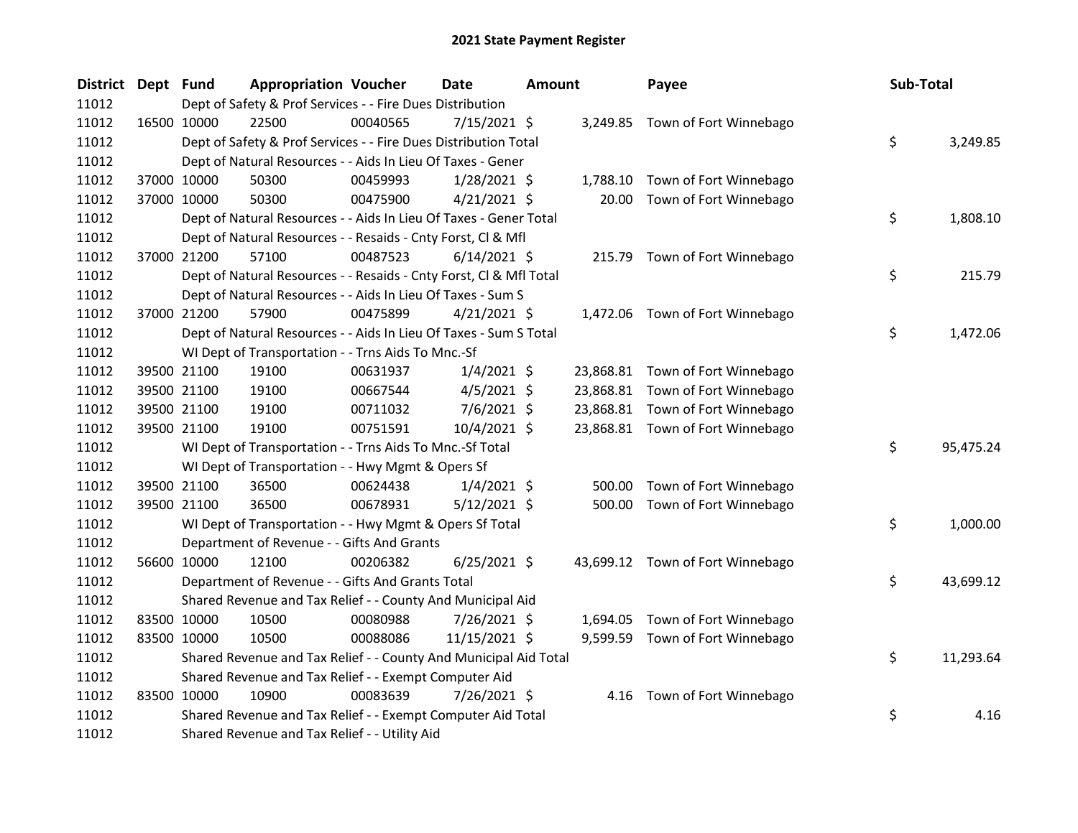| District Dept Fund |             | <b>Appropriation Voucher</b>                                       |          | <b>Date</b>    | <b>Amount</b> |          | Payee                            | Sub-Total |           |
|--------------------|-------------|--------------------------------------------------------------------|----------|----------------|---------------|----------|----------------------------------|-----------|-----------|
| 11012              |             | Dept of Safety & Prof Services - - Fire Dues Distribution          |          |                |               |          |                                  |           |           |
| 11012              | 16500 10000 | 22500                                                              | 00040565 | $7/15/2021$ \$ |               |          | 3,249.85 Town of Fort Winnebago  |           |           |
| 11012              |             | Dept of Safety & Prof Services - - Fire Dues Distribution Total    |          |                |               |          |                                  | \$        | 3,249.85  |
| 11012              |             | Dept of Natural Resources - - Aids In Lieu Of Taxes - Gener        |          |                |               |          |                                  |           |           |
| 11012              | 37000 10000 | 50300                                                              | 00459993 | $1/28/2021$ \$ |               | 1,788.10 | Town of Fort Winnebago           |           |           |
| 11012              | 37000 10000 | 50300                                                              | 00475900 | $4/21/2021$ \$ |               | 20.00    | Town of Fort Winnebago           |           |           |
| 11012              |             | Dept of Natural Resources - - Aids In Lieu Of Taxes - Gener Total  |          |                |               |          |                                  | \$        | 1,808.10  |
| 11012              |             | Dept of Natural Resources - - Resaids - Cnty Forst, Cl & Mfl       |          |                |               |          |                                  |           |           |
| 11012              | 37000 21200 | 57100                                                              | 00487523 | $6/14/2021$ \$ |               |          | 215.79 Town of Fort Winnebago    |           |           |
| 11012              |             | Dept of Natural Resources - - Resaids - Cnty Forst, Cl & Mfl Total |          |                |               |          |                                  | \$        | 215.79    |
| 11012              |             | Dept of Natural Resources - - Aids In Lieu Of Taxes - Sum S        |          |                |               |          |                                  |           |           |
| 11012              | 37000 21200 | 57900                                                              | 00475899 | $4/21/2021$ \$ |               |          | 1,472.06 Town of Fort Winnebago  |           |           |
| 11012              |             | Dept of Natural Resources - - Aids In Lieu Of Taxes - Sum S Total  |          |                |               |          |                                  | \$        | 1,472.06  |
| 11012              |             | WI Dept of Transportation - - Trns Aids To Mnc.-Sf                 |          |                |               |          |                                  |           |           |
| 11012              | 39500 21100 | 19100                                                              | 00631937 | $1/4/2021$ \$  |               |          | 23,868.81 Town of Fort Winnebago |           |           |
| 11012              | 39500 21100 | 19100                                                              | 00667544 | $4/5/2021$ \$  |               |          | 23,868.81 Town of Fort Winnebago |           |           |
| 11012              | 39500 21100 | 19100                                                              | 00711032 | $7/6/2021$ \$  |               |          | 23,868.81 Town of Fort Winnebago |           |           |
| 11012              | 39500 21100 | 19100                                                              | 00751591 | 10/4/2021 \$   |               |          | 23,868.81 Town of Fort Winnebago |           |           |
| 11012              |             | WI Dept of Transportation - - Trns Aids To Mnc.-Sf Total           |          |                |               |          |                                  | \$        | 95,475.24 |
| 11012              |             | WI Dept of Transportation - - Hwy Mgmt & Opers Sf                  |          |                |               |          |                                  |           |           |
| 11012              | 39500 21100 | 36500                                                              | 00624438 | $1/4/2021$ \$  |               | 500.00   | Town of Fort Winnebago           |           |           |
| 11012              | 39500 21100 | 36500                                                              | 00678931 | $5/12/2021$ \$ |               |          | 500.00 Town of Fort Winnebago    |           |           |
| 11012              |             | WI Dept of Transportation - - Hwy Mgmt & Opers Sf Total            |          |                |               |          |                                  | \$        | 1,000.00  |
| 11012              |             | Department of Revenue - - Gifts And Grants                         |          |                |               |          |                                  |           |           |
| 11012              | 56600 10000 | 12100                                                              | 00206382 | $6/25/2021$ \$ |               |          | 43,699.12 Town of Fort Winnebago |           |           |
| 11012              |             | Department of Revenue - - Gifts And Grants Total                   |          |                |               |          |                                  | \$        | 43,699.12 |
| 11012              |             | Shared Revenue and Tax Relief - - County And Municipal Aid         |          |                |               |          |                                  |           |           |
| 11012              | 83500 10000 | 10500                                                              | 00080988 | 7/26/2021 \$   |               | 1,694.05 | Town of Fort Winnebago           |           |           |
| 11012              | 83500 10000 | 10500                                                              | 00088086 | 11/15/2021 \$  |               |          | 9,599.59 Town of Fort Winnebago  |           |           |
| 11012              |             | Shared Revenue and Tax Relief - - County And Municipal Aid Total   |          |                |               |          |                                  | \$        | 11,293.64 |
| 11012              |             | Shared Revenue and Tax Relief - - Exempt Computer Aid              |          |                |               |          |                                  |           |           |
| 11012              | 83500 10000 | 10900                                                              | 00083639 | 7/26/2021 \$   |               | 4.16     | Town of Fort Winnebago           |           |           |
| 11012              |             | Shared Revenue and Tax Relief - - Exempt Computer Aid Total        |          |                |               |          |                                  | \$        | 4.16      |
| 11012              |             | Shared Revenue and Tax Relief - - Utility Aid                      |          |                |               |          |                                  |           |           |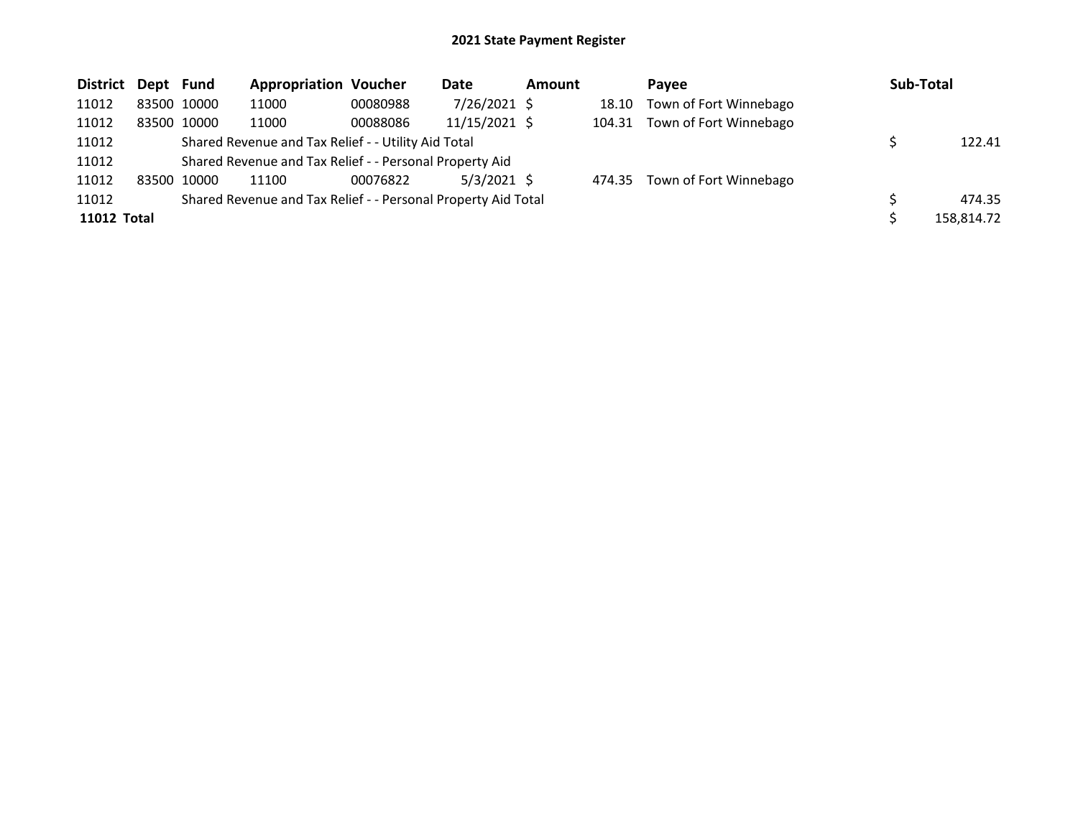| <b>District Dept Fund</b> |             | <b>Appropriation Voucher</b>                                  |          | Date          | Amount |        | Pavee                         | Sub-Total  |
|---------------------------|-------------|---------------------------------------------------------------|----------|---------------|--------|--------|-------------------------------|------------|
| 11012                     | 83500 10000 | 11000                                                         | 00080988 | 7/26/2021 \$  |        | 18.10  | Town of Fort Winnebago        |            |
| 11012                     | 83500 10000 | 11000                                                         | 00088086 | 11/15/2021 \$ |        |        | 104.31 Town of Fort Winnebago |            |
| 11012                     |             | Shared Revenue and Tax Relief - - Utility Aid Total           |          |               |        |        |                               | 122.41     |
| 11012                     |             | Shared Revenue and Tax Relief - - Personal Property Aid       |          |               |        |        |                               |            |
| 11012                     | 83500 10000 | 11100                                                         | 00076822 | $5/3/2021$ \$ |        | 474.35 | Town of Fort Winnebago        |            |
| 11012                     |             | Shared Revenue and Tax Relief - - Personal Property Aid Total |          |               |        |        |                               | 474.35     |
| 11012 Total               |             |                                                               |          |               |        |        |                               | 158,814.72 |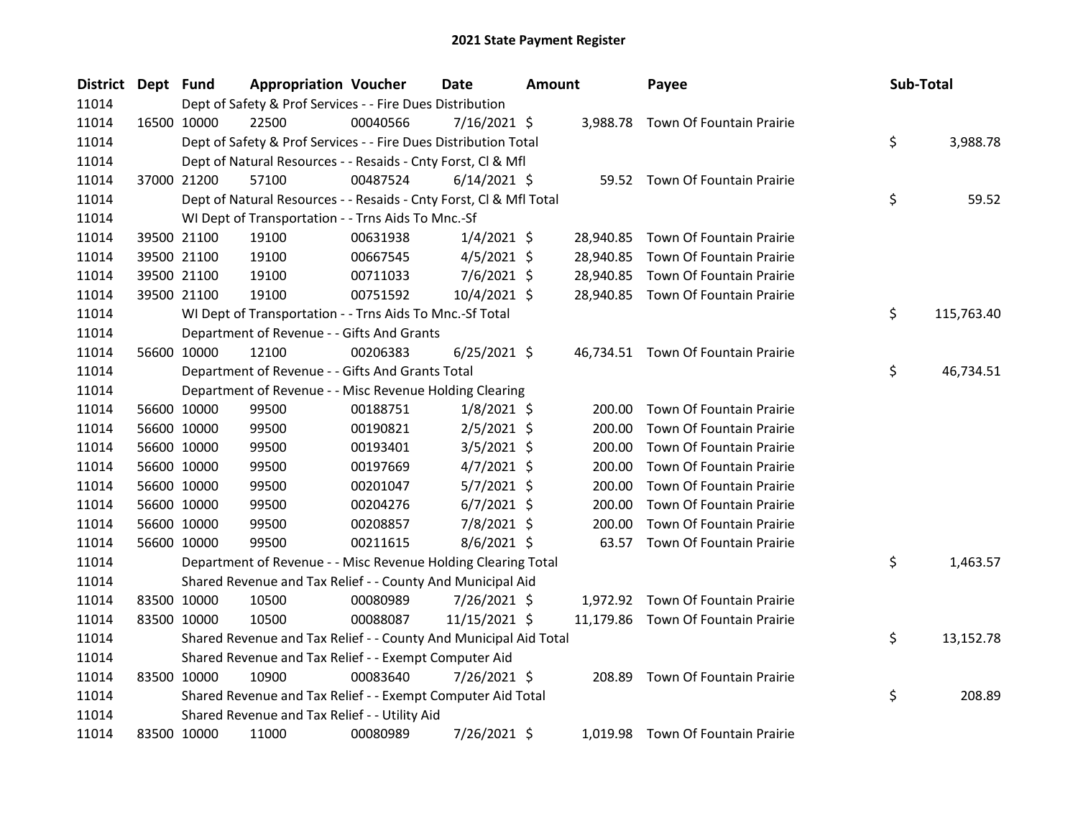| District | Dept Fund |             | <b>Appropriation Voucher</b>                                       |          | Date           | <b>Amount</b> |           | Payee                              | Sub-Total        |
|----------|-----------|-------------|--------------------------------------------------------------------|----------|----------------|---------------|-----------|------------------------------------|------------------|
| 11014    |           |             | Dept of Safety & Prof Services - - Fire Dues Distribution          |          |                |               |           |                                    |                  |
| 11014    |           | 16500 10000 | 22500                                                              | 00040566 | $7/16/2021$ \$ |               |           | 3,988.78 Town Of Fountain Prairie  |                  |
| 11014    |           |             | Dept of Safety & Prof Services - - Fire Dues Distribution Total    |          |                |               |           |                                    | \$<br>3,988.78   |
| 11014    |           |             | Dept of Natural Resources - - Resaids - Cnty Forst, Cl & Mfl       |          |                |               |           |                                    |                  |
| 11014    |           | 37000 21200 | 57100                                                              | 00487524 | $6/14/2021$ \$ |               |           | 59.52 Town Of Fountain Prairie     |                  |
| 11014    |           |             | Dept of Natural Resources - - Resaids - Cnty Forst, Cl & Mfl Total |          |                |               |           |                                    | \$<br>59.52      |
| 11014    |           |             | WI Dept of Transportation - - Trns Aids To Mnc.-Sf                 |          |                |               |           |                                    |                  |
| 11014    |           | 39500 21100 | 19100                                                              | 00631938 | $1/4/2021$ \$  |               | 28,940.85 | Town Of Fountain Prairie           |                  |
| 11014    |           | 39500 21100 | 19100                                                              | 00667545 | $4/5/2021$ \$  |               | 28,940.85 | Town Of Fountain Prairie           |                  |
| 11014    |           | 39500 21100 | 19100                                                              | 00711033 | 7/6/2021 \$    |               | 28,940.85 | Town Of Fountain Prairie           |                  |
| 11014    |           | 39500 21100 | 19100                                                              | 00751592 | $10/4/2021$ \$ |               |           | 28,940.85 Town Of Fountain Prairie |                  |
| 11014    |           |             | WI Dept of Transportation - - Trns Aids To Mnc.-Sf Total           |          |                |               |           |                                    | \$<br>115,763.40 |
| 11014    |           |             | Department of Revenue - - Gifts And Grants                         |          |                |               |           |                                    |                  |
| 11014    |           | 56600 10000 | 12100                                                              | 00206383 | $6/25/2021$ \$ |               |           | 46,734.51 Town Of Fountain Prairie |                  |
| 11014    |           |             | Department of Revenue - - Gifts And Grants Total                   |          |                |               |           |                                    | \$<br>46,734.51  |
| 11014    |           |             | Department of Revenue - - Misc Revenue Holding Clearing            |          |                |               |           |                                    |                  |
| 11014    |           | 56600 10000 | 99500                                                              | 00188751 | $1/8/2021$ \$  |               | 200.00    | Town Of Fountain Prairie           |                  |
| 11014    |           | 56600 10000 | 99500                                                              | 00190821 | $2/5/2021$ \$  |               | 200.00    | Town Of Fountain Prairie           |                  |
| 11014    |           | 56600 10000 | 99500                                                              | 00193401 | $3/5/2021$ \$  |               | 200.00    | Town Of Fountain Prairie           |                  |
| 11014    |           | 56600 10000 | 99500                                                              | 00197669 | $4/7/2021$ \$  |               | 200.00    | Town Of Fountain Prairie           |                  |
| 11014    |           | 56600 10000 | 99500                                                              | 00201047 | $5/7/2021$ \$  |               | 200.00    | Town Of Fountain Prairie           |                  |
| 11014    |           | 56600 10000 | 99500                                                              | 00204276 | $6/7/2021$ \$  |               | 200.00    | Town Of Fountain Prairie           |                  |
| 11014    |           | 56600 10000 | 99500                                                              | 00208857 | 7/8/2021 \$    |               | 200.00    | Town Of Fountain Prairie           |                  |
| 11014    |           | 56600 10000 | 99500                                                              | 00211615 | $8/6/2021$ \$  |               |           | 63.57 Town Of Fountain Prairie     |                  |
| 11014    |           |             | Department of Revenue - - Misc Revenue Holding Clearing Total      |          |                |               |           |                                    | \$<br>1,463.57   |
| 11014    |           |             | Shared Revenue and Tax Relief - - County And Municipal Aid         |          |                |               |           |                                    |                  |
| 11014    |           | 83500 10000 | 10500                                                              | 00080989 | 7/26/2021 \$   |               |           | 1,972.92 Town Of Fountain Prairie  |                  |
| 11014    |           | 83500 10000 | 10500                                                              | 00088087 | 11/15/2021 \$  |               |           | 11,179.86 Town Of Fountain Prairie |                  |
| 11014    |           |             | Shared Revenue and Tax Relief - - County And Municipal Aid Total   |          |                |               |           |                                    | \$<br>13,152.78  |
| 11014    |           |             | Shared Revenue and Tax Relief - - Exempt Computer Aid              |          |                |               |           |                                    |                  |
| 11014    |           | 83500 10000 | 10900                                                              | 00083640 | 7/26/2021 \$   |               | 208.89    | Town Of Fountain Prairie           |                  |
| 11014    |           |             | Shared Revenue and Tax Relief - - Exempt Computer Aid Total        |          |                |               |           |                                    | \$<br>208.89     |
| 11014    |           |             | Shared Revenue and Tax Relief - - Utility Aid                      |          |                |               |           |                                    |                  |
| 11014    |           | 83500 10000 | 11000                                                              | 00080989 | 7/26/2021 \$   |               |           | 1,019.98 Town Of Fountain Prairie  |                  |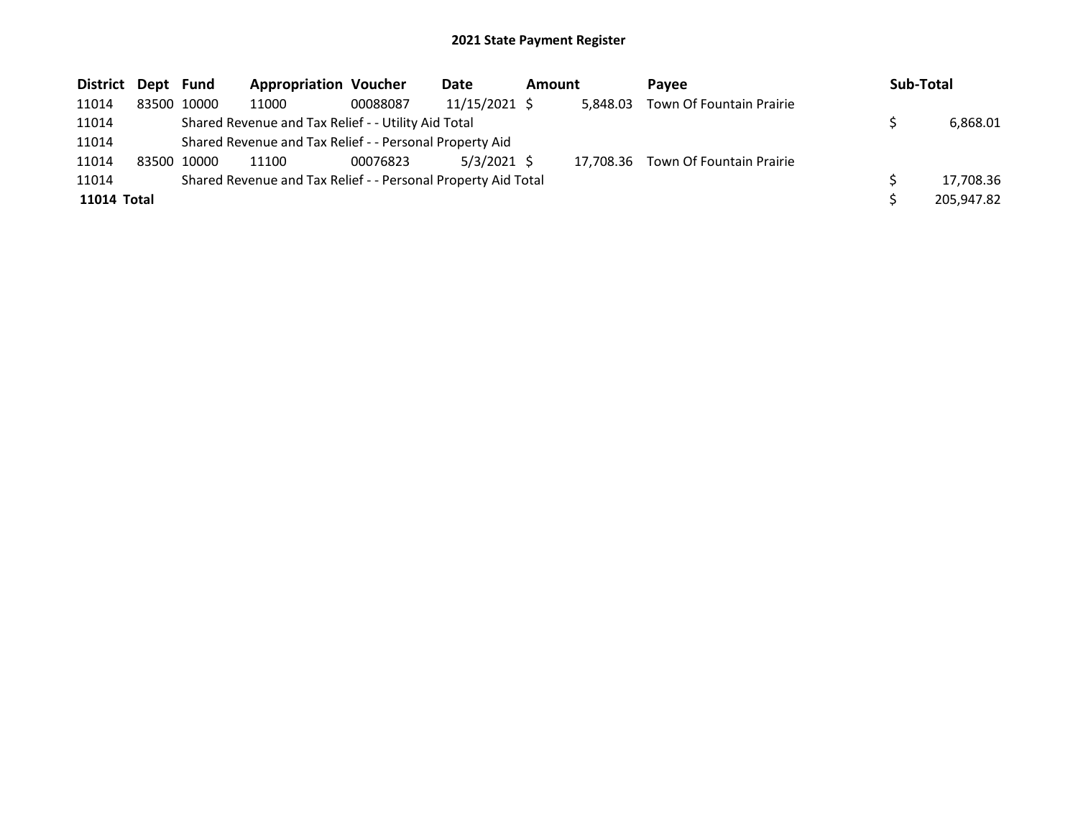| District Dept Fund |             | <b>Appropriation Voucher</b>                                  |          | Date          | Amount |          | Pavee                              | Sub-Total  |
|--------------------|-------------|---------------------------------------------------------------|----------|---------------|--------|----------|------------------------------------|------------|
| 11014              | 83500 10000 | 11000                                                         | 00088087 | 11/15/2021 \$ |        | 5.848.03 | Town Of Fountain Prairie           |            |
| 11014              |             | Shared Revenue and Tax Relief - - Utility Aid Total           |          |               |        |          |                                    | 6,868.01   |
| 11014              |             | Shared Revenue and Tax Relief - - Personal Property Aid       |          |               |        |          |                                    |            |
| 11014              | 83500 10000 | 11100                                                         | 00076823 | $5/3/2021$ \$ |        |          | 17,708.36 Town Of Fountain Prairie |            |
| 11014              |             | Shared Revenue and Tax Relief - - Personal Property Aid Total |          |               |        |          |                                    | 17,708.36  |
| 11014 Total        |             |                                                               |          |               |        |          |                                    | 205.947.82 |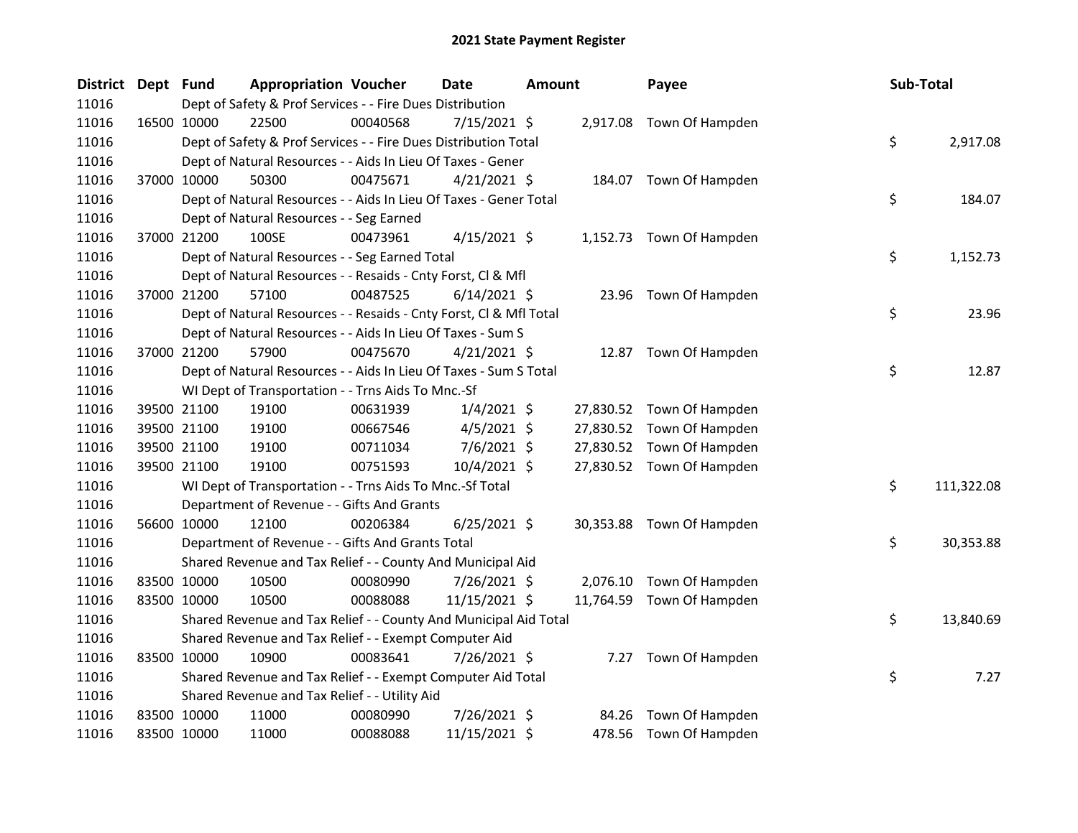| District Dept Fund |             |             | <b>Appropriation Voucher</b>                                       |          | <b>Date</b>    | <b>Amount</b> |       | Payee                     | Sub-Total |            |
|--------------------|-------------|-------------|--------------------------------------------------------------------|----------|----------------|---------------|-------|---------------------------|-----------|------------|
| 11016              |             |             | Dept of Safety & Prof Services - - Fire Dues Distribution          |          |                |               |       |                           |           |            |
| 11016              | 16500 10000 |             | 22500                                                              | 00040568 | $7/15/2021$ \$ |               |       | 2,917.08 Town Of Hampden  |           |            |
| 11016              |             |             | Dept of Safety & Prof Services - - Fire Dues Distribution Total    |          |                |               |       |                           | \$        | 2,917.08   |
| 11016              |             |             | Dept of Natural Resources - - Aids In Lieu Of Taxes - Gener        |          |                |               |       |                           |           |            |
| 11016              |             | 37000 10000 | 50300                                                              | 00475671 | $4/21/2021$ \$ |               |       | 184.07 Town Of Hampden    |           |            |
| 11016              |             |             | Dept of Natural Resources - - Aids In Lieu Of Taxes - Gener Total  |          |                |               |       |                           | \$        | 184.07     |
| 11016              |             |             | Dept of Natural Resources - - Seg Earned                           |          |                |               |       |                           |           |            |
| 11016              |             | 37000 21200 | 100SE                                                              | 00473961 | $4/15/2021$ \$ |               |       | 1,152.73 Town Of Hampden  |           |            |
| 11016              |             |             | Dept of Natural Resources - - Seg Earned Total                     |          |                |               |       |                           | \$        | 1,152.73   |
| 11016              |             |             | Dept of Natural Resources - - Resaids - Cnty Forst, Cl & Mfl       |          |                |               |       |                           |           |            |
| 11016              |             | 37000 21200 | 57100                                                              | 00487525 | $6/14/2021$ \$ |               |       | 23.96 Town Of Hampden     |           |            |
| 11016              |             |             | Dept of Natural Resources - - Resaids - Cnty Forst, Cl & Mfl Total |          |                |               |       |                           | \$        | 23.96      |
| 11016              |             |             | Dept of Natural Resources - - Aids In Lieu Of Taxes - Sum S        |          |                |               |       |                           |           |            |
| 11016              | 37000 21200 |             | 57900                                                              | 00475670 | $4/21/2021$ \$ |               |       | 12.87 Town Of Hampden     |           |            |
| 11016              |             |             | Dept of Natural Resources - - Aids In Lieu Of Taxes - Sum S Total  |          |                |               |       |                           | \$        | 12.87      |
| 11016              |             |             | WI Dept of Transportation - - Trns Aids To Mnc.-Sf                 |          |                |               |       |                           |           |            |
| 11016              |             | 39500 21100 | 19100                                                              | 00631939 | $1/4/2021$ \$  |               |       | 27,830.52 Town Of Hampden |           |            |
| 11016              |             | 39500 21100 | 19100                                                              | 00667546 | $4/5/2021$ \$  |               |       | 27,830.52 Town Of Hampden |           |            |
| 11016              |             | 39500 21100 | 19100                                                              | 00711034 | 7/6/2021 \$    |               |       | 27,830.52 Town Of Hampden |           |            |
| 11016              |             | 39500 21100 | 19100                                                              | 00751593 | 10/4/2021 \$   |               |       | 27,830.52 Town Of Hampden |           |            |
| 11016              |             |             | WI Dept of Transportation - - Trns Aids To Mnc.-Sf Total           |          |                |               |       |                           | \$        | 111,322.08 |
| 11016              |             |             | Department of Revenue - - Gifts And Grants                         |          |                |               |       |                           |           |            |
| 11016              |             | 56600 10000 | 12100                                                              | 00206384 | $6/25/2021$ \$ |               |       | 30,353.88 Town Of Hampden |           |            |
| 11016              |             |             | Department of Revenue - - Gifts And Grants Total                   |          |                |               |       |                           | \$        | 30,353.88  |
| 11016              |             |             | Shared Revenue and Tax Relief - - County And Municipal Aid         |          |                |               |       |                           |           |            |
| 11016              |             | 83500 10000 | 10500                                                              | 00080990 | 7/26/2021 \$   |               |       | 2,076.10 Town Of Hampden  |           |            |
| 11016              |             | 83500 10000 | 10500                                                              | 00088088 | 11/15/2021 \$  |               |       | 11,764.59 Town Of Hampden |           |            |
| 11016              |             |             | Shared Revenue and Tax Relief - - County And Municipal Aid Total   |          |                |               |       |                           | \$        | 13,840.69  |
| 11016              |             |             | Shared Revenue and Tax Relief - - Exempt Computer Aid              |          |                |               |       |                           |           |            |
| 11016              | 83500 10000 |             | 10900                                                              | 00083641 | 7/26/2021 \$   |               |       | 7.27 Town Of Hampden      |           |            |
| 11016              |             |             | Shared Revenue and Tax Relief - - Exempt Computer Aid Total        |          |                |               |       |                           | \$        | 7.27       |
| 11016              |             |             | Shared Revenue and Tax Relief - - Utility Aid                      |          |                |               |       |                           |           |            |
| 11016              |             | 83500 10000 | 11000                                                              | 00080990 | 7/26/2021 \$   |               | 84.26 | Town Of Hampden           |           |            |
| 11016              | 83500 10000 |             | 11000                                                              | 00088088 | 11/15/2021 \$  |               |       | 478.56 Town Of Hampden    |           |            |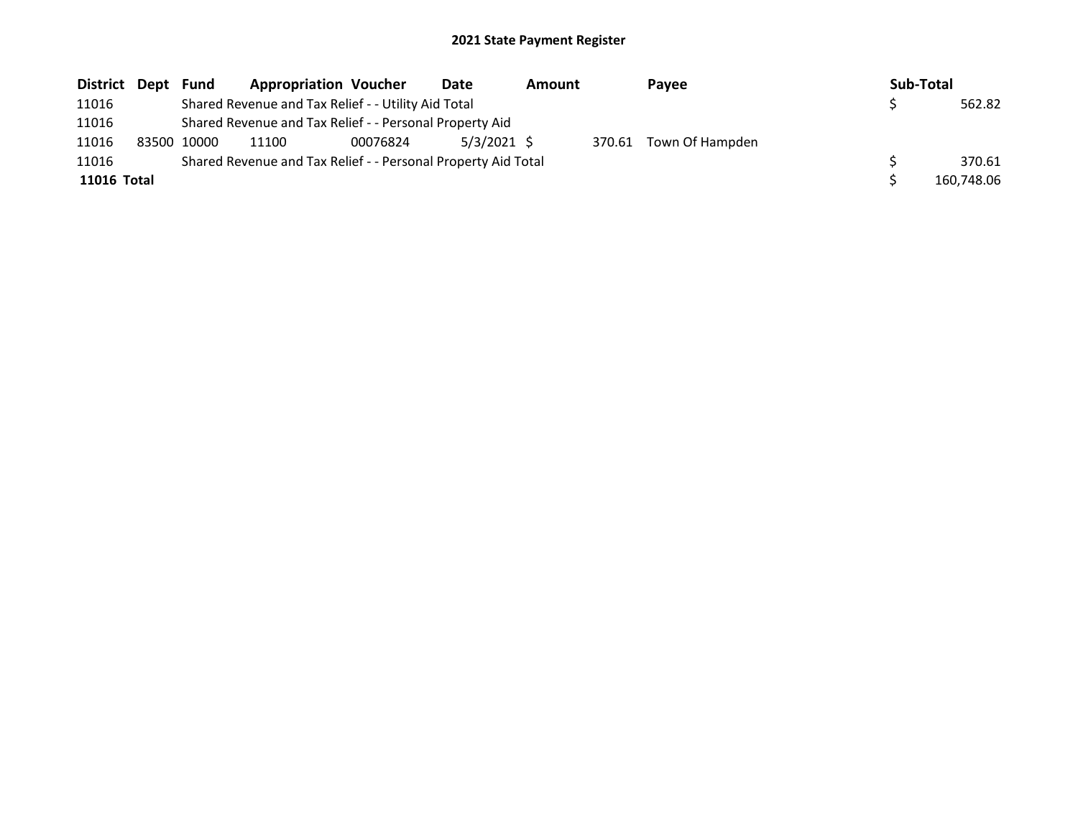| District Dept | Fund        | <b>Appropriation Voucher</b>                                  |          | Date          | <b>Amount</b> |        | Pavee           | Sub-Total |            |
|---------------|-------------|---------------------------------------------------------------|----------|---------------|---------------|--------|-----------------|-----------|------------|
| 11016         |             | Shared Revenue and Tax Relief - - Utility Aid Total           |          |               |               |        |                 |           | 562.82     |
| 11016         |             | Shared Revenue and Tax Relief - - Personal Property Aid       |          |               |               |        |                 |           |            |
| 11016         | 83500 10000 | 11100                                                         | 00076824 | $5/3/2021$ \$ |               | 370.61 | Town Of Hampden |           |            |
| 11016         |             | Shared Revenue and Tax Relief - - Personal Property Aid Total |          |               |               |        |                 |           | 370.61     |
| 11016 Total   |             |                                                               |          |               |               |        |                 |           | 160.748.06 |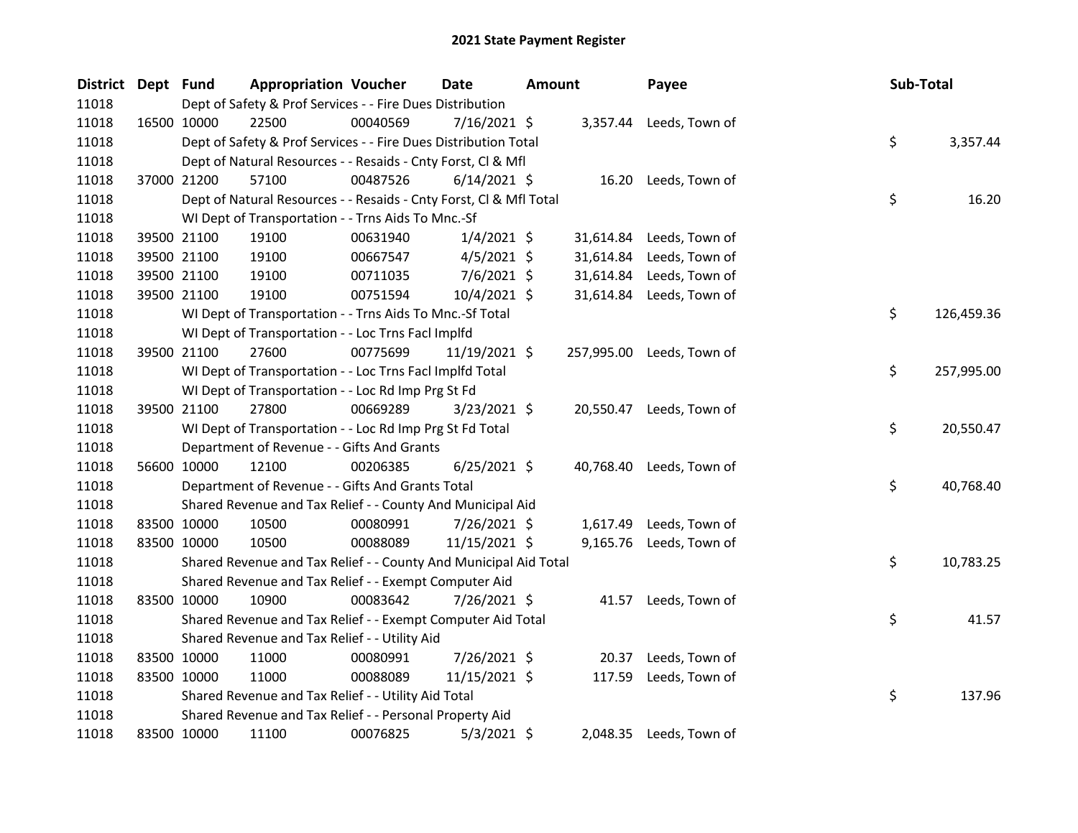| District Dept Fund |             | <b>Appropriation Voucher</b>                                       |          | <b>Date</b>    | <b>Amount</b> |           | Payee                     | Sub-Total |            |
|--------------------|-------------|--------------------------------------------------------------------|----------|----------------|---------------|-----------|---------------------------|-----------|------------|
| 11018              |             | Dept of Safety & Prof Services - - Fire Dues Distribution          |          |                |               |           |                           |           |            |
| 11018              | 16500 10000 | 22500                                                              | 00040569 | $7/16/2021$ \$ |               |           | 3,357.44 Leeds, Town of   |           |            |
| 11018              |             | Dept of Safety & Prof Services - - Fire Dues Distribution Total    |          |                |               |           |                           | \$        | 3,357.44   |
| 11018              |             | Dept of Natural Resources - - Resaids - Cnty Forst, Cl & Mfl       |          |                |               |           |                           |           |            |
| 11018              | 37000 21200 | 57100                                                              | 00487526 | $6/14/2021$ \$ |               |           | 16.20 Leeds, Town of      |           |            |
| 11018              |             | Dept of Natural Resources - - Resaids - Cnty Forst, Cl & Mfl Total |          |                |               |           |                           | \$        | 16.20      |
| 11018              |             | WI Dept of Transportation - - Trns Aids To Mnc.-Sf                 |          |                |               |           |                           |           |            |
| 11018              | 39500 21100 | 19100                                                              | 00631940 | $1/4/2021$ \$  |               | 31,614.84 | Leeds, Town of            |           |            |
| 11018              | 39500 21100 | 19100                                                              | 00667547 | $4/5/2021$ \$  |               | 31,614.84 | Leeds, Town of            |           |            |
| 11018              | 39500 21100 | 19100                                                              | 00711035 | $7/6/2021$ \$  |               | 31,614.84 | Leeds, Town of            |           |            |
| 11018              | 39500 21100 | 19100                                                              | 00751594 | $10/4/2021$ \$ |               | 31,614.84 | Leeds, Town of            |           |            |
| 11018              |             | WI Dept of Transportation - - Trns Aids To Mnc.-Sf Total           |          |                |               |           |                           | \$        | 126,459.36 |
| 11018              |             | WI Dept of Transportation - - Loc Trns Facl Implfd                 |          |                |               |           |                           |           |            |
| 11018              | 39500 21100 | 27600                                                              | 00775699 | 11/19/2021 \$  |               |           | 257,995.00 Leeds, Town of |           |            |
| 11018              |             | WI Dept of Transportation - - Loc Trns Facl Implfd Total           |          |                |               |           |                           | \$        | 257,995.00 |
| 11018              |             | WI Dept of Transportation - - Loc Rd Imp Prg St Fd                 |          |                |               |           |                           |           |            |
| 11018              | 39500 21100 | 27800                                                              | 00669289 | $3/23/2021$ \$ |               |           | 20,550.47 Leeds, Town of  |           |            |
| 11018              |             | WI Dept of Transportation - - Loc Rd Imp Prg St Fd Total           |          |                |               |           |                           | \$        | 20,550.47  |
| 11018              |             | Department of Revenue - - Gifts And Grants                         |          |                |               |           |                           |           |            |
| 11018              | 56600 10000 | 12100                                                              | 00206385 | $6/25/2021$ \$ |               |           | 40,768.40 Leeds, Town of  |           |            |
| 11018              |             | Department of Revenue - - Gifts And Grants Total                   |          |                |               |           |                           | \$        | 40,768.40  |
| 11018              |             | Shared Revenue and Tax Relief - - County And Municipal Aid         |          |                |               |           |                           |           |            |
| 11018              | 83500 10000 | 10500                                                              | 00080991 | 7/26/2021 \$   |               | 1,617.49  | Leeds, Town of            |           |            |
| 11018              | 83500 10000 | 10500                                                              | 00088089 | 11/15/2021 \$  |               |           | 9,165.76 Leeds, Town of   |           |            |
| 11018              |             | Shared Revenue and Tax Relief - - County And Municipal Aid Total   |          |                |               |           |                           | \$        | 10,783.25  |
| 11018              |             | Shared Revenue and Tax Relief - - Exempt Computer Aid              |          |                |               |           |                           |           |            |
| 11018              | 83500 10000 | 10900                                                              | 00083642 | 7/26/2021 \$   |               | 41.57     | Leeds, Town of            |           |            |
| 11018              |             | Shared Revenue and Tax Relief - - Exempt Computer Aid Total        |          |                |               |           |                           | \$        | 41.57      |
| 11018              |             | Shared Revenue and Tax Relief - - Utility Aid                      |          |                |               |           |                           |           |            |
| 11018              | 83500 10000 | 11000                                                              | 00080991 | 7/26/2021 \$   |               | 20.37     | Leeds, Town of            |           |            |
| 11018              | 83500 10000 | 11000                                                              | 00088089 | 11/15/2021 \$  |               | 117.59    | Leeds, Town of            |           |            |
| 11018              |             | Shared Revenue and Tax Relief - - Utility Aid Total                |          |                |               |           |                           | \$        | 137.96     |
| 11018              |             | Shared Revenue and Tax Relief - - Personal Property Aid            |          |                |               |           |                           |           |            |
| 11018              | 83500 10000 | 11100                                                              | 00076825 | $5/3/2021$ \$  |               |           | 2,048.35 Leeds, Town of   |           |            |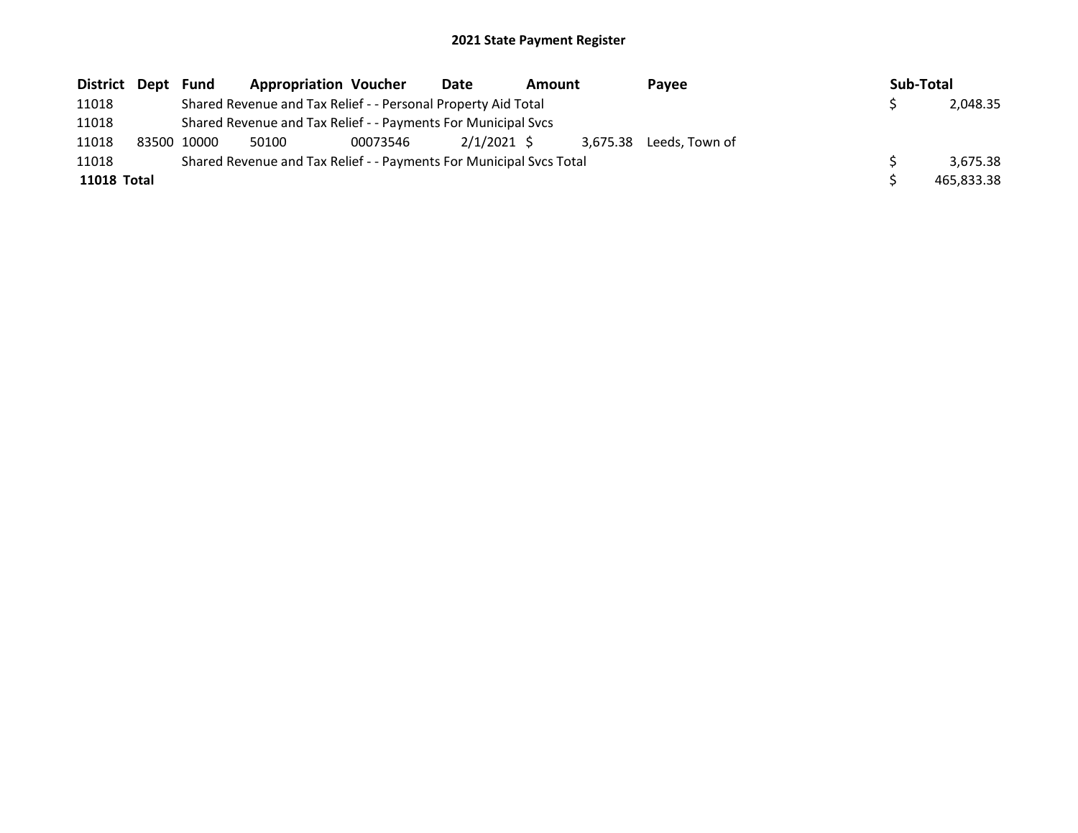| District Dept Fund |             | <b>Appropriation Voucher</b>                                        |          | Date          | <b>Amount</b> |  | Pavee                   | Sub-Total  |
|--------------------|-------------|---------------------------------------------------------------------|----------|---------------|---------------|--|-------------------------|------------|
| 11018              |             | Shared Revenue and Tax Relief - - Personal Property Aid Total       |          |               |               |  |                         | 2,048.35   |
| 11018              |             | Shared Revenue and Tax Relief - - Payments For Municipal Svcs       |          |               |               |  |                         |            |
| 11018              | 83500 10000 | 50100                                                               | 00073546 | $2/1/2021$ \$ |               |  | 3,675.38 Leeds, Town of |            |
| 11018              |             | Shared Revenue and Tax Relief - - Payments For Municipal Svcs Total |          |               |               |  |                         | 3.675.38   |
| <b>11018 Total</b> |             |                                                                     |          |               |               |  |                         | 465,833.38 |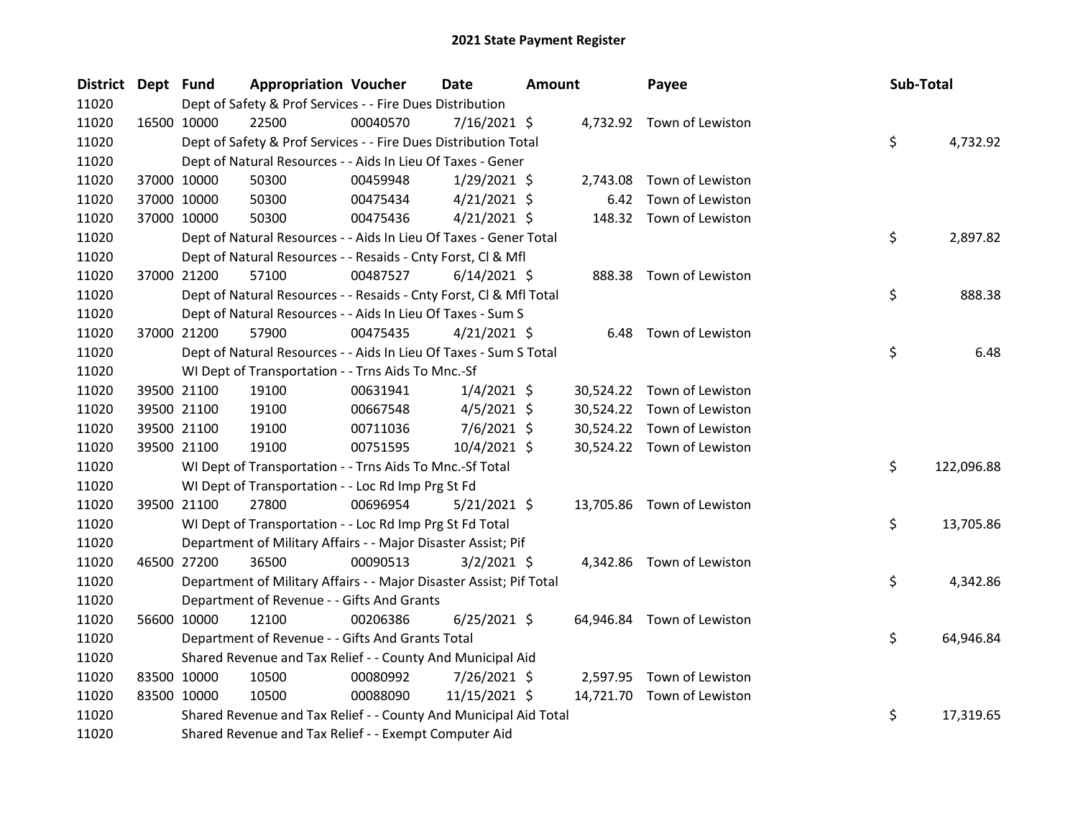| District Dept Fund |             | <b>Appropriation Voucher</b>                                        |          | Date           | <b>Amount</b> |          | Payee                      | Sub-Total |            |
|--------------------|-------------|---------------------------------------------------------------------|----------|----------------|---------------|----------|----------------------------|-----------|------------|
| 11020              |             | Dept of Safety & Prof Services - - Fire Dues Distribution           |          |                |               |          |                            |           |            |
| 11020              | 16500 10000 | 22500                                                               | 00040570 | $7/16/2021$ \$ |               |          | 4,732.92 Town of Lewiston  |           |            |
| 11020              |             | Dept of Safety & Prof Services - - Fire Dues Distribution Total     |          |                |               |          |                            | \$        | 4,732.92   |
| 11020              |             | Dept of Natural Resources - - Aids In Lieu Of Taxes - Gener         |          |                |               |          |                            |           |            |
| 11020              | 37000 10000 | 50300                                                               | 00459948 | $1/29/2021$ \$ |               | 2,743.08 | Town of Lewiston           |           |            |
| 11020              | 37000 10000 | 50300                                                               | 00475434 | $4/21/2021$ \$ |               | 6.42     | Town of Lewiston           |           |            |
| 11020              | 37000 10000 | 50300                                                               | 00475436 | $4/21/2021$ \$ |               |          | 148.32 Town of Lewiston    |           |            |
| 11020              |             | Dept of Natural Resources - - Aids In Lieu Of Taxes - Gener Total   |          |                |               |          |                            | \$        | 2,897.82   |
| 11020              |             | Dept of Natural Resources - - Resaids - Cnty Forst, Cl & Mfl        |          |                |               |          |                            |           |            |
| 11020              | 37000 21200 | 57100                                                               | 00487527 | $6/14/2021$ \$ |               |          | 888.38 Town of Lewiston    |           |            |
| 11020              |             | Dept of Natural Resources - - Resaids - Cnty Forst, CI & Mfl Total  |          |                |               |          |                            | \$        | 888.38     |
| 11020              |             | Dept of Natural Resources - - Aids In Lieu Of Taxes - Sum S         |          |                |               |          |                            |           |            |
| 11020              | 37000 21200 | 57900                                                               | 00475435 | $4/21/2021$ \$ |               |          | 6.48 Town of Lewiston      |           |            |
| 11020              |             | Dept of Natural Resources - - Aids In Lieu Of Taxes - Sum S Total   |          |                |               |          |                            | \$        | 6.48       |
| 11020              |             | WI Dept of Transportation - - Trns Aids To Mnc.-Sf                  |          |                |               |          |                            |           |            |
| 11020              | 39500 21100 | 19100                                                               | 00631941 | $1/4/2021$ \$  |               |          | 30,524.22 Town of Lewiston |           |            |
| 11020              | 39500 21100 | 19100                                                               | 00667548 | $4/5/2021$ \$  |               |          | 30,524.22 Town of Lewiston |           |            |
| 11020              | 39500 21100 | 19100                                                               | 00711036 | 7/6/2021 \$    |               |          | 30,524.22 Town of Lewiston |           |            |
| 11020              | 39500 21100 | 19100                                                               | 00751595 | 10/4/2021 \$   |               |          | 30,524.22 Town of Lewiston |           |            |
| 11020              |             | WI Dept of Transportation - - Trns Aids To Mnc.-Sf Total            |          |                |               |          |                            | \$        | 122,096.88 |
| 11020              |             | WI Dept of Transportation - - Loc Rd Imp Prg St Fd                  |          |                |               |          |                            |           |            |
| 11020              | 39500 21100 | 27800                                                               | 00696954 | $5/21/2021$ \$ |               |          | 13,705.86 Town of Lewiston |           |            |
| 11020              |             | WI Dept of Transportation - - Loc Rd Imp Prg St Fd Total            |          |                |               |          |                            | \$        | 13,705.86  |
| 11020              |             | Department of Military Affairs - - Major Disaster Assist; Pif       |          |                |               |          |                            |           |            |
| 11020              | 46500 27200 | 36500                                                               | 00090513 | $3/2/2021$ \$  |               |          | 4,342.86 Town of Lewiston  |           |            |
| 11020              |             | Department of Military Affairs - - Major Disaster Assist; Pif Total |          |                |               |          |                            | \$        | 4,342.86   |
| 11020              |             | Department of Revenue - - Gifts And Grants                          |          |                |               |          |                            |           |            |
| 11020              | 56600 10000 | 12100                                                               | 00206386 | $6/25/2021$ \$ |               |          | 64,946.84 Town of Lewiston |           |            |
| 11020              |             | Department of Revenue - - Gifts And Grants Total                    |          |                |               |          |                            | \$        | 64,946.84  |
| 11020              |             | Shared Revenue and Tax Relief - - County And Municipal Aid          |          |                |               |          |                            |           |            |
| 11020              | 83500 10000 | 10500                                                               | 00080992 | 7/26/2021 \$   |               |          | 2,597.95 Town of Lewiston  |           |            |
| 11020              | 83500 10000 | 10500                                                               | 00088090 | 11/15/2021 \$  |               |          | 14,721.70 Town of Lewiston |           |            |
| 11020              |             | Shared Revenue and Tax Relief - - County And Municipal Aid Total    |          |                |               |          |                            | \$        | 17,319.65  |
| 11020              |             | Shared Revenue and Tax Relief - - Exempt Computer Aid               |          |                |               |          |                            |           |            |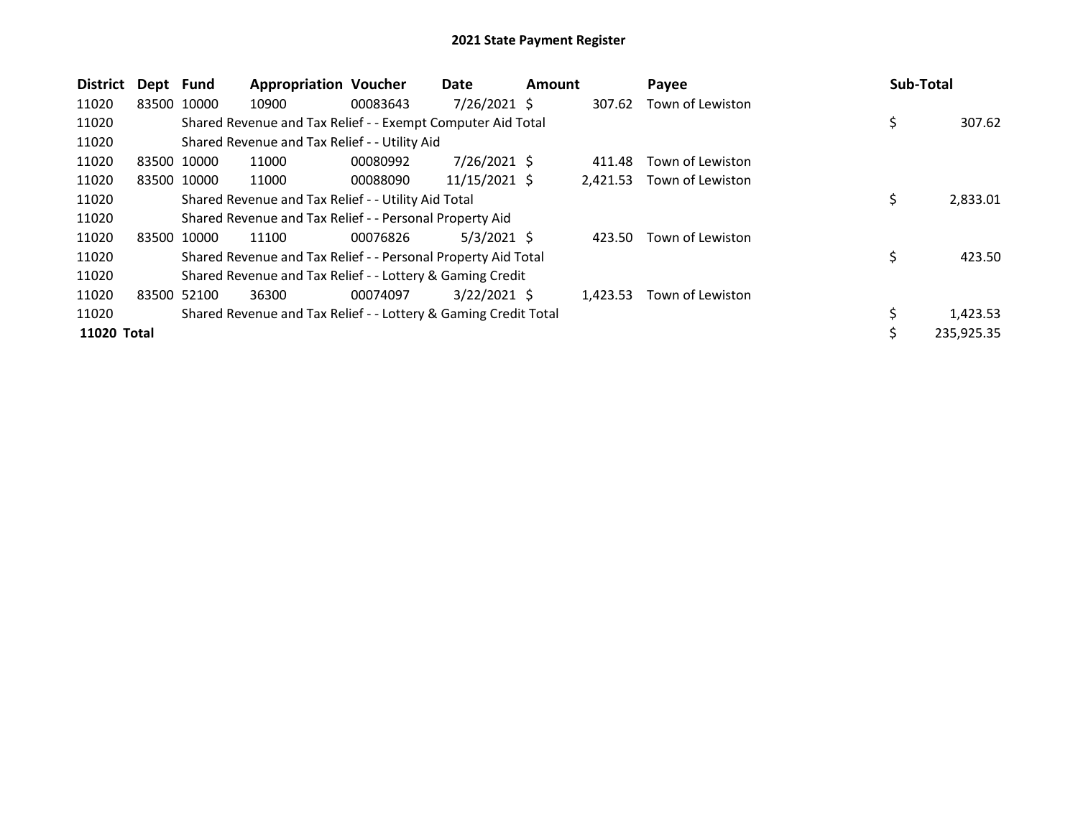| <b>District</b> | Dept Fund |             | <b>Appropriation Voucher</b>                                    |          | Date           | Amount |          | Payee            | <b>Sub-Total</b> |            |
|-----------------|-----------|-------------|-----------------------------------------------------------------|----------|----------------|--------|----------|------------------|------------------|------------|
| 11020           |           | 83500 10000 | 10900                                                           | 00083643 | $7/26/2021$ \$ |        | 307.62   | Town of Lewiston |                  |            |
| 11020           |           |             | Shared Revenue and Tax Relief - - Exempt Computer Aid Total     |          |                |        |          |                  | \$               | 307.62     |
| 11020           |           |             | Shared Revenue and Tax Relief - - Utility Aid                   |          |                |        |          |                  |                  |            |
| 11020           |           | 83500 10000 | 11000                                                           | 00080992 | $7/26/2021$ \$ |        | 411.48   | Town of Lewiston |                  |            |
| 11020           |           | 83500 10000 | 11000                                                           | 00088090 | 11/15/2021 \$  |        | 2,421.53 | Town of Lewiston |                  |            |
| 11020           |           |             | Shared Revenue and Tax Relief - - Utility Aid Total             |          |                |        |          |                  | \$               | 2,833.01   |
| 11020           |           |             | Shared Revenue and Tax Relief - - Personal Property Aid         |          |                |        |          |                  |                  |            |
| 11020           |           | 83500 10000 | 11100                                                           | 00076826 | $5/3/2021$ \$  |        | 423.50   | Town of Lewiston |                  |            |
| 11020           |           |             | Shared Revenue and Tax Relief - - Personal Property Aid Total   |          |                |        |          |                  | \$               | 423.50     |
| 11020           |           |             | Shared Revenue and Tax Relief - - Lottery & Gaming Credit       |          |                |        |          |                  |                  |            |
| 11020           |           | 83500 52100 | 36300                                                           | 00074097 | $3/22/2021$ \$ |        | 1,423.53 | Town of Lewiston |                  |            |
| 11020           |           |             | Shared Revenue and Tax Relief - - Lottery & Gaming Credit Total |          |                |        |          |                  |                  | 1,423.53   |
| 11020 Total     |           |             |                                                                 |          |                |        |          |                  | \$               | 235,925.35 |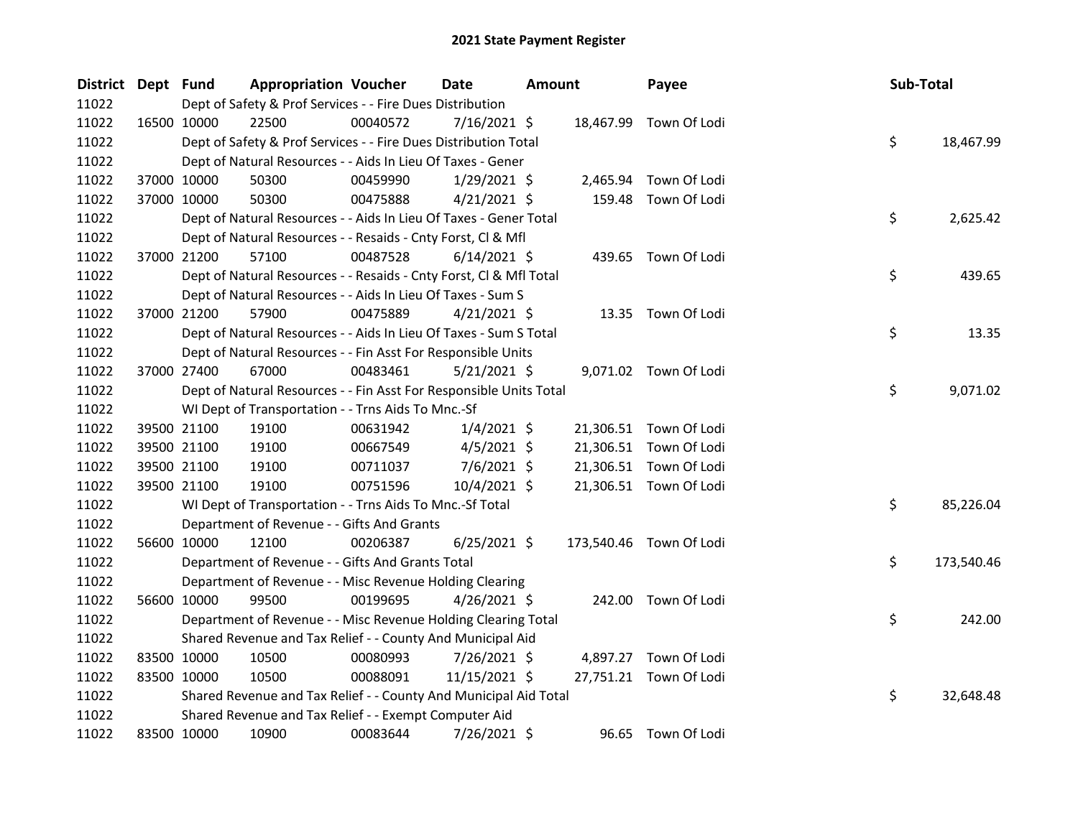| District Dept Fund |             |             | <b>Appropriation Voucher</b>                                       |          | <b>Date</b>    | <b>Amount</b> |        | Payee                   | Sub-Total |            |
|--------------------|-------------|-------------|--------------------------------------------------------------------|----------|----------------|---------------|--------|-------------------------|-----------|------------|
| 11022              |             |             | Dept of Safety & Prof Services - - Fire Dues Distribution          |          |                |               |        |                         |           |            |
| 11022              |             | 16500 10000 | 22500                                                              | 00040572 | $7/16/2021$ \$ |               |        | 18,467.99 Town Of Lodi  |           |            |
| 11022              |             |             | Dept of Safety & Prof Services - - Fire Dues Distribution Total    |          |                |               |        |                         | \$        | 18,467.99  |
| 11022              |             |             | Dept of Natural Resources - - Aids In Lieu Of Taxes - Gener        |          |                |               |        |                         |           |            |
| 11022              |             | 37000 10000 | 50300                                                              | 00459990 | 1/29/2021 \$   |               |        | 2,465.94 Town Of Lodi   |           |            |
| 11022              |             | 37000 10000 | 50300                                                              | 00475888 | 4/21/2021 \$   |               | 159.48 | Town Of Lodi            |           |            |
| 11022              |             |             | Dept of Natural Resources - - Aids In Lieu Of Taxes - Gener Total  |          |                |               |        |                         | \$        | 2,625.42   |
| 11022              |             |             | Dept of Natural Resources - - Resaids - Cnty Forst, Cl & Mfl       |          |                |               |        |                         |           |            |
| 11022              |             | 37000 21200 | 57100                                                              | 00487528 | $6/14/2021$ \$ |               |        | 439.65 Town Of Lodi     |           |            |
| 11022              |             |             | Dept of Natural Resources - - Resaids - Cnty Forst, CI & Mfl Total |          |                |               |        |                         | \$        | 439.65     |
| 11022              |             |             | Dept of Natural Resources - - Aids In Lieu Of Taxes - Sum S        |          |                |               |        |                         |           |            |
| 11022              |             | 37000 21200 | 57900                                                              | 00475889 | $4/21/2021$ \$ |               |        | 13.35 Town Of Lodi      |           |            |
| 11022              |             |             | Dept of Natural Resources - - Aids In Lieu Of Taxes - Sum S Total  |          |                |               |        |                         | \$        | 13.35      |
| 11022              |             |             | Dept of Natural Resources - - Fin Asst For Responsible Units       |          |                |               |        |                         |           |            |
| 11022              |             | 37000 27400 | 67000                                                              | 00483461 | $5/21/2021$ \$ |               |        | 9,071.02 Town Of Lodi   |           |            |
| 11022              |             |             | Dept of Natural Resources - - Fin Asst For Responsible Units Total |          |                |               |        |                         | \$        | 9,071.02   |
| 11022              |             |             | WI Dept of Transportation - - Trns Aids To Mnc.-Sf                 |          |                |               |        |                         |           |            |
| 11022              |             | 39500 21100 | 19100                                                              | 00631942 | $1/4/2021$ \$  |               |        | 21,306.51 Town Of Lodi  |           |            |
| 11022              |             | 39500 21100 | 19100                                                              | 00667549 | $4/5/2021$ \$  |               |        | 21,306.51 Town Of Lodi  |           |            |
| 11022              |             | 39500 21100 | 19100                                                              | 00711037 | $7/6/2021$ \$  |               |        | 21,306.51 Town Of Lodi  |           |            |
| 11022              |             | 39500 21100 | 19100                                                              | 00751596 | 10/4/2021 \$   |               |        | 21,306.51 Town Of Lodi  |           |            |
| 11022              |             |             | WI Dept of Transportation - - Trns Aids To Mnc.-Sf Total           |          |                |               |        |                         | \$        | 85,226.04  |
| 11022              |             |             | Department of Revenue - - Gifts And Grants                         |          |                |               |        |                         |           |            |
| 11022              |             | 56600 10000 | 12100                                                              | 00206387 | $6/25/2021$ \$ |               |        | 173,540.46 Town Of Lodi |           |            |
| 11022              |             |             | Department of Revenue - - Gifts And Grants Total                   |          |                |               |        |                         | \$        | 173,540.46 |
| 11022              |             |             | Department of Revenue - - Misc Revenue Holding Clearing            |          |                |               |        |                         |           |            |
| 11022              |             | 56600 10000 | 99500                                                              | 00199695 | $4/26/2021$ \$ |               |        | 242.00 Town Of Lodi     |           |            |
| 11022              |             |             | Department of Revenue - - Misc Revenue Holding Clearing Total      |          |                |               |        |                         | \$        | 242.00     |
| 11022              |             |             | Shared Revenue and Tax Relief - - County And Municipal Aid         |          |                |               |        |                         |           |            |
| 11022              |             | 83500 10000 | 10500                                                              | 00080993 | 7/26/2021 \$   |               |        | 4,897.27 Town Of Lodi   |           |            |
| 11022              |             | 83500 10000 | 10500                                                              | 00088091 | 11/15/2021 \$  |               |        | 27,751.21 Town Of Lodi  |           |            |
| 11022              |             |             | Shared Revenue and Tax Relief - - County And Municipal Aid Total   |          |                |               |        |                         | \$        | 32,648.48  |
| 11022              |             |             | Shared Revenue and Tax Relief - - Exempt Computer Aid              |          |                |               |        |                         |           |            |
| 11022              | 83500 10000 |             | 10900                                                              | 00083644 | 7/26/2021 \$   |               |        | 96.65 Town Of Lodi      |           |            |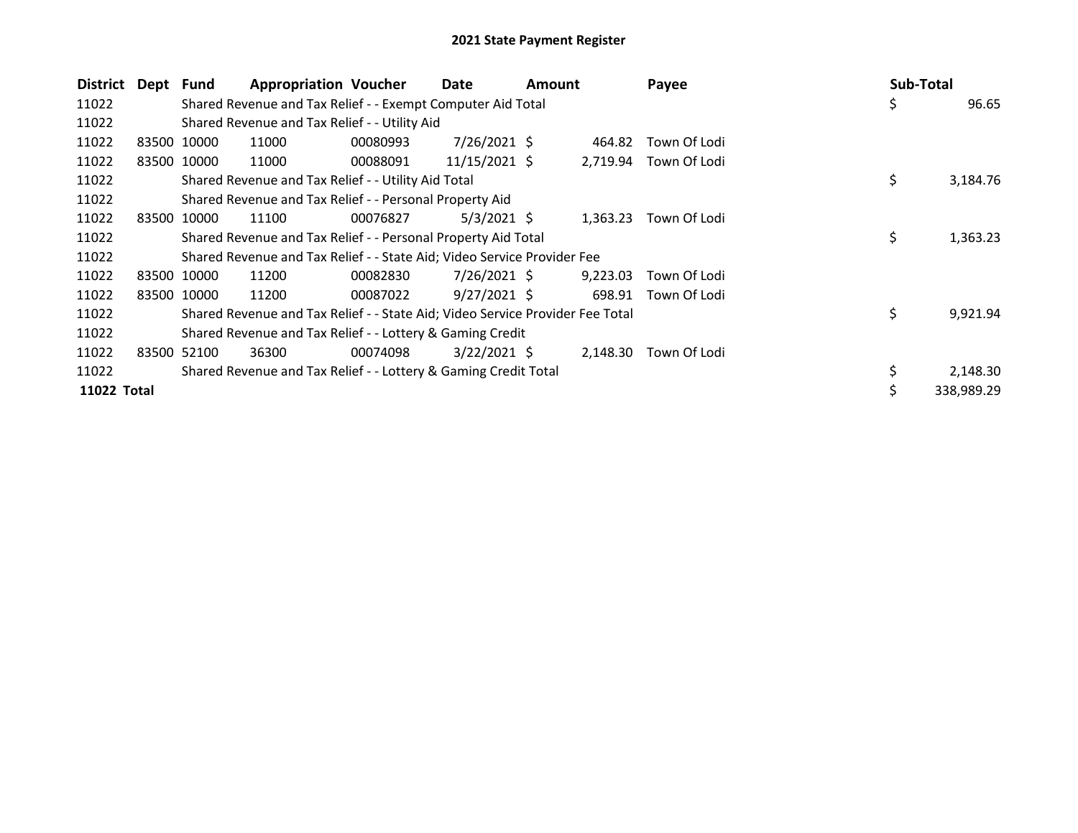| District    | Dept Fund |             | <b>Appropriation Voucher</b>                                                  |          | Date            | Amount |          | Payee        | Sub-Total      |
|-------------|-----------|-------------|-------------------------------------------------------------------------------|----------|-----------------|--------|----------|--------------|----------------|
| 11022       |           |             | Shared Revenue and Tax Relief - - Exempt Computer Aid Total                   |          |                 |        |          |              | \$<br>96.65    |
| 11022       |           |             | Shared Revenue and Tax Relief - - Utility Aid                                 |          |                 |        |          |              |                |
| 11022       |           | 83500 10000 | 11000                                                                         | 00080993 | 7/26/2021 \$    |        | 464.82   | Town Of Lodi |                |
| 11022       |           | 83500 10000 | 11000                                                                         | 00088091 | $11/15/2021$ \$ |        | 2,719.94 | Town Of Lodi |                |
| 11022       |           |             | Shared Revenue and Tax Relief - - Utility Aid Total                           |          |                 |        |          |              | \$<br>3,184.76 |
| 11022       |           |             | Shared Revenue and Tax Relief - - Personal Property Aid                       |          |                 |        |          |              |                |
| 11022       |           | 83500 10000 | 11100                                                                         | 00076827 | $5/3/2021$ \$   |        | 1,363.23 | Town Of Lodi |                |
| 11022       |           |             | Shared Revenue and Tax Relief - - Personal Property Aid Total                 |          |                 |        |          |              | \$<br>1,363.23 |
| 11022       |           |             | Shared Revenue and Tax Relief - - State Aid; Video Service Provider Fee       |          |                 |        |          |              |                |
| 11022       |           | 83500 10000 | 11200                                                                         | 00082830 | 7/26/2021 \$    |        | 9,223.03 | Town Of Lodi |                |
| 11022       |           | 83500 10000 | 11200                                                                         | 00087022 | $9/27/2021$ \$  |        | 698.91   | Town Of Lodi |                |
| 11022       |           |             | Shared Revenue and Tax Relief - - State Aid; Video Service Provider Fee Total |          |                 |        |          |              | \$<br>9,921.94 |
| 11022       |           |             | Shared Revenue and Tax Relief - - Lottery & Gaming Credit                     |          |                 |        |          |              |                |
| 11022       | 83500     | 52100       | 36300                                                                         | 00074098 | $3/22/2021$ \$  |        | 2,148.30 | Town Of Lodi |                |
| 11022       |           |             | Shared Revenue and Tax Relief - - Lottery & Gaming Credit Total               |          |                 |        |          |              | 2,148.30       |
| 11022 Total |           |             |                                                                               |          |                 |        |          |              | 338,989.29     |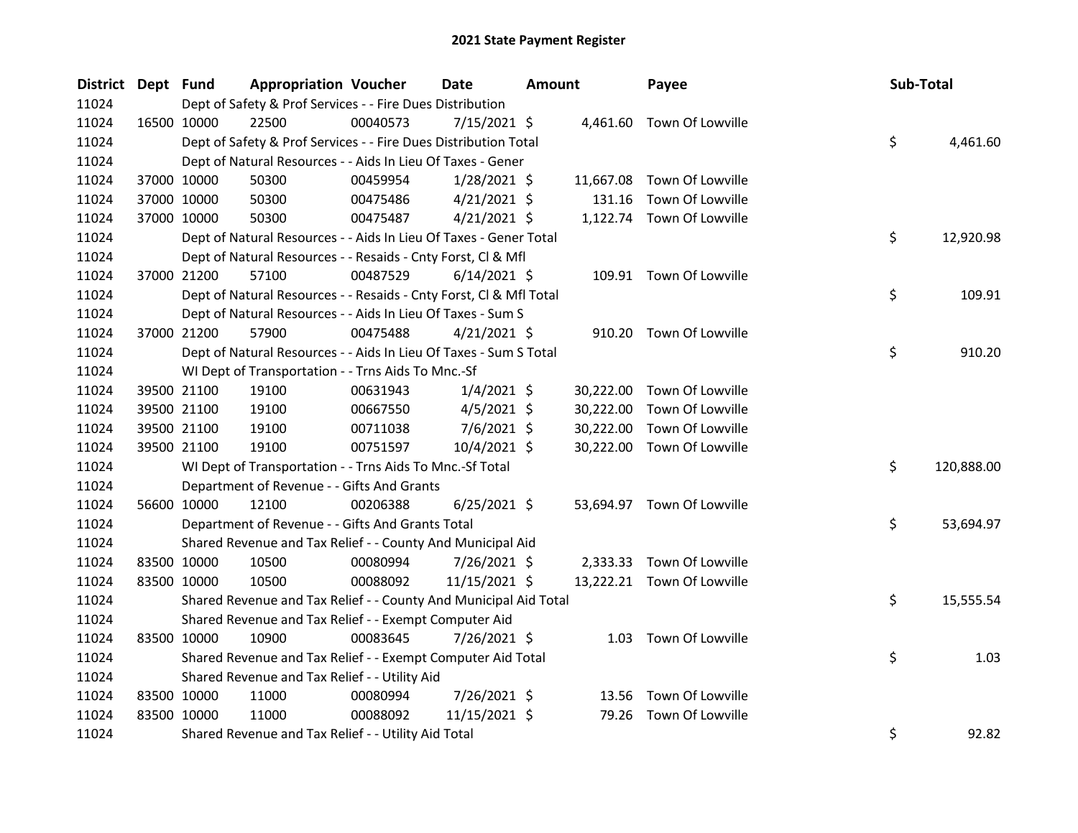| District Dept Fund |             |             | <b>Appropriation Voucher</b>                                       |          | <b>Date</b>    | <b>Amount</b> |           | Payee                      | Sub-Total |            |
|--------------------|-------------|-------------|--------------------------------------------------------------------|----------|----------------|---------------|-----------|----------------------------|-----------|------------|
| 11024              |             |             | Dept of Safety & Prof Services - - Fire Dues Distribution          |          |                |               |           |                            |           |            |
| 11024              |             | 16500 10000 | 22500                                                              | 00040573 | $7/15/2021$ \$ |               |           | 4,461.60 Town Of Lowville  |           |            |
| 11024              |             |             | Dept of Safety & Prof Services - - Fire Dues Distribution Total    |          |                |               |           |                            | \$        | 4,461.60   |
| 11024              |             |             | Dept of Natural Resources - - Aids In Lieu Of Taxes - Gener        |          |                |               |           |                            |           |            |
| 11024              |             | 37000 10000 | 50300                                                              | 00459954 | $1/28/2021$ \$ |               | 11,667.08 | Town Of Lowville           |           |            |
| 11024              |             | 37000 10000 | 50300                                                              | 00475486 | $4/21/2021$ \$ |               | 131.16    | Town Of Lowville           |           |            |
| 11024              |             | 37000 10000 | 50300                                                              | 00475487 | $4/21/2021$ \$ |               |           | 1,122.74 Town Of Lowville  |           |            |
| 11024              |             |             | Dept of Natural Resources - - Aids In Lieu Of Taxes - Gener Total  |          |                |               |           |                            | \$        | 12,920.98  |
| 11024              |             |             | Dept of Natural Resources - - Resaids - Cnty Forst, Cl & Mfl       |          |                |               |           |                            |           |            |
| 11024              |             | 37000 21200 | 57100                                                              | 00487529 | $6/14/2021$ \$ |               |           | 109.91 Town Of Lowville    |           |            |
| 11024              |             |             | Dept of Natural Resources - - Resaids - Cnty Forst, Cl & Mfl Total |          |                |               |           |                            | \$        | 109.91     |
| 11024              |             |             | Dept of Natural Resources - - Aids In Lieu Of Taxes - Sum S        |          |                |               |           |                            |           |            |
| 11024              |             | 37000 21200 | 57900                                                              | 00475488 | $4/21/2021$ \$ |               |           | 910.20 Town Of Lowville    |           |            |
| 11024              |             |             | Dept of Natural Resources - - Aids In Lieu Of Taxes - Sum S Total  |          |                |               |           |                            | \$        | 910.20     |
| 11024              |             |             | WI Dept of Transportation - - Trns Aids To Mnc.-Sf                 |          |                |               |           |                            |           |            |
| 11024              |             | 39500 21100 | 19100                                                              | 00631943 | $1/4/2021$ \$  |               | 30,222.00 | Town Of Lowville           |           |            |
| 11024              |             | 39500 21100 | 19100                                                              | 00667550 | $4/5/2021$ \$  |               | 30,222.00 | Town Of Lowville           |           |            |
| 11024              |             | 39500 21100 | 19100                                                              | 00711038 | $7/6/2021$ \$  |               | 30,222.00 | Town Of Lowville           |           |            |
| 11024              |             | 39500 21100 | 19100                                                              | 00751597 | 10/4/2021 \$   |               |           | 30,222.00 Town Of Lowville |           |            |
| 11024              |             |             | WI Dept of Transportation - - Trns Aids To Mnc.-Sf Total           |          |                |               |           |                            | \$        | 120,888.00 |
| 11024              |             |             | Department of Revenue - - Gifts And Grants                         |          |                |               |           |                            |           |            |
| 11024              |             | 56600 10000 | 12100                                                              | 00206388 | $6/25/2021$ \$ |               |           | 53,694.97 Town Of Lowville |           |            |
| 11024              |             |             | Department of Revenue - - Gifts And Grants Total                   |          |                |               |           |                            | \$        | 53,694.97  |
| 11024              |             |             | Shared Revenue and Tax Relief - - County And Municipal Aid         |          |                |               |           |                            |           |            |
| 11024              |             | 83500 10000 | 10500                                                              | 00080994 | 7/26/2021 \$   |               |           | 2,333.33 Town Of Lowville  |           |            |
| 11024              |             | 83500 10000 | 10500                                                              | 00088092 | 11/15/2021 \$  |               |           | 13,222.21 Town Of Lowville |           |            |
| 11024              |             |             | Shared Revenue and Tax Relief - - County And Municipal Aid Total   |          |                |               |           |                            | \$        | 15,555.54  |
| 11024              |             |             | Shared Revenue and Tax Relief - - Exempt Computer Aid              |          |                |               |           |                            |           |            |
| 11024              | 83500 10000 |             | 10900                                                              | 00083645 | 7/26/2021 \$   |               |           | 1.03 Town Of Lowville      |           |            |
| 11024              |             |             | Shared Revenue and Tax Relief - - Exempt Computer Aid Total        |          |                |               |           |                            | \$        | 1.03       |
| 11024              |             |             | Shared Revenue and Tax Relief - - Utility Aid                      |          |                |               |           |                            |           |            |
| 11024              | 83500 10000 |             | 11000                                                              | 00080994 | 7/26/2021 \$   |               | 13.56     | Town Of Lowville           |           |            |
| 11024              | 83500 10000 |             | 11000                                                              | 00088092 | 11/15/2021 \$  |               | 79.26     | Town Of Lowville           |           |            |
| 11024              |             |             | Shared Revenue and Tax Relief - - Utility Aid Total                |          |                |               |           |                            | \$        | 92.82      |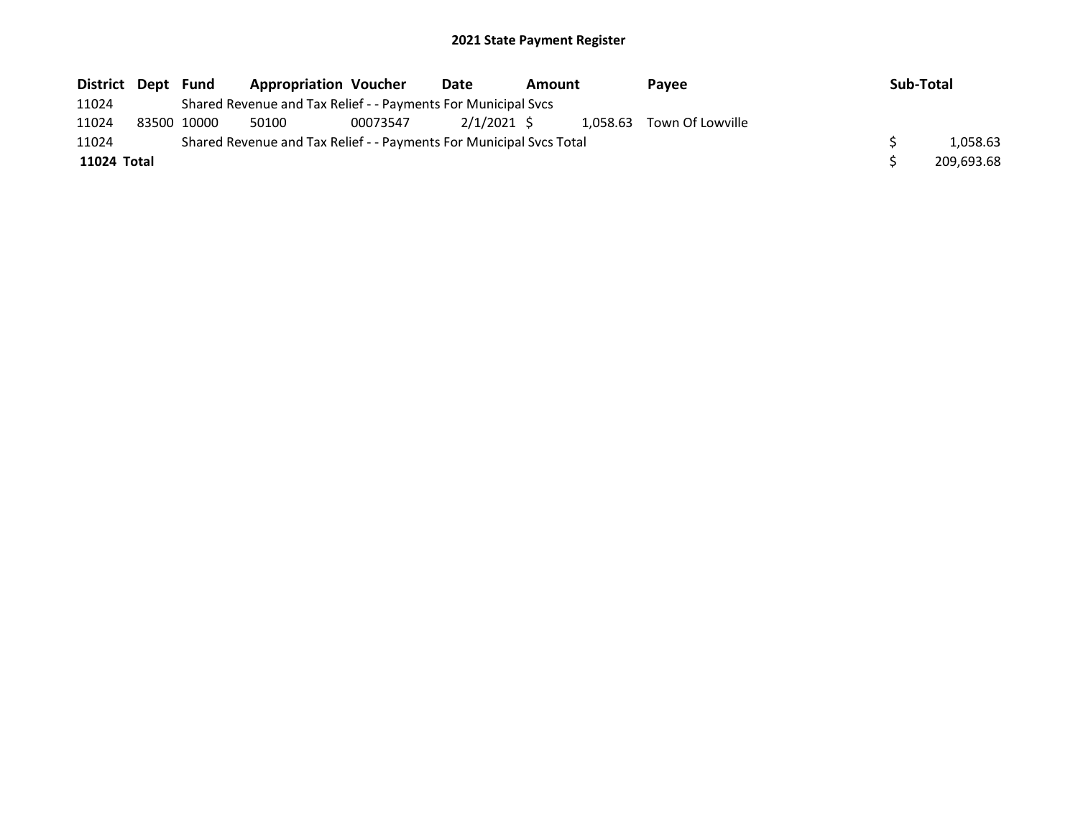| District Dept Fund |             | <b>Appropriation Voucher</b>                                        |          | Date        | Amount | Pavee                     | Sub-Total |            |
|--------------------|-------------|---------------------------------------------------------------------|----------|-------------|--------|---------------------------|-----------|------------|
| 11024              |             | Shared Revenue and Tax Relief - - Payments For Municipal Svcs       |          |             |        |                           |           |            |
| 11024              | 83500 10000 | 50100                                                               | 00073547 | 2/1/2021 \$ |        | 1.058.63 Town Of Lowville |           |            |
| 11024              |             | Shared Revenue and Tax Relief - - Payments For Municipal Svcs Total |          |             |        |                           |           | 1,058.63   |
| 11024 Total        |             |                                                                     |          |             |        |                           |           | 209.693.68 |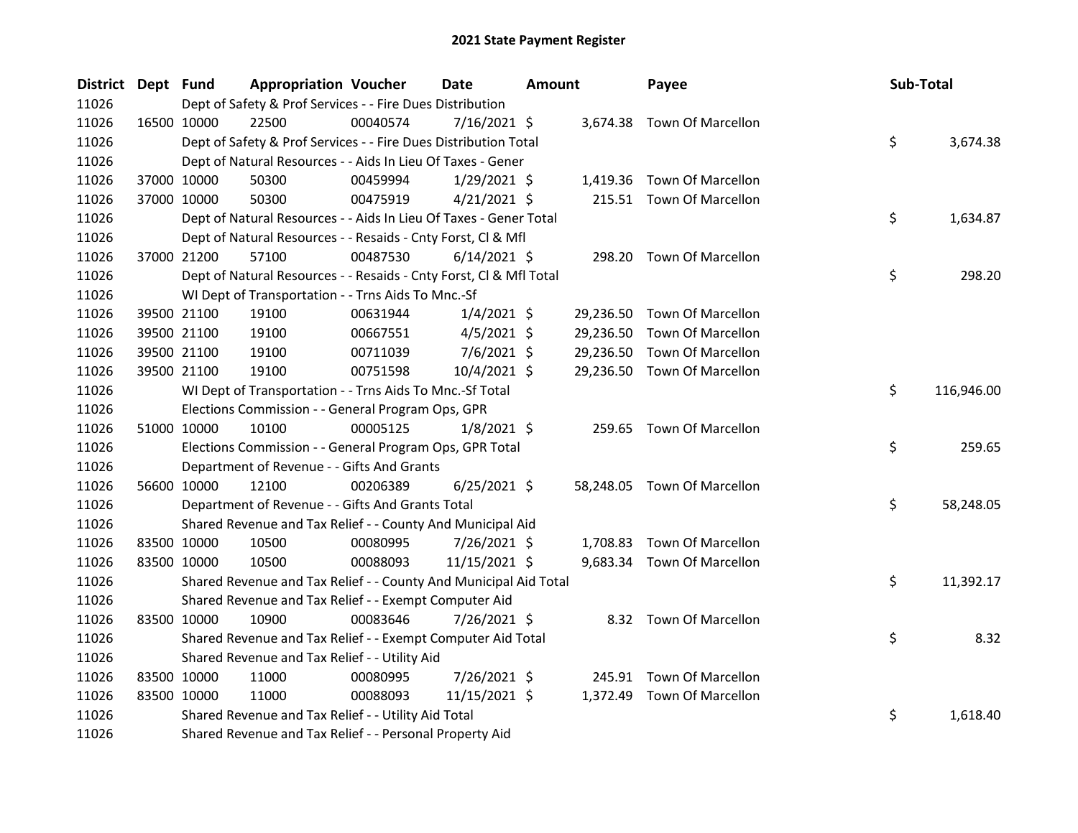| District Dept Fund |             | <b>Appropriation Voucher</b>                                       |          | <b>Date</b>    | Amount |           | Payee                       | Sub-Total |            |
|--------------------|-------------|--------------------------------------------------------------------|----------|----------------|--------|-----------|-----------------------------|-----------|------------|
| 11026              |             | Dept of Safety & Prof Services - - Fire Dues Distribution          |          |                |        |           |                             |           |            |
| 11026              | 16500 10000 | 22500                                                              | 00040574 | 7/16/2021 \$   |        |           | 3,674.38 Town Of Marcellon  |           |            |
| 11026              |             | Dept of Safety & Prof Services - - Fire Dues Distribution Total    |          |                |        |           |                             | \$        | 3,674.38   |
| 11026              |             | Dept of Natural Resources - - Aids In Lieu Of Taxes - Gener        |          |                |        |           |                             |           |            |
| 11026              | 37000 10000 | 50300                                                              | 00459994 | $1/29/2021$ \$ |        | 1,419.36  | Town Of Marcellon           |           |            |
| 11026              | 37000 10000 | 50300                                                              | 00475919 | $4/21/2021$ \$ |        |           | 215.51 Town Of Marcellon    |           |            |
| 11026              |             | Dept of Natural Resources - - Aids In Lieu Of Taxes - Gener Total  |          |                |        |           |                             | \$        | 1,634.87   |
| 11026              |             | Dept of Natural Resources - - Resaids - Cnty Forst, Cl & Mfl       |          |                |        |           |                             |           |            |
| 11026              | 37000 21200 | 57100                                                              | 00487530 | $6/14/2021$ \$ |        | 298.20    | <b>Town Of Marcellon</b>    |           |            |
| 11026              |             | Dept of Natural Resources - - Resaids - Cnty Forst, Cl & Mfl Total |          |                |        |           |                             | \$        | 298.20     |
| 11026              |             | WI Dept of Transportation - - Trns Aids To Mnc.-Sf                 |          |                |        |           |                             |           |            |
| 11026              | 39500 21100 | 19100                                                              | 00631944 | $1/4/2021$ \$  |        | 29,236.50 | Town Of Marcellon           |           |            |
| 11026              | 39500 21100 | 19100                                                              | 00667551 | $4/5/2021$ \$  |        | 29,236.50 | <b>Town Of Marcellon</b>    |           |            |
| 11026              | 39500 21100 | 19100                                                              | 00711039 | 7/6/2021 \$    |        | 29,236.50 | <b>Town Of Marcellon</b>    |           |            |
| 11026              | 39500 21100 | 19100                                                              | 00751598 | 10/4/2021 \$   |        |           | 29,236.50 Town Of Marcellon |           |            |
| 11026              |             | WI Dept of Transportation - - Trns Aids To Mnc.-Sf Total           |          |                |        |           |                             | \$        | 116,946.00 |
| 11026              |             | Elections Commission - - General Program Ops, GPR                  |          |                |        |           |                             |           |            |
| 11026              | 51000 10000 | 10100                                                              | 00005125 | $1/8/2021$ \$  |        |           | 259.65 Town Of Marcellon    |           |            |
| 11026              |             | Elections Commission - - General Program Ops, GPR Total            |          |                |        |           |                             | \$        | 259.65     |
| 11026              |             | Department of Revenue - - Gifts And Grants                         |          |                |        |           |                             |           |            |
| 11026              | 56600 10000 | 12100                                                              | 00206389 | $6/25/2021$ \$ |        |           | 58,248.05 Town Of Marcellon |           |            |
| 11026              |             | Department of Revenue - - Gifts And Grants Total                   |          |                |        |           |                             | \$        | 58,248.05  |
| 11026              |             | Shared Revenue and Tax Relief - - County And Municipal Aid         |          |                |        |           |                             |           |            |
| 11026              | 83500 10000 | 10500                                                              | 00080995 | 7/26/2021 \$   |        |           | 1,708.83 Town Of Marcellon  |           |            |
| 11026              | 83500 10000 | 10500                                                              | 00088093 | 11/15/2021 \$  |        |           | 9,683.34 Town Of Marcellon  |           |            |
| 11026              |             | Shared Revenue and Tax Relief - - County And Municipal Aid Total   |          |                |        |           |                             | \$        | 11,392.17  |
| 11026              |             | Shared Revenue and Tax Relief - - Exempt Computer Aid              |          |                |        |           |                             |           |            |
| 11026              | 83500 10000 | 10900                                                              | 00083646 | 7/26/2021 \$   |        |           | 8.32 Town Of Marcellon      |           |            |
| 11026              |             | Shared Revenue and Tax Relief - - Exempt Computer Aid Total        |          |                |        |           |                             | \$        | 8.32       |
| 11026              |             | Shared Revenue and Tax Relief - - Utility Aid                      |          |                |        |           |                             |           |            |
| 11026              | 83500 10000 | 11000                                                              | 00080995 | 7/26/2021 \$   |        |           | 245.91 Town Of Marcellon    |           |            |
| 11026              | 83500 10000 | 11000                                                              | 00088093 | 11/15/2021 \$  |        |           | 1,372.49 Town Of Marcellon  |           |            |
| 11026              |             | Shared Revenue and Tax Relief - - Utility Aid Total                |          |                |        |           |                             | \$        | 1,618.40   |
| 11026              |             | Shared Revenue and Tax Relief - - Personal Property Aid            |          |                |        |           |                             |           |            |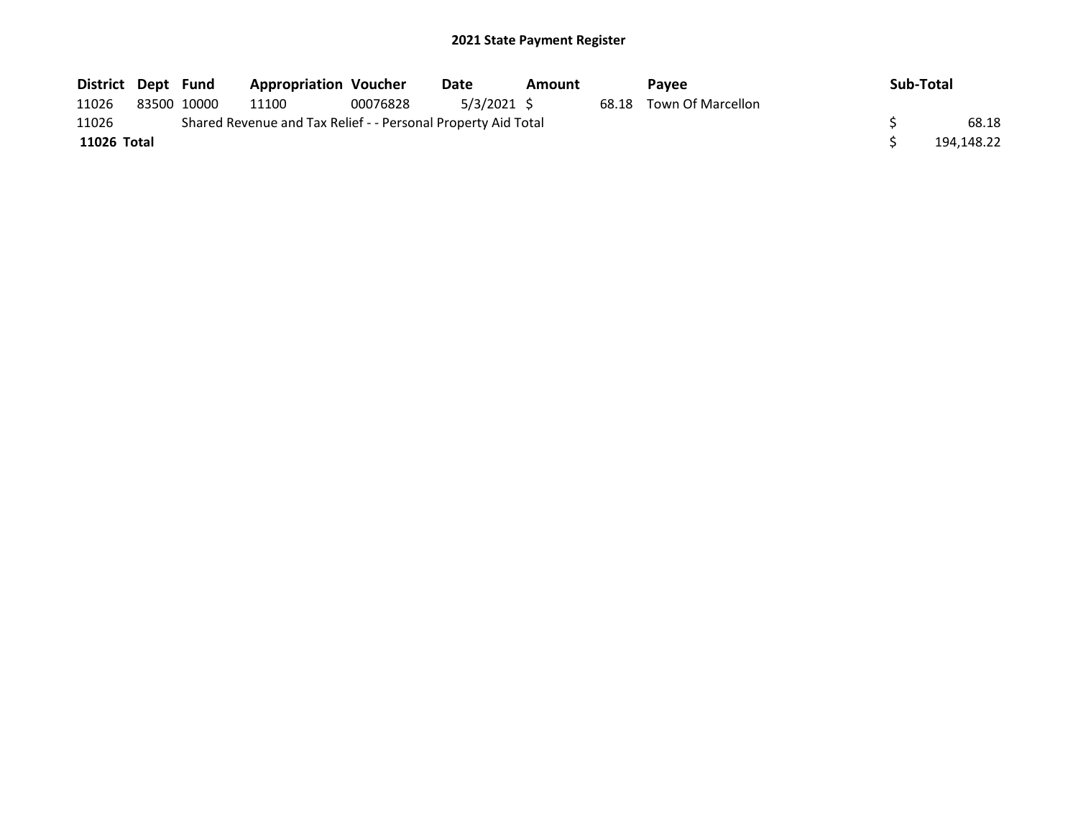| District Dept Fund |             | <b>Appropriation Voucher</b>                                  |          | Date        | Amount |       | <b>Pavee</b>      | Sub-Total  |
|--------------------|-------------|---------------------------------------------------------------|----------|-------------|--------|-------|-------------------|------------|
| 11026              | 83500 10000 | 11100                                                         | 00076828 | 5/3/2021 \$ |        | 68.18 | Town Of Marcellon |            |
| 11026              |             | Shared Revenue and Tax Relief - - Personal Property Aid Total |          |             |        |       |                   | 68.18      |
| 11026 Total        |             |                                                               |          |             |        |       |                   | 194,148.22 |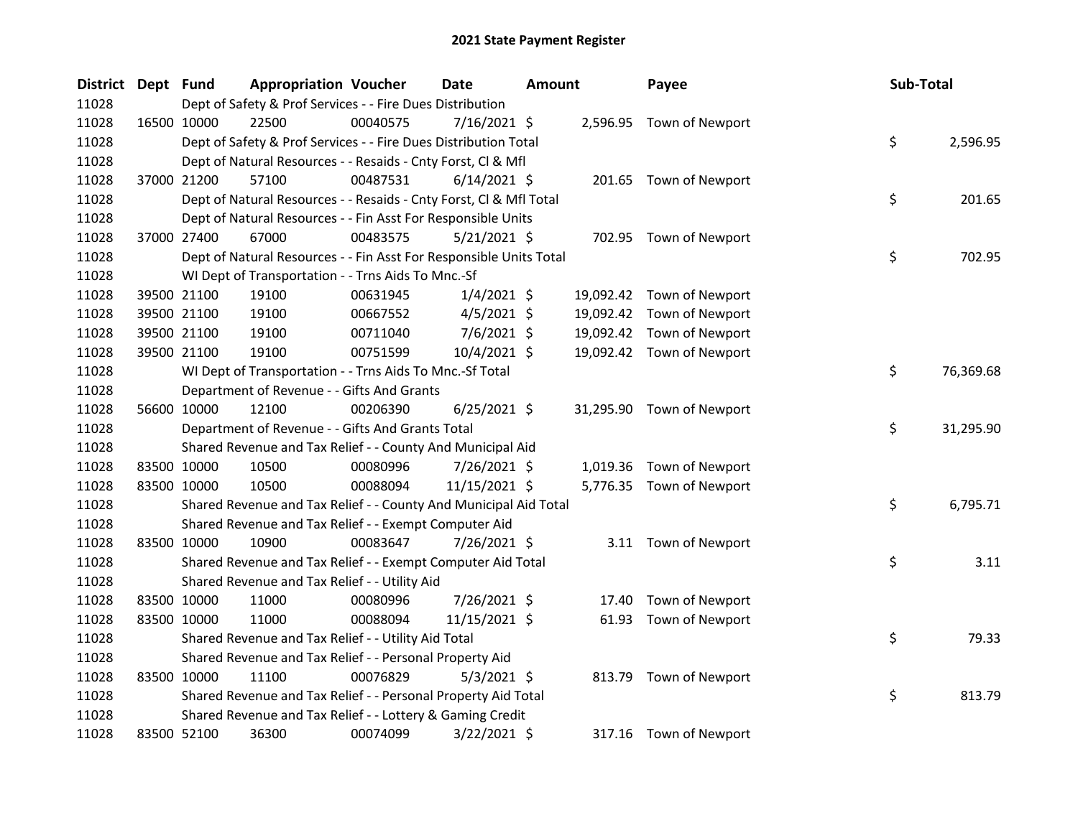| <b>District</b> | Dept Fund |             | <b>Appropriation Voucher</b>                                       |          | <b>Date</b>    | Amount |           | Payee                     | <b>Sub-Total</b> |           |
|-----------------|-----------|-------------|--------------------------------------------------------------------|----------|----------------|--------|-----------|---------------------------|------------------|-----------|
| 11028           |           |             | Dept of Safety & Prof Services - - Fire Dues Distribution          |          |                |        |           |                           |                  |           |
| 11028           |           | 16500 10000 | 22500                                                              | 00040575 | 7/16/2021 \$   |        |           | 2,596.95 Town of Newport  |                  |           |
| 11028           |           |             | Dept of Safety & Prof Services - - Fire Dues Distribution Total    |          |                |        |           |                           | \$               | 2,596.95  |
| 11028           |           |             | Dept of Natural Resources - - Resaids - Cnty Forst, Cl & Mfl       |          |                |        |           |                           |                  |           |
| 11028           |           | 37000 21200 | 57100                                                              | 00487531 | $6/14/2021$ \$ |        |           | 201.65 Town of Newport    |                  |           |
| 11028           |           |             | Dept of Natural Resources - - Resaids - Cnty Forst, CI & Mfl Total |          |                |        |           |                           | \$               | 201.65    |
| 11028           |           |             | Dept of Natural Resources - - Fin Asst For Responsible Units       |          |                |        |           |                           |                  |           |
| 11028           |           | 37000 27400 | 67000                                                              | 00483575 | 5/21/2021 \$   |        |           | 702.95 Town of Newport    |                  |           |
| 11028           |           |             | Dept of Natural Resources - - Fin Asst For Responsible Units Total |          |                |        |           |                           | \$               | 702.95    |
| 11028           |           |             | WI Dept of Transportation - - Trns Aids To Mnc.-Sf                 |          |                |        |           |                           |                  |           |
| 11028           |           | 39500 21100 | 19100                                                              | 00631945 | $1/4/2021$ \$  |        | 19,092.42 | Town of Newport           |                  |           |
| 11028           |           | 39500 21100 | 19100                                                              | 00667552 | $4/5/2021$ \$  |        | 19,092.42 | Town of Newport           |                  |           |
| 11028           |           | 39500 21100 | 19100                                                              | 00711040 | $7/6/2021$ \$  |        | 19,092.42 | Town of Newport           |                  |           |
| 11028           |           | 39500 21100 | 19100                                                              | 00751599 | 10/4/2021 \$   |        |           | 19,092.42 Town of Newport |                  |           |
| 11028           |           |             | WI Dept of Transportation - - Trns Aids To Mnc.-Sf Total           |          |                |        |           |                           | \$               | 76,369.68 |
| 11028           |           |             | Department of Revenue - - Gifts And Grants                         |          |                |        |           |                           |                  |           |
| 11028           |           | 56600 10000 | 12100                                                              | 00206390 | $6/25/2021$ \$ |        |           | 31,295.90 Town of Newport |                  |           |
| 11028           |           |             | Department of Revenue - - Gifts And Grants Total                   |          |                |        |           |                           | \$               | 31,295.90 |
| 11028           |           |             | Shared Revenue and Tax Relief - - County And Municipal Aid         |          |                |        |           |                           |                  |           |
| 11028           |           | 83500 10000 | 10500                                                              | 00080996 | 7/26/2021 \$   |        |           | 1,019.36 Town of Newport  |                  |           |
| 11028           |           | 83500 10000 | 10500                                                              | 00088094 | 11/15/2021 \$  |        |           | 5,776.35 Town of Newport  |                  |           |
| 11028           |           |             | Shared Revenue and Tax Relief - - County And Municipal Aid Total   |          |                |        |           |                           | \$               | 6,795.71  |
| 11028           |           |             | Shared Revenue and Tax Relief - - Exempt Computer Aid              |          |                |        |           |                           |                  |           |
| 11028           |           | 83500 10000 | 10900                                                              | 00083647 | 7/26/2021 \$   |        |           | 3.11 Town of Newport      |                  |           |
| 11028           |           |             | Shared Revenue and Tax Relief - - Exempt Computer Aid Total        |          |                |        |           |                           | \$               | 3.11      |
| 11028           |           |             | Shared Revenue and Tax Relief - - Utility Aid                      |          |                |        |           |                           |                  |           |
| 11028           |           | 83500 10000 | 11000                                                              | 00080996 | 7/26/2021 \$   |        | 17.40     | Town of Newport           |                  |           |
| 11028           |           | 83500 10000 | 11000                                                              | 00088094 | 11/15/2021 \$  |        | 61.93     | Town of Newport           |                  |           |
| 11028           |           |             | Shared Revenue and Tax Relief - - Utility Aid Total                |          |                |        |           |                           | \$               | 79.33     |
| 11028           |           |             | Shared Revenue and Tax Relief - - Personal Property Aid            |          |                |        |           |                           |                  |           |
| 11028           |           | 83500 10000 | 11100                                                              | 00076829 | $5/3/2021$ \$  |        | 813.79    | Town of Newport           |                  |           |
| 11028           |           |             | Shared Revenue and Tax Relief - - Personal Property Aid Total      |          |                |        |           |                           | \$               | 813.79    |
| 11028           |           |             | Shared Revenue and Tax Relief - - Lottery & Gaming Credit          |          |                |        |           |                           |                  |           |
| 11028           |           | 83500 52100 | 36300                                                              | 00074099 | 3/22/2021 \$   |        |           | 317.16 Town of Newport    |                  |           |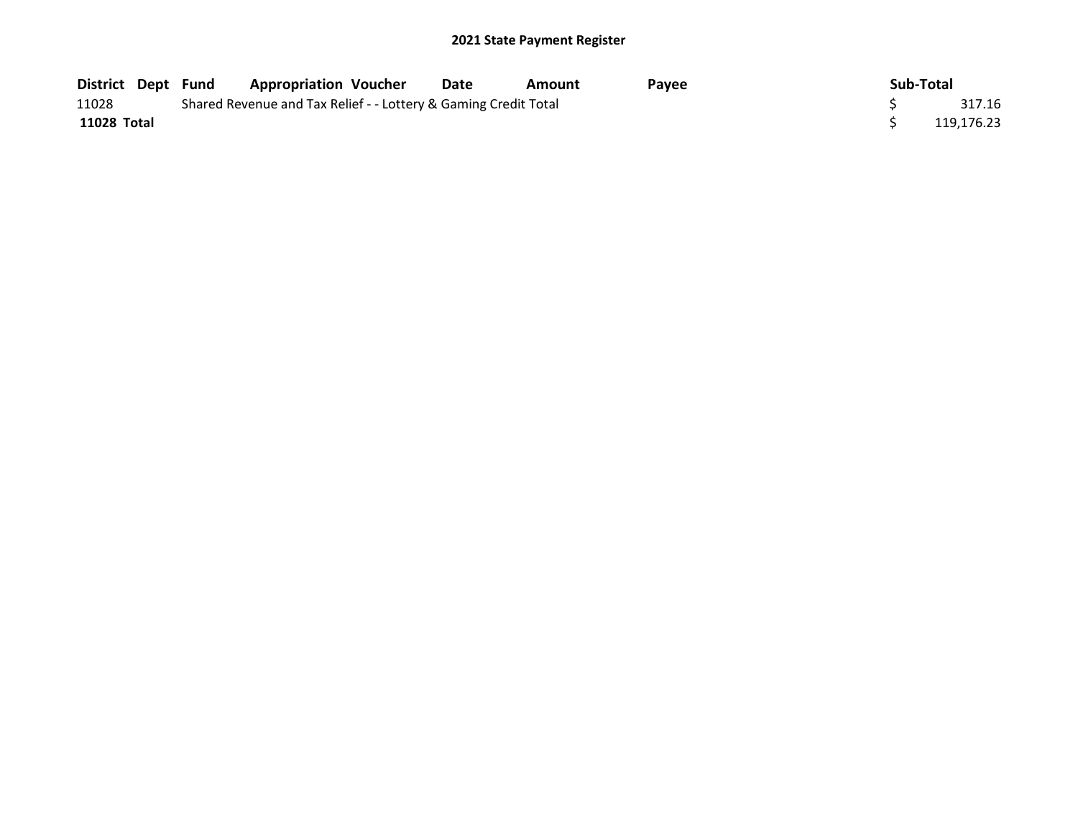| District Dept Fund |  | <b>Appropriation Voucher</b>                                    | Date | Amount | <b>Pavee</b> | Sub-Total  |        |
|--------------------|--|-----------------------------------------------------------------|------|--------|--------------|------------|--------|
| 11028              |  | Shared Revenue and Tax Relief - - Lottery & Gaming Credit Total |      |        |              |            | 317.16 |
| 11028 Total        |  |                                                                 |      |        |              | 119.176.23 |        |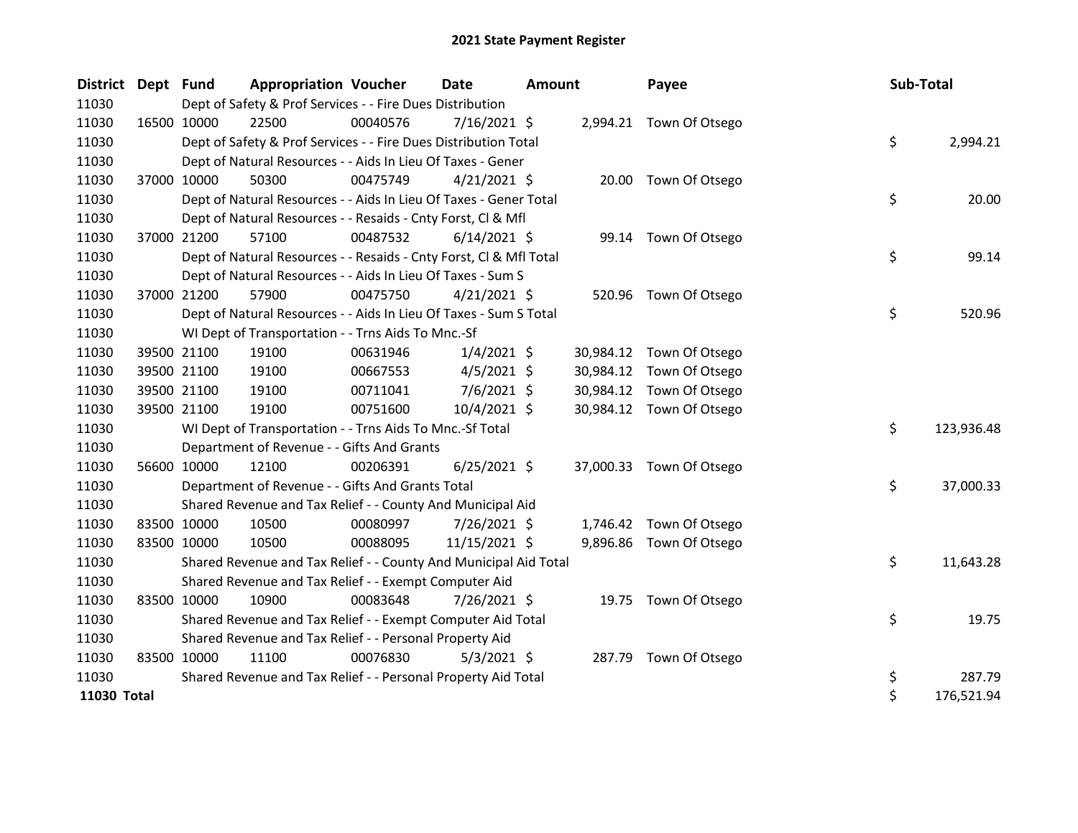| District Dept Fund |             |             | <b>Appropriation Voucher</b>                                       |          | <b>Date</b>    | <b>Amount</b> |           | Payee                    | Sub-Total |            |
|--------------------|-------------|-------------|--------------------------------------------------------------------|----------|----------------|---------------|-----------|--------------------------|-----------|------------|
| 11030              |             |             | Dept of Safety & Prof Services - - Fire Dues Distribution          |          |                |               |           |                          |           |            |
| 11030              |             | 16500 10000 | 22500                                                              | 00040576 | $7/16/2021$ \$ |               |           | 2,994.21 Town Of Otsego  |           |            |
| 11030              |             |             | Dept of Safety & Prof Services - - Fire Dues Distribution Total    |          |                |               |           |                          | \$        | 2,994.21   |
| 11030              |             |             | Dept of Natural Resources - - Aids In Lieu Of Taxes - Gener        |          |                |               |           |                          |           |            |
| 11030              |             | 37000 10000 | 50300                                                              | 00475749 | $4/21/2021$ \$ |               |           | 20.00 Town Of Otsego     |           |            |
| 11030              |             |             | Dept of Natural Resources - - Aids In Lieu Of Taxes - Gener Total  |          |                |               |           |                          | \$        | 20.00      |
| 11030              |             |             | Dept of Natural Resources - - Resaids - Cnty Forst, Cl & Mfl       |          |                |               |           |                          |           |            |
| 11030              | 37000 21200 |             | 57100                                                              | 00487532 | $6/14/2021$ \$ |               |           | 99.14 Town Of Otsego     |           |            |
| 11030              |             |             | Dept of Natural Resources - - Resaids - Cnty Forst, Cl & Mfl Total |          |                |               |           |                          | \$        | 99.14      |
| 11030              |             |             | Dept of Natural Resources - - Aids In Lieu Of Taxes - Sum S        |          |                |               |           |                          |           |            |
| 11030              |             | 37000 21200 | 57900                                                              | 00475750 | $4/21/2021$ \$ |               |           | 520.96 Town Of Otsego    |           |            |
| 11030              |             |             | Dept of Natural Resources - - Aids In Lieu Of Taxes - Sum S Total  |          |                |               |           |                          | \$        | 520.96     |
| 11030              |             |             | WI Dept of Transportation - - Trns Aids To Mnc.-Sf                 |          |                |               |           |                          |           |            |
| 11030              |             | 39500 21100 | 19100                                                              | 00631946 | $1/4/2021$ \$  |               |           | 30,984.12 Town Of Otsego |           |            |
| 11030              |             | 39500 21100 | 19100                                                              | 00667553 | $4/5/2021$ \$  |               | 30,984.12 | Town Of Otsego           |           |            |
| 11030              |             | 39500 21100 | 19100                                                              | 00711041 | $7/6/2021$ \$  |               | 30,984.12 | Town Of Otsego           |           |            |
| 11030              |             | 39500 21100 | 19100                                                              | 00751600 | 10/4/2021 \$   |               |           | 30,984.12 Town Of Otsego |           |            |
| 11030              |             |             | WI Dept of Transportation - - Trns Aids To Mnc.-Sf Total           |          |                |               |           |                          | \$        | 123,936.48 |
| 11030              |             |             | Department of Revenue - - Gifts And Grants                         |          |                |               |           |                          |           |            |
| 11030              |             | 56600 10000 | 12100                                                              | 00206391 | $6/25/2021$ \$ |               |           | 37,000.33 Town Of Otsego |           |            |
| 11030              |             |             | Department of Revenue - - Gifts And Grants Total                   |          |                |               |           |                          | \$        | 37,000.33  |
| 11030              |             |             | Shared Revenue and Tax Relief - - County And Municipal Aid         |          |                |               |           |                          |           |            |
| 11030              |             | 83500 10000 | 10500                                                              | 00080997 | $7/26/2021$ \$ |               |           | 1,746.42 Town Of Otsego  |           |            |
| 11030              |             | 83500 10000 | 10500                                                              | 00088095 | 11/15/2021 \$  |               |           | 9,896.86 Town Of Otsego  |           |            |
| 11030              |             |             | Shared Revenue and Tax Relief - - County And Municipal Aid Total   |          |                |               |           |                          | \$        | 11,643.28  |
| 11030              |             |             | Shared Revenue and Tax Relief - - Exempt Computer Aid              |          |                |               |           |                          |           |            |
| 11030              |             | 83500 10000 | 10900                                                              | 00083648 | 7/26/2021 \$   |               |           | 19.75 Town Of Otsego     |           |            |
| 11030              |             |             | Shared Revenue and Tax Relief - - Exempt Computer Aid Total        |          |                |               |           |                          | \$        | 19.75      |
| 11030              |             |             | Shared Revenue and Tax Relief - - Personal Property Aid            |          |                |               |           |                          |           |            |
| 11030              |             | 83500 10000 | 11100                                                              | 00076830 | $5/3/2021$ \$  |               |           | 287.79 Town Of Otsego    |           |            |
| 11030              |             |             | Shared Revenue and Tax Relief - - Personal Property Aid Total      |          |                |               |           |                          | \$        | 287.79     |
| 11030 Total        |             |             |                                                                    |          |                |               |           |                          | \$        | 176,521.94 |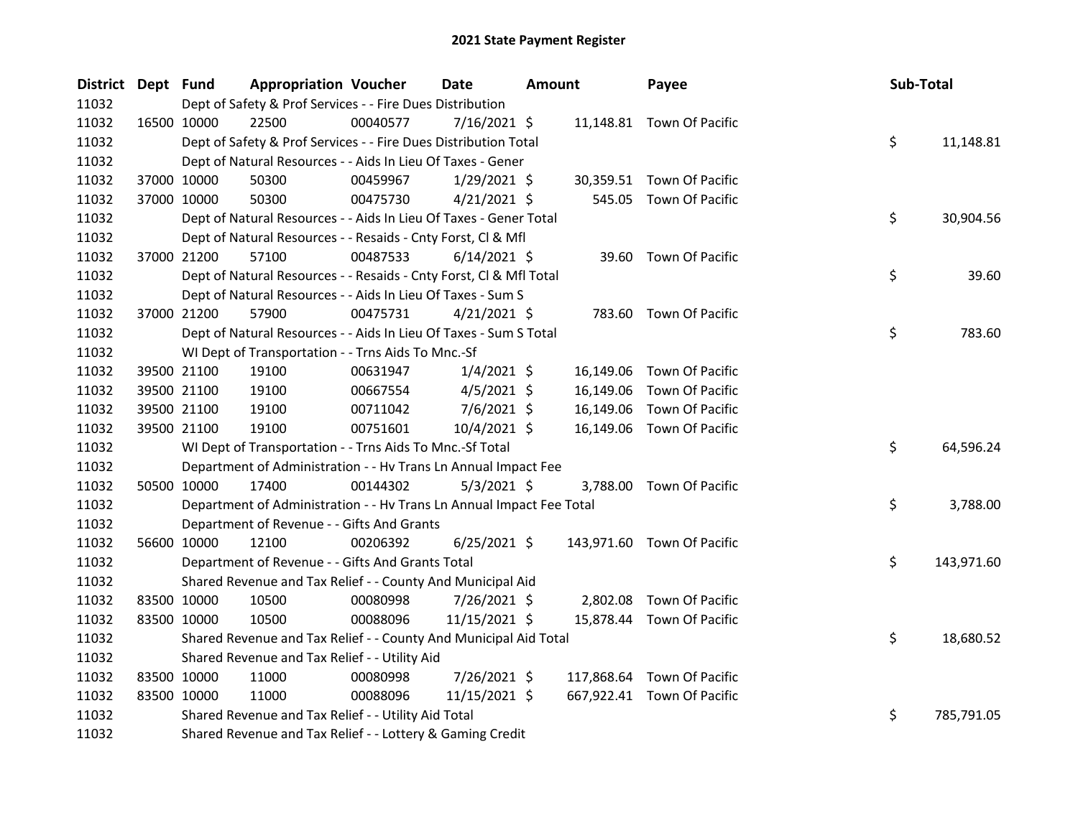| District Dept Fund |                                                                      | <b>Appropriation Voucher</b> | <b>Date</b>    | <b>Amount</b> | Payee                      | Sub-Total        |
|--------------------|----------------------------------------------------------------------|------------------------------|----------------|---------------|----------------------------|------------------|
| 11032              | Dept of Safety & Prof Services - - Fire Dues Distribution            |                              |                |               |                            |                  |
| 11032              | 22500<br>16500 10000                                                 | 00040577                     | $7/16/2021$ \$ |               | 11,148.81 Town Of Pacific  |                  |
| 11032              | Dept of Safety & Prof Services - - Fire Dues Distribution Total      |                              |                |               |                            | \$<br>11,148.81  |
| 11032              | Dept of Natural Resources - - Aids In Lieu Of Taxes - Gener          |                              |                |               |                            |                  |
| 11032              | 37000 10000<br>50300                                                 | 00459967                     | $1/29/2021$ \$ |               | 30,359.51 Town Of Pacific  |                  |
| 11032              | 37000 10000<br>50300                                                 | 00475730                     | $4/21/2021$ \$ | 545.05        | Town Of Pacific            |                  |
| 11032              | Dept of Natural Resources - - Aids In Lieu Of Taxes - Gener Total    |                              |                |               |                            | \$<br>30,904.56  |
| 11032              | Dept of Natural Resources - - Resaids - Cnty Forst, Cl & Mfl         |                              |                |               |                            |                  |
| 11032              | 57100<br>37000 21200                                                 | 00487533                     | $6/14/2021$ \$ |               | 39.60 Town Of Pacific      |                  |
| 11032              | Dept of Natural Resources - - Resaids - Cnty Forst, CI & Mfl Total   |                              |                |               |                            | \$<br>39.60      |
| 11032              | Dept of Natural Resources - - Aids In Lieu Of Taxes - Sum S          |                              |                |               |                            |                  |
| 11032              | 37000 21200<br>57900                                                 | 00475731                     | $4/21/2021$ \$ |               | 783.60 Town Of Pacific     |                  |
| 11032              | Dept of Natural Resources - - Aids In Lieu Of Taxes - Sum S Total    |                              |                |               |                            | \$<br>783.60     |
| 11032              | WI Dept of Transportation - - Trns Aids To Mnc.-Sf                   |                              |                |               |                            |                  |
| 11032              | 39500 21100<br>19100                                                 | 00631947                     | $1/4/2021$ \$  |               | 16,149.06 Town Of Pacific  |                  |
| 11032              | 39500 21100<br>19100                                                 | 00667554                     | $4/5/2021$ \$  | 16,149.06     | Town Of Pacific            |                  |
| 11032              | 39500 21100<br>19100                                                 | 00711042                     | $7/6/2021$ \$  | 16,149.06     | Town Of Pacific            |                  |
| 11032              | 39500 21100<br>19100                                                 | 00751601                     | 10/4/2021 \$   |               | 16,149.06 Town Of Pacific  |                  |
| 11032              | WI Dept of Transportation - - Trns Aids To Mnc.-Sf Total             |                              |                |               |                            | \$<br>64,596.24  |
| 11032              | Department of Administration - - Hv Trans Ln Annual Impact Fee       |                              |                |               |                            |                  |
| 11032              | 50500 10000<br>17400                                                 | 00144302                     | $5/3/2021$ \$  |               | 3,788.00 Town Of Pacific   |                  |
| 11032              | Department of Administration - - Hv Trans Ln Annual Impact Fee Total |                              |                |               |                            | \$<br>3,788.00   |
| 11032              | Department of Revenue - - Gifts And Grants                           |                              |                |               |                            |                  |
| 11032              | 56600 10000<br>12100                                                 | 00206392                     | $6/25/2021$ \$ |               | 143,971.60 Town Of Pacific |                  |
| 11032              | Department of Revenue - - Gifts And Grants Total                     |                              |                |               |                            | \$<br>143,971.60 |
| 11032              | Shared Revenue and Tax Relief - - County And Municipal Aid           |                              |                |               |                            |                  |
| 11032              | 83500 10000<br>10500                                                 | 00080998                     | 7/26/2021 \$   | 2,802.08      | Town Of Pacific            |                  |
| 11032              | 83500 10000<br>10500                                                 | 00088096                     | 11/15/2021 \$  | 15,878.44     | Town Of Pacific            |                  |
| 11032              | Shared Revenue and Tax Relief - - County And Municipal Aid Total     |                              |                |               |                            | \$<br>18,680.52  |
| 11032              | Shared Revenue and Tax Relief - - Utility Aid                        |                              |                |               |                            |                  |
| 11032              | 83500 10000<br>11000                                                 | 00080998                     | 7/26/2021 \$   |               | 117,868.64 Town Of Pacific |                  |
| 11032              | 83500 10000<br>11000                                                 | 00088096                     | 11/15/2021 \$  |               | 667,922.41 Town Of Pacific |                  |
| 11032              | Shared Revenue and Tax Relief - - Utility Aid Total                  |                              |                |               |                            | \$<br>785,791.05 |
| 11032              | Shared Revenue and Tax Relief - - Lottery & Gaming Credit            |                              |                |               |                            |                  |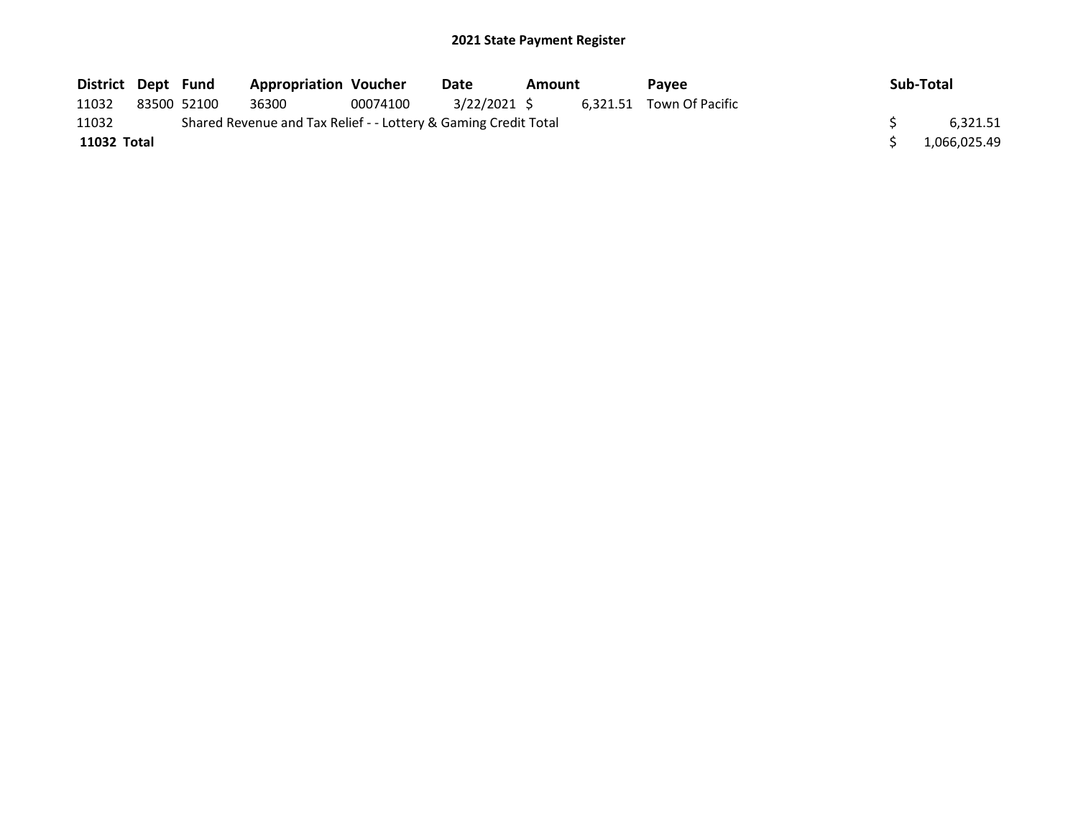| District Dept Fund |             | <b>Appropriation Voucher</b>                                    |          | Date         | Amount | Pavee                    | Sub-Total    |
|--------------------|-------------|-----------------------------------------------------------------|----------|--------------|--------|--------------------------|--------------|
| 11032              | 83500 52100 | 36300                                                           | 00074100 | 3/22/2021 \$ |        | 6.321.51 Town Of Pacific |              |
| 11032              |             | Shared Revenue and Tax Relief - - Lottery & Gaming Credit Total |          |              |        |                          | 6.321.51     |
| 11032 Total        |             |                                                                 |          |              |        |                          | 1,066,025.49 |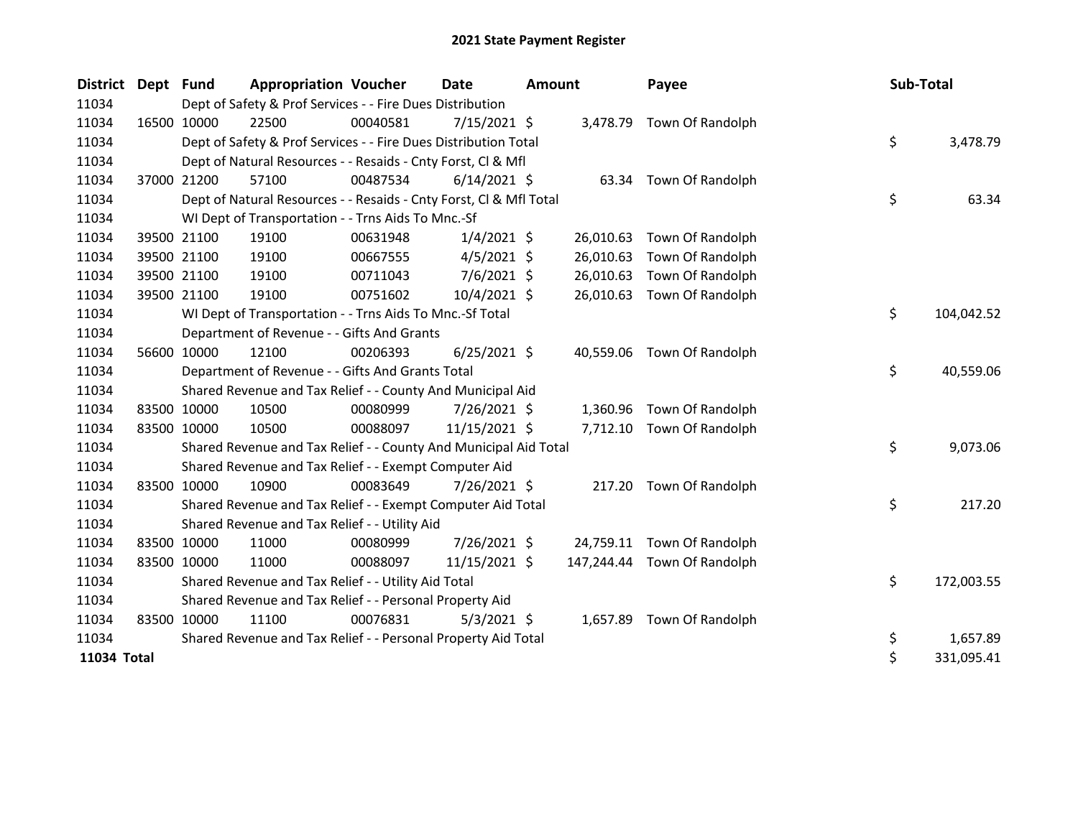| <b>District</b> | Dept | <b>Fund</b> | <b>Appropriation Voucher</b>                                       |          | <b>Date</b>    | <b>Amount</b> |            | Payee                      | Sub-Total |            |
|-----------------|------|-------------|--------------------------------------------------------------------|----------|----------------|---------------|------------|----------------------------|-----------|------------|
| 11034           |      |             | Dept of Safety & Prof Services - - Fire Dues Distribution          |          |                |               |            |                            |           |            |
| 11034           |      | 16500 10000 | 22500                                                              | 00040581 | $7/15/2021$ \$ |               |            | 3,478.79 Town Of Randolph  |           |            |
| 11034           |      |             | Dept of Safety & Prof Services - - Fire Dues Distribution Total    |          |                |               |            |                            | \$        | 3,478.79   |
| 11034           |      |             | Dept of Natural Resources - - Resaids - Cnty Forst, Cl & Mfl       |          |                |               |            |                            |           |            |
| 11034           |      | 37000 21200 | 57100                                                              | 00487534 | $6/14/2021$ \$ |               |            | 63.34 Town Of Randolph     |           |            |
| 11034           |      |             | Dept of Natural Resources - - Resaids - Cnty Forst, CI & Mfl Total |          |                |               |            |                            | \$        | 63.34      |
| 11034           |      |             | WI Dept of Transportation - - Trns Aids To Mnc.-Sf                 |          |                |               |            |                            |           |            |
| 11034           |      | 39500 21100 | 19100                                                              | 00631948 | $1/4/2021$ \$  |               | 26,010.63  | Town Of Randolph           |           |            |
| 11034           |      | 39500 21100 | 19100                                                              | 00667555 | $4/5/2021$ \$  |               | 26,010.63  | Town Of Randolph           |           |            |
| 11034           |      | 39500 21100 | 19100                                                              | 00711043 | $7/6/2021$ \$  |               | 26,010.63  | Town Of Randolph           |           |            |
| 11034           |      | 39500 21100 | 19100                                                              | 00751602 | 10/4/2021 \$   |               | 26,010.63  | Town Of Randolph           |           |            |
| 11034           |      |             | WI Dept of Transportation - - Trns Aids To Mnc.-Sf Total           |          |                |               |            |                            | \$        | 104,042.52 |
| 11034           |      |             | Department of Revenue - - Gifts And Grants                         |          |                |               |            |                            |           |            |
| 11034           |      | 56600 10000 | 12100                                                              | 00206393 | $6/25/2021$ \$ |               |            | 40,559.06 Town Of Randolph |           |            |
| 11034           |      |             | Department of Revenue - - Gifts And Grants Total                   |          |                |               |            |                            | \$        | 40,559.06  |
| 11034           |      |             | Shared Revenue and Tax Relief - - County And Municipal Aid         |          |                |               |            |                            |           |            |
| 11034           |      | 83500 10000 | 10500                                                              | 00080999 | 7/26/2021 \$   |               | 1,360.96   | Town Of Randolph           |           |            |
| 11034           |      | 83500 10000 | 10500                                                              | 00088097 | 11/15/2021 \$  |               | 7,712.10   | Town Of Randolph           |           |            |
| 11034           |      |             | Shared Revenue and Tax Relief - - County And Municipal Aid Total   |          |                |               |            |                            | \$        | 9,073.06   |
| 11034           |      |             | Shared Revenue and Tax Relief - - Exempt Computer Aid              |          |                |               |            |                            |           |            |
| 11034           |      | 83500 10000 | 10900                                                              | 00083649 | $7/26/2021$ \$ |               |            | 217.20 Town Of Randolph    |           |            |
| 11034           |      |             | Shared Revenue and Tax Relief - - Exempt Computer Aid Total        |          |                |               |            |                            | \$        | 217.20     |
| 11034           |      |             | Shared Revenue and Tax Relief - - Utility Aid                      |          |                |               |            |                            |           |            |
| 11034           |      | 83500 10000 | 11000                                                              | 00080999 | 7/26/2021 \$   |               | 24,759.11  | Town Of Randolph           |           |            |
| 11034           |      | 83500 10000 | 11000                                                              | 00088097 | 11/15/2021 \$  |               | 147,244.44 | Town Of Randolph           |           |            |
| 11034           |      |             | Shared Revenue and Tax Relief - - Utility Aid Total                |          |                |               |            |                            | \$        | 172,003.55 |
| 11034           |      |             | Shared Revenue and Tax Relief - - Personal Property Aid            |          |                |               |            |                            |           |            |
| 11034           |      | 83500 10000 | 11100                                                              | 00076831 | $5/3/2021$ \$  |               |            | 1,657.89 Town Of Randolph  |           |            |
| 11034           |      |             | Shared Revenue and Tax Relief - - Personal Property Aid Total      |          |                |               |            |                            | \$        | 1,657.89   |
| 11034 Total     |      |             |                                                                    |          |                |               |            |                            | \$        | 331,095.41 |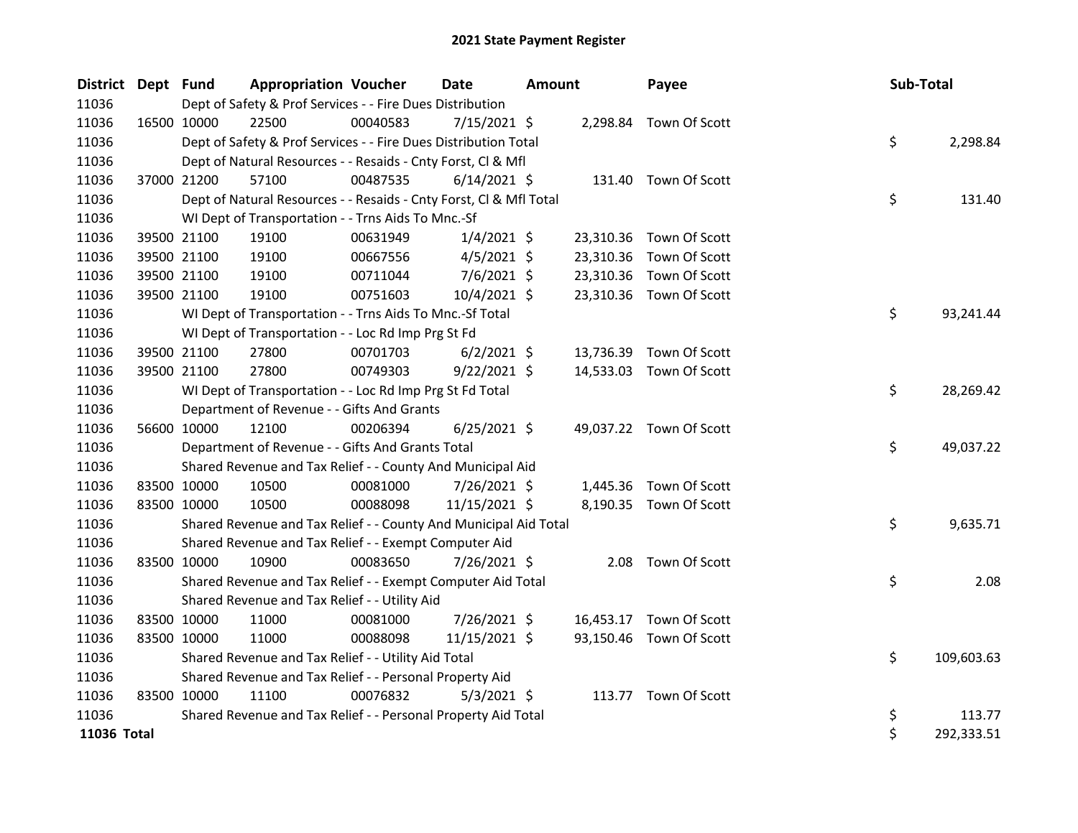| District Dept Fund |             |             | <b>Appropriation Voucher</b>                                       |          | Date           | Amount |           | Payee                   | Sub-Total |            |
|--------------------|-------------|-------------|--------------------------------------------------------------------|----------|----------------|--------|-----------|-------------------------|-----------|------------|
| 11036              |             |             | Dept of Safety & Prof Services - - Fire Dues Distribution          |          |                |        |           |                         |           |            |
| 11036              |             | 16500 10000 | 22500                                                              | 00040583 | $7/15/2021$ \$ |        |           | 2,298.84 Town Of Scott  |           |            |
| 11036              |             |             | Dept of Safety & Prof Services - - Fire Dues Distribution Total    |          |                |        |           |                         | \$        | 2,298.84   |
| 11036              |             |             | Dept of Natural Resources - - Resaids - Cnty Forst, Cl & Mfl       |          |                |        |           |                         |           |            |
| 11036              |             | 37000 21200 | 57100                                                              | 00487535 | $6/14/2021$ \$ |        |           | 131.40 Town Of Scott    |           |            |
| 11036              |             |             | Dept of Natural Resources - - Resaids - Cnty Forst, Cl & Mfl Total |          |                |        |           |                         | \$        | 131.40     |
| 11036              |             |             | WI Dept of Transportation - - Trns Aids To Mnc.-Sf                 |          |                |        |           |                         |           |            |
| 11036              |             | 39500 21100 | 19100                                                              | 00631949 | $1/4/2021$ \$  |        | 23,310.36 | Town Of Scott           |           |            |
| 11036              |             | 39500 21100 | 19100                                                              | 00667556 | $4/5/2021$ \$  |        | 23,310.36 | Town Of Scott           |           |            |
| 11036              |             | 39500 21100 | 19100                                                              | 00711044 | $7/6/2021$ \$  |        | 23,310.36 | Town Of Scott           |           |            |
| 11036              |             | 39500 21100 | 19100                                                              | 00751603 | 10/4/2021 \$   |        |           | 23,310.36 Town Of Scott |           |            |
| 11036              |             |             | WI Dept of Transportation - - Trns Aids To Mnc.-Sf Total           |          |                |        |           |                         | \$        | 93,241.44  |
| 11036              |             |             | WI Dept of Transportation - - Loc Rd Imp Prg St Fd                 |          |                |        |           |                         |           |            |
| 11036              |             | 39500 21100 | 27800                                                              | 00701703 | $6/2/2021$ \$  |        | 13,736.39 | Town Of Scott           |           |            |
| 11036              |             | 39500 21100 | 27800                                                              | 00749303 | $9/22/2021$ \$ |        | 14,533.03 | Town Of Scott           |           |            |
| 11036              |             |             | WI Dept of Transportation - - Loc Rd Imp Prg St Fd Total           |          |                |        |           |                         | \$        | 28,269.42  |
| 11036              |             |             | Department of Revenue - - Gifts And Grants                         |          |                |        |           |                         |           |            |
| 11036              |             | 56600 10000 | 12100                                                              | 00206394 | $6/25/2021$ \$ |        |           | 49,037.22 Town Of Scott |           |            |
| 11036              |             |             | Department of Revenue - - Gifts And Grants Total                   |          |                |        |           |                         | \$        | 49,037.22  |
| 11036              |             |             | Shared Revenue and Tax Relief - - County And Municipal Aid         |          |                |        |           |                         |           |            |
| 11036              |             | 83500 10000 | 10500                                                              | 00081000 | 7/26/2021 \$   |        | 1,445.36  | Town Of Scott           |           |            |
| 11036              |             | 83500 10000 | 10500                                                              | 00088098 | 11/15/2021 \$  |        |           | 8,190.35 Town Of Scott  |           |            |
| 11036              |             |             | Shared Revenue and Tax Relief - - County And Municipal Aid Total   |          |                |        |           |                         | \$        | 9,635.71   |
| 11036              |             |             | Shared Revenue and Tax Relief - - Exempt Computer Aid              |          |                |        |           |                         |           |            |
| 11036              |             | 83500 10000 | 10900                                                              | 00083650 | 7/26/2021 \$   |        | 2.08      | Town Of Scott           |           |            |
| 11036              |             |             | Shared Revenue and Tax Relief - - Exempt Computer Aid Total        |          |                |        |           |                         | \$        | 2.08       |
| 11036              |             |             | Shared Revenue and Tax Relief - - Utility Aid                      |          |                |        |           |                         |           |            |
| 11036              |             | 83500 10000 | 11000                                                              | 00081000 | 7/26/2021 \$   |        |           | 16,453.17 Town Of Scott |           |            |
| 11036              |             | 83500 10000 | 11000                                                              | 00088098 | 11/15/2021 \$  |        |           | 93,150.46 Town Of Scott |           |            |
| 11036              |             |             | Shared Revenue and Tax Relief - - Utility Aid Total                |          |                |        |           |                         | \$        | 109,603.63 |
| 11036              |             |             | Shared Revenue and Tax Relief - - Personal Property Aid            |          |                |        |           |                         |           |            |
| 11036              | 83500 10000 |             | 11100                                                              | 00076832 | $5/3/2021$ \$  |        |           | 113.77 Town Of Scott    |           |            |
| 11036              |             |             | Shared Revenue and Tax Relief - - Personal Property Aid Total      |          |                |        |           |                         | \$        | 113.77     |
| 11036 Total        |             |             |                                                                    |          |                |        |           |                         | \$        | 292,333.51 |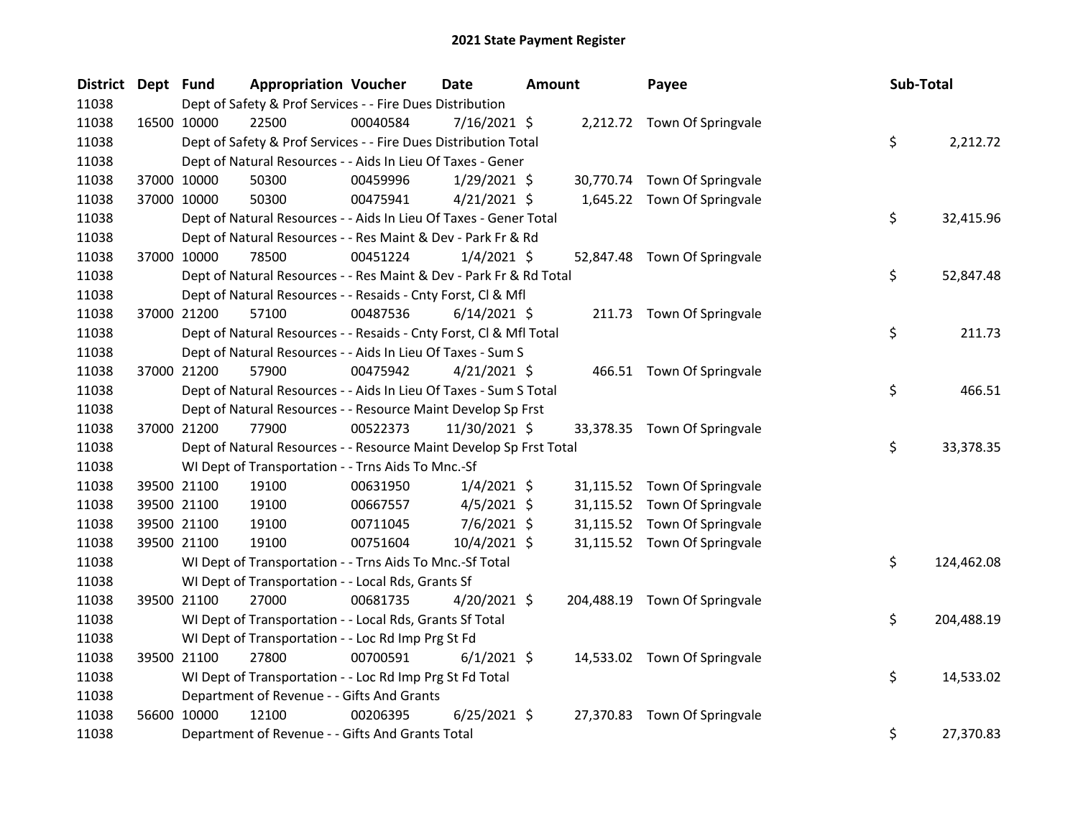| District Dept Fund |             |             | <b>Appropriation Voucher</b>                                       |          | Date           | Amount |           | Payee                         | Sub-Total |            |
|--------------------|-------------|-------------|--------------------------------------------------------------------|----------|----------------|--------|-----------|-------------------------------|-----------|------------|
| 11038              |             |             | Dept of Safety & Prof Services - - Fire Dues Distribution          |          |                |        |           |                               |           |            |
| 11038              |             | 16500 10000 | 22500                                                              | 00040584 | $7/16/2021$ \$ |        |           | 2,212.72 Town Of Springvale   |           |            |
| 11038              |             |             | Dept of Safety & Prof Services - - Fire Dues Distribution Total    |          |                |        |           |                               | \$        | 2,212.72   |
| 11038              |             |             | Dept of Natural Resources - - Aids In Lieu Of Taxes - Gener        |          |                |        |           |                               |           |            |
| 11038              |             | 37000 10000 | 50300                                                              | 00459996 | $1/29/2021$ \$ |        |           | 30,770.74 Town Of Springvale  |           |            |
| 11038              |             | 37000 10000 | 50300                                                              | 00475941 | $4/21/2021$ \$ |        |           | 1,645.22 Town Of Springvale   |           |            |
| 11038              |             |             | Dept of Natural Resources - - Aids In Lieu Of Taxes - Gener Total  |          |                |        |           |                               | \$        | 32,415.96  |
| 11038              |             |             | Dept of Natural Resources - - Res Maint & Dev - Park Fr & Rd       |          |                |        |           |                               |           |            |
| 11038              |             | 37000 10000 | 78500                                                              | 00451224 | $1/4/2021$ \$  |        |           | 52,847.48 Town Of Springvale  |           |            |
| 11038              |             |             | Dept of Natural Resources - - Res Maint & Dev - Park Fr & Rd Total |          |                |        |           |                               | \$        | 52,847.48  |
| 11038              |             |             | Dept of Natural Resources - - Resaids - Cnty Forst, Cl & Mfl       |          |                |        |           |                               |           |            |
| 11038              |             | 37000 21200 | 57100                                                              | 00487536 | $6/14/2021$ \$ |        |           | 211.73 Town Of Springvale     |           |            |
| 11038              |             |             | Dept of Natural Resources - - Resaids - Cnty Forst, CI & Mfl Total |          |                |        |           |                               | \$        | 211.73     |
| 11038              |             |             | Dept of Natural Resources - - Aids In Lieu Of Taxes - Sum S        |          |                |        |           |                               |           |            |
| 11038              |             | 37000 21200 | 57900                                                              | 00475942 | $4/21/2021$ \$ |        |           | 466.51 Town Of Springvale     |           |            |
| 11038              |             |             | Dept of Natural Resources - - Aids In Lieu Of Taxes - Sum S Total  |          |                |        |           |                               | \$        | 466.51     |
| 11038              |             |             | Dept of Natural Resources - - Resource Maint Develop Sp Frst       |          |                |        |           |                               |           |            |
| 11038              |             | 37000 21200 | 77900                                                              | 00522373 | 11/30/2021 \$  |        |           | 33,378.35 Town Of Springvale  |           |            |
| 11038              |             |             | Dept of Natural Resources - - Resource Maint Develop Sp Frst Total |          |                |        |           |                               | \$        | 33,378.35  |
| 11038              |             |             | WI Dept of Transportation - - Trns Aids To Mnc.-Sf                 |          |                |        |           |                               |           |            |
| 11038              |             | 39500 21100 | 19100                                                              | 00631950 | $1/4/2021$ \$  |        |           | 31,115.52 Town Of Springvale  |           |            |
| 11038              |             | 39500 21100 | 19100                                                              | 00667557 | $4/5/2021$ \$  |        |           | 31,115.52 Town Of Springvale  |           |            |
| 11038              |             | 39500 21100 | 19100                                                              | 00711045 | 7/6/2021 \$    |        |           | 31,115.52 Town Of Springvale  |           |            |
| 11038              |             | 39500 21100 | 19100                                                              | 00751604 | 10/4/2021 \$   |        |           | 31,115.52 Town Of Springvale  |           |            |
| 11038              |             |             | WI Dept of Transportation - - Trns Aids To Mnc.-Sf Total           |          |                |        |           |                               | \$        | 124,462.08 |
| 11038              |             |             | WI Dept of Transportation - - Local Rds, Grants Sf                 |          |                |        |           |                               |           |            |
| 11038              |             | 39500 21100 | 27000                                                              | 00681735 | $4/20/2021$ \$ |        |           | 204,488.19 Town Of Springvale |           |            |
| 11038              |             |             | WI Dept of Transportation - - Local Rds, Grants Sf Total           |          |                |        |           |                               | \$        | 204,488.19 |
| 11038              |             |             | WI Dept of Transportation - - Loc Rd Imp Prg St Fd                 |          |                |        |           |                               |           |            |
| 11038              | 39500 21100 |             | 27800                                                              | 00700591 | $6/1/2021$ \$  |        |           | 14,533.02 Town Of Springvale  |           |            |
| 11038              |             |             | WI Dept of Transportation - - Loc Rd Imp Prg St Fd Total           |          |                |        |           |                               | \$        | 14,533.02  |
| 11038              |             |             | Department of Revenue - - Gifts And Grants                         |          |                |        |           |                               |           |            |
| 11038              |             | 56600 10000 | 12100                                                              | 00206395 | $6/25/2021$ \$ |        | 27,370.83 | Town Of Springvale            |           |            |
| 11038              |             |             | Department of Revenue - - Gifts And Grants Total                   |          |                |        |           |                               | \$        | 27,370.83  |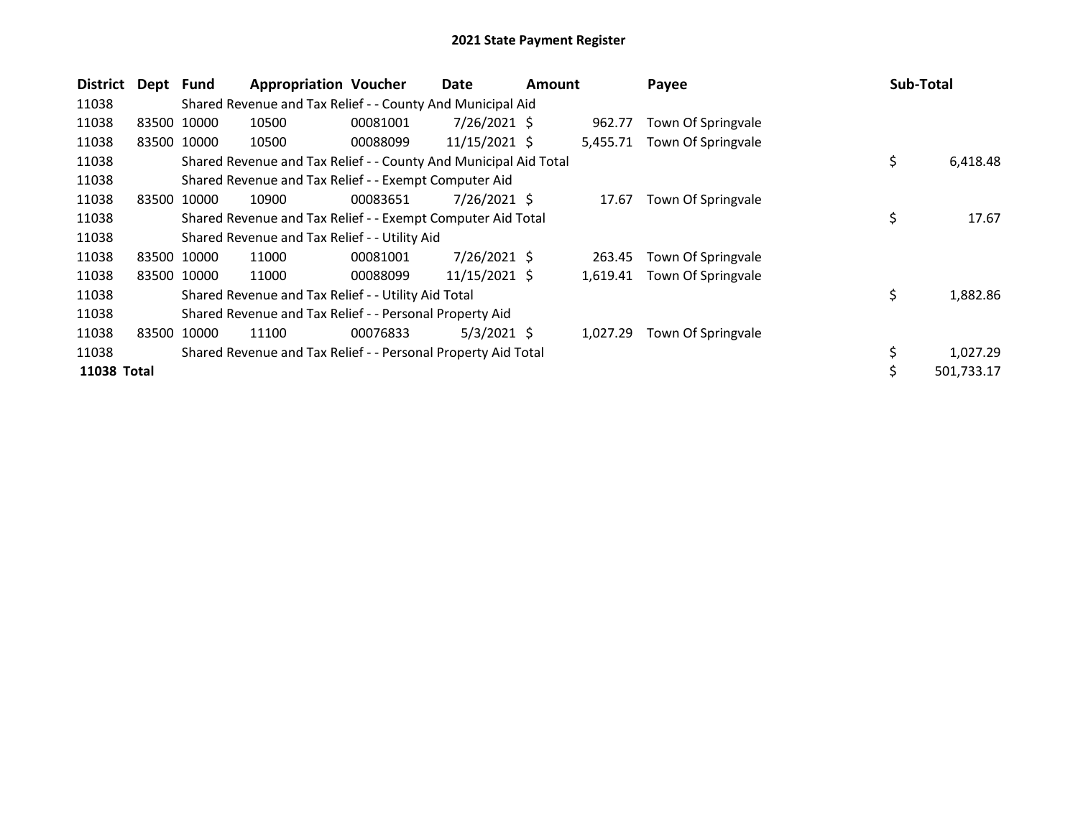| <b>District</b> | Dept Fund |             | <b>Appropriation Voucher</b>                                     |          | Date            | Amount |          | Payee              | <b>Sub-Total</b> |            |
|-----------------|-----------|-------------|------------------------------------------------------------------|----------|-----------------|--------|----------|--------------------|------------------|------------|
| 11038           |           |             | Shared Revenue and Tax Relief - - County And Municipal Aid       |          |                 |        |          |                    |                  |            |
| 11038           |           | 83500 10000 | 10500                                                            | 00081001 | $7/26/2021$ \$  |        | 962.77   | Town Of Springvale |                  |            |
| 11038           | 83500     | 10000       | 10500                                                            | 00088099 | 11/15/2021 \$   |        | 5,455.71 | Town Of Springvale |                  |            |
| 11038           |           |             | Shared Revenue and Tax Relief - - County And Municipal Aid Total |          |                 |        |          |                    | \$               | 6,418.48   |
| 11038           |           |             | Shared Revenue and Tax Relief - - Exempt Computer Aid            |          |                 |        |          |                    |                  |            |
| 11038           | 83500     | 10000       | 10900                                                            | 00083651 | $7/26/2021$ \$  |        | 17.67    | Town Of Springvale |                  |            |
| 11038           |           |             | Shared Revenue and Tax Relief - - Exempt Computer Aid Total      |          |                 |        |          |                    | \$               | 17.67      |
| 11038           |           |             | Shared Revenue and Tax Relief - - Utility Aid                    |          |                 |        |          |                    |                  |            |
| 11038           | 83500     | 10000       | 11000                                                            | 00081001 | $7/26/2021$ \$  |        | 263.45   | Town Of Springvale |                  |            |
| 11038           |           | 83500 10000 | 11000                                                            | 00088099 | $11/15/2021$ \$ |        | 1,619.41 | Town Of Springvale |                  |            |
| 11038           |           |             | Shared Revenue and Tax Relief - - Utility Aid Total              |          |                 |        |          |                    | \$               | 1,882.86   |
| 11038           |           |             | Shared Revenue and Tax Relief - - Personal Property Aid          |          |                 |        |          |                    |                  |            |
| 11038           | 83500     | 10000       | 11100                                                            | 00076833 | $5/3/2021$ \$   |        | 1,027.29 | Town Of Springvale |                  |            |
| 11038           |           |             | Shared Revenue and Tax Relief - - Personal Property Aid Total    |          |                 |        |          |                    | \$               | 1,027.29   |
| 11038 Total     |           |             |                                                                  |          |                 |        |          |                    | \$               | 501.733.17 |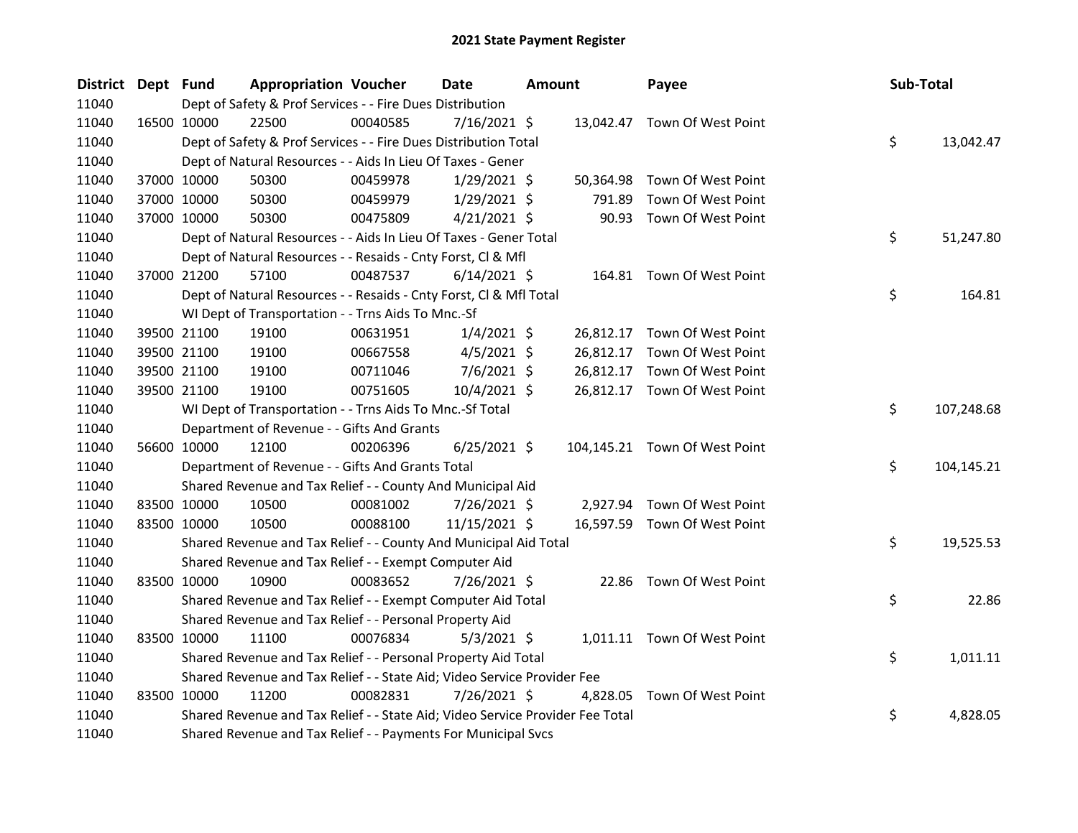| District Dept Fund |             | <b>Appropriation Voucher</b>                                                  |          | Date           | <b>Amount</b> |           | Payee                         | Sub-Total |            |
|--------------------|-------------|-------------------------------------------------------------------------------|----------|----------------|---------------|-----------|-------------------------------|-----------|------------|
| 11040              |             | Dept of Safety & Prof Services - - Fire Dues Distribution                     |          |                |               |           |                               |           |            |
| 11040              | 16500 10000 | 22500                                                                         | 00040585 | $7/16/2021$ \$ |               |           | 13,042.47 Town Of West Point  |           |            |
| 11040              |             | Dept of Safety & Prof Services - - Fire Dues Distribution Total               |          |                |               |           |                               | \$        | 13,042.47  |
| 11040              |             | Dept of Natural Resources - - Aids In Lieu Of Taxes - Gener                   |          |                |               |           |                               |           |            |
| 11040              | 37000 10000 | 50300                                                                         | 00459978 | $1/29/2021$ \$ |               | 50,364.98 | Town Of West Point            |           |            |
| 11040              | 37000 10000 | 50300                                                                         | 00459979 | $1/29/2021$ \$ |               | 791.89    | Town Of West Point            |           |            |
| 11040              | 37000 10000 | 50300                                                                         | 00475809 | $4/21/2021$ \$ |               |           | 90.93 Town Of West Point      |           |            |
| 11040              |             | Dept of Natural Resources - - Aids In Lieu Of Taxes - Gener Total             |          |                |               |           |                               | \$        | 51,247.80  |
| 11040              |             | Dept of Natural Resources - - Resaids - Cnty Forst, Cl & Mfl                  |          |                |               |           |                               |           |            |
| 11040              | 37000 21200 | 57100                                                                         | 00487537 | $6/14/2021$ \$ |               |           | 164.81 Town Of West Point     |           |            |
| 11040              |             | Dept of Natural Resources - - Resaids - Cnty Forst, Cl & Mfl Total            |          |                |               |           |                               | \$        | 164.81     |
| 11040              |             | WI Dept of Transportation - - Trns Aids To Mnc.-Sf                            |          |                |               |           |                               |           |            |
| 11040              | 39500 21100 | 19100                                                                         | 00631951 | $1/4/2021$ \$  |               |           | 26,812.17 Town Of West Point  |           |            |
| 11040              | 39500 21100 | 19100                                                                         | 00667558 | $4/5/2021$ \$  |               |           | 26,812.17 Town Of West Point  |           |            |
| 11040              | 39500 21100 | 19100                                                                         | 00711046 | $7/6/2021$ \$  |               |           | 26,812.17 Town Of West Point  |           |            |
| 11040              | 39500 21100 | 19100                                                                         | 00751605 | $10/4/2021$ \$ |               |           | 26,812.17 Town Of West Point  |           |            |
| 11040              |             | WI Dept of Transportation - - Trns Aids To Mnc.-Sf Total                      |          |                |               |           |                               | \$        | 107,248.68 |
| 11040              |             | Department of Revenue - - Gifts And Grants                                    |          |                |               |           |                               |           |            |
| 11040              | 56600 10000 | 12100                                                                         | 00206396 | $6/25/2021$ \$ |               |           | 104,145.21 Town Of West Point |           |            |
| 11040              |             | Department of Revenue - - Gifts And Grants Total                              |          |                |               |           |                               | \$        | 104,145.21 |
| 11040              |             | Shared Revenue and Tax Relief - - County And Municipal Aid                    |          |                |               |           |                               |           |            |
| 11040              | 83500 10000 | 10500                                                                         | 00081002 | 7/26/2021 \$   |               |           | 2,927.94 Town Of West Point   |           |            |
| 11040              | 83500 10000 | 10500                                                                         | 00088100 | 11/15/2021 \$  |               |           | 16,597.59 Town Of West Point  |           |            |
| 11040              |             | Shared Revenue and Tax Relief - - County And Municipal Aid Total              |          |                |               |           |                               | \$        | 19,525.53  |
| 11040              |             | Shared Revenue and Tax Relief - - Exempt Computer Aid                         |          |                |               |           |                               |           |            |
| 11040              | 83500 10000 | 10900                                                                         | 00083652 | 7/26/2021 \$   |               |           | 22.86 Town Of West Point      |           |            |
| 11040              |             | Shared Revenue and Tax Relief - - Exempt Computer Aid Total                   |          |                |               |           |                               | \$        | 22.86      |
| 11040              |             | Shared Revenue and Tax Relief - - Personal Property Aid                       |          |                |               |           |                               |           |            |
| 11040              | 83500 10000 | 11100                                                                         | 00076834 | $5/3/2021$ \$  |               |           | 1,011.11 Town Of West Point   |           |            |
| 11040              |             | Shared Revenue and Tax Relief - - Personal Property Aid Total                 |          |                |               |           |                               | \$        | 1,011.11   |
| 11040              |             | Shared Revenue and Tax Relief - - State Aid; Video Service Provider Fee       |          |                |               |           |                               |           |            |
| 11040              | 83500 10000 | 11200                                                                         | 00082831 | 7/26/2021 \$   |               | 4,828.05  | Town Of West Point            |           |            |
| 11040              |             | Shared Revenue and Tax Relief - - State Aid; Video Service Provider Fee Total |          |                |               |           |                               | \$        | 4,828.05   |
| 11040              |             | Shared Revenue and Tax Relief - - Payments For Municipal Svcs                 |          |                |               |           |                               |           |            |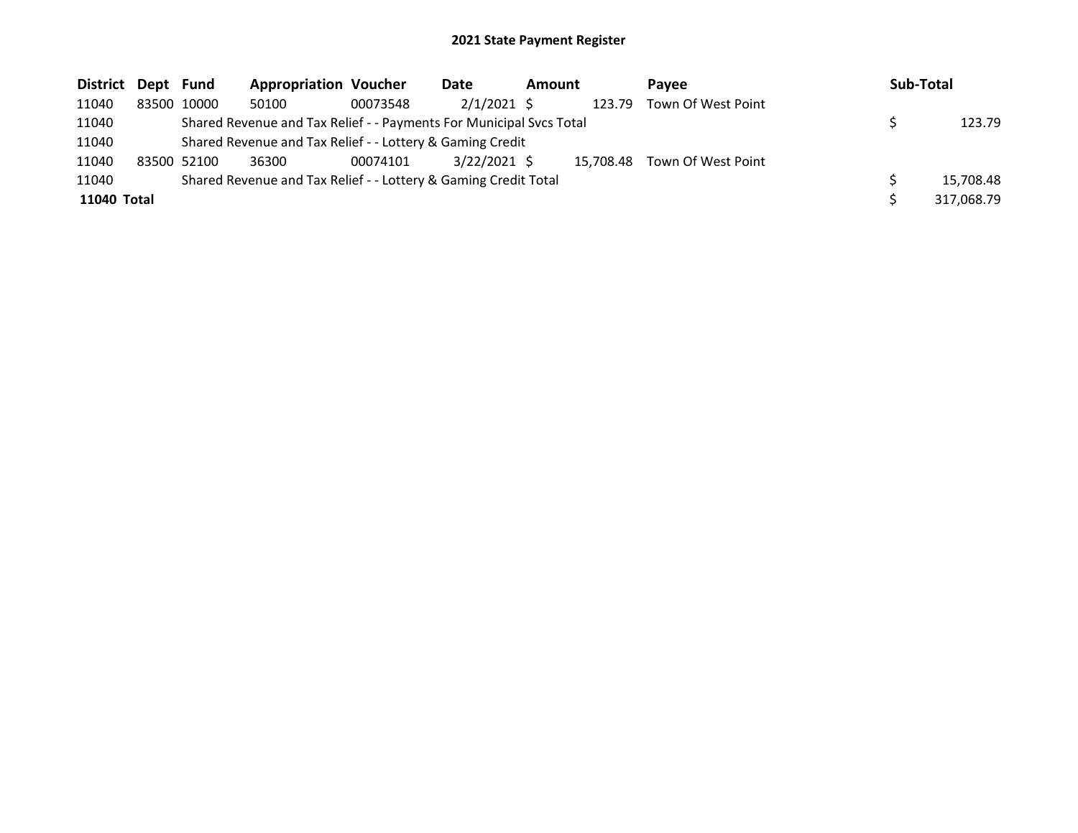| District Dept Fund |             | <b>Appropriation Voucher</b>                                        |          | Date           | Amount |           | <b>Pavee</b>       | Sub-Total  |
|--------------------|-------------|---------------------------------------------------------------------|----------|----------------|--------|-----------|--------------------|------------|
| 11040              | 83500 10000 | 50100                                                               | 00073548 | $2/1/2021$ \$  |        | 123.79    | Town Of West Point |            |
| 11040              |             | Shared Revenue and Tax Relief - - Payments For Municipal Svcs Total |          |                |        |           |                    | 123.79     |
| 11040              |             | Shared Revenue and Tax Relief - - Lottery & Gaming Credit           |          |                |        |           |                    |            |
| 11040              | 83500 52100 | 36300                                                               | 00074101 | $3/22/2021$ \$ |        | 15.708.48 | Town Of West Point |            |
| 11040              |             | Shared Revenue and Tax Relief - - Lottery & Gaming Credit Total     |          |                |        |           |                    | 15,708.48  |
| 11040 Total        |             |                                                                     |          |                |        |           |                    | 317,068.79 |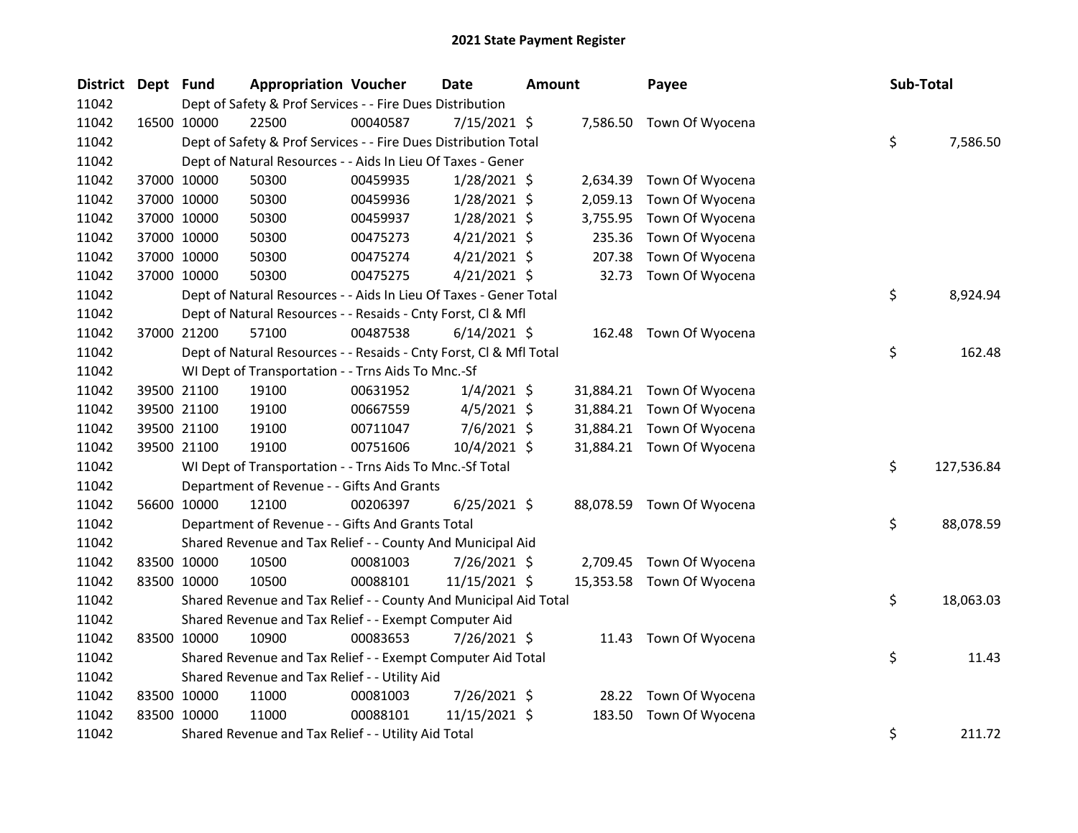| <b>District</b> | Dept Fund |             | <b>Appropriation Voucher</b>                                       |          | <b>Date</b>    | Amount |           | Payee                     | Sub-Total |            |
|-----------------|-----------|-------------|--------------------------------------------------------------------|----------|----------------|--------|-----------|---------------------------|-----------|------------|
| 11042           |           |             | Dept of Safety & Prof Services - - Fire Dues Distribution          |          |                |        |           |                           |           |            |
| 11042           |           | 16500 10000 | 22500                                                              | 00040587 | 7/15/2021 \$   |        | 7,586.50  | Town Of Wyocena           |           |            |
| 11042           |           |             | Dept of Safety & Prof Services - - Fire Dues Distribution Total    |          |                |        |           |                           | \$        | 7,586.50   |
| 11042           |           |             | Dept of Natural Resources - - Aids In Lieu Of Taxes - Gener        |          |                |        |           |                           |           |            |
| 11042           |           | 37000 10000 | 50300                                                              | 00459935 | $1/28/2021$ \$ |        | 2,634.39  | Town Of Wyocena           |           |            |
| 11042           |           | 37000 10000 | 50300                                                              | 00459936 | $1/28/2021$ \$ |        | 2,059.13  | Town Of Wyocena           |           |            |
| 11042           |           | 37000 10000 | 50300                                                              | 00459937 | 1/28/2021 \$   |        | 3,755.95  | Town Of Wyocena           |           |            |
| 11042           |           | 37000 10000 | 50300                                                              | 00475273 | $4/21/2021$ \$ |        | 235.36    | Town Of Wyocena           |           |            |
| 11042           |           | 37000 10000 | 50300                                                              | 00475274 | $4/21/2021$ \$ |        | 207.38    | Town Of Wyocena           |           |            |
| 11042           |           | 37000 10000 | 50300                                                              | 00475275 | $4/21/2021$ \$ |        | 32.73     | Town Of Wyocena           |           |            |
| 11042           |           |             | Dept of Natural Resources - - Aids In Lieu Of Taxes - Gener Total  |          |                |        |           |                           | \$        | 8,924.94   |
| 11042           |           |             | Dept of Natural Resources - - Resaids - Cnty Forst, Cl & Mfl       |          |                |        |           |                           |           |            |
| 11042           |           | 37000 21200 | 57100                                                              | 00487538 | $6/14/2021$ \$ |        | 162.48    | Town Of Wyocena           |           |            |
| 11042           |           |             | Dept of Natural Resources - - Resaids - Cnty Forst, Cl & Mfl Total |          |                |        |           |                           | \$        | 162.48     |
| 11042           |           |             | WI Dept of Transportation - - Trns Aids To Mnc.-Sf                 |          |                |        |           |                           |           |            |
| 11042           |           | 39500 21100 | 19100                                                              | 00631952 | $1/4/2021$ \$  |        |           | 31,884.21 Town Of Wyocena |           |            |
| 11042           |           | 39500 21100 | 19100                                                              | 00667559 | $4/5/2021$ \$  |        | 31,884.21 | Town Of Wyocena           |           |            |
| 11042           |           | 39500 21100 | 19100                                                              | 00711047 | $7/6/2021$ \$  |        | 31,884.21 | Town Of Wyocena           |           |            |
| 11042           |           | 39500 21100 | 19100                                                              | 00751606 | 10/4/2021 \$   |        |           | 31,884.21 Town Of Wyocena |           |            |
| 11042           |           |             | WI Dept of Transportation - - Trns Aids To Mnc.-Sf Total           |          |                |        |           |                           | \$        | 127,536.84 |
| 11042           |           |             | Department of Revenue - - Gifts And Grants                         |          |                |        |           |                           |           |            |
| 11042           |           | 56600 10000 | 12100                                                              | 00206397 | $6/25/2021$ \$ |        | 88,078.59 | Town Of Wyocena           |           |            |
| 11042           |           |             | Department of Revenue - - Gifts And Grants Total                   |          |                |        |           |                           | \$        | 88,078.59  |
| 11042           |           |             | Shared Revenue and Tax Relief - - County And Municipal Aid         |          |                |        |           |                           |           |            |
| 11042           |           | 83500 10000 | 10500                                                              | 00081003 | 7/26/2021 \$   |        | 2,709.45  | Town Of Wyocena           |           |            |
| 11042           |           | 83500 10000 | 10500                                                              | 00088101 | 11/15/2021 \$  |        | 15,353.58 | Town Of Wyocena           |           |            |
| 11042           |           |             | Shared Revenue and Tax Relief - - County And Municipal Aid Total   |          |                |        |           |                           | \$        | 18,063.03  |
| 11042           |           |             | Shared Revenue and Tax Relief - - Exempt Computer Aid              |          |                |        |           |                           |           |            |
| 11042           |           | 83500 10000 | 10900                                                              | 00083653 | 7/26/2021 \$   |        | 11.43     | Town Of Wyocena           |           |            |
| 11042           |           |             | Shared Revenue and Tax Relief - - Exempt Computer Aid Total        |          |                |        |           |                           | \$        | 11.43      |
| 11042           |           |             | Shared Revenue and Tax Relief - - Utility Aid                      |          |                |        |           |                           |           |            |
| 11042           |           | 83500 10000 | 11000                                                              | 00081003 | 7/26/2021 \$   |        | 28.22     | Town Of Wyocena           |           |            |
| 11042           |           | 83500 10000 | 11000                                                              | 00088101 | 11/15/2021 \$  |        | 183.50    | Town Of Wyocena           |           |            |
| 11042           |           |             | Shared Revenue and Tax Relief - - Utility Aid Total                |          |                |        |           |                           | \$        | 211.72     |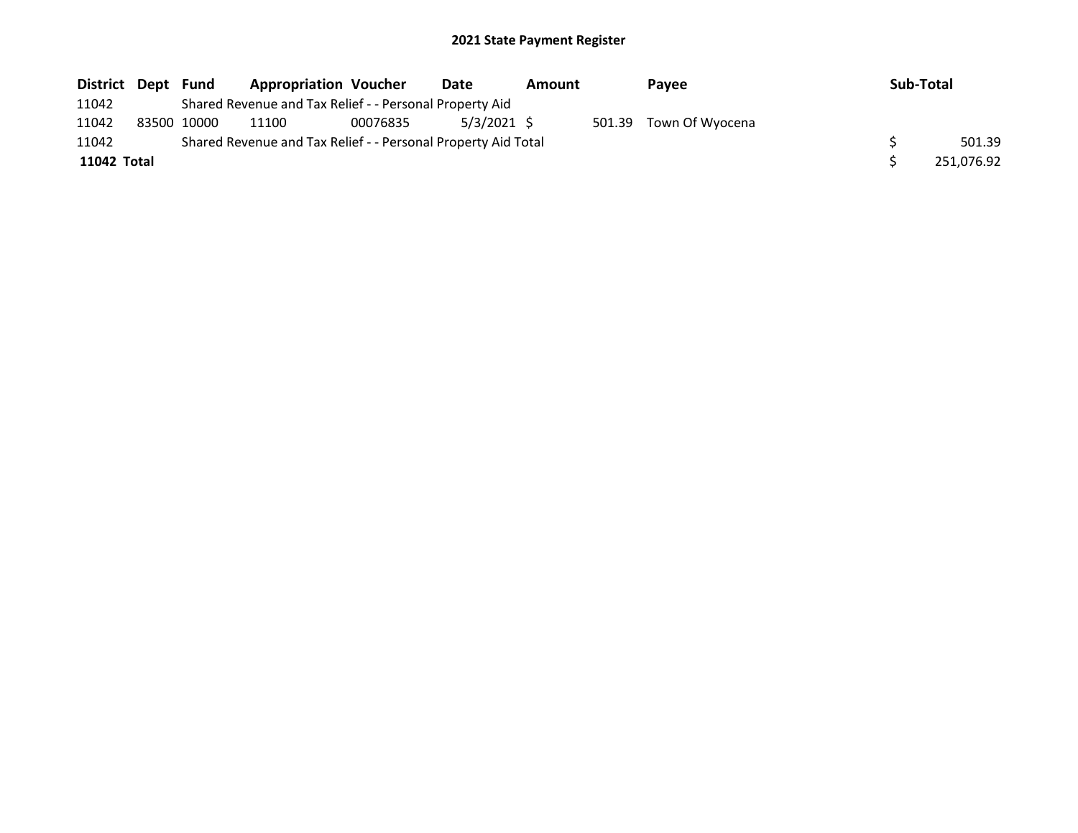| District Dept Fund |             | <b>Appropriation Voucher</b>                                  |          | Date        | Amount | <b>Pavee</b>           | Sub-Total |            |
|--------------------|-------------|---------------------------------------------------------------|----------|-------------|--------|------------------------|-----------|------------|
| 11042              |             | Shared Revenue and Tax Relief - - Personal Property Aid       |          |             |        |                        |           |            |
| 11042              | 83500 10000 | 11100                                                         | 00076835 | 5/3/2021 \$ |        | 501.39 Town Of Wyocena |           |            |
| 11042              |             | Shared Revenue and Tax Relief - - Personal Property Aid Total |          |             |        |                        |           | 501.39     |
| 11042 Total        |             |                                                               |          |             |        |                        |           | 251,076.92 |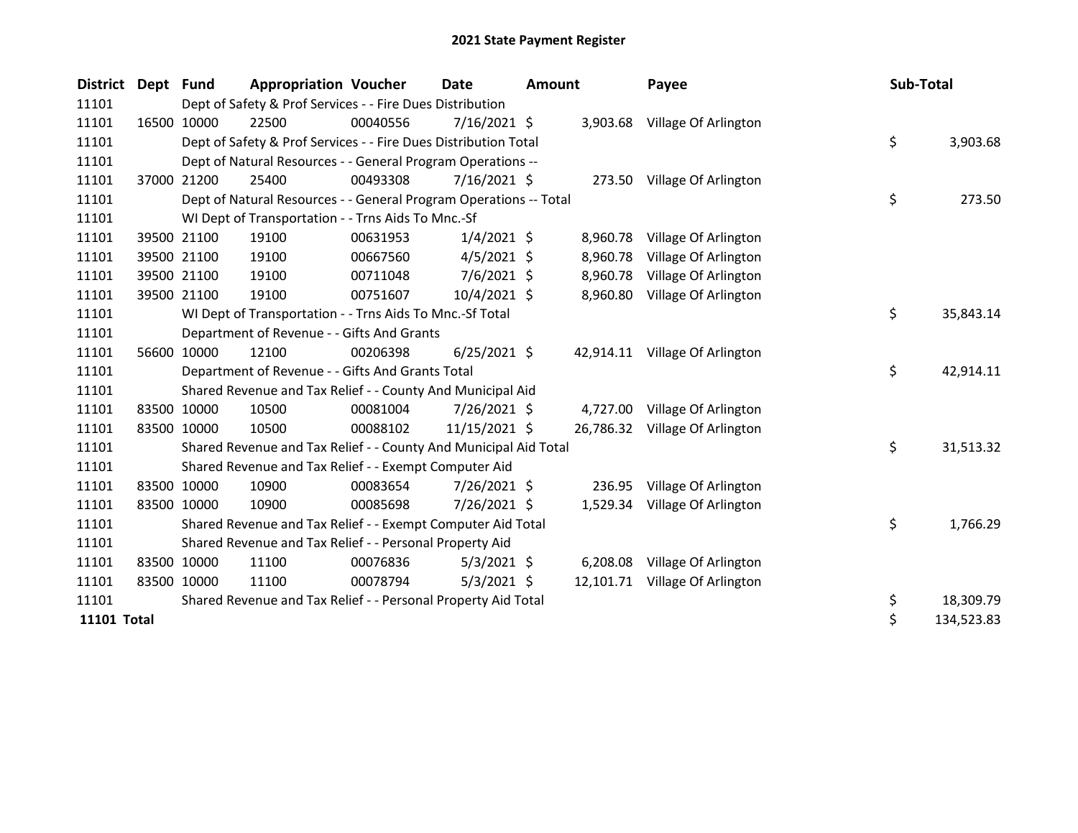| <b>District</b> | Dept        | <b>Fund</b> | <b>Appropriation Voucher</b>                                      |          | Date           | <b>Amount</b> |           | Payee                          | Sub-Total |            |
|-----------------|-------------|-------------|-------------------------------------------------------------------|----------|----------------|---------------|-----------|--------------------------------|-----------|------------|
| 11101           |             |             | Dept of Safety & Prof Services - - Fire Dues Distribution         |          |                |               |           |                                |           |            |
| 11101           |             | 16500 10000 | 22500                                                             | 00040556 | 7/16/2021 \$   |               |           | 3,903.68 Village Of Arlington  |           |            |
| 11101           |             |             | Dept of Safety & Prof Services - - Fire Dues Distribution Total   |          |                |               |           |                                | \$        | 3,903.68   |
| 11101           |             |             | Dept of Natural Resources - - General Program Operations --       |          |                |               |           |                                |           |            |
| 11101           |             | 37000 21200 | 25400                                                             | 00493308 | 7/16/2021 \$   |               | 273.50    | Village Of Arlington           |           |            |
| 11101           |             |             | Dept of Natural Resources - - General Program Operations -- Total |          |                |               |           |                                | \$        | 273.50     |
| 11101           |             |             | WI Dept of Transportation - - Trns Aids To Mnc.-Sf                |          |                |               |           |                                |           |            |
| 11101           |             | 39500 21100 | 19100                                                             | 00631953 | $1/4/2021$ \$  |               | 8,960.78  | Village Of Arlington           |           |            |
| 11101           |             | 39500 21100 | 19100                                                             | 00667560 | $4/5/2021$ \$  |               | 8,960.78  | Village Of Arlington           |           |            |
| 11101           |             | 39500 21100 | 19100                                                             | 00711048 | $7/6/2021$ \$  |               | 8,960.78  | Village Of Arlington           |           |            |
| 11101           |             | 39500 21100 | 19100                                                             | 00751607 | 10/4/2021 \$   |               | 8,960.80  | Village Of Arlington           |           |            |
| 11101           |             |             | WI Dept of Transportation - - Trns Aids To Mnc.-Sf Total          |          |                |               |           |                                | \$        | 35,843.14  |
| 11101           |             |             | Department of Revenue - - Gifts And Grants                        |          |                |               |           |                                |           |            |
| 11101           |             | 56600 10000 | 12100                                                             | 00206398 | $6/25/2021$ \$ |               |           | 42,914.11 Village Of Arlington |           |            |
| 11101           |             |             | Department of Revenue - - Gifts And Grants Total                  |          |                |               |           |                                | \$        | 42,914.11  |
| 11101           |             |             | Shared Revenue and Tax Relief - - County And Municipal Aid        |          |                |               |           |                                |           |            |
| 11101           |             | 83500 10000 | 10500                                                             | 00081004 | 7/26/2021 \$   |               | 4,727.00  | Village Of Arlington           |           |            |
| 11101           |             | 83500 10000 | 10500                                                             | 00088102 | 11/15/2021 \$  |               |           | 26,786.32 Village Of Arlington |           |            |
| 11101           |             |             | Shared Revenue and Tax Relief - - County And Municipal Aid Total  |          |                |               |           |                                | \$        | 31,513.32  |
| 11101           |             |             | Shared Revenue and Tax Relief - - Exempt Computer Aid             |          |                |               |           |                                |           |            |
| 11101           |             | 83500 10000 | 10900                                                             | 00083654 | 7/26/2021 \$   |               | 236.95    | Village Of Arlington           |           |            |
| 11101           |             | 83500 10000 | 10900                                                             | 00085698 | 7/26/2021 \$   |               | 1,529.34  | Village Of Arlington           |           |            |
| 11101           |             |             | Shared Revenue and Tax Relief - - Exempt Computer Aid Total       |          |                |               |           |                                | \$        | 1,766.29   |
| 11101           |             |             | Shared Revenue and Tax Relief - - Personal Property Aid           |          |                |               |           |                                |           |            |
| 11101           |             | 83500 10000 | 11100                                                             | 00076836 | $5/3/2021$ \$  |               | 6,208.08  | Village Of Arlington           |           |            |
| 11101           | 83500 10000 |             | 11100                                                             | 00078794 | $5/3/2021$ \$  |               | 12,101.71 | Village Of Arlington           |           |            |
| 11101           |             |             | Shared Revenue and Tax Relief - - Personal Property Aid Total     |          |                |               |           |                                | \$        | 18,309.79  |
| 11101 Total     |             |             |                                                                   |          |                |               |           |                                | \$        | 134,523.83 |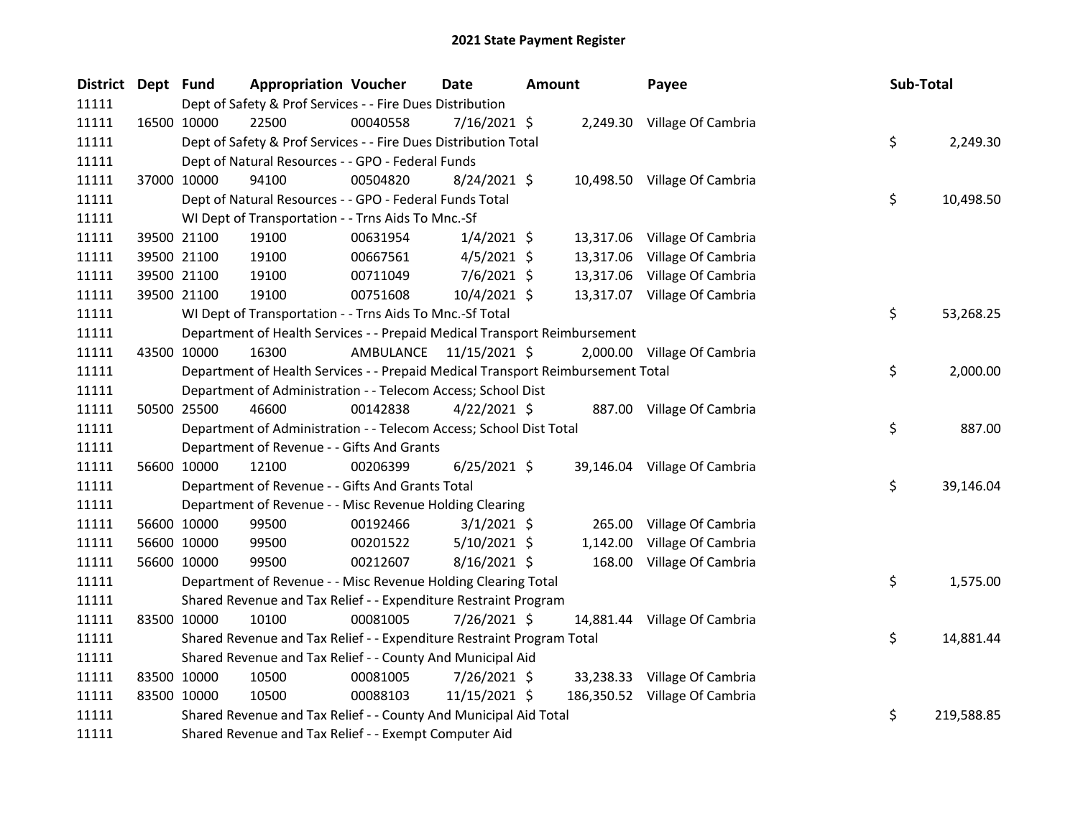| District Dept Fund | <b>Appropriation Voucher</b>                                                    |           | Date           | <b>Amount</b> | Payee                         | Sub-Total        |
|--------------------|---------------------------------------------------------------------------------|-----------|----------------|---------------|-------------------------------|------------------|
| 11111              | Dept of Safety & Prof Services - - Fire Dues Distribution                       |           |                |               |                               |                  |
| 11111              | 22500<br>16500 10000                                                            | 00040558  | 7/16/2021 \$   |               | 2,249.30 Village Of Cambria   |                  |
| 11111              | Dept of Safety & Prof Services - - Fire Dues Distribution Total                 |           |                |               |                               | \$<br>2,249.30   |
| 11111              | Dept of Natural Resources - - GPO - Federal Funds                               |           |                |               |                               |                  |
| 11111              | 37000 10000<br>94100                                                            | 00504820  | $8/24/2021$ \$ |               | 10,498.50 Village Of Cambria  |                  |
| 11111              | Dept of Natural Resources - - GPO - Federal Funds Total                         |           |                |               |                               | \$<br>10,498.50  |
| 11111              | WI Dept of Transportation - - Trns Aids To Mnc.-Sf                              |           |                |               |                               |                  |
| 11111              | 19100<br>39500 21100                                                            | 00631954  | $1/4/2021$ \$  |               | 13,317.06 Village Of Cambria  |                  |
| 11111              | 39500 21100<br>19100                                                            | 00667561  | $4/5/2021$ \$  | 13,317.06     | Village Of Cambria            |                  |
| 11111              | 19100<br>39500 21100                                                            | 00711049  | 7/6/2021 \$    |               | 13,317.06 Village Of Cambria  |                  |
| 11111              | 19100<br>39500 21100                                                            | 00751608  | $10/4/2021$ \$ |               | 13,317.07 Village Of Cambria  |                  |
| 11111              | WI Dept of Transportation - - Trns Aids To Mnc.-Sf Total                        |           |                |               |                               | \$<br>53,268.25  |
| 11111              | Department of Health Services - - Prepaid Medical Transport Reimbursement       |           |                |               |                               |                  |
| 11111              | 43500 10000<br>16300                                                            | AMBULANCE | 11/15/2021 \$  |               | 2,000.00 Village Of Cambria   |                  |
| 11111              | Department of Health Services - - Prepaid Medical Transport Reimbursement Total |           |                |               |                               | \$<br>2,000.00   |
| 11111              | Department of Administration - - Telecom Access; School Dist                    |           |                |               |                               |                  |
| 11111              | 50500 25500<br>46600                                                            | 00142838  | $4/22/2021$ \$ |               | 887.00 Village Of Cambria     |                  |
| 11111              | Department of Administration - - Telecom Access; School Dist Total              |           |                |               |                               | \$<br>887.00     |
| 11111              | Department of Revenue - - Gifts And Grants                                      |           |                |               |                               |                  |
| 11111              | 56600 10000<br>12100                                                            | 00206399  | $6/25/2021$ \$ |               | 39,146.04 Village Of Cambria  |                  |
| 11111              | Department of Revenue - - Gifts And Grants Total                                |           |                |               |                               | \$<br>39,146.04  |
| 11111              | Department of Revenue - - Misc Revenue Holding Clearing                         |           |                |               |                               |                  |
| 11111              | 56600 10000<br>99500                                                            | 00192466  | $3/1/2021$ \$  | 265.00        | Village Of Cambria            |                  |
| 11111              | 56600 10000<br>99500                                                            | 00201522  | $5/10/2021$ \$ | 1,142.00      | Village Of Cambria            |                  |
| 11111              | 56600 10000<br>99500                                                            | 00212607  | 8/16/2021 \$   |               | 168.00 Village Of Cambria     |                  |
| 11111              | Department of Revenue - - Misc Revenue Holding Clearing Total                   |           |                |               |                               | \$<br>1,575.00   |
| 11111              | Shared Revenue and Tax Relief - - Expenditure Restraint Program                 |           |                |               |                               |                  |
| 11111              | 83500 10000<br>10100                                                            | 00081005  | 7/26/2021 \$   |               | 14,881.44 Village Of Cambria  |                  |
| 11111              | Shared Revenue and Tax Relief - - Expenditure Restraint Program Total           |           |                |               |                               | \$<br>14,881.44  |
| 11111              | Shared Revenue and Tax Relief - - County And Municipal Aid                      |           |                |               |                               |                  |
| 11111              | 83500 10000<br>10500                                                            | 00081005  | 7/26/2021 \$   |               | 33,238.33 Village Of Cambria  |                  |
| 11111              | 83500 10000<br>10500                                                            | 00088103  | 11/15/2021 \$  |               | 186,350.52 Village Of Cambria |                  |
| 11111              | Shared Revenue and Tax Relief - - County And Municipal Aid Total                |           |                |               |                               | \$<br>219,588.85 |
| 11111              | Shared Revenue and Tax Relief - - Exempt Computer Aid                           |           |                |               |                               |                  |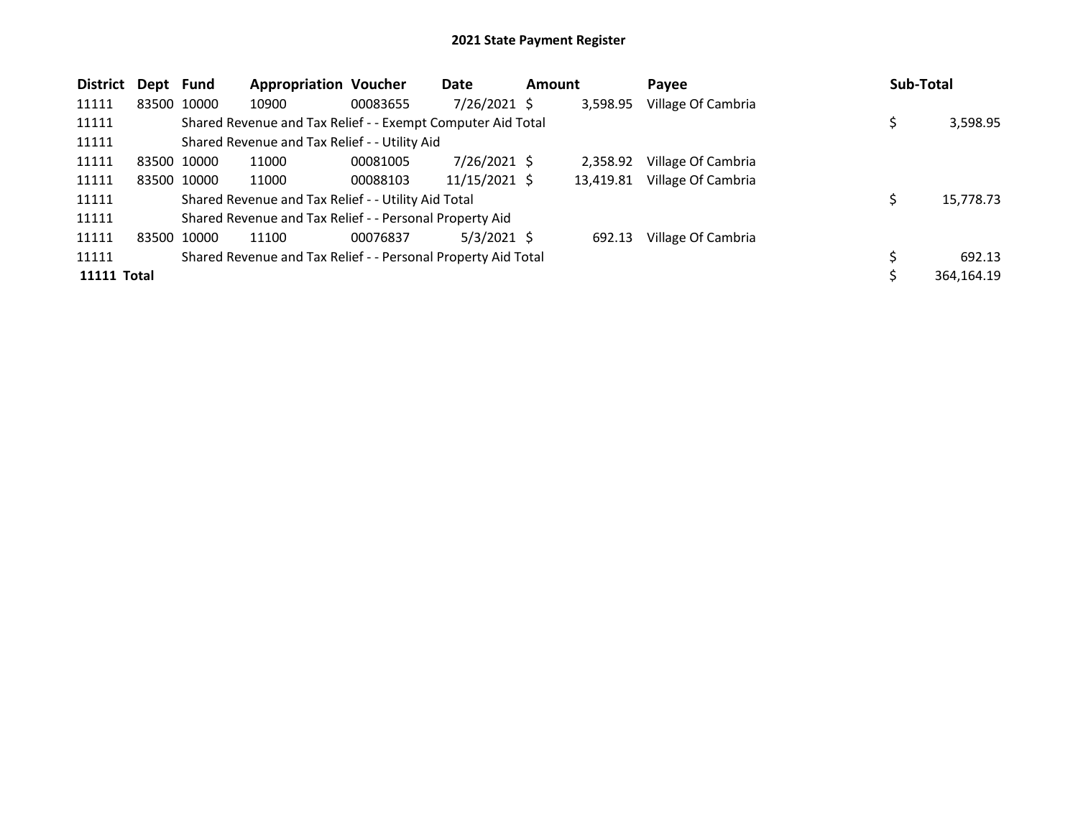| <b>District</b>    | Dept Fund   |             | <b>Appropriation Voucher</b>                                  |          | Date           | <b>Amount</b> |           | Payee              | Sub-Total |            |
|--------------------|-------------|-------------|---------------------------------------------------------------|----------|----------------|---------------|-----------|--------------------|-----------|------------|
| 11111              | 83500 10000 |             | 10900                                                         | 00083655 | $7/26/2021$ \$ |               | 3,598.95  | Village Of Cambria |           |            |
| 11111              |             |             | Shared Revenue and Tax Relief - - Exempt Computer Aid Total   |          |                |               |           |                    |           | 3,598.95   |
| 11111              |             |             | Shared Revenue and Tax Relief - - Utility Aid                 |          |                |               |           |                    |           |            |
| 11111              | 83500 10000 |             | 11000                                                         | 00081005 | $7/26/2021$ \$ |               | 2,358.92  | Village Of Cambria |           |            |
| 11111              |             | 83500 10000 | 11000                                                         | 00088103 | 11/15/2021 \$  |               | 13,419.81 | Village Of Cambria |           |            |
| 11111              |             |             | Shared Revenue and Tax Relief - - Utility Aid Total           |          |                |               |           |                    |           | 15,778.73  |
| 11111              |             |             | Shared Revenue and Tax Relief - - Personal Property Aid       |          |                |               |           |                    |           |            |
| 11111              | 83500 10000 |             | 11100                                                         | 00076837 | $5/3/2021$ \$  |               | 692.13    | Village Of Cambria |           |            |
| 11111              |             |             | Shared Revenue and Tax Relief - - Personal Property Aid Total |          |                |               |           |                    |           | 692.13     |
| <b>11111 Total</b> |             |             |                                                               |          |                |               |           |                    |           | 364,164.19 |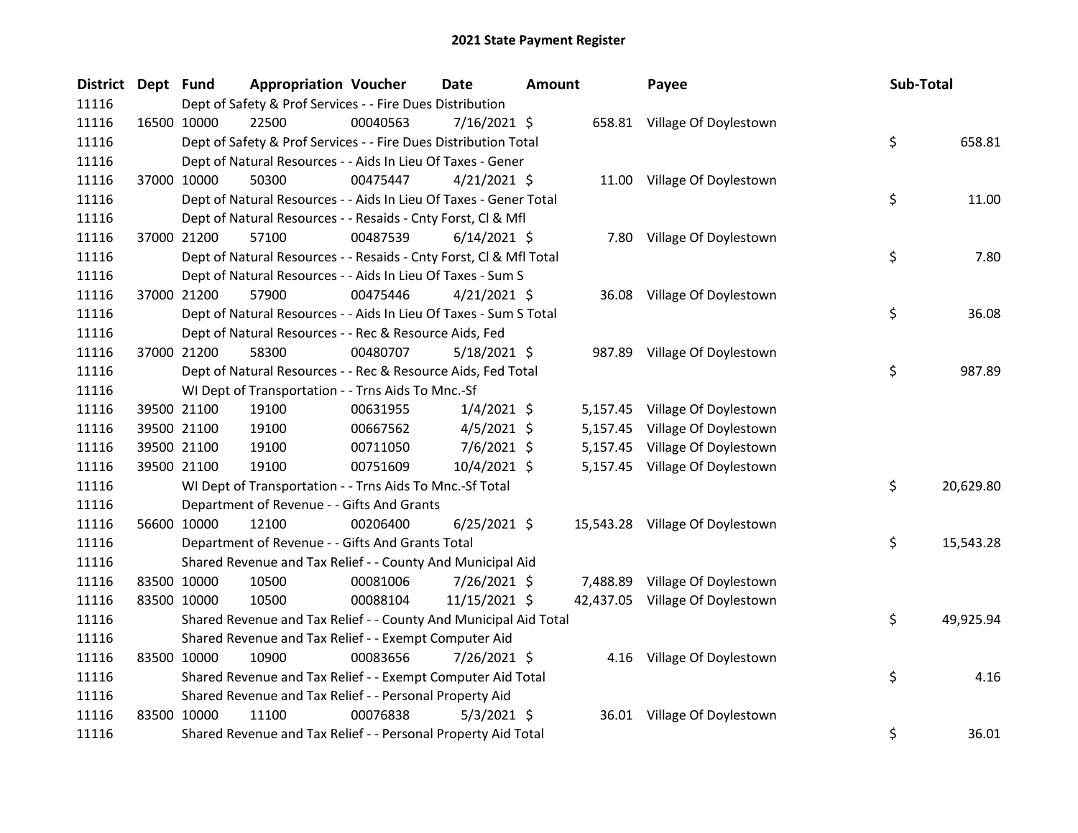| District Dept Fund |             | <b>Appropriation Voucher</b>                                       |          | <b>Date</b>    | <b>Amount</b> |          | Payee                           | Sub-Total |           |
|--------------------|-------------|--------------------------------------------------------------------|----------|----------------|---------------|----------|---------------------------------|-----------|-----------|
| 11116              |             | Dept of Safety & Prof Services - - Fire Dues Distribution          |          |                |               |          |                                 |           |           |
| 11116              | 16500 10000 | 22500                                                              | 00040563 | $7/16/2021$ \$ |               |          | 658.81 Village Of Doylestown    |           |           |
| 11116              |             | Dept of Safety & Prof Services - - Fire Dues Distribution Total    |          |                |               |          |                                 | \$        | 658.81    |
| 11116              |             | Dept of Natural Resources - - Aids In Lieu Of Taxes - Gener        |          |                |               |          |                                 |           |           |
| 11116              | 37000 10000 | 50300                                                              | 00475447 | $4/21/2021$ \$ |               |          | 11.00 Village Of Doylestown     |           |           |
| 11116              |             | Dept of Natural Resources - - Aids In Lieu Of Taxes - Gener Total  |          |                |               |          |                                 | \$        | 11.00     |
| 11116              |             | Dept of Natural Resources - - Resaids - Cnty Forst, Cl & Mfl       |          |                |               |          |                                 |           |           |
| 11116              | 37000 21200 | 57100                                                              | 00487539 | $6/14/2021$ \$ |               |          | 7.80 Village Of Doylestown      |           |           |
| 11116              |             | Dept of Natural Resources - - Resaids - Cnty Forst, CI & Mfl Total |          |                |               |          |                                 | \$        | 7.80      |
| 11116              |             | Dept of Natural Resources - - Aids In Lieu Of Taxes - Sum S        |          |                |               |          |                                 |           |           |
| 11116              | 37000 21200 | 57900                                                              | 00475446 | $4/21/2021$ \$ |               |          | 36.08 Village Of Doylestown     |           |           |
| 11116              |             | Dept of Natural Resources - - Aids In Lieu Of Taxes - Sum S Total  |          |                |               |          |                                 | \$        | 36.08     |
| 11116              |             | Dept of Natural Resources - - Rec & Resource Aids, Fed             |          |                |               |          |                                 |           |           |
| 11116              | 37000 21200 | 58300                                                              | 00480707 | $5/18/2021$ \$ |               |          | 987.89 Village Of Doylestown    |           |           |
| 11116              |             | Dept of Natural Resources - - Rec & Resource Aids, Fed Total       |          |                |               |          |                                 | \$        | 987.89    |
| 11116              |             | WI Dept of Transportation - - Trns Aids To Mnc.-Sf                 |          |                |               |          |                                 |           |           |
| 11116              | 39500 21100 | 19100                                                              | 00631955 | $1/4/2021$ \$  |               |          | 5,157.45 Village Of Doylestown  |           |           |
| 11116              | 39500 21100 | 19100                                                              | 00667562 | $4/5/2021$ \$  |               | 5,157.45 | Village Of Doylestown           |           |           |
| 11116              | 39500 21100 | 19100                                                              | 00711050 | 7/6/2021 \$    |               |          | 5,157.45 Village Of Doylestown  |           |           |
| 11116              | 39500 21100 | 19100                                                              | 00751609 | 10/4/2021 \$   |               |          | 5,157.45 Village Of Doylestown  |           |           |
| 11116              |             | WI Dept of Transportation - - Trns Aids To Mnc.-Sf Total           |          |                |               |          |                                 | \$        | 20,629.80 |
| 11116              |             | Department of Revenue - - Gifts And Grants                         |          |                |               |          |                                 |           |           |
| 11116              | 56600 10000 | 12100                                                              | 00206400 | $6/25/2021$ \$ |               |          | 15,543.28 Village Of Doylestown |           |           |
| 11116              |             | Department of Revenue - - Gifts And Grants Total                   |          |                |               |          |                                 | \$        | 15,543.28 |
| 11116              |             | Shared Revenue and Tax Relief - - County And Municipal Aid         |          |                |               |          |                                 |           |           |
| 11116              | 83500 10000 | 10500                                                              | 00081006 | 7/26/2021 \$   |               |          | 7,488.89 Village Of Doylestown  |           |           |
| 11116              | 83500 10000 | 10500                                                              | 00088104 | 11/15/2021 \$  |               |          | 42,437.05 Village Of Doylestown |           |           |
| 11116              |             | Shared Revenue and Tax Relief - - County And Municipal Aid Total   |          |                |               |          |                                 | \$        | 49,925.94 |
| 11116              |             | Shared Revenue and Tax Relief - - Exempt Computer Aid              |          |                |               |          |                                 |           |           |
| 11116              | 83500 10000 | 10900                                                              | 00083656 | 7/26/2021 \$   |               |          | 4.16 Village Of Doylestown      |           |           |
| 11116              |             | Shared Revenue and Tax Relief - - Exempt Computer Aid Total        |          |                |               |          |                                 | \$        | 4.16      |
| 11116              |             | Shared Revenue and Tax Relief - - Personal Property Aid            |          |                |               |          |                                 |           |           |
| 11116              | 83500 10000 | 11100                                                              | 00076838 | $5/3/2021$ \$  |               |          | 36.01 Village Of Doylestown     |           |           |
| 11116              |             | Shared Revenue and Tax Relief - - Personal Property Aid Total      |          |                |               |          |                                 | \$        | 36.01     |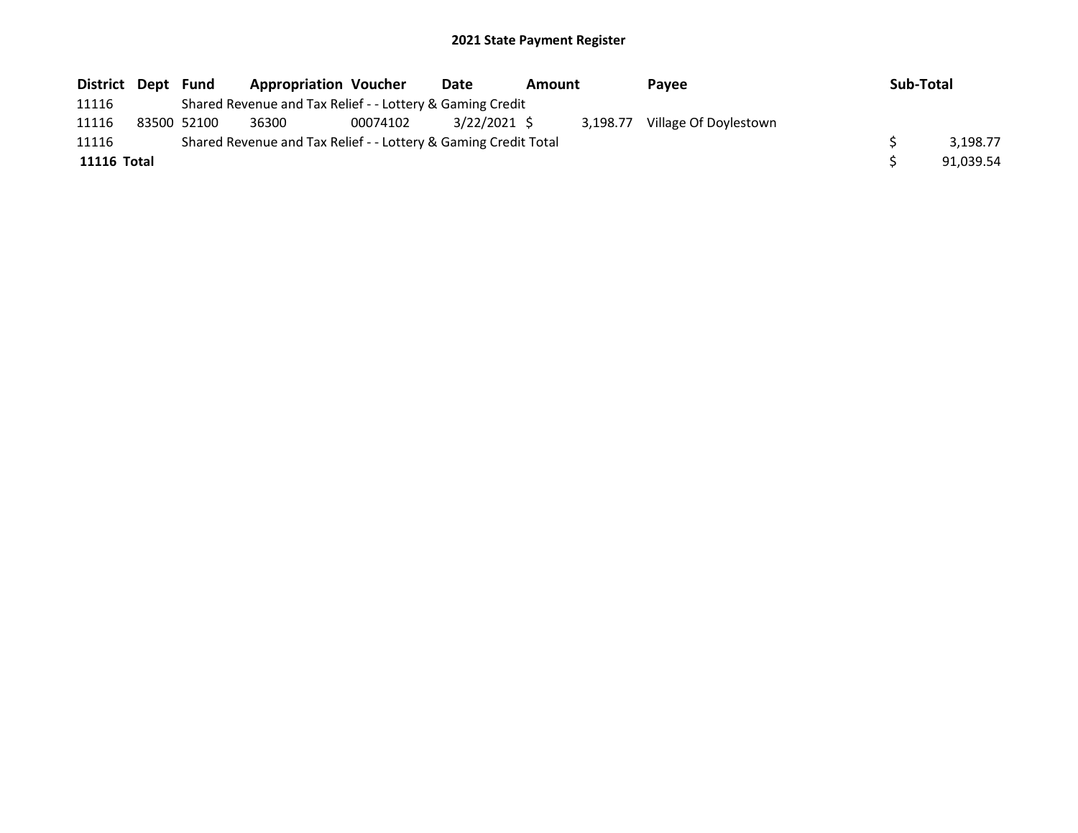| District Dept | Fund        | <b>Appropriation Voucher</b>                                    |          | Date         | Amount |          | <b>Pavee</b>          | Sub-Total |
|---------------|-------------|-----------------------------------------------------------------|----------|--------------|--------|----------|-----------------------|-----------|
| 11116         |             | Shared Revenue and Tax Relief - - Lottery & Gaming Credit       |          |              |        |          |                       |           |
| 11116         | 83500 52100 | 36300                                                           | 00074102 | 3/22/2021 \$ |        | 3.198.77 | Village Of Doylestown |           |
| 11116         |             | Shared Revenue and Tax Relief - - Lottery & Gaming Credit Total |          |              |        |          |                       | 3.198.77  |
| 11116 Total   |             |                                                                 |          |              |        |          |                       | 91.039.54 |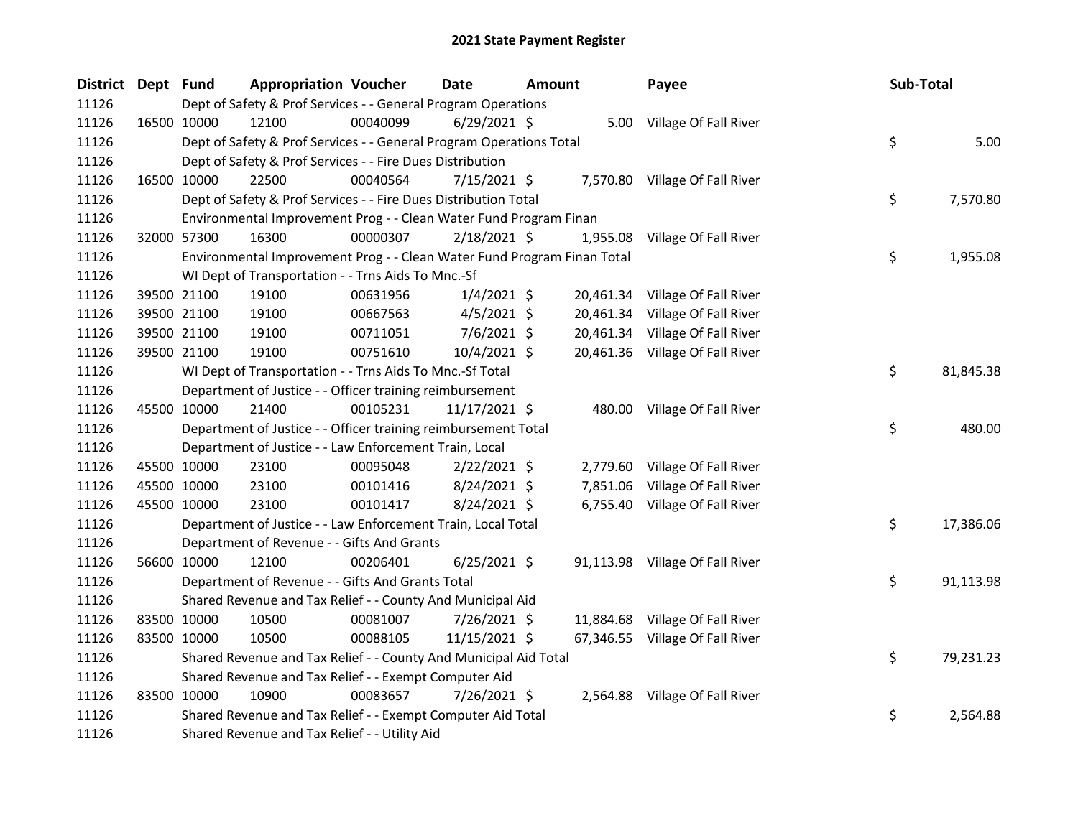| District Dept Fund |             | <b>Appropriation Voucher</b>                                            |          | <b>Date</b>    | <b>Amount</b> |           | Payee                           | Sub-Total |           |
|--------------------|-------------|-------------------------------------------------------------------------|----------|----------------|---------------|-----------|---------------------------------|-----------|-----------|
| 11126              |             | Dept of Safety & Prof Services - - General Program Operations           |          |                |               |           |                                 |           |           |
| 11126              | 16500 10000 | 12100                                                                   | 00040099 | $6/29/2021$ \$ |               |           | 5.00 Village Of Fall River      |           |           |
| 11126              |             | Dept of Safety & Prof Services - - General Program Operations Total     |          |                |               |           |                                 | \$        | 5.00      |
| 11126              |             | Dept of Safety & Prof Services - - Fire Dues Distribution               |          |                |               |           |                                 |           |           |
| 11126              | 16500 10000 | 22500                                                                   | 00040564 | $7/15/2021$ \$ |               |           | 7,570.80 Village Of Fall River  |           |           |
| 11126              |             | Dept of Safety & Prof Services - - Fire Dues Distribution Total         |          |                |               |           |                                 | \$        | 7,570.80  |
| 11126              |             | Environmental Improvement Prog - - Clean Water Fund Program Finan       |          |                |               |           |                                 |           |           |
| 11126              | 32000 57300 | 16300                                                                   | 00000307 | $2/18/2021$ \$ |               | 1,955.08  | Village Of Fall River           |           |           |
| 11126              |             | Environmental Improvement Prog - - Clean Water Fund Program Finan Total |          |                |               |           |                                 | \$        | 1,955.08  |
| 11126              |             | WI Dept of Transportation - - Trns Aids To Mnc.-Sf                      |          |                |               |           |                                 |           |           |
| 11126              | 39500 21100 | 19100                                                                   | 00631956 | 1/4/2021 \$    |               |           | 20,461.34 Village Of Fall River |           |           |
| 11126              | 39500 21100 | 19100                                                                   | 00667563 | $4/5/2021$ \$  |               |           | 20,461.34 Village Of Fall River |           |           |
| 11126              | 39500 21100 | 19100                                                                   | 00711051 | $7/6/2021$ \$  |               |           | 20,461.34 Village Of Fall River |           |           |
| 11126              | 39500 21100 | 19100                                                                   | 00751610 | 10/4/2021 \$   |               |           | 20,461.36 Village Of Fall River |           |           |
| 11126              |             | WI Dept of Transportation - - Trns Aids To Mnc.-Sf Total                |          |                |               |           |                                 | \$        | 81,845.38 |
| 11126              |             | Department of Justice - - Officer training reimbursement                |          |                |               |           |                                 |           |           |
| 11126              | 45500 10000 | 21400                                                                   | 00105231 | 11/17/2021 \$  |               |           | 480.00 Village Of Fall River    |           |           |
| 11126              |             | Department of Justice - - Officer training reimbursement Total          |          |                |               |           |                                 | \$        | 480.00    |
| 11126              |             | Department of Justice - - Law Enforcement Train, Local                  |          |                |               |           |                                 |           |           |
| 11126              | 45500 10000 | 23100                                                                   | 00095048 | $2/22/2021$ \$ |               |           | 2,779.60 Village Of Fall River  |           |           |
| 11126              | 45500 10000 | 23100                                                                   | 00101416 | $8/24/2021$ \$ |               | 7,851.06  | Village Of Fall River           |           |           |
| 11126              | 45500 10000 | 23100                                                                   | 00101417 | $8/24/2021$ \$ |               |           | 6,755.40 Village Of Fall River  |           |           |
| 11126              |             | Department of Justice - - Law Enforcement Train, Local Total            |          |                |               |           |                                 | \$        | 17,386.06 |
| 11126              |             | Department of Revenue - - Gifts And Grants                              |          |                |               |           |                                 |           |           |
| 11126              | 56600 10000 | 12100                                                                   | 00206401 | $6/25/2021$ \$ |               |           | 91,113.98 Village Of Fall River |           |           |
| 11126              |             | Department of Revenue - - Gifts And Grants Total                        |          |                |               |           |                                 | \$        | 91,113.98 |
| 11126              |             | Shared Revenue and Tax Relief - - County And Municipal Aid              |          |                |               |           |                                 |           |           |
| 11126              | 83500 10000 | 10500                                                                   | 00081007 | 7/26/2021 \$   |               | 11,884.68 | Village Of Fall River           |           |           |
| 11126              | 83500 10000 | 10500                                                                   | 00088105 | 11/15/2021 \$  |               |           | 67,346.55 Village Of Fall River |           |           |
| 11126              |             | Shared Revenue and Tax Relief - - County And Municipal Aid Total        |          |                |               |           |                                 | \$        | 79,231.23 |
| 11126              |             | Shared Revenue and Tax Relief - - Exempt Computer Aid                   |          |                |               |           |                                 |           |           |
| 11126              | 83500 10000 | 10900                                                                   | 00083657 | 7/26/2021 \$   |               |           | 2,564.88 Village Of Fall River  |           |           |
| 11126              |             | Shared Revenue and Tax Relief - - Exempt Computer Aid Total             |          |                |               |           |                                 | \$        | 2,564.88  |
| 11126              |             | Shared Revenue and Tax Relief - - Utility Aid                           |          |                |               |           |                                 |           |           |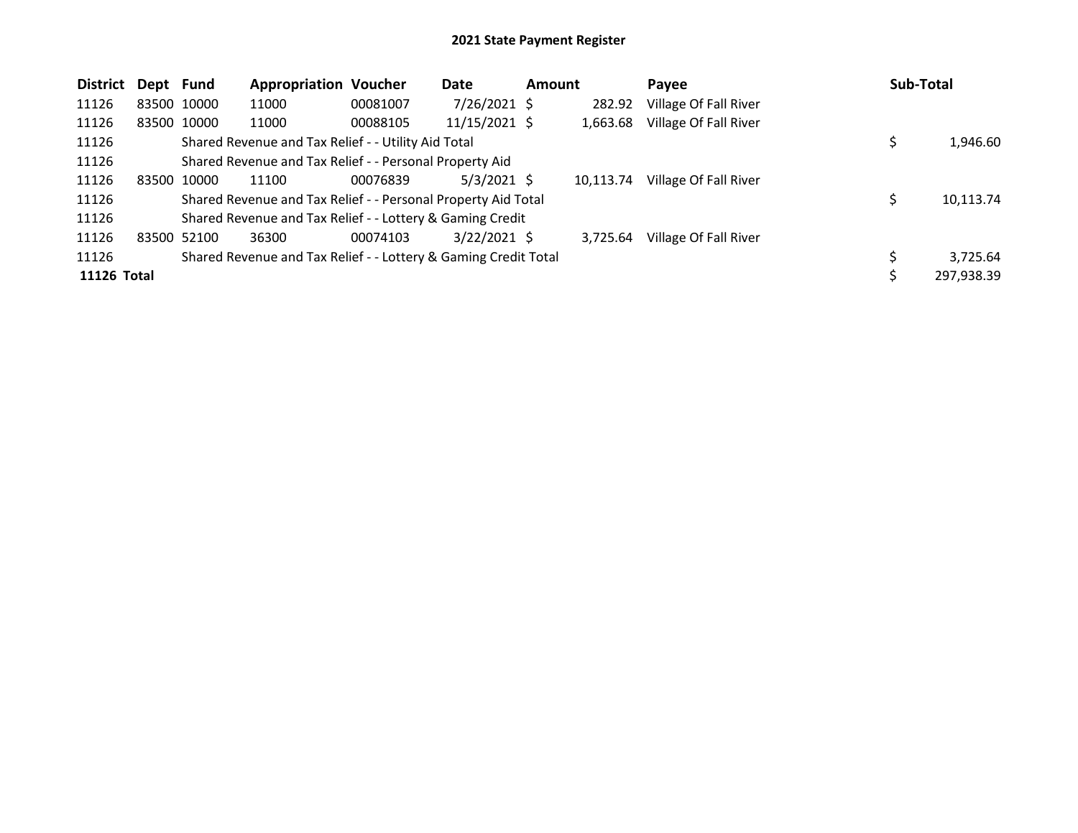| <b>District</b> | Dept Fund |             | <b>Appropriation Voucher</b>                                    |          | Date           | Amount |           | <b>Pavee</b>          | Sub-Total |            |
|-----------------|-----------|-------------|-----------------------------------------------------------------|----------|----------------|--------|-----------|-----------------------|-----------|------------|
| 11126           |           | 83500 10000 | 11000                                                           | 00081007 | $7/26/2021$ \$ |        | 282.92    | Village Of Fall River |           |            |
| 11126           |           | 83500 10000 | 11000                                                           | 00088105 | 11/15/2021 \$  |        | 1,663.68  | Village Of Fall River |           |            |
| 11126           |           |             | Shared Revenue and Tax Relief - - Utility Aid Total             |          |                |        |           |                       |           | 1,946.60   |
| 11126           |           |             | Shared Revenue and Tax Relief - - Personal Property Aid         |          |                |        |           |                       |           |            |
| 11126           |           | 83500 10000 | 11100                                                           | 00076839 | $5/3/2021$ \$  |        | 10.113.74 | Village Of Fall River |           |            |
| 11126           |           |             | Shared Revenue and Tax Relief - - Personal Property Aid Total   |          |                |        |           |                       |           | 10,113.74  |
| 11126           |           |             | Shared Revenue and Tax Relief - - Lottery & Gaming Credit       |          |                |        |           |                       |           |            |
| 11126           |           | 83500 52100 | 36300                                                           | 00074103 | $3/22/2021$ \$ |        | 3,725.64  | Village Of Fall River |           |            |
| 11126           |           |             | Shared Revenue and Tax Relief - - Lottery & Gaming Credit Total |          |                |        |           |                       |           | 3,725.64   |
| 11126 Total     |           |             |                                                                 |          |                |        |           |                       |           | 297,938.39 |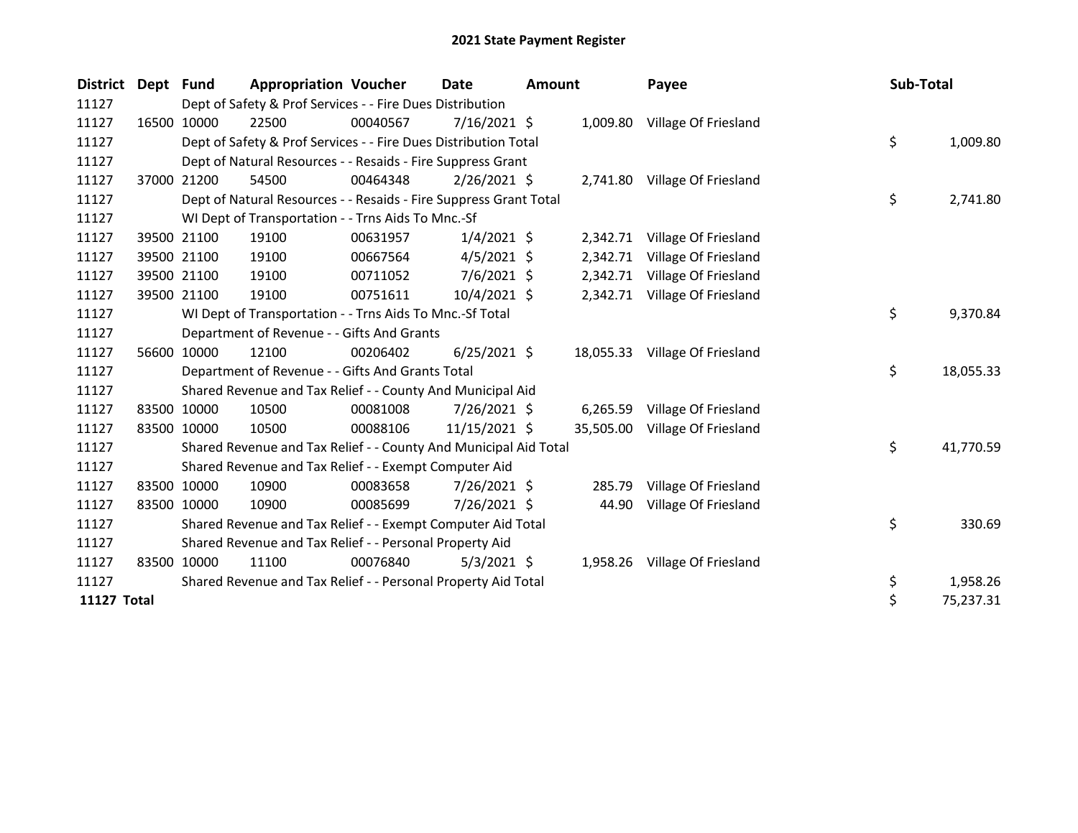| <b>District</b> | Dept Fund |             | <b>Appropriation Voucher</b>                                      |          | Date           | <b>Amount</b> |           | Payee                          | Sub-Total |           |
|-----------------|-----------|-------------|-------------------------------------------------------------------|----------|----------------|---------------|-----------|--------------------------------|-----------|-----------|
| 11127           |           |             | Dept of Safety & Prof Services - - Fire Dues Distribution         |          |                |               |           |                                |           |           |
| 11127           |           | 16500 10000 | 22500                                                             | 00040567 | $7/16/2021$ \$ |               |           | 1,009.80 Village Of Friesland  |           |           |
| 11127           |           |             | Dept of Safety & Prof Services - - Fire Dues Distribution Total   |          |                |               |           |                                | \$        | 1,009.80  |
| 11127           |           |             | Dept of Natural Resources - - Resaids - Fire Suppress Grant       |          |                |               |           |                                |           |           |
| 11127           |           | 37000 21200 | 54500                                                             | 00464348 | $2/26/2021$ \$ |               |           | 2,741.80 Village Of Friesland  |           |           |
| 11127           |           |             | Dept of Natural Resources - - Resaids - Fire Suppress Grant Total |          |                |               |           |                                | \$        | 2,741.80  |
| 11127           |           |             | WI Dept of Transportation - - Trns Aids To Mnc.-Sf                |          |                |               |           |                                |           |           |
| 11127           |           | 39500 21100 | 19100                                                             | 00631957 | $1/4/2021$ \$  |               | 2,342.71  | Village Of Friesland           |           |           |
| 11127           |           | 39500 21100 | 19100                                                             | 00667564 | $4/5/2021$ \$  |               | 2,342.71  | Village Of Friesland           |           |           |
| 11127           |           | 39500 21100 | 19100                                                             | 00711052 | $7/6/2021$ \$  |               | 2,342.71  | Village Of Friesland           |           |           |
| 11127           |           | 39500 21100 | 19100                                                             | 00751611 | $10/4/2021$ \$ |               |           | 2,342.71 Village Of Friesland  |           |           |
| 11127           |           |             | WI Dept of Transportation - - Trns Aids To Mnc.-Sf Total          |          |                |               |           |                                | \$        | 9,370.84  |
| 11127           |           |             | Department of Revenue - - Gifts And Grants                        |          |                |               |           |                                |           |           |
| 11127           |           | 56600 10000 | 12100                                                             | 00206402 | $6/25/2021$ \$ |               |           | 18,055.33 Village Of Friesland |           |           |
| 11127           |           |             | Department of Revenue - - Gifts And Grants Total                  |          |                |               |           |                                | \$        | 18,055.33 |
| 11127           |           |             | Shared Revenue and Tax Relief - - County And Municipal Aid        |          |                |               |           |                                |           |           |
| 11127           |           | 83500 10000 | 10500                                                             | 00081008 | 7/26/2021 \$   |               | 6,265.59  | Village Of Friesland           |           |           |
| 11127           |           | 83500 10000 | 10500                                                             | 00088106 | 11/15/2021 \$  |               | 35,505.00 | Village Of Friesland           |           |           |
| 11127           |           |             | Shared Revenue and Tax Relief - - County And Municipal Aid Total  |          |                |               |           |                                | \$        | 41,770.59 |
| 11127           |           |             | Shared Revenue and Tax Relief - - Exempt Computer Aid             |          |                |               |           |                                |           |           |
| 11127           |           | 83500 10000 | 10900                                                             | 00083658 | 7/26/2021 \$   |               | 285.79    | Village Of Friesland           |           |           |
| 11127           |           | 83500 10000 | 10900                                                             | 00085699 | 7/26/2021 \$   |               | 44.90     | Village Of Friesland           |           |           |
| 11127           |           |             | Shared Revenue and Tax Relief - - Exempt Computer Aid Total       |          |                |               |           |                                | \$        | 330.69    |
| 11127           |           |             | Shared Revenue and Tax Relief - - Personal Property Aid           |          |                |               |           |                                |           |           |
| 11127           |           | 83500 10000 | 11100                                                             | 00076840 | $5/3/2021$ \$  |               | 1,958.26  | Village Of Friesland           |           |           |
| 11127           |           |             | Shared Revenue and Tax Relief - - Personal Property Aid Total     |          |                |               |           |                                | \$        | 1,958.26  |
| 11127 Total     |           |             |                                                                   |          |                |               |           |                                | \$        | 75,237.31 |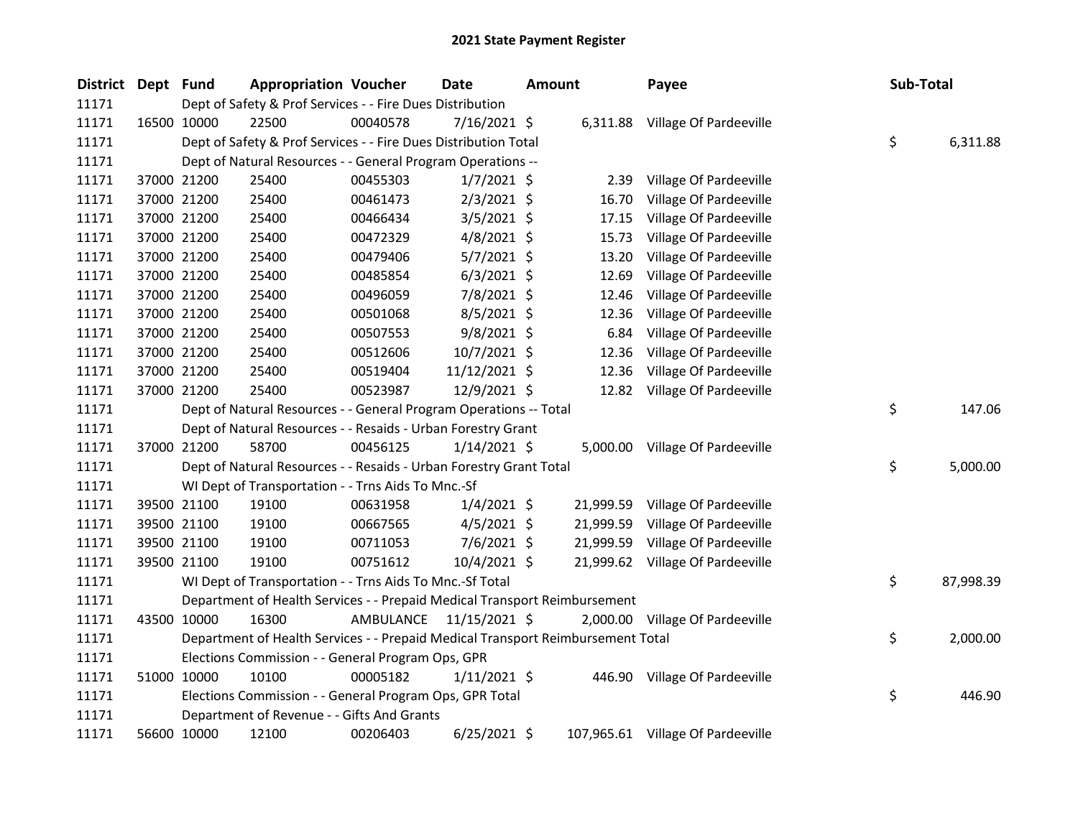| District Dept Fund |             | <b>Appropriation Voucher</b>                                                    |           | <b>Date</b>    | <b>Amount</b> |           | Payee                             | Sub-Total |           |
|--------------------|-------------|---------------------------------------------------------------------------------|-----------|----------------|---------------|-----------|-----------------------------------|-----------|-----------|
| 11171              |             | Dept of Safety & Prof Services - - Fire Dues Distribution                       |           |                |               |           |                                   |           |           |
| 11171              | 16500 10000 | 22500                                                                           | 00040578  | 7/16/2021 \$   |               |           | 6,311.88 Village Of Pardeeville   |           |           |
| 11171              |             | Dept of Safety & Prof Services - - Fire Dues Distribution Total                 |           |                |               |           |                                   | \$        | 6,311.88  |
| 11171              |             | Dept of Natural Resources - - General Program Operations --                     |           |                |               |           |                                   |           |           |
| 11171              | 37000 21200 | 25400                                                                           | 00455303  | $1/7/2021$ \$  |               | 2.39      | Village Of Pardeeville            |           |           |
| 11171              | 37000 21200 | 25400                                                                           | 00461473  | $2/3/2021$ \$  |               | 16.70     | Village Of Pardeeville            |           |           |
| 11171              | 37000 21200 | 25400                                                                           | 00466434  | $3/5/2021$ \$  |               | 17.15     | Village Of Pardeeville            |           |           |
| 11171              | 37000 21200 | 25400                                                                           | 00472329  | $4/8/2021$ \$  |               | 15.73     | Village Of Pardeeville            |           |           |
| 11171              | 37000 21200 | 25400                                                                           | 00479406  | $5/7/2021$ \$  |               | 13.20     | Village Of Pardeeville            |           |           |
| 11171              | 37000 21200 | 25400                                                                           | 00485854  | $6/3/2021$ \$  |               | 12.69     | Village Of Pardeeville            |           |           |
| 11171              | 37000 21200 | 25400                                                                           | 00496059  | 7/8/2021 \$    |               | 12.46     | Village Of Pardeeville            |           |           |
| 11171              | 37000 21200 | 25400                                                                           | 00501068  | $8/5/2021$ \$  |               | 12.36     | Village Of Pardeeville            |           |           |
| 11171              | 37000 21200 | 25400                                                                           | 00507553  | $9/8/2021$ \$  |               | 6.84      | Village Of Pardeeville            |           |           |
| 11171              | 37000 21200 | 25400                                                                           | 00512606  | 10/7/2021 \$   |               | 12.36     | Village Of Pardeeville            |           |           |
| 11171              | 37000 21200 | 25400                                                                           | 00519404  | 11/12/2021 \$  |               | 12.36     | Village Of Pardeeville            |           |           |
| 11171              | 37000 21200 | 25400                                                                           | 00523987  | 12/9/2021 \$   |               | 12.82     | Village Of Pardeeville            |           |           |
| 11171              |             | Dept of Natural Resources - - General Program Operations -- Total               |           |                |               |           |                                   | \$        | 147.06    |
| 11171              |             | Dept of Natural Resources - - Resaids - Urban Forestry Grant                    |           |                |               |           |                                   |           |           |
| 11171              | 37000 21200 | 58700                                                                           | 00456125  | $1/14/2021$ \$ |               |           | 5,000.00 Village Of Pardeeville   |           |           |
| 11171              |             | Dept of Natural Resources - - Resaids - Urban Forestry Grant Total              |           |                |               |           |                                   | \$        | 5,000.00  |
| 11171              |             | WI Dept of Transportation - - Trns Aids To Mnc.-Sf                              |           |                |               |           |                                   |           |           |
| 11171              | 39500 21100 | 19100                                                                           | 00631958  | $1/4/2021$ \$  |               | 21,999.59 | Village Of Pardeeville            |           |           |
| 11171              | 39500 21100 | 19100                                                                           | 00667565  | $4/5/2021$ \$  |               | 21,999.59 | Village Of Pardeeville            |           |           |
| 11171              | 39500 21100 | 19100                                                                           | 00711053  | $7/6/2021$ \$  |               |           | 21,999.59 Village Of Pardeeville  |           |           |
| 11171              | 39500 21100 | 19100                                                                           | 00751612  | 10/4/2021 \$   |               |           | 21,999.62 Village Of Pardeeville  |           |           |
| 11171              |             | WI Dept of Transportation - - Trns Aids To Mnc.-Sf Total                        |           |                |               |           |                                   | \$        | 87,998.39 |
| 11171              |             | Department of Health Services - - Prepaid Medical Transport Reimbursement       |           |                |               |           |                                   |           |           |
| 11171              | 43500 10000 | 16300                                                                           | AMBULANCE | 11/15/2021 \$  |               |           | 2,000.00 Village Of Pardeeville   |           |           |
| 11171              |             | Department of Health Services - - Prepaid Medical Transport Reimbursement Total |           |                |               |           |                                   | \$        | 2,000.00  |
| 11171              |             | Elections Commission - - General Program Ops, GPR                               |           |                |               |           |                                   |           |           |
| 11171              | 51000 10000 | 10100                                                                           | 00005182  | $1/11/2021$ \$ |               |           | 446.90 Village Of Pardeeville     |           |           |
| 11171              |             | Elections Commission - - General Program Ops, GPR Total                         |           |                |               |           |                                   | \$        | 446.90    |
| 11171              |             | Department of Revenue - - Gifts And Grants                                      |           |                |               |           |                                   |           |           |
| 11171              | 56600 10000 | 12100                                                                           | 00206403  | $6/25/2021$ \$ |               |           | 107,965.61 Village Of Pardeeville |           |           |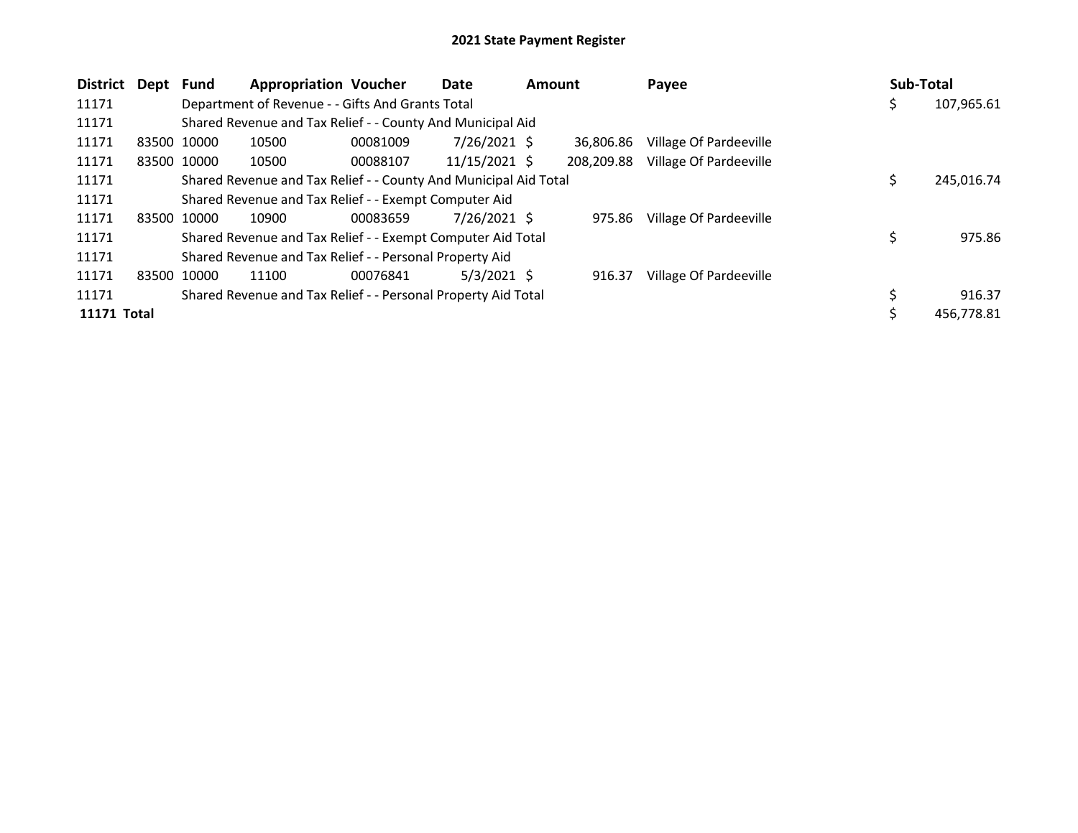| <b>District</b> | Dept        | <b>Fund</b> | <b>Appropriation Voucher</b>                                     |          | Date            | <b>Amount</b> |            | Payee                  |  | Sub-Total |            |
|-----------------|-------------|-------------|------------------------------------------------------------------|----------|-----------------|---------------|------------|------------------------|--|-----------|------------|
| 11171           |             |             | Department of Revenue - - Gifts And Grants Total                 |          |                 |               |            |                        |  | Ş         | 107,965.61 |
| 11171           |             |             | Shared Revenue and Tax Relief - - County And Municipal Aid       |          |                 |               |            |                        |  |           |            |
| 11171           | 83500 10000 |             | 10500                                                            | 00081009 | 7/26/2021 \$    |               | 36.806.86  | Village Of Pardeeville |  |           |            |
| 11171           |             | 83500 10000 | 10500                                                            | 00088107 | $11/15/2021$ \$ |               | 208,209.88 | Village Of Pardeeville |  |           |            |
| 11171           |             |             | Shared Revenue and Tax Relief - - County And Municipal Aid Total |          |                 |               |            |                        |  | \$        | 245,016.74 |
| 11171           |             |             | Shared Revenue and Tax Relief - - Exempt Computer Aid            |          |                 |               |            |                        |  |           |            |
| 11171           | 83500 10000 |             | 10900                                                            | 00083659 | $7/26/2021$ \$  |               | 975.86     | Village Of Pardeeville |  |           |            |
| 11171           |             |             | Shared Revenue and Tax Relief - - Exempt Computer Aid Total      |          |                 |               |            |                        |  | \$        | 975.86     |
| 11171           |             |             | Shared Revenue and Tax Relief - - Personal Property Aid          |          |                 |               |            |                        |  |           |            |
| 11171           | 83500 10000 |             | 11100                                                            | 00076841 | $5/3/2021$ \$   |               | 916.37     | Village Of Pardeeville |  |           |            |
| 11171           |             |             | Shared Revenue and Tax Relief - - Personal Property Aid Total    |          |                 |               |            |                        |  |           | 916.37     |
| 11171 Total     |             |             |                                                                  |          |                 |               |            |                        |  |           | 456.778.81 |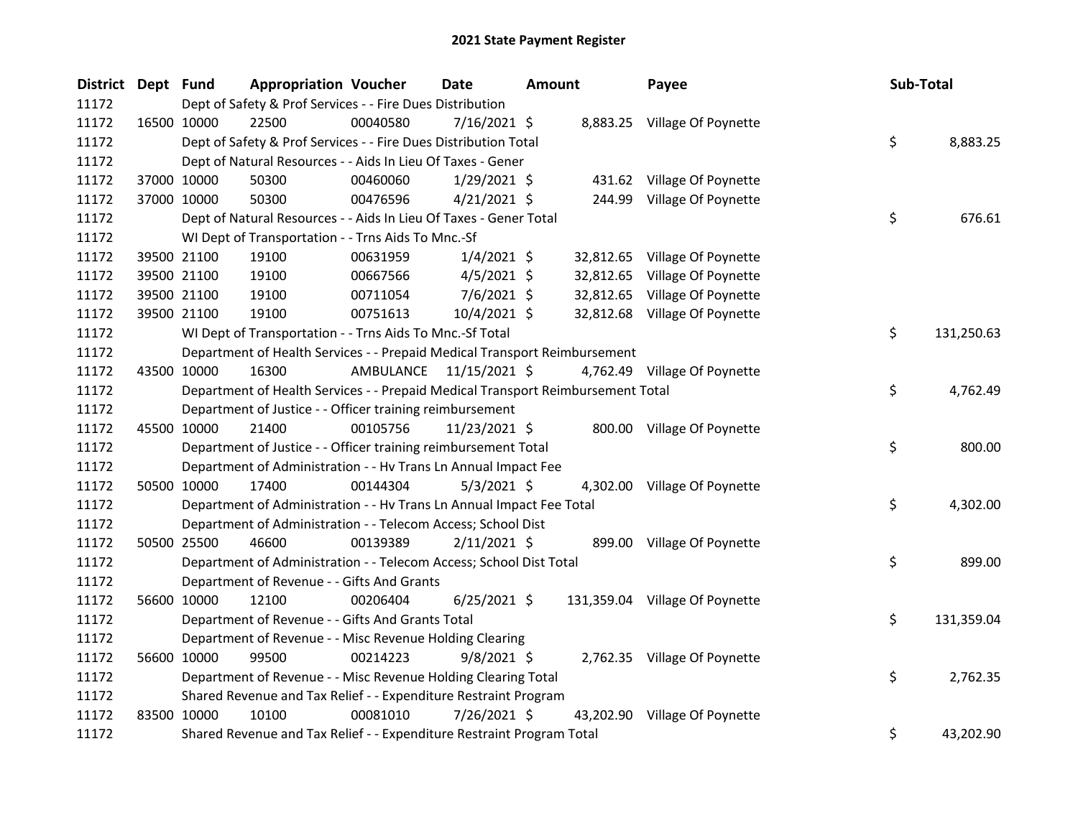| District Dept Fund | <b>Appropriation Voucher</b>                                                    |          | Date                    | <b>Amount</b> | Payee                          | Sub-Total |            |
|--------------------|---------------------------------------------------------------------------------|----------|-------------------------|---------------|--------------------------------|-----------|------------|
| 11172              | Dept of Safety & Prof Services - - Fire Dues Distribution                       |          |                         |               |                                |           |            |
| 11172              | 22500<br>16500 10000                                                            | 00040580 | 7/16/2021 \$            |               | 8,883.25 Village Of Poynette   |           |            |
| 11172              | Dept of Safety & Prof Services - - Fire Dues Distribution Total                 |          |                         |               |                                | \$        | 8,883.25   |
| 11172              | Dept of Natural Resources - - Aids In Lieu Of Taxes - Gener                     |          |                         |               |                                |           |            |
| 11172              | 37000 10000<br>50300                                                            | 00460060 | $1/29/2021$ \$          |               | 431.62 Village Of Poynette     |           |            |
| 11172              | 37000 10000<br>50300                                                            | 00476596 | $4/21/2021$ \$          |               | 244.99 Village Of Poynette     |           |            |
| 11172              | Dept of Natural Resources - - Aids In Lieu Of Taxes - Gener Total               |          |                         |               |                                | \$        | 676.61     |
| 11172              | WI Dept of Transportation - - Trns Aids To Mnc.-Sf                              |          |                         |               |                                |           |            |
| 11172              | 19100<br>39500 21100                                                            | 00631959 | $1/4/2021$ \$           |               | 32,812.65 Village Of Poynette  |           |            |
| 11172              | 19100<br>39500 21100                                                            | 00667566 | $4/5/2021$ \$           |               | 32,812.65 Village Of Poynette  |           |            |
| 11172              | 39500 21100<br>19100                                                            | 00711054 | 7/6/2021 \$             |               | 32,812.65 Village Of Poynette  |           |            |
| 11172              | 39500 21100<br>19100                                                            | 00751613 | 10/4/2021 \$            |               | 32,812.68 Village Of Poynette  |           |            |
| 11172              | WI Dept of Transportation - - Trns Aids To Mnc.-Sf Total                        |          |                         |               |                                | \$        | 131,250.63 |
| 11172              | Department of Health Services - - Prepaid Medical Transport Reimbursement       |          |                         |               |                                |           |            |
| 11172              | 43500 10000<br>16300                                                            |          | AMBULANCE 11/15/2021 \$ |               | 4,762.49 Village Of Poynette   |           |            |
| 11172              | Department of Health Services - - Prepaid Medical Transport Reimbursement Total |          |                         |               |                                | \$        | 4,762.49   |
| 11172              | Department of Justice - - Officer training reimbursement                        |          |                         |               |                                |           |            |
| 11172              | 45500 10000<br>21400                                                            | 00105756 | 11/23/2021 \$           |               | 800.00 Village Of Poynette     |           |            |
| 11172              | Department of Justice - - Officer training reimbursement Total                  |          |                         |               |                                | \$        | 800.00     |
| 11172              | Department of Administration - - Hv Trans Ln Annual Impact Fee                  |          |                         |               |                                |           |            |
| 11172              | 50500 10000<br>17400                                                            | 00144304 | $5/3/2021$ \$           |               | 4,302.00 Village Of Poynette   |           |            |
| 11172              | Department of Administration - - Hv Trans Ln Annual Impact Fee Total            |          |                         |               |                                | \$        | 4,302.00   |
| 11172              | Department of Administration - - Telecom Access; School Dist                    |          |                         |               |                                |           |            |
| 11172              | 46600<br>50500 25500                                                            | 00139389 | $2/11/2021$ \$          |               | 899.00 Village Of Poynette     |           |            |
| 11172              | Department of Administration - - Telecom Access; School Dist Total              |          |                         |               |                                | \$        | 899.00     |
| 11172              | Department of Revenue - - Gifts And Grants                                      |          |                         |               |                                |           |            |
| 11172              | 56600 10000<br>12100                                                            | 00206404 | $6/25/2021$ \$          |               | 131,359.04 Village Of Poynette |           |            |
| 11172              | Department of Revenue - - Gifts And Grants Total                                |          |                         |               |                                | \$        | 131,359.04 |
| 11172              | Department of Revenue - - Misc Revenue Holding Clearing                         |          |                         |               |                                |           |            |
| 11172              | 56600 10000<br>99500                                                            | 00214223 | $9/8/2021$ \$           |               | 2,762.35 Village Of Poynette   |           |            |
| 11172              | Department of Revenue - - Misc Revenue Holding Clearing Total                   |          |                         |               |                                | \$        | 2,762.35   |
| 11172              | Shared Revenue and Tax Relief - - Expenditure Restraint Program                 |          |                         |               |                                |           |            |
| 11172              | 83500 10000<br>10100                                                            | 00081010 | 7/26/2021 \$            |               | 43,202.90 Village Of Poynette  |           |            |
| 11172              | Shared Revenue and Tax Relief - - Expenditure Restraint Program Total           |          |                         |               |                                | \$        | 43,202.90  |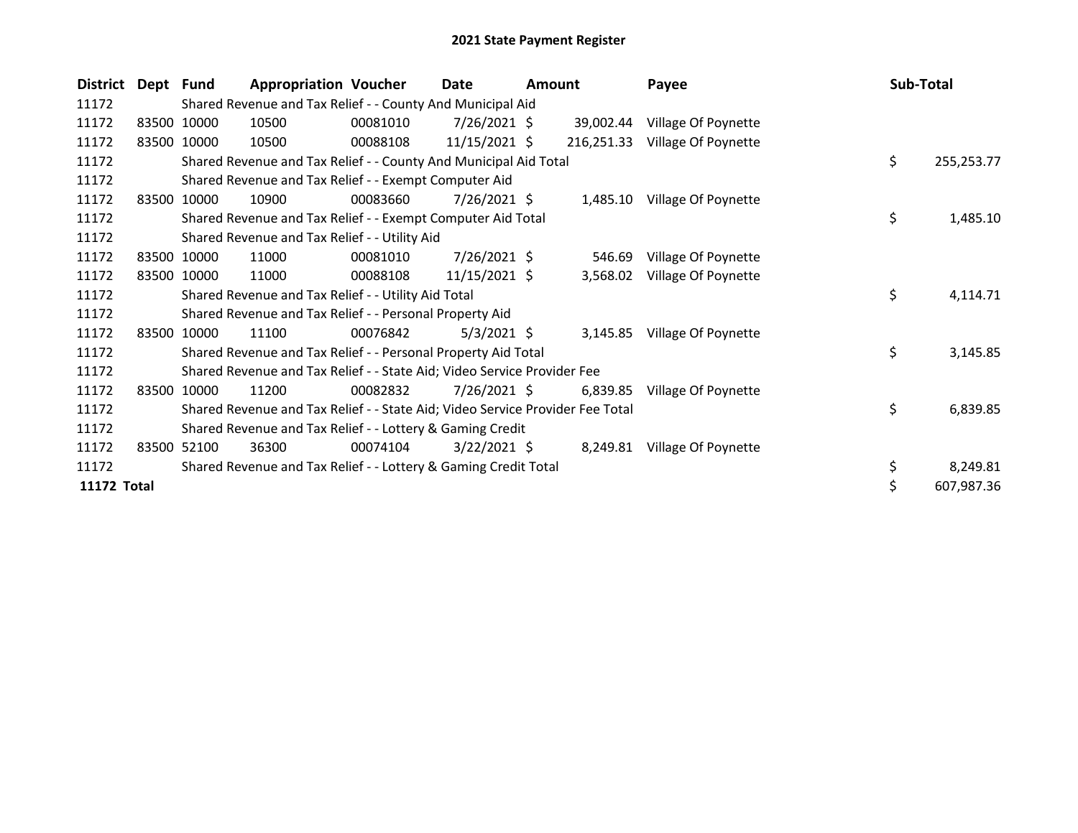| <b>District</b>    | Dept Fund |             | <b>Appropriation Voucher</b>                                                  |          | Date            | <b>Amount</b> |            | Payee                        | Sub-Total |            |
|--------------------|-----------|-------------|-------------------------------------------------------------------------------|----------|-----------------|---------------|------------|------------------------------|-----------|------------|
| 11172              |           |             | Shared Revenue and Tax Relief - - County And Municipal Aid                    |          |                 |               |            |                              |           |            |
| 11172              |           | 83500 10000 | 10500                                                                         | 00081010 | 7/26/2021 \$    |               | 39,002.44  | Village Of Poynette          |           |            |
| 11172              |           | 83500 10000 | 10500                                                                         | 00088108 | $11/15/2021$ \$ |               | 216,251.33 | Village Of Poynette          |           |            |
| 11172              |           |             | Shared Revenue and Tax Relief - - County And Municipal Aid Total              |          |                 |               |            |                              | \$        | 255,253.77 |
| 11172              |           |             | Shared Revenue and Tax Relief - - Exempt Computer Aid                         |          |                 |               |            |                              |           |            |
| 11172              | 83500     | 10000       | 10900                                                                         | 00083660 | 7/26/2021 \$    |               |            | 1,485.10 Village Of Poynette |           |            |
| 11172              |           |             | Shared Revenue and Tax Relief - - Exempt Computer Aid Total                   |          |                 |               |            |                              | \$        | 1,485.10   |
| 11172              |           |             | Shared Revenue and Tax Relief - - Utility Aid                                 |          |                 |               |            |                              |           |            |
| 11172              | 83500     | 10000       | 11000                                                                         | 00081010 | $7/26/2021$ \$  |               | 546.69     | Village Of Poynette          |           |            |
| 11172              |           | 83500 10000 | 11000                                                                         | 00088108 | $11/15/2021$ \$ |               | 3,568.02   | Village Of Poynette          |           |            |
| 11172              |           |             | Shared Revenue and Tax Relief - - Utility Aid Total                           |          |                 |               |            |                              | \$        | 4,114.71   |
| 11172              |           |             | Shared Revenue and Tax Relief - - Personal Property Aid                       |          |                 |               |            |                              |           |            |
| 11172              | 83500     | 10000       | 11100                                                                         | 00076842 | $5/3/2021$ \$   |               | 3,145.85   | Village Of Poynette          |           |            |
| 11172              |           |             | Shared Revenue and Tax Relief - - Personal Property Aid Total                 |          |                 |               |            |                              | \$        | 3,145.85   |
| 11172              |           |             | Shared Revenue and Tax Relief - - State Aid; Video Service Provider Fee       |          |                 |               |            |                              |           |            |
| 11172              | 83500     | 10000       | 11200                                                                         | 00082832 | 7/26/2021 \$    |               | 6,839.85   | Village Of Poynette          |           |            |
| 11172              |           |             | Shared Revenue and Tax Relief - - State Aid; Video Service Provider Fee Total |          |                 |               |            |                              | \$        | 6,839.85   |
| 11172              |           |             | Shared Revenue and Tax Relief - - Lottery & Gaming Credit                     |          |                 |               |            |                              |           |            |
| 11172              | 83500     | 52100       | 36300                                                                         | 00074104 | $3/22/2021$ \$  |               |            | 8,249.81 Village Of Poynette |           |            |
| 11172              |           |             | Shared Revenue and Tax Relief - - Lottery & Gaming Credit Total               |          |                 |               |            |                              | \$        | 8,249.81   |
| <b>11172 Total</b> |           |             |                                                                               |          |                 |               |            |                              | \$        | 607,987.36 |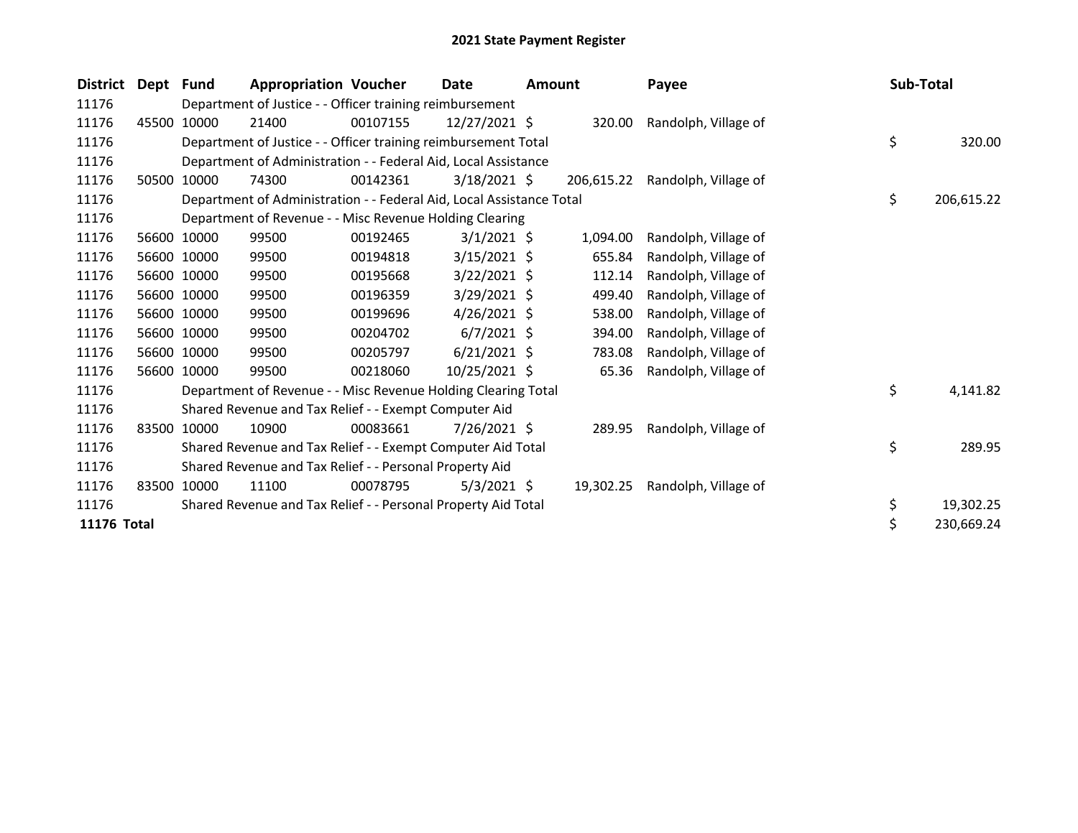| <b>District</b> | Dept Fund |             | <b>Appropriation Voucher</b>                                         |          | Date           | <b>Amount</b> |            | Payee                | Sub-Total |            |
|-----------------|-----------|-------------|----------------------------------------------------------------------|----------|----------------|---------------|------------|----------------------|-----------|------------|
| 11176           |           |             | Department of Justice - - Officer training reimbursement             |          |                |               |            |                      |           |            |
| 11176           | 45500     | 10000       | 21400                                                                | 00107155 | 12/27/2021 \$  |               | 320.00     | Randolph, Village of |           |            |
| 11176           |           |             | Department of Justice - - Officer training reimbursement Total       |          |                |               |            |                      | \$        | 320.00     |
| 11176           |           |             | Department of Administration - - Federal Aid, Local Assistance       |          |                |               |            |                      |           |            |
| 11176           | 50500     | 10000       | 74300                                                                | 00142361 | $3/18/2021$ \$ |               | 206,615.22 | Randolph, Village of |           |            |
| 11176           |           |             | Department of Administration - - Federal Aid, Local Assistance Total |          |                |               |            |                      | \$        | 206,615.22 |
| 11176           |           |             | Department of Revenue - - Misc Revenue Holding Clearing              |          |                |               |            |                      |           |            |
| 11176           |           | 56600 10000 | 99500                                                                | 00192465 | $3/1/2021$ \$  |               | 1,094.00   | Randolph, Village of |           |            |
| 11176           |           | 56600 10000 | 99500                                                                | 00194818 | $3/15/2021$ \$ |               | 655.84     | Randolph, Village of |           |            |
| 11176           |           | 56600 10000 | 99500                                                                | 00195668 | $3/22/2021$ \$ |               | 112.14     | Randolph, Village of |           |            |
| 11176           |           | 56600 10000 | 99500                                                                | 00196359 | $3/29/2021$ \$ |               | 499.40     | Randolph, Village of |           |            |
| 11176           |           | 56600 10000 | 99500                                                                | 00199696 | $4/26/2021$ \$ |               | 538.00     | Randolph, Village of |           |            |
| 11176           |           | 56600 10000 | 99500                                                                | 00204702 | $6/7/2021$ \$  |               | 394.00     | Randolph, Village of |           |            |
| 11176           |           | 56600 10000 | 99500                                                                | 00205797 | $6/21/2021$ \$ |               | 783.08     | Randolph, Village of |           |            |
| 11176           |           | 56600 10000 | 99500                                                                | 00218060 | 10/25/2021 \$  |               | 65.36      | Randolph, Village of |           |            |
| 11176           |           |             | Department of Revenue - - Misc Revenue Holding Clearing Total        |          |                |               |            |                      | \$        | 4,141.82   |
| 11176           |           |             | Shared Revenue and Tax Relief - - Exempt Computer Aid                |          |                |               |            |                      |           |            |
| 11176           |           | 83500 10000 | 10900                                                                | 00083661 | 7/26/2021 \$   |               | 289.95     | Randolph, Village of |           |            |
| 11176           |           |             | Shared Revenue and Tax Relief - - Exempt Computer Aid Total          |          |                |               |            |                      | \$        | 289.95     |
| 11176           |           |             | Shared Revenue and Tax Relief - - Personal Property Aid              |          |                |               |            |                      |           |            |
| 11176           | 83500     | 10000       | 11100                                                                | 00078795 | $5/3/2021$ \$  |               | 19,302.25  | Randolph, Village of |           |            |
| 11176           |           |             | Shared Revenue and Tax Relief - - Personal Property Aid Total        |          |                |               |            |                      | \$        | 19,302.25  |
| 11176 Total     |           |             |                                                                      |          |                |               |            |                      |           | 230,669.24 |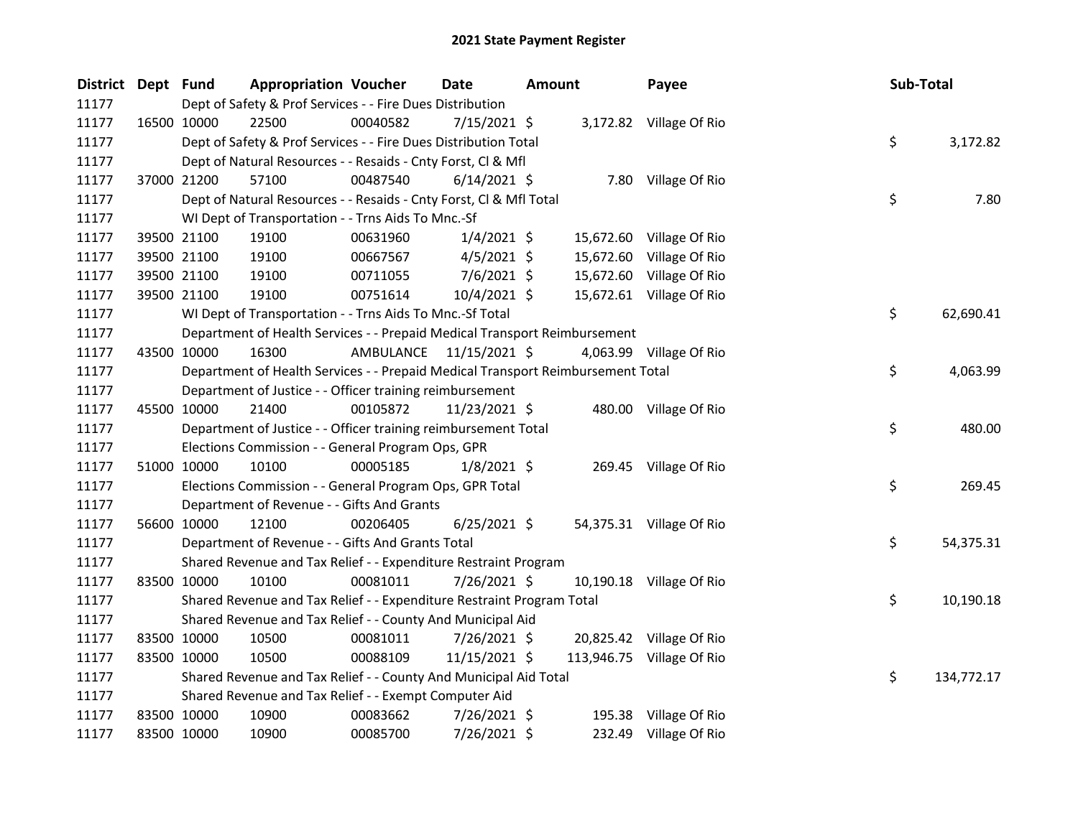| District Dept Fund |             |                                                                                 | <b>Appropriation Voucher</b> | <b>Date</b>    | Amount |  | Payee                     | Sub-Total |            |
|--------------------|-------------|---------------------------------------------------------------------------------|------------------------------|----------------|--------|--|---------------------------|-----------|------------|
| 11177              |             | Dept of Safety & Prof Services - - Fire Dues Distribution                       |                              |                |        |  |                           |           |            |
| 11177              |             | 16500 10000<br>22500                                                            | 00040582                     | 7/15/2021 \$   |        |  | 3,172.82 Village Of Rio   |           |            |
| 11177              |             | Dept of Safety & Prof Services - - Fire Dues Distribution Total                 |                              |                |        |  |                           | \$        | 3,172.82   |
| 11177              |             | Dept of Natural Resources - - Resaids - Cnty Forst, Cl & Mfl                    |                              |                |        |  |                           |           |            |
| 11177              |             | 57100<br>37000 21200                                                            | 00487540                     | $6/14/2021$ \$ |        |  | 7.80 Village Of Rio       |           |            |
| 11177              |             | Dept of Natural Resources - - Resaids - Cnty Forst, Cl & Mfl Total              |                              |                |        |  |                           | \$        | 7.80       |
| 11177              |             | WI Dept of Transportation - - Trns Aids To Mnc.-Sf                              |                              |                |        |  |                           |           |            |
| 11177              |             | 19100<br>39500 21100                                                            | 00631960                     | $1/4/2021$ \$  |        |  | 15,672.60 Village Of Rio  |           |            |
| 11177              |             | 39500 21100<br>19100                                                            | 00667567                     | $4/5/2021$ \$  |        |  | 15,672.60 Village Of Rio  |           |            |
| 11177              |             | 39500 21100<br>19100                                                            | 00711055                     | 7/6/2021 \$    |        |  | 15,672.60 Village Of Rio  |           |            |
| 11177              |             | 19100<br>39500 21100                                                            | 00751614                     | $10/4/2021$ \$ |        |  | 15,672.61 Village Of Rio  |           |            |
| 11177              |             | WI Dept of Transportation - - Trns Aids To Mnc.-Sf Total                        |                              |                |        |  |                           | \$        | 62,690.41  |
| 11177              |             | Department of Health Services - - Prepaid Medical Transport Reimbursement       |                              |                |        |  |                           |           |            |
| 11177              |             | 43500 10000<br>16300                                                            | AMBULANCE                    | 11/15/2021 \$  |        |  | 4,063.99 Village Of Rio   |           |            |
| 11177              |             | Department of Health Services - - Prepaid Medical Transport Reimbursement Total |                              |                |        |  |                           | \$        | 4,063.99   |
| 11177              |             | Department of Justice - - Officer training reimbursement                        |                              |                |        |  |                           |           |            |
| 11177              |             | 45500 10000<br>21400                                                            | 00105872                     | 11/23/2021 \$  |        |  | 480.00 Village Of Rio     |           |            |
| 11177              |             | Department of Justice - - Officer training reimbursement Total                  |                              |                |        |  |                           | \$        | 480.00     |
| 11177              |             | Elections Commission - - General Program Ops, GPR                               |                              |                |        |  |                           |           |            |
| 11177              |             | 51000 10000<br>10100                                                            | 00005185                     | $1/8/2021$ \$  |        |  | 269.45 Village Of Rio     |           |            |
| 11177              |             | Elections Commission - - General Program Ops, GPR Total                         |                              |                |        |  |                           | \$        | 269.45     |
| 11177              |             | Department of Revenue - - Gifts And Grants                                      |                              |                |        |  |                           |           |            |
| 11177              |             | 56600 10000<br>12100                                                            | 00206405                     | $6/25/2021$ \$ |        |  | 54,375.31 Village Of Rio  |           |            |
| 11177              |             | Department of Revenue - - Gifts And Grants Total                                |                              |                |        |  |                           | \$        | 54,375.31  |
| 11177              |             | Shared Revenue and Tax Relief - - Expenditure Restraint Program                 |                              |                |        |  |                           |           |            |
| 11177              |             | 83500 10000<br>10100                                                            | 00081011                     | 7/26/2021 \$   |        |  | 10,190.18 Village Of Rio  |           |            |
| 11177              |             | Shared Revenue and Tax Relief - - Expenditure Restraint Program Total           |                              |                |        |  |                           | \$.       | 10,190.18  |
| 11177              |             | Shared Revenue and Tax Relief - - County And Municipal Aid                      |                              |                |        |  |                           |           |            |
| 11177              |             | 83500 10000<br>10500                                                            | 00081011                     | $7/26/2021$ \$ |        |  | 20,825.42 Village Of Rio  |           |            |
| 11177              |             | 83500 10000<br>10500                                                            | 00088109                     | 11/15/2021 \$  |        |  | 113,946.75 Village Of Rio |           |            |
| 11177              |             | Shared Revenue and Tax Relief - - County And Municipal Aid Total                |                              |                |        |  |                           | \$        | 134,772.17 |
| 11177              |             | Shared Revenue and Tax Relief - - Exempt Computer Aid                           |                              |                |        |  |                           |           |            |
| 11177              |             | 83500 10000<br>10900                                                            | 00083662                     | 7/26/2021 \$   |        |  | 195.38 Village Of Rio     |           |            |
| 11177              | 83500 10000 | 10900                                                                           | 00085700                     | 7/26/2021 \$   |        |  | 232.49 Village Of Rio     |           |            |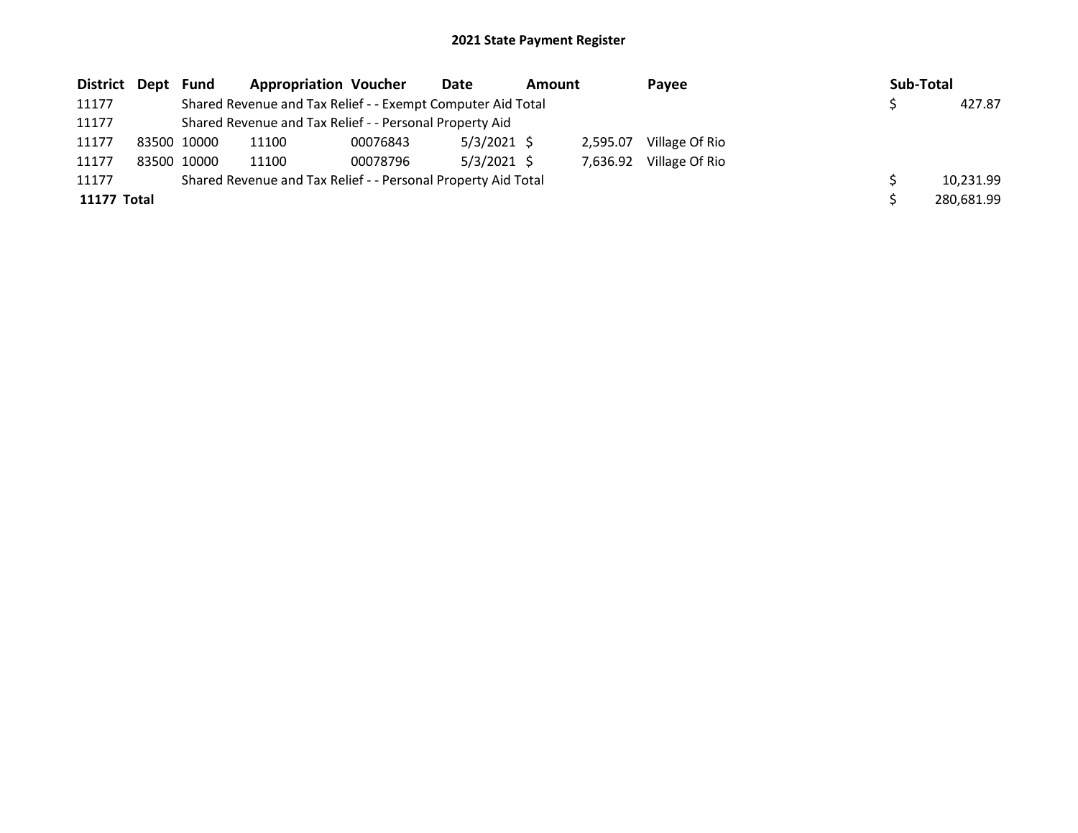| District Dept Fund |             | <b>Appropriation Voucher</b>                                  |          | Date          | <b>Amount</b> |          | Pavee          | Sub-Total |            |
|--------------------|-------------|---------------------------------------------------------------|----------|---------------|---------------|----------|----------------|-----------|------------|
| 11177              |             | Shared Revenue and Tax Relief - - Exempt Computer Aid Total   |          |               |               |          |                |           | 427.87     |
| 11177              |             | Shared Revenue and Tax Relief - - Personal Property Aid       |          |               |               |          |                |           |            |
| 11177              | 83500 10000 | 11100                                                         | 00076843 | $5/3/2021$ \$ |               | 2.595.07 | Village Of Rio |           |            |
| 11177              | 83500 10000 | 11100                                                         | 00078796 | $5/3/2021$ \$ |               | 7.636.92 | Village Of Rio |           |            |
| 11177              |             | Shared Revenue and Tax Relief - - Personal Property Aid Total |          |               |               |          |                |           | 10,231.99  |
| <b>11177 Total</b> |             |                                                               |          |               |               |          |                |           | 280,681.99 |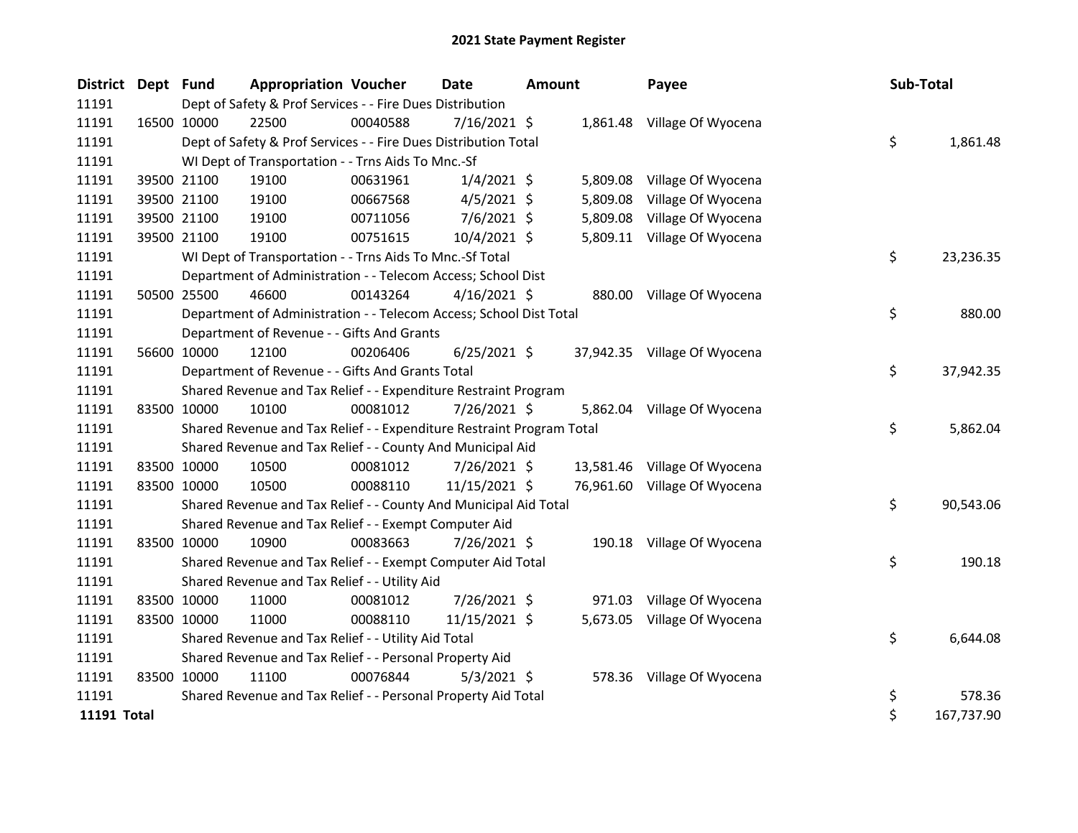| <b>District</b> | Dept Fund   |             | <b>Appropriation Voucher</b>                                          |          | <b>Date</b>    | <b>Amount</b> |          | Payee                        |    | Sub-Total  |  |
|-----------------|-------------|-------------|-----------------------------------------------------------------------|----------|----------------|---------------|----------|------------------------------|----|------------|--|
| 11191           |             |             | Dept of Safety & Prof Services - - Fire Dues Distribution             |          |                |               |          |                              |    |            |  |
| 11191           |             | 16500 10000 | 22500                                                                 | 00040588 | 7/16/2021 \$   |               |          | 1,861.48 Village Of Wyocena  |    |            |  |
| 11191           |             |             | Dept of Safety & Prof Services - - Fire Dues Distribution Total       |          |                |               |          |                              | \$ | 1,861.48   |  |
| 11191           |             |             | WI Dept of Transportation - - Trns Aids To Mnc.-Sf                    |          |                |               |          |                              |    |            |  |
| 11191           |             | 39500 21100 | 19100                                                                 | 00631961 | $1/4/2021$ \$  |               | 5,809.08 | Village Of Wyocena           |    |            |  |
| 11191           |             | 39500 21100 | 19100                                                                 | 00667568 | $4/5/2021$ \$  |               | 5,809.08 | Village Of Wyocena           |    |            |  |
| 11191           |             | 39500 21100 | 19100                                                                 | 00711056 | $7/6/2021$ \$  |               | 5,809.08 | Village Of Wyocena           |    |            |  |
| 11191           |             | 39500 21100 | 19100                                                                 | 00751615 | 10/4/2021 \$   |               |          | 5,809.11 Village Of Wyocena  |    |            |  |
| 11191           |             |             | WI Dept of Transportation - - Trns Aids To Mnc.-Sf Total              |          |                |               |          |                              | \$ | 23,236.35  |  |
| 11191           |             |             | Department of Administration - - Telecom Access; School Dist          |          |                |               |          |                              |    |            |  |
| 11191           |             | 50500 25500 | 46600                                                                 | 00143264 | $4/16/2021$ \$ |               |          | 880.00 Village Of Wyocena    |    |            |  |
| 11191           |             |             | Department of Administration - - Telecom Access; School Dist Total    |          |                |               |          |                              | \$ | 880.00     |  |
| 11191           |             |             | Department of Revenue - - Gifts And Grants                            |          |                |               |          |                              |    |            |  |
| 11191           |             | 56600 10000 | 12100                                                                 | 00206406 | $6/25/2021$ \$ |               |          | 37,942.35 Village Of Wyocena |    |            |  |
| 11191           |             |             | Department of Revenue - - Gifts And Grants Total                      |          |                |               |          |                              | \$ | 37,942.35  |  |
| 11191           |             |             | Shared Revenue and Tax Relief - - Expenditure Restraint Program       |          |                |               |          |                              |    |            |  |
| 11191           | 83500 10000 |             | 10100                                                                 | 00081012 | 7/26/2021 \$   |               | 5,862.04 | Village Of Wyocena           |    |            |  |
| 11191           |             |             | Shared Revenue and Tax Relief - - Expenditure Restraint Program Total |          |                |               |          |                              | \$ | 5,862.04   |  |
| 11191           |             |             | Shared Revenue and Tax Relief - - County And Municipal Aid            |          |                |               |          |                              |    |            |  |
| 11191           |             | 83500 10000 | 10500                                                                 | 00081012 | 7/26/2021 \$   |               |          | 13,581.46 Village Of Wyocena |    |            |  |
| 11191           |             | 83500 10000 | 10500                                                                 | 00088110 | 11/15/2021 \$  |               |          | 76,961.60 Village Of Wyocena |    |            |  |
| 11191           |             |             | Shared Revenue and Tax Relief - - County And Municipal Aid Total      |          |                |               |          |                              | \$ | 90,543.06  |  |
| 11191           |             |             | Shared Revenue and Tax Relief - - Exempt Computer Aid                 |          |                |               |          |                              |    |            |  |
| 11191           |             | 83500 10000 | 10900                                                                 | 00083663 | 7/26/2021 \$   |               |          | 190.18 Village Of Wyocena    |    |            |  |
| 11191           |             |             | Shared Revenue and Tax Relief - - Exempt Computer Aid Total           |          |                |               |          |                              | \$ | 190.18     |  |
| 11191           |             |             | Shared Revenue and Tax Relief - - Utility Aid                         |          |                |               |          |                              |    |            |  |
| 11191           | 83500 10000 |             | 11000                                                                 | 00081012 | 7/26/2021 \$   |               | 971.03   | Village Of Wyocena           |    |            |  |
| 11191           | 83500 10000 |             | 11000                                                                 | 00088110 | 11/15/2021 \$  |               |          | 5,673.05 Village Of Wyocena  |    |            |  |
| 11191           |             |             | Shared Revenue and Tax Relief - - Utility Aid Total                   |          |                |               |          |                              | \$ | 6,644.08   |  |
| 11191           |             |             | Shared Revenue and Tax Relief - - Personal Property Aid               |          |                |               |          |                              |    |            |  |
| 11191           | 83500 10000 |             | 11100                                                                 | 00076844 | $5/3/2021$ \$  |               |          | 578.36 Village Of Wyocena    |    |            |  |
| 11191           |             |             | Shared Revenue and Tax Relief - - Personal Property Aid Total         |          |                |               |          |                              | \$ | 578.36     |  |
| 11191 Total     |             |             |                                                                       |          |                |               |          |                              | \$ | 167,737.90 |  |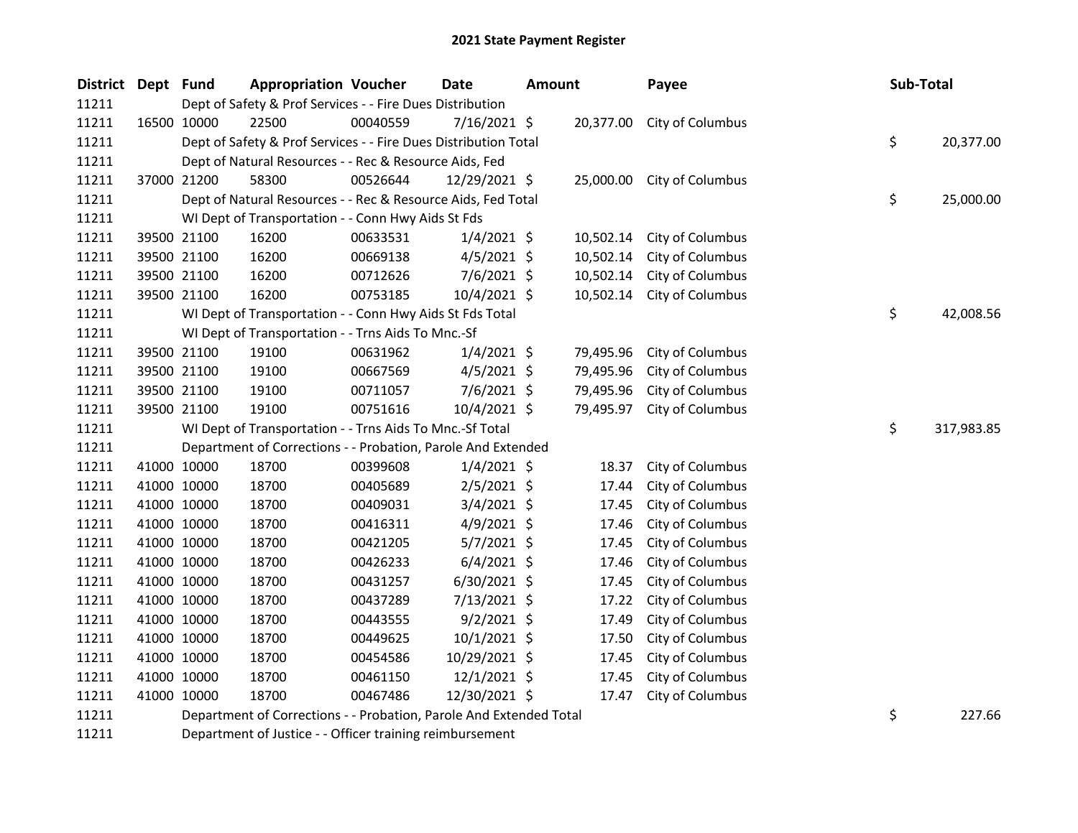| <b>District</b> | Dept Fund |             | <b>Appropriation Voucher</b>                                    |          | <b>Date</b>                                                                                                                                                                                                                       | <b>Amount</b> |           | Payee                      | Sub-Total |            |
|-----------------|-----------|-------------|-----------------------------------------------------------------|----------|-----------------------------------------------------------------------------------------------------------------------------------------------------------------------------------------------------------------------------------|---------------|-----------|----------------------------|-----------|------------|
| 11211           |           |             | Dept of Safety & Prof Services - - Fire Dues Distribution       |          |                                                                                                                                                                                                                                   |               |           |                            |           |            |
| 11211           |           | 16500 10000 | 22500                                                           | 00040559 | $7/16/2021$ \$                                                                                                                                                                                                                    |               |           | 20,377.00 City of Columbus |           |            |
| 11211           |           |             | Dept of Safety & Prof Services - - Fire Dues Distribution Total |          |                                                                                                                                                                                                                                   |               |           |                            | \$        | 20,377.00  |
| 11211           |           |             | Dept of Natural Resources - - Rec & Resource Aids, Fed          |          |                                                                                                                                                                                                                                   |               |           |                            |           |            |
| 11211           |           | 37000 21200 | 58300                                                           | 00526644 | 12/29/2021 \$                                                                                                                                                                                                                     |               | 25,000.00 | City of Columbus           |           |            |
| 11211           |           |             | Dept of Natural Resources - - Rec & Resource Aids, Fed Total    |          |                                                                                                                                                                                                                                   |               |           |                            | \$        | 25,000.00  |
| 11211           |           |             | WI Dept of Transportation - - Conn Hwy Aids St Fds              |          |                                                                                                                                                                                                                                   |               |           |                            |           |            |
| 11211           |           | 39500 21100 | 16200                                                           | 00633531 | $1/4/2021$ \$                                                                                                                                                                                                                     |               | 10,502.14 | City of Columbus           |           |            |
| 11211           |           | 39500 21100 | 16200                                                           | 00669138 | 4/5/2021 \$                                                                                                                                                                                                                       |               | 10,502.14 | City of Columbus           |           |            |
| 11211           |           | 39500 21100 | 16200                                                           | 00712626 | $7/6/2021$ \$                                                                                                                                                                                                                     |               | 10,502.14 | City of Columbus           |           |            |
| 11211           |           | 39500 21100 | 16200                                                           | 00753185 | 10/4/2021 \$                                                                                                                                                                                                                      |               | 10,502.14 | City of Columbus           |           |            |
| 11211           |           |             | WI Dept of Transportation - - Conn Hwy Aids St Fds Total        |          |                                                                                                                                                                                                                                   |               |           |                            | \$        | 42,008.56  |
| 11211           |           |             | WI Dept of Transportation - - Trns Aids To Mnc.-Sf              |          |                                                                                                                                                                                                                                   |               |           |                            |           |            |
| 11211           |           | 39500 21100 | 19100                                                           | 00631962 | $1/4/2021$ \$                                                                                                                                                                                                                     |               | 79,495.96 | City of Columbus           |           |            |
| 11211           |           | 39500 21100 | 19100                                                           | 00667569 | $4/5/2021$ \$                                                                                                                                                                                                                     |               | 79,495.96 | City of Columbus           |           |            |
| 11211           |           | 39500 21100 | 19100                                                           | 00711057 | $7/6/2021$ \$                                                                                                                                                                                                                     |               | 79,495.96 | City of Columbus           |           |            |
| 11211           |           | 39500 21100 | 19100                                                           | 00751616 | 10/4/2021 \$                                                                                                                                                                                                                      |               | 79,495.97 | City of Columbus           |           |            |
| 11211           |           |             | WI Dept of Transportation - - Trns Aids To Mnc.-Sf Total        |          |                                                                                                                                                                                                                                   |               |           |                            | \$        | 317,983.85 |
| 11211           |           |             | Department of Corrections - - Probation, Parole And Extended    |          |                                                                                                                                                                                                                                   |               |           |                            |           |            |
| 11211           |           | 41000 10000 | 18700                                                           | 00399608 | $1/4/2021$ \$                                                                                                                                                                                                                     |               | 18.37     | City of Columbus           |           |            |
| 11211           |           | 41000 10000 | 18700                                                           | 00405689 | $2/5/2021$ \$                                                                                                                                                                                                                     |               | 17.44     | City of Columbus           |           |            |
| 11211           |           | 41000 10000 | 18700                                                           | 00409031 | $3/4/2021$ \$                                                                                                                                                                                                                     |               | 17.45     | City of Columbus           |           |            |
| 11211           |           | 41000 10000 | 18700                                                           | 00416311 | $4/9/2021$ \$                                                                                                                                                                                                                     |               | 17.46     | City of Columbus           |           |            |
| 11211           |           | 41000 10000 | 18700                                                           | 00421205 | $5/7/2021$ \$                                                                                                                                                                                                                     |               | 17.45     | City of Columbus           |           |            |
| 11211           |           | 41000 10000 | 18700                                                           | 00426233 | $6/4/2021$ \$                                                                                                                                                                                                                     |               | 17.46     | City of Columbus           |           |            |
| 11211           |           | 41000 10000 | 18700                                                           | 00431257 | 6/30/2021 \$                                                                                                                                                                                                                      |               | 17.45     | City of Columbus           |           |            |
| 11211           |           | 41000 10000 | 18700                                                           | 00437289 | 7/13/2021 \$                                                                                                                                                                                                                      |               | 17.22     | City of Columbus           |           |            |
| 11211           |           | 41000 10000 | 18700                                                           | 00443555 | $9/2/2021$ \$                                                                                                                                                                                                                     |               | 17.49     | City of Columbus           |           |            |
| 11211           |           | 41000 10000 | 18700                                                           | 00449625 | 10/1/2021 \$                                                                                                                                                                                                                      |               | 17.50     | City of Columbus           |           |            |
| 11211           |           | 41000 10000 | 18700                                                           | 00454586 | 10/29/2021 \$                                                                                                                                                                                                                     |               | 17.45     | City of Columbus           |           |            |
| 11211           |           | 41000 10000 | 18700                                                           | 00461150 | $12/1/2021$ \$                                                                                                                                                                                                                    |               | 17.45     | City of Columbus           |           |            |
| 11211           |           | 41000 10000 | 18700                                                           | 00467486 | 12/30/2021 \$                                                                                                                                                                                                                     |               | 17.47     | City of Columbus           |           |            |
| 1.1011          |           |             |                                                                 |          | $\mathbf{r}$ . The state of the state of the state of the state of the state of the state of the state of the state of the state of the state of the state of the state of the state of the state of the state of the state of th |               |           |                            |           | 2272       |

11211 Department of Corrections - - Probation, Parole And Extended Total 5 11211 5 227.66

Department of Justice - - Officer training reimbursement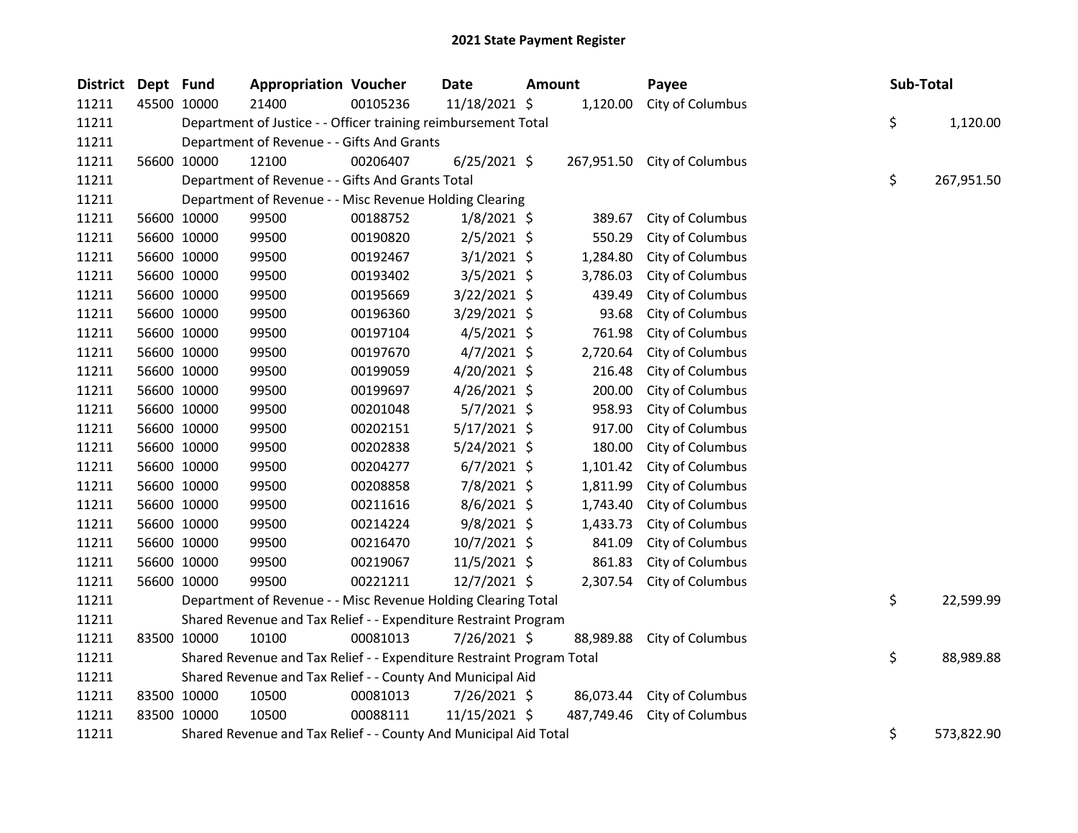| <b>District</b> | Dept Fund |             | <b>Appropriation Voucher</b>                                          |          | <b>Date</b>    | Amount |            | Payee                       | Sub-Total |            |
|-----------------|-----------|-------------|-----------------------------------------------------------------------|----------|----------------|--------|------------|-----------------------------|-----------|------------|
| 11211           |           | 45500 10000 | 21400                                                                 | 00105236 | 11/18/2021 \$  |        | 1,120.00   | City of Columbus            |           |            |
| 11211           |           |             | Department of Justice - - Officer training reimbursement Total        |          |                |        |            |                             | \$        | 1,120.00   |
| 11211           |           |             | Department of Revenue - - Gifts And Grants                            |          |                |        |            |                             |           |            |
| 11211           |           | 56600 10000 | 12100                                                                 | 00206407 | $6/25/2021$ \$ |        |            | 267,951.50 City of Columbus |           |            |
| 11211           |           |             | Department of Revenue - - Gifts And Grants Total                      |          |                |        |            |                             | \$        | 267,951.50 |
| 11211           |           |             | Department of Revenue - - Misc Revenue Holding Clearing               |          |                |        |            |                             |           |            |
| 11211           |           | 56600 10000 | 99500                                                                 | 00188752 | $1/8/2021$ \$  |        | 389.67     | City of Columbus            |           |            |
| 11211           |           | 56600 10000 | 99500                                                                 | 00190820 | $2/5/2021$ \$  |        | 550.29     | City of Columbus            |           |            |
| 11211           |           | 56600 10000 | 99500                                                                 | 00192467 | $3/1/2021$ \$  |        | 1,284.80   | City of Columbus            |           |            |
| 11211           |           | 56600 10000 | 99500                                                                 | 00193402 | $3/5/2021$ \$  |        | 3,786.03   | City of Columbus            |           |            |
| 11211           |           | 56600 10000 | 99500                                                                 | 00195669 | 3/22/2021 \$   |        | 439.49     | City of Columbus            |           |            |
| 11211           |           | 56600 10000 | 99500                                                                 | 00196360 | 3/29/2021 \$   |        | 93.68      | City of Columbus            |           |            |
| 11211           |           | 56600 10000 | 99500                                                                 | 00197104 | $4/5/2021$ \$  |        | 761.98     | City of Columbus            |           |            |
| 11211           |           | 56600 10000 | 99500                                                                 | 00197670 | $4/7/2021$ \$  |        | 2,720.64   | City of Columbus            |           |            |
| 11211           |           | 56600 10000 | 99500                                                                 | 00199059 | 4/20/2021 \$   |        | 216.48     | City of Columbus            |           |            |
| 11211           |           | 56600 10000 | 99500                                                                 | 00199697 | $4/26/2021$ \$ |        | 200.00     | City of Columbus            |           |            |
| 11211           |           | 56600 10000 | 99500                                                                 | 00201048 | $5/7/2021$ \$  |        | 958.93     | City of Columbus            |           |            |
| 11211           |           | 56600 10000 | 99500                                                                 | 00202151 | $5/17/2021$ \$ |        | 917.00     | City of Columbus            |           |            |
| 11211           |           | 56600 10000 | 99500                                                                 | 00202838 | $5/24/2021$ \$ |        | 180.00     | City of Columbus            |           |            |
| 11211           |           | 56600 10000 | 99500                                                                 | 00204277 | $6/7/2021$ \$  |        | 1,101.42   | City of Columbus            |           |            |
| 11211           |           | 56600 10000 | 99500                                                                 | 00208858 | 7/8/2021 \$    |        | 1,811.99   | City of Columbus            |           |            |
| 11211           |           | 56600 10000 | 99500                                                                 | 00211616 | $8/6/2021$ \$  |        | 1,743.40   | City of Columbus            |           |            |
| 11211           |           | 56600 10000 | 99500                                                                 | 00214224 | $9/8/2021$ \$  |        | 1,433.73   | City of Columbus            |           |            |
| 11211           |           | 56600 10000 | 99500                                                                 | 00216470 | 10/7/2021 \$   |        | 841.09     | City of Columbus            |           |            |
| 11211           |           | 56600 10000 | 99500                                                                 | 00219067 | $11/5/2021$ \$ |        | 861.83     | City of Columbus            |           |            |
| 11211           |           | 56600 10000 | 99500                                                                 | 00221211 | 12/7/2021 \$   |        | 2,307.54   | City of Columbus            |           |            |
| 11211           |           |             | Department of Revenue - - Misc Revenue Holding Clearing Total         |          |                |        |            |                             | \$        | 22,599.99  |
| 11211           |           |             | Shared Revenue and Tax Relief - - Expenditure Restraint Program       |          |                |        |            |                             |           |            |
| 11211           |           | 83500 10000 | 10100                                                                 | 00081013 | 7/26/2021 \$   |        | 88,989.88  | City of Columbus            |           |            |
| 11211           |           |             | Shared Revenue and Tax Relief - - Expenditure Restraint Program Total |          |                |        |            |                             | \$        | 88,989.88  |
| 11211           |           |             | Shared Revenue and Tax Relief - - County And Municipal Aid            |          |                |        |            |                             |           |            |
| 11211           |           | 83500 10000 | 10500                                                                 | 00081013 | 7/26/2021 \$   |        | 86,073.44  | City of Columbus            |           |            |
| 11211           |           | 83500 10000 | 10500                                                                 | 00088111 | 11/15/2021 \$  |        | 487,749.46 | City of Columbus            |           |            |
| 11211           |           |             | Shared Revenue and Tax Relief - - County And Municipal Aid Total      |          |                |        |            |                             | \$        | 573,822.90 |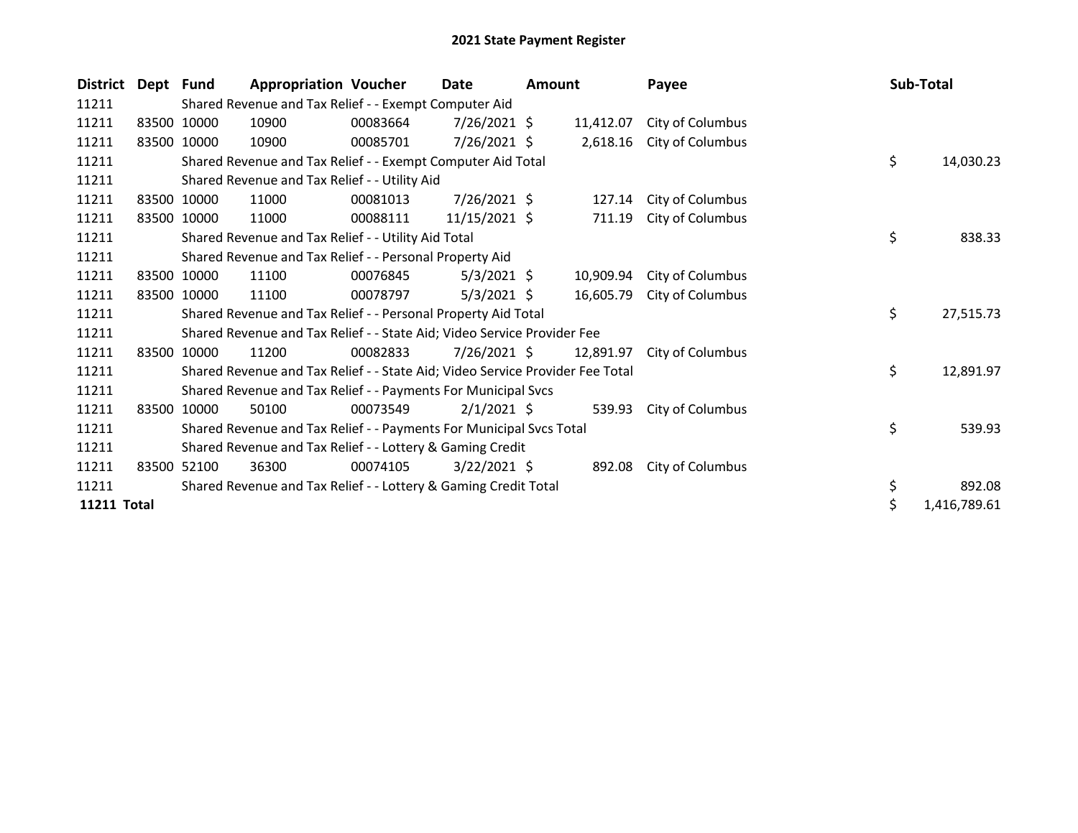| <b>District</b> | Dept Fund |             | <b>Appropriation Voucher</b>                                                  |          | Date           | Amount |           | Payee            | Sub-Total          |
|-----------------|-----------|-------------|-------------------------------------------------------------------------------|----------|----------------|--------|-----------|------------------|--------------------|
| 11211           |           |             | Shared Revenue and Tax Relief - - Exempt Computer Aid                         |          |                |        |           |                  |                    |
| 11211           |           | 83500 10000 | 10900                                                                         | 00083664 | $7/26/2021$ \$ |        | 11,412.07 | City of Columbus |                    |
| 11211           |           | 83500 10000 | 10900                                                                         | 00085701 | 7/26/2021 \$   |        | 2,618.16  | City of Columbus |                    |
| 11211           |           |             | Shared Revenue and Tax Relief - - Exempt Computer Aid Total                   |          |                |        |           |                  | \$<br>14,030.23    |
| 11211           |           |             | Shared Revenue and Tax Relief - - Utility Aid                                 |          |                |        |           |                  |                    |
| 11211           |           | 83500 10000 | 11000                                                                         | 00081013 | 7/26/2021 \$   |        | 127.14    | City of Columbus |                    |
| 11211           | 83500     | 10000       | 11000                                                                         | 00088111 | 11/15/2021 \$  |        | 711.19    | City of Columbus |                    |
| 11211           |           |             | Shared Revenue and Tax Relief - - Utility Aid Total                           |          |                |        |           |                  | \$<br>838.33       |
| 11211           |           |             | Shared Revenue and Tax Relief - - Personal Property Aid                       |          |                |        |           |                  |                    |
| 11211           |           | 83500 10000 | 11100                                                                         | 00076845 | $5/3/2021$ \$  |        | 10,909.94 | City of Columbus |                    |
| 11211           |           | 83500 10000 | 11100                                                                         | 00078797 | $5/3/2021$ \$  |        | 16,605.79 | City of Columbus |                    |
| 11211           |           |             | Shared Revenue and Tax Relief - - Personal Property Aid Total                 |          |                |        |           |                  | \$<br>27,515.73    |
| 11211           |           |             | Shared Revenue and Tax Relief - - State Aid; Video Service Provider Fee       |          |                |        |           |                  |                    |
| 11211           | 83500     | 10000       | 11200                                                                         | 00082833 | $7/26/2021$ \$ |        | 12,891.97 | City of Columbus |                    |
| 11211           |           |             | Shared Revenue and Tax Relief - - State Aid; Video Service Provider Fee Total |          |                |        |           |                  | \$<br>12,891.97    |
| 11211           |           |             | Shared Revenue and Tax Relief - - Payments For Municipal Svcs                 |          |                |        |           |                  |                    |
| 11211           | 83500     | 10000       | 50100                                                                         | 00073549 | $2/1/2021$ \$  |        | 539.93    | City of Columbus |                    |
| 11211           |           |             | Shared Revenue and Tax Relief - - Payments For Municipal Svcs Total           |          |                |        |           |                  | \$<br>539.93       |
| 11211           |           |             | Shared Revenue and Tax Relief - - Lottery & Gaming Credit                     |          |                |        |           |                  |                    |
| 11211           |           | 83500 52100 | 36300                                                                         | 00074105 | $3/22/2021$ \$ |        | 892.08    | City of Columbus |                    |
| 11211           |           |             | Shared Revenue and Tax Relief - - Lottery & Gaming Credit Total               |          |                |        |           |                  | \$<br>892.08       |
| 11211 Total     |           |             |                                                                               |          |                |        |           |                  | \$<br>1,416,789.61 |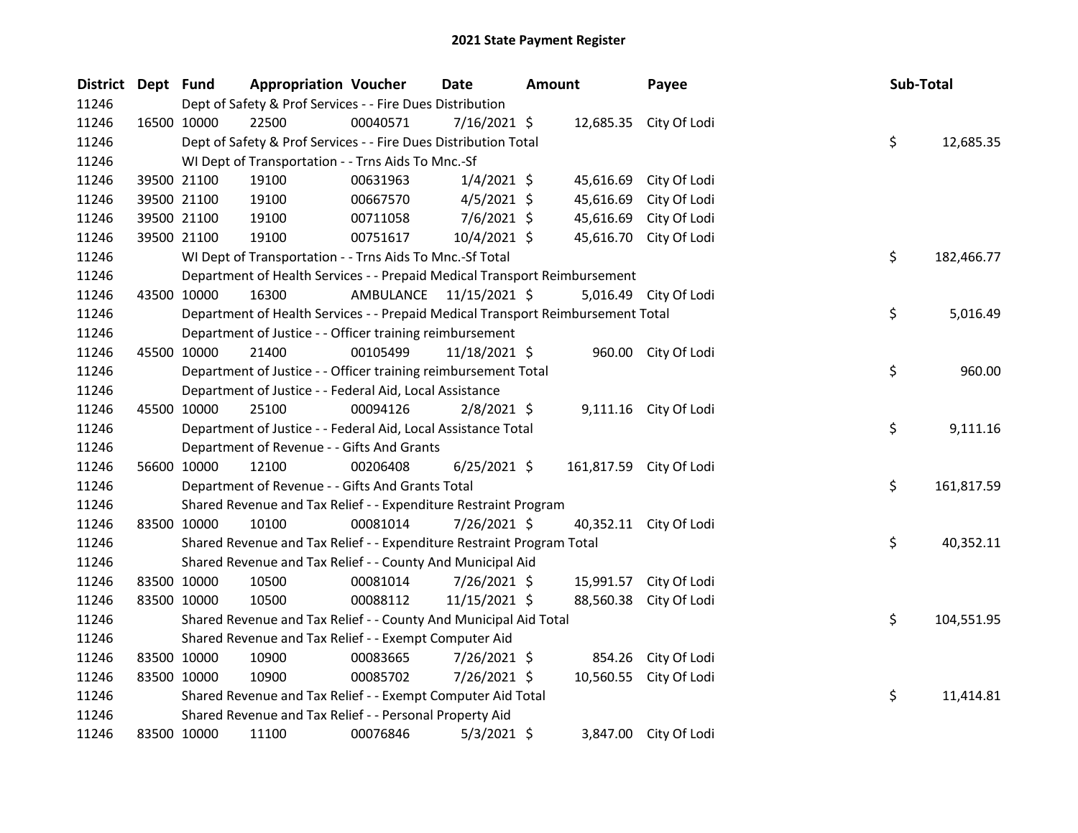| District Dept Fund |             |             | <b>Appropriation Voucher</b>                                                    |                         | <b>Date</b>    | <b>Amount</b> |           | Payee                   | Sub-Total |            |
|--------------------|-------------|-------------|---------------------------------------------------------------------------------|-------------------------|----------------|---------------|-----------|-------------------------|-----------|------------|
| 11246              |             |             | Dept of Safety & Prof Services - - Fire Dues Distribution                       |                         |                |               |           |                         |           |            |
| 11246              |             | 16500 10000 | 22500                                                                           | 00040571                | $7/16/2021$ \$ |               |           | 12,685.35 City Of Lodi  |           |            |
| 11246              |             |             | Dept of Safety & Prof Services - - Fire Dues Distribution Total                 |                         |                |               |           |                         | \$        | 12,685.35  |
| 11246              |             |             | WI Dept of Transportation - - Trns Aids To Mnc.-Sf                              |                         |                |               |           |                         |           |            |
| 11246              |             | 39500 21100 | 19100                                                                           | 00631963                | $1/4/2021$ \$  |               |           | 45,616.69 City Of Lodi  |           |            |
| 11246              |             | 39500 21100 | 19100                                                                           | 00667570                | $4/5/2021$ \$  |               | 45,616.69 | City Of Lodi            |           |            |
| 11246              |             | 39500 21100 | 19100                                                                           | 00711058                | $7/6/2021$ \$  |               | 45,616.69 | City Of Lodi            |           |            |
| 11246              |             | 39500 21100 | 19100                                                                           | 00751617                | 10/4/2021 \$   |               | 45,616.70 | City Of Lodi            |           |            |
| 11246              |             |             | WI Dept of Transportation - - Trns Aids To Mnc.-Sf Total                        |                         |                |               |           |                         | \$        | 182,466.77 |
| 11246              |             |             | Department of Health Services - - Prepaid Medical Transport Reimbursement       |                         |                |               |           |                         |           |            |
| 11246              |             | 43500 10000 | 16300                                                                           | AMBULANCE 11/15/2021 \$ |                |               |           | 5,016.49 City Of Lodi   |           |            |
| 11246              |             |             | Department of Health Services - - Prepaid Medical Transport Reimbursement Total |                         |                |               |           |                         | \$        | 5,016.49   |
| 11246              |             |             | Department of Justice - - Officer training reimbursement                        |                         |                |               |           |                         |           |            |
| 11246              |             | 45500 10000 | 21400                                                                           | 00105499                | 11/18/2021 \$  |               |           | 960.00 City Of Lodi     |           |            |
| 11246              |             |             | Department of Justice - - Officer training reimbursement Total                  |                         |                |               |           |                         | \$        | 960.00     |
| 11246              |             |             | Department of Justice - - Federal Aid, Local Assistance                         |                         |                |               |           |                         |           |            |
| 11246              |             | 45500 10000 | 25100                                                                           | 00094126                | $2/8/2021$ \$  |               |           | 9,111.16 City Of Lodi   |           |            |
| 11246              |             |             | Department of Justice - - Federal Aid, Local Assistance Total                   |                         |                |               |           |                         | \$        | 9,111.16   |
| 11246              |             |             | Department of Revenue - - Gifts And Grants                                      |                         |                |               |           |                         |           |            |
| 11246              |             | 56600 10000 | 12100                                                                           | 00206408                | $6/25/2021$ \$ |               |           | 161,817.59 City Of Lodi |           |            |
| 11246              |             |             | Department of Revenue - - Gifts And Grants Total                                |                         |                |               |           |                         | \$        | 161,817.59 |
| 11246              |             |             | Shared Revenue and Tax Relief - - Expenditure Restraint Program                 |                         |                |               |           |                         |           |            |
| 11246              |             | 83500 10000 | 10100                                                                           | 00081014                | 7/26/2021 \$   |               |           | 40,352.11 City Of Lodi  |           |            |
| 11246              |             |             | Shared Revenue and Tax Relief - - Expenditure Restraint Program Total           |                         |                |               |           |                         | \$        | 40,352.11  |
| 11246              |             |             | Shared Revenue and Tax Relief - - County And Municipal Aid                      |                         |                |               |           |                         |           |            |
| 11246              |             | 83500 10000 | 10500                                                                           | 00081014                | 7/26/2021 \$   |               |           | 15,991.57 City Of Lodi  |           |            |
| 11246              |             | 83500 10000 | 10500                                                                           | 00088112                | 11/15/2021 \$  |               | 88,560.38 | City Of Lodi            |           |            |
| 11246              |             |             | Shared Revenue and Tax Relief - - County And Municipal Aid Total                |                         |                |               |           |                         | \$        | 104,551.95 |
| 11246              |             |             | Shared Revenue and Tax Relief - - Exempt Computer Aid                           |                         |                |               |           |                         |           |            |
| 11246              |             | 83500 10000 | 10900                                                                           | 00083665                | 7/26/2021 \$   |               | 854.26    | City Of Lodi            |           |            |
| 11246              |             | 83500 10000 | 10900                                                                           | 00085702                | 7/26/2021 \$   |               |           | 10,560.55 City Of Lodi  |           |            |
| 11246              |             |             | Shared Revenue and Tax Relief - - Exempt Computer Aid Total                     |                         |                |               |           |                         | \$        | 11,414.81  |
| 11246              |             |             | Shared Revenue and Tax Relief - - Personal Property Aid                         |                         |                |               |           |                         |           |            |
| 11246              | 83500 10000 |             | 11100                                                                           | 00076846                | $5/3/2021$ \$  |               |           | 3,847.00 City Of Lodi   |           |            |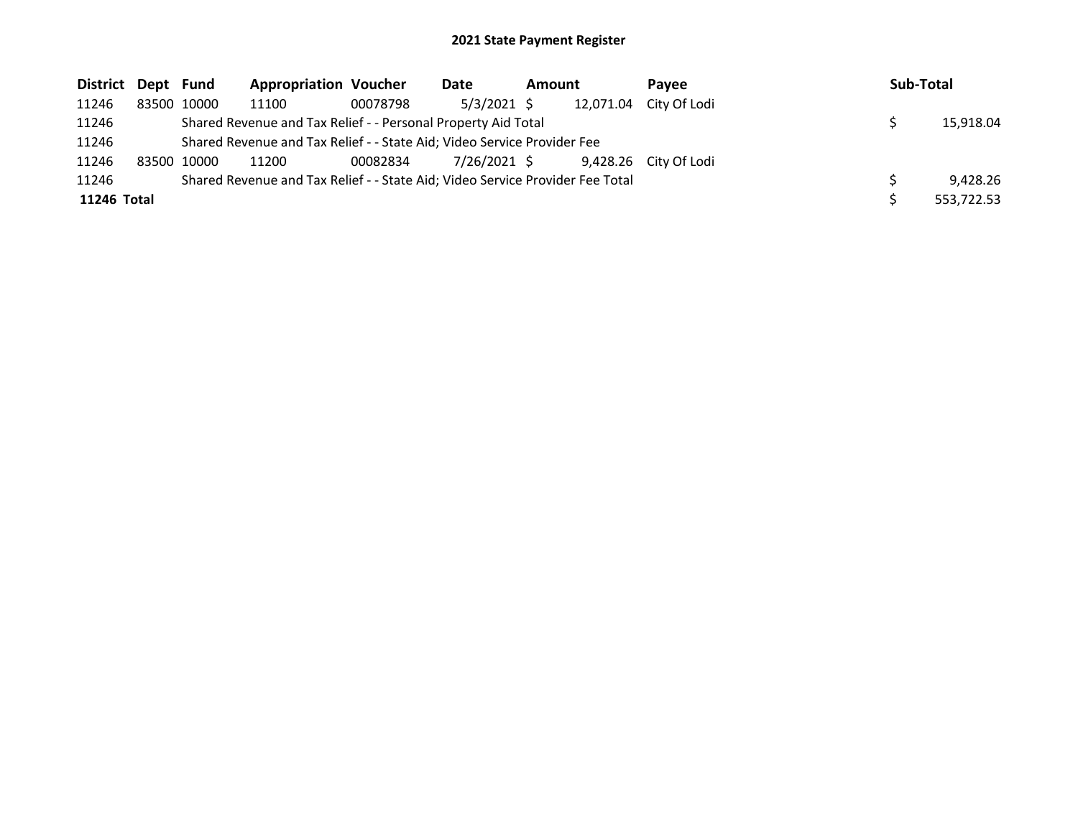## 2021 State Payment Register

| District Dept Fund |       |             | <b>Appropriation Voucher</b>                                                  |          | Date          | Amount |           | Pavee                 | <b>Sub-Total</b> |
|--------------------|-------|-------------|-------------------------------------------------------------------------------|----------|---------------|--------|-----------|-----------------------|------------------|
| 11246              |       | 83500 10000 | 11100                                                                         | 00078798 | $5/3/2021$ \$ |        | 12,071.04 | City Of Lodi          |                  |
| 11246              |       |             | Shared Revenue and Tax Relief - - Personal Property Aid Total                 |          |               |        |           |                       | 15,918.04        |
| 11246              |       |             | Shared Revenue and Tax Relief - - State Aid; Video Service Provider Fee       |          |               |        |           |                       |                  |
| 11246              | 83500 | 10000       | 11200                                                                         | 00082834 | 7/26/2021 \$  |        |           | 9,428.26 City Of Lodi |                  |
| 11246              |       |             | Shared Revenue and Tax Relief - - State Aid; Video Service Provider Fee Total |          |               |        |           |                       | 9.428.26         |
| 11246 Total        |       |             |                                                                               |          |               |        |           |                       | 553,722.53       |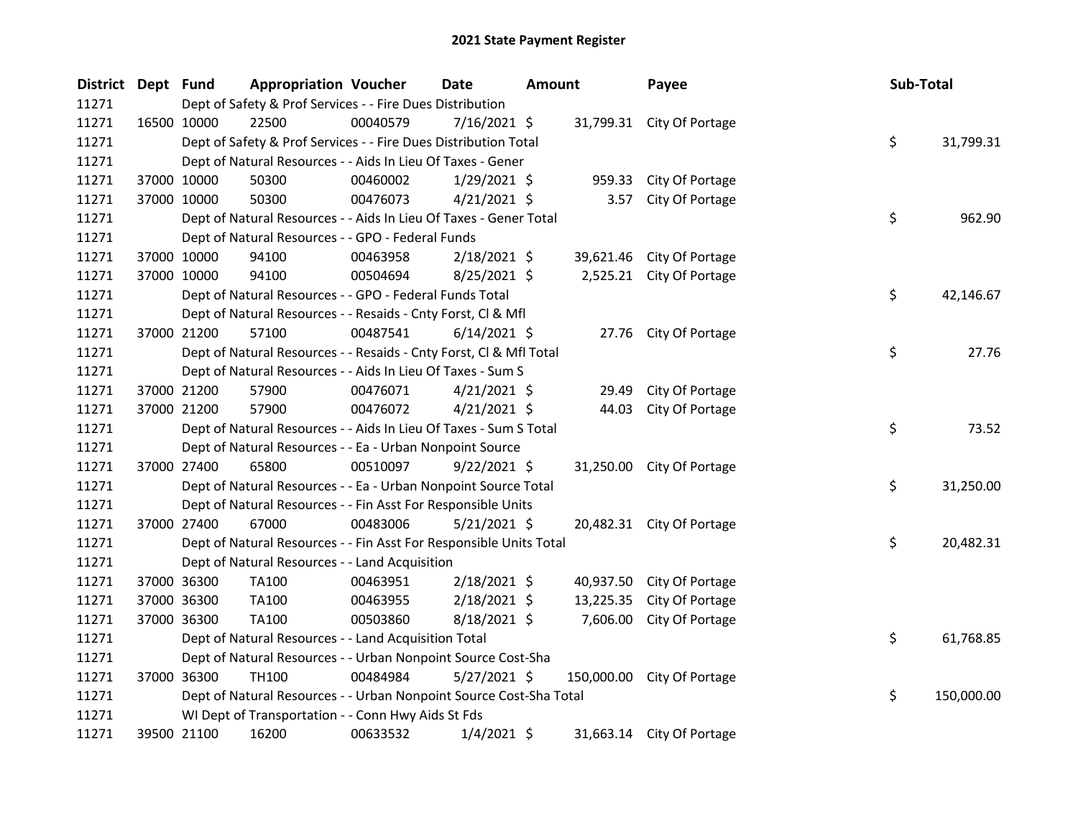| District Dept Fund |             | <b>Appropriation Voucher</b>                                       |          | <b>Date</b>    | <b>Amount</b> |           | Payee                      | Sub-Total |            |
|--------------------|-------------|--------------------------------------------------------------------|----------|----------------|---------------|-----------|----------------------------|-----------|------------|
| 11271              |             | Dept of Safety & Prof Services - - Fire Dues Distribution          |          |                |               |           |                            |           |            |
| 11271              | 16500 10000 | 22500                                                              | 00040579 | $7/16/2021$ \$ |               |           | 31,799.31 City Of Portage  |           |            |
| 11271              |             | Dept of Safety & Prof Services - - Fire Dues Distribution Total    |          |                |               |           |                            | \$        | 31,799.31  |
| 11271              |             | Dept of Natural Resources - - Aids In Lieu Of Taxes - Gener        |          |                |               |           |                            |           |            |
| 11271              | 37000 10000 | 50300                                                              | 00460002 | 1/29/2021 \$   |               |           | 959.33 City Of Portage     |           |            |
| 11271              | 37000 10000 | 50300                                                              | 00476073 | $4/21/2021$ \$ |               | 3.57      | City Of Portage            |           |            |
| 11271              |             | Dept of Natural Resources - - Aids In Lieu Of Taxes - Gener Total  |          |                |               |           |                            | \$        | 962.90     |
| 11271              |             | Dept of Natural Resources - - GPO - Federal Funds                  |          |                |               |           |                            |           |            |
| 11271              | 37000 10000 | 94100                                                              | 00463958 | $2/18/2021$ \$ |               | 39,621.46 | City Of Portage            |           |            |
| 11271              | 37000 10000 | 94100                                                              | 00504694 | 8/25/2021 \$   |               |           | 2,525.21 City Of Portage   |           |            |
| 11271              |             | Dept of Natural Resources - - GPO - Federal Funds Total            |          |                |               |           |                            | \$        | 42,146.67  |
| 11271              |             | Dept of Natural Resources - - Resaids - Cnty Forst, Cl & Mfl       |          |                |               |           |                            |           |            |
| 11271              | 37000 21200 | 57100                                                              | 00487541 | $6/14/2021$ \$ |               |           | 27.76 City Of Portage      |           |            |
| 11271              |             | Dept of Natural Resources - - Resaids - Cnty Forst, Cl & Mfl Total |          |                |               |           |                            | \$        | 27.76      |
| 11271              |             | Dept of Natural Resources - - Aids In Lieu Of Taxes - Sum S        |          |                |               |           |                            |           |            |
| 11271              | 37000 21200 | 57900                                                              | 00476071 | $4/21/2021$ \$ |               | 29.49     | City Of Portage            |           |            |
| 11271              | 37000 21200 | 57900                                                              | 00476072 | $4/21/2021$ \$ |               | 44.03     | City Of Portage            |           |            |
| 11271              |             | Dept of Natural Resources - - Aids In Lieu Of Taxes - Sum S Total  |          |                |               |           |                            | \$        | 73.52      |
| 11271              |             | Dept of Natural Resources - - Ea - Urban Nonpoint Source           |          |                |               |           |                            |           |            |
| 11271              | 37000 27400 | 65800                                                              | 00510097 | $9/22/2021$ \$ |               |           | 31,250.00 City Of Portage  |           |            |
| 11271              |             | Dept of Natural Resources - - Ea - Urban Nonpoint Source Total     |          |                |               |           |                            | \$        | 31,250.00  |
| 11271              |             | Dept of Natural Resources - - Fin Asst For Responsible Units       |          |                |               |           |                            |           |            |
| 11271              | 37000 27400 | 67000                                                              | 00483006 | $5/21/2021$ \$ |               |           | 20,482.31 City Of Portage  |           |            |
| 11271              |             | Dept of Natural Resources - - Fin Asst For Responsible Units Total |          |                |               |           |                            | \$        | 20,482.31  |
| 11271              |             | Dept of Natural Resources - - Land Acquisition                     |          |                |               |           |                            |           |            |
| 11271              | 37000 36300 | TA100                                                              | 00463951 | $2/18/2021$ \$ |               |           | 40,937.50 City Of Portage  |           |            |
| 11271              | 37000 36300 | TA100                                                              | 00463955 | $2/18/2021$ \$ |               | 13,225.35 | City Of Portage            |           |            |
| 11271              | 37000 36300 | TA100                                                              | 00503860 | 8/18/2021 \$   |               | 7,606.00  | City Of Portage            |           |            |
| 11271              |             | Dept of Natural Resources - - Land Acquisition Total               |          |                |               |           |                            | \$        | 61,768.85  |
| 11271              |             | Dept of Natural Resources - - Urban Nonpoint Source Cost-Sha       |          |                |               |           |                            |           |            |
| 11271              | 37000 36300 | TH100                                                              | 00484984 | $5/27/2021$ \$ |               |           | 150,000.00 City Of Portage |           |            |
| 11271              |             | Dept of Natural Resources - - Urban Nonpoint Source Cost-Sha Total |          |                |               |           |                            | \$        | 150,000.00 |
| 11271              |             | WI Dept of Transportation - - Conn Hwy Aids St Fds                 |          |                |               |           |                            |           |            |
| 11271              | 39500 21100 | 16200                                                              | 00633532 | $1/4/2021$ \$  |               |           | 31,663.14 City Of Portage  |           |            |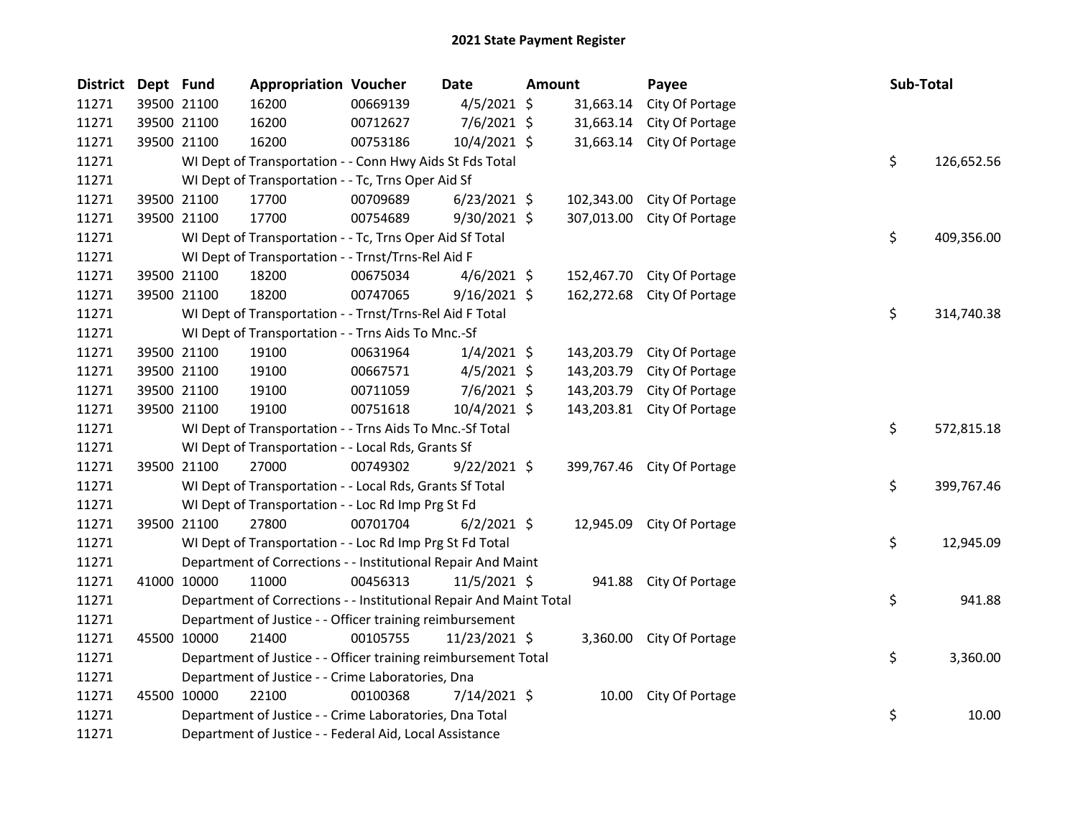| <b>District</b> | Dept Fund |             | <b>Appropriation Voucher</b>                                       |          | <b>Date</b>    | <b>Amount</b> |            | Payee                      | Sub-Total |            |
|-----------------|-----------|-------------|--------------------------------------------------------------------|----------|----------------|---------------|------------|----------------------------|-----------|------------|
| 11271           |           | 39500 21100 | 16200                                                              | 00669139 | $4/5/2021$ \$  |               | 31,663.14  | City Of Portage            |           |            |
| 11271           |           | 39500 21100 | 16200                                                              | 00712627 | $7/6/2021$ \$  |               | 31,663.14  | City Of Portage            |           |            |
| 11271           |           | 39500 21100 | 16200                                                              | 00753186 | 10/4/2021 \$   |               | 31,663.14  | City Of Portage            |           |            |
| 11271           |           |             | WI Dept of Transportation - - Conn Hwy Aids St Fds Total           |          |                |               |            |                            | \$        | 126,652.56 |
| 11271           |           |             | WI Dept of Transportation - - Tc, Trns Oper Aid Sf                 |          |                |               |            |                            |           |            |
| 11271           |           | 39500 21100 | 17700                                                              | 00709689 | $6/23/2021$ \$ |               | 102,343.00 | City Of Portage            |           |            |
| 11271           |           | 39500 21100 | 17700                                                              | 00754689 | $9/30/2021$ \$ |               | 307,013.00 | City Of Portage            |           |            |
| 11271           |           |             | WI Dept of Transportation - - Tc, Trns Oper Aid Sf Total           |          |                |               |            |                            | \$        | 409,356.00 |
| 11271           |           |             | WI Dept of Transportation - - Trnst/Trns-Rel Aid F                 |          |                |               |            |                            |           |            |
| 11271           |           | 39500 21100 | 18200                                                              | 00675034 | $4/6/2021$ \$  |               | 152,467.70 | City Of Portage            |           |            |
| 11271           |           | 39500 21100 | 18200                                                              | 00747065 | $9/16/2021$ \$ |               | 162,272.68 | City Of Portage            |           |            |
| 11271           |           |             | WI Dept of Transportation - - Trnst/Trns-Rel Aid F Total           |          |                |               |            |                            | \$        | 314,740.38 |
| 11271           |           |             | WI Dept of Transportation - - Trns Aids To Mnc.-Sf                 |          |                |               |            |                            |           |            |
| 11271           |           | 39500 21100 | 19100                                                              | 00631964 | $1/4/2021$ \$  |               | 143,203.79 | City Of Portage            |           |            |
| 11271           |           | 39500 21100 | 19100                                                              | 00667571 | $4/5/2021$ \$  |               | 143,203.79 | City Of Portage            |           |            |
| 11271           |           | 39500 21100 | 19100                                                              | 00711059 | $7/6/2021$ \$  |               | 143,203.79 | City Of Portage            |           |            |
| 11271           |           | 39500 21100 | 19100                                                              | 00751618 | 10/4/2021 \$   |               |            | 143,203.81 City Of Portage |           |            |
| 11271           |           |             | WI Dept of Transportation - - Trns Aids To Mnc.-Sf Total           |          |                |               |            |                            | \$        | 572,815.18 |
| 11271           |           |             | WI Dept of Transportation - - Local Rds, Grants Sf                 |          |                |               |            |                            |           |            |
| 11271           |           | 39500 21100 | 27000                                                              | 00749302 | $9/22/2021$ \$ |               |            | 399,767.46 City Of Portage |           |            |
| 11271           |           |             | WI Dept of Transportation - - Local Rds, Grants Sf Total           |          |                |               |            |                            | \$        | 399,767.46 |
| 11271           |           |             | WI Dept of Transportation - - Loc Rd Imp Prg St Fd                 |          |                |               |            |                            |           |            |
| 11271           |           | 39500 21100 | 27800                                                              | 00701704 | $6/2/2021$ \$  |               | 12,945.09  | City Of Portage            |           |            |
| 11271           |           |             | WI Dept of Transportation - - Loc Rd Imp Prg St Fd Total           |          |                |               |            |                            | \$        | 12,945.09  |
| 11271           |           |             | Department of Corrections - - Institutional Repair And Maint       |          |                |               |            |                            |           |            |
| 11271           |           | 41000 10000 | 11000                                                              | 00456313 | 11/5/2021 \$   |               |            | 941.88 City Of Portage     |           |            |
| 11271           |           |             | Department of Corrections - - Institutional Repair And Maint Total |          |                |               |            |                            | \$        | 941.88     |
| 11271           |           |             | Department of Justice - - Officer training reimbursement           |          |                |               |            |                            |           |            |
| 11271           |           | 45500 10000 | 21400                                                              | 00105755 | 11/23/2021 \$  |               |            | 3,360.00 City Of Portage   |           |            |
| 11271           |           |             | Department of Justice - - Officer training reimbursement Total     |          |                |               |            |                            | \$        | 3,360.00   |
| 11271           |           |             | Department of Justice - - Crime Laboratories, Dna                  |          |                |               |            |                            |           |            |
| 11271           |           | 45500 10000 | 22100                                                              | 00100368 | 7/14/2021 \$   |               |            | 10.00 City Of Portage      |           |            |
| 11271           |           |             | Department of Justice - - Crime Laboratories, Dna Total            |          |                |               |            |                            | \$        | 10.00      |
| 11271           |           |             | Department of Justice - - Federal Aid, Local Assistance            |          |                |               |            |                            |           |            |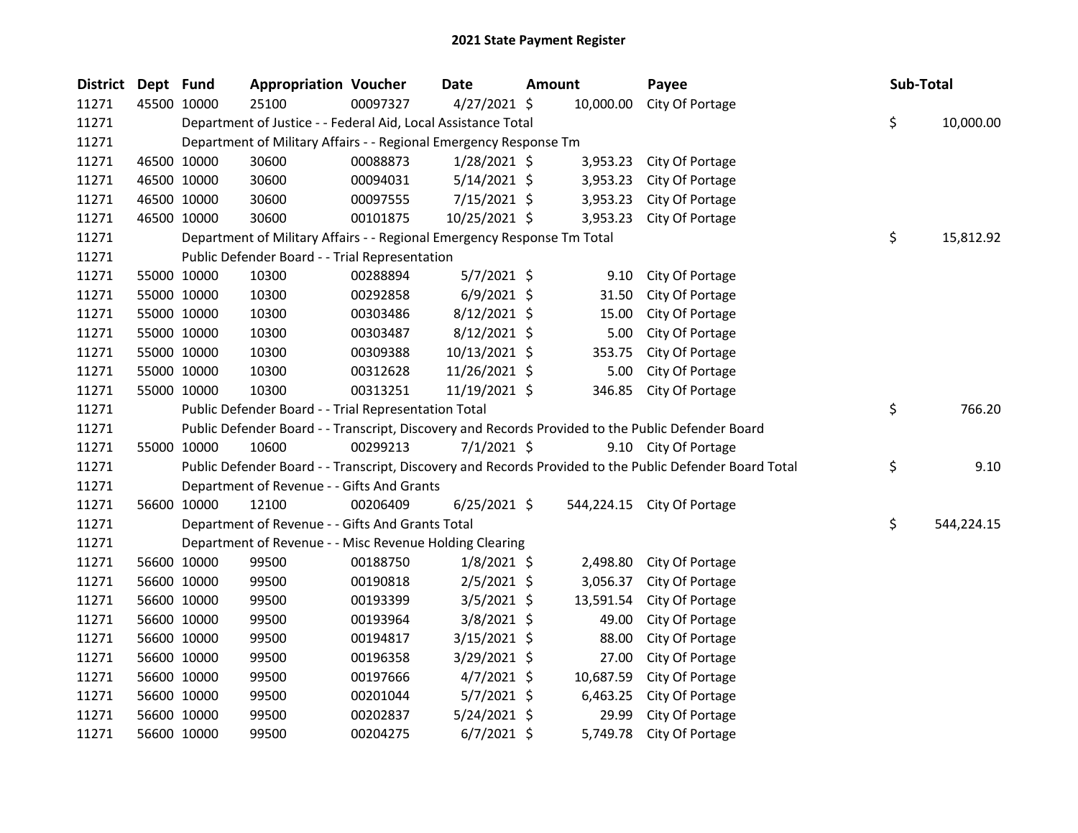| <b>District</b> | Dept Fund |             | <b>Appropriation Voucher</b>                                            |          | Date           | <b>Amount</b> |            | Payee                                                                                                   | Sub-Total        |
|-----------------|-----------|-------------|-------------------------------------------------------------------------|----------|----------------|---------------|------------|---------------------------------------------------------------------------------------------------------|------------------|
| 11271           |           | 45500 10000 | 25100                                                                   | 00097327 | $4/27/2021$ \$ |               | 10,000.00  | City Of Portage                                                                                         |                  |
| 11271           |           |             | Department of Justice - - Federal Aid, Local Assistance Total           |          |                |               |            |                                                                                                         | \$<br>10,000.00  |
| 11271           |           |             | Department of Military Affairs - - Regional Emergency Response Tm       |          |                |               |            |                                                                                                         |                  |
| 11271           |           | 46500 10000 | 30600                                                                   | 00088873 | 1/28/2021 \$   |               | 3,953.23   | City Of Portage                                                                                         |                  |
| 11271           |           | 46500 10000 | 30600                                                                   | 00094031 | $5/14/2021$ \$ |               | 3,953.23   | City Of Portage                                                                                         |                  |
| 11271           |           | 46500 10000 | 30600                                                                   | 00097555 | 7/15/2021 \$   |               | 3,953.23   | City Of Portage                                                                                         |                  |
| 11271           |           | 46500 10000 | 30600                                                                   | 00101875 | 10/25/2021 \$  |               | 3,953.23   | City Of Portage                                                                                         |                  |
| 11271           |           |             | Department of Military Affairs - - Regional Emergency Response Tm Total |          |                |               |            |                                                                                                         | \$<br>15,812.92  |
| 11271           |           |             | Public Defender Board - - Trial Representation                          |          |                |               |            |                                                                                                         |                  |
| 11271           |           | 55000 10000 | 10300                                                                   | 00288894 | $5/7/2021$ \$  |               | 9.10       | City Of Portage                                                                                         |                  |
| 11271           |           | 55000 10000 | 10300                                                                   | 00292858 | $6/9/2021$ \$  |               | 31.50      | City Of Portage                                                                                         |                  |
| 11271           |           | 55000 10000 | 10300                                                                   | 00303486 | $8/12/2021$ \$ |               | 15.00      | City Of Portage                                                                                         |                  |
| 11271           |           | 55000 10000 | 10300                                                                   | 00303487 | $8/12/2021$ \$ |               | 5.00       | City Of Portage                                                                                         |                  |
| 11271           |           | 55000 10000 | 10300                                                                   | 00309388 | 10/13/2021 \$  |               | 353.75     | City Of Portage                                                                                         |                  |
| 11271           |           | 55000 10000 | 10300                                                                   | 00312628 | 11/26/2021 \$  |               | 5.00       | City Of Portage                                                                                         |                  |
| 11271           |           | 55000 10000 | 10300                                                                   | 00313251 | 11/19/2021 \$  |               | 346.85     | City Of Portage                                                                                         |                  |
| 11271           |           |             | Public Defender Board - - Trial Representation Total                    |          |                |               |            |                                                                                                         | \$<br>766.20     |
| 11271           |           |             |                                                                         |          |                |               |            | Public Defender Board - - Transcript, Discovery and Records Provided to the Public Defender Board       |                  |
| 11271           |           | 55000 10000 | 10600                                                                   | 00299213 | $7/1/2021$ \$  |               |            | 9.10 City Of Portage                                                                                    |                  |
| 11271           |           |             |                                                                         |          |                |               |            | Public Defender Board - - Transcript, Discovery and Records Provided to the Public Defender Board Total | \$<br>9.10       |
| 11271           |           |             | Department of Revenue - - Gifts And Grants                              |          |                |               |            |                                                                                                         |                  |
| 11271           |           | 56600 10000 | 12100                                                                   | 00206409 | $6/25/2021$ \$ |               | 544,224.15 | City Of Portage                                                                                         |                  |
| 11271           |           |             | Department of Revenue - - Gifts And Grants Total                        |          |                |               |            |                                                                                                         | \$<br>544,224.15 |
| 11271           |           |             | Department of Revenue - - Misc Revenue Holding Clearing                 |          |                |               |            |                                                                                                         |                  |
| 11271           |           | 56600 10000 | 99500                                                                   | 00188750 | $1/8/2021$ \$  |               | 2,498.80   | City Of Portage                                                                                         |                  |
| 11271           |           | 56600 10000 | 99500                                                                   | 00190818 | $2/5/2021$ \$  |               | 3,056.37   | City Of Portage                                                                                         |                  |
| 11271           |           | 56600 10000 | 99500                                                                   | 00193399 | $3/5/2021$ \$  |               | 13,591.54  | City Of Portage                                                                                         |                  |
| 11271           |           | 56600 10000 | 99500                                                                   | 00193964 | $3/8/2021$ \$  |               | 49.00      | City Of Portage                                                                                         |                  |
| 11271           |           | 56600 10000 | 99500                                                                   | 00194817 | 3/15/2021 \$   |               | 88.00      | City Of Portage                                                                                         |                  |
| 11271           |           | 56600 10000 | 99500                                                                   | 00196358 | 3/29/2021 \$   |               | 27.00      | City Of Portage                                                                                         |                  |
| 11271           |           | 56600 10000 | 99500                                                                   | 00197666 | $4/7/2021$ \$  |               | 10,687.59  | City Of Portage                                                                                         |                  |
| 11271           |           | 56600 10000 | 99500                                                                   | 00201044 | $5/7/2021$ \$  |               | 6,463.25   | City Of Portage                                                                                         |                  |
| 11271           |           | 56600 10000 | 99500                                                                   | 00202837 | 5/24/2021 \$   |               | 29.99      | City Of Portage                                                                                         |                  |
| 11271           |           | 56600 10000 | 99500                                                                   | 00204275 | $6/7/2021$ \$  |               | 5,749.78   | City Of Portage                                                                                         |                  |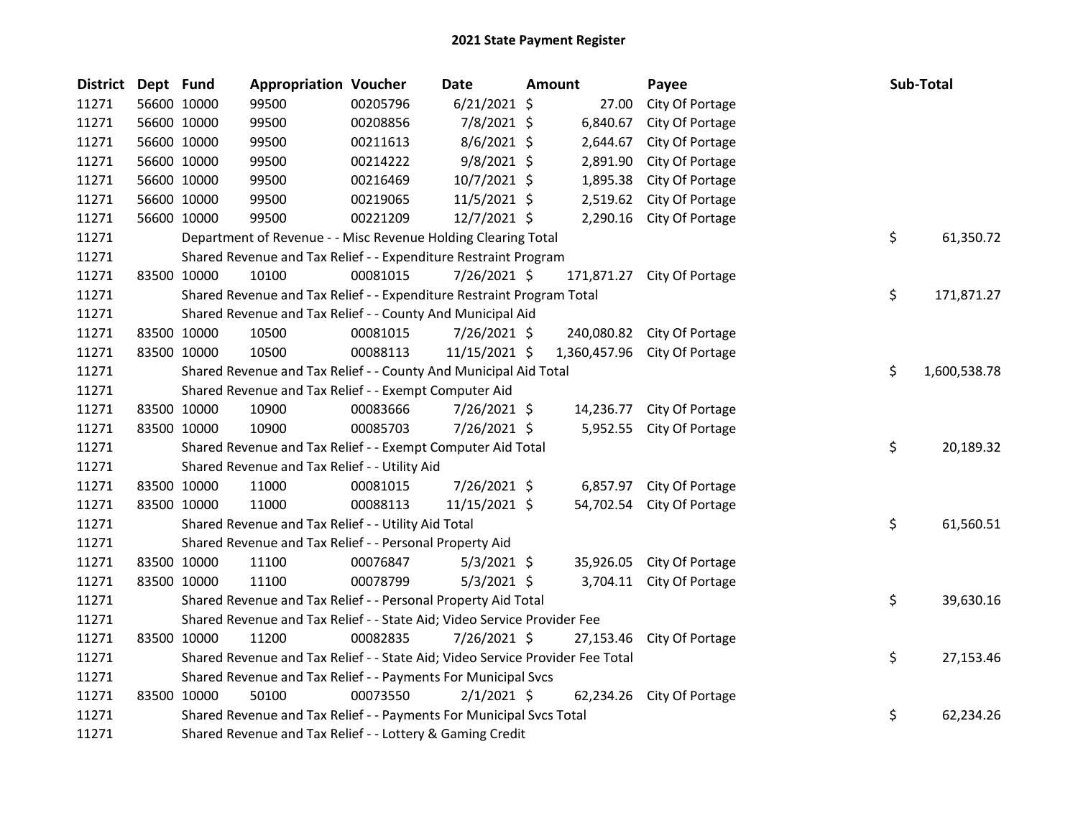| District Dept Fund |             | <b>Appropriation Voucher</b>                                                  |          | <b>Date</b>    | Amount     | Payee                        | Sub-Total          |
|--------------------|-------------|-------------------------------------------------------------------------------|----------|----------------|------------|------------------------------|--------------------|
| 11271              | 56600 10000 | 99500                                                                         | 00205796 | $6/21/2021$ \$ | 27.00      | City Of Portage              |                    |
| 11271              | 56600 10000 | 99500                                                                         | 00208856 | 7/8/2021 \$    | 6,840.67   | City Of Portage              |                    |
| 11271              | 56600 10000 | 99500                                                                         | 00211613 | 8/6/2021 \$    | 2,644.67   | City Of Portage              |                    |
| 11271              | 56600 10000 | 99500                                                                         | 00214222 | 9/8/2021 \$    | 2,891.90   | City Of Portage              |                    |
| 11271              | 56600 10000 | 99500                                                                         | 00216469 | 10/7/2021 \$   | 1,895.38   | City Of Portage              |                    |
| 11271              | 56600 10000 | 99500                                                                         | 00219065 | 11/5/2021 \$   | 2,519.62   | City Of Portage              |                    |
| 11271              | 56600 10000 | 99500                                                                         | 00221209 | 12/7/2021 \$   | 2,290.16   | City Of Portage              |                    |
| 11271              |             | Department of Revenue - - Misc Revenue Holding Clearing Total                 |          |                |            |                              | \$<br>61,350.72    |
| 11271              |             | Shared Revenue and Tax Relief - - Expenditure Restraint Program               |          |                |            |                              |                    |
| 11271              | 83500 10000 | 10100                                                                         | 00081015 | 7/26/2021 \$   | 171,871.27 | City Of Portage              |                    |
| 11271              |             | Shared Revenue and Tax Relief - - Expenditure Restraint Program Total         |          |                |            |                              | \$<br>171,871.27   |
| 11271              |             | Shared Revenue and Tax Relief - - County And Municipal Aid                    |          |                |            |                              |                    |
| 11271              | 83500 10000 | 10500                                                                         | 00081015 | 7/26/2021 \$   |            | 240,080.82 City Of Portage   |                    |
| 11271              | 83500 10000 | 10500                                                                         | 00088113 | 11/15/2021 \$  |            | 1,360,457.96 City Of Portage |                    |
| 11271              |             | Shared Revenue and Tax Relief - - County And Municipal Aid Total              |          |                |            |                              | \$<br>1,600,538.78 |
| 11271              |             | Shared Revenue and Tax Relief - - Exempt Computer Aid                         |          |                |            |                              |                    |
| 11271              | 83500 10000 | 10900                                                                         | 00083666 | $7/26/2021$ \$ | 14,236.77  | City Of Portage              |                    |
| 11271              | 83500 10000 | 10900                                                                         | 00085703 | 7/26/2021 \$   |            | 5,952.55 City Of Portage     |                    |
| 11271              |             | Shared Revenue and Tax Relief - - Exempt Computer Aid Total                   |          |                |            |                              | \$<br>20,189.32    |
| 11271              |             | Shared Revenue and Tax Relief - - Utility Aid                                 |          |                |            |                              |                    |
| 11271              | 83500 10000 | 11000                                                                         | 00081015 | 7/26/2021 \$   |            | 6,857.97 City Of Portage     |                    |
| 11271              | 83500 10000 | 11000                                                                         | 00088113 | 11/15/2021 \$  |            | 54,702.54 City Of Portage    |                    |
| 11271              |             | Shared Revenue and Tax Relief - - Utility Aid Total                           |          |                |            |                              | \$<br>61,560.51    |
| 11271              |             | Shared Revenue and Tax Relief - - Personal Property Aid                       |          |                |            |                              |                    |
| 11271              | 83500 10000 | 11100                                                                         | 00076847 | $5/3/2021$ \$  |            | 35,926.05 City Of Portage    |                    |
| 11271              | 83500 10000 | 11100                                                                         | 00078799 | $5/3/2021$ \$  |            | 3,704.11 City Of Portage     |                    |
| 11271              |             | Shared Revenue and Tax Relief - - Personal Property Aid Total                 |          |                |            |                              | \$<br>39,630.16    |
| 11271              |             | Shared Revenue and Tax Relief - - State Aid; Video Service Provider Fee       |          |                |            |                              |                    |
| 11271              | 83500 10000 | 11200                                                                         | 00082835 | $7/26/2021$ \$ | 27,153.46  | City Of Portage              |                    |
| 11271              |             | Shared Revenue and Tax Relief - - State Aid; Video Service Provider Fee Total |          |                |            |                              | \$<br>27,153.46    |
| 11271              |             | Shared Revenue and Tax Relief - - Payments For Municipal Svcs                 |          |                |            |                              |                    |
| 11271              | 83500 10000 | 50100                                                                         | 00073550 | $2/1/2021$ \$  |            | 62,234.26 City Of Portage    |                    |
| 11271              |             | Shared Revenue and Tax Relief - - Payments For Municipal Svcs Total           |          |                |            |                              | \$<br>62,234.26    |
| 11271              |             | Shared Revenue and Tax Relief - - Lottery & Gaming Credit                     |          |                |            |                              |                    |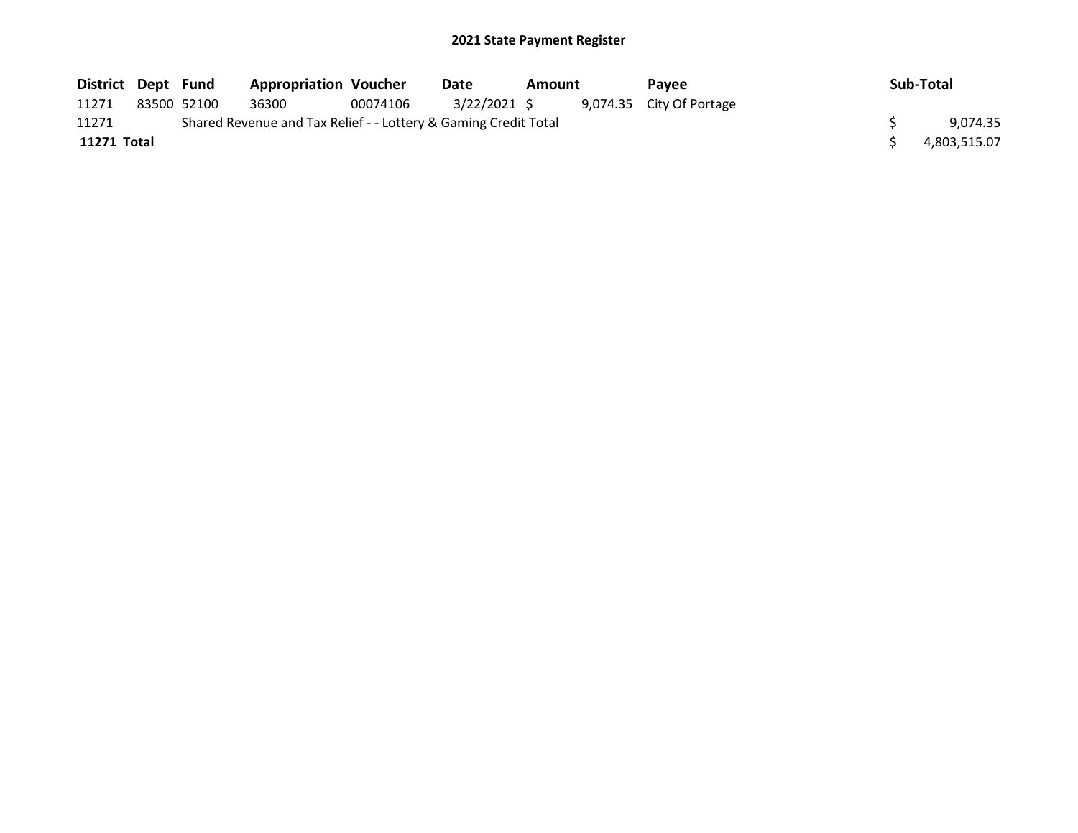## 2021 State Payment Register

| District Dept Fund |             | <b>Appropriation Voucher</b>                                    |          | Date         | Amount | <b>Pavee</b>             | Sub-Total    |
|--------------------|-------------|-----------------------------------------------------------------|----------|--------------|--------|--------------------------|--------------|
| 11271              | 83500 52100 | 36300                                                           | 00074106 | 3/22/2021 \$ |        | 9,074.35 City Of Portage |              |
| 11271              |             | Shared Revenue and Tax Relief - - Lottery & Gaming Credit Total |          |              |        |                          | 9.074.35     |
| 11271 Total        |             |                                                                 |          |              |        |                          | 4,803,515.07 |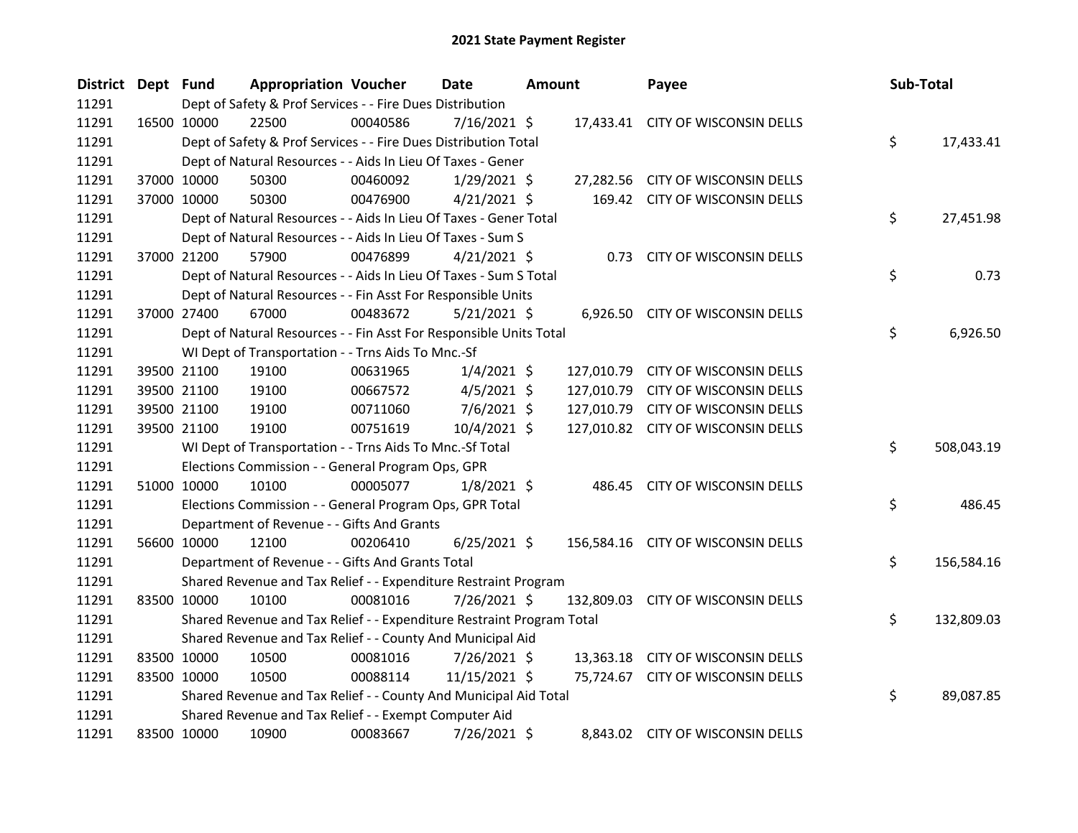| District Dept Fund |             |             | <b>Appropriation Voucher</b>                                          |          | Date           | <b>Amount</b> | Payee                              | Sub-Total |            |
|--------------------|-------------|-------------|-----------------------------------------------------------------------|----------|----------------|---------------|------------------------------------|-----------|------------|
| 11291              |             |             | Dept of Safety & Prof Services - - Fire Dues Distribution             |          |                |               |                                    |           |            |
| 11291              |             | 16500 10000 | 22500                                                                 | 00040586 | 7/16/2021 \$   |               | 17,433.41 CITY OF WISCONSIN DELLS  |           |            |
| 11291              |             |             | Dept of Safety & Prof Services - - Fire Dues Distribution Total       |          |                |               |                                    | \$        | 17,433.41  |
| 11291              |             |             | Dept of Natural Resources - - Aids In Lieu Of Taxes - Gener           |          |                |               |                                    |           |            |
| 11291              |             | 37000 10000 | 50300                                                                 | 00460092 | $1/29/2021$ \$ |               | 27,282.56 CITY OF WISCONSIN DELLS  |           |            |
| 11291              |             | 37000 10000 | 50300                                                                 | 00476900 | $4/21/2021$ \$ |               | 169.42 CITY OF WISCONSIN DELLS     |           |            |
| 11291              |             |             | Dept of Natural Resources - - Aids In Lieu Of Taxes - Gener Total     |          |                |               |                                    | \$        | 27,451.98  |
| 11291              |             |             | Dept of Natural Resources - - Aids In Lieu Of Taxes - Sum S           |          |                |               |                                    |           |            |
| 11291              |             | 37000 21200 | 57900                                                                 | 00476899 | $4/21/2021$ \$ |               | 0.73 CITY OF WISCONSIN DELLS       |           |            |
| 11291              |             |             | Dept of Natural Resources - - Aids In Lieu Of Taxes - Sum S Total     |          |                |               |                                    | \$        | 0.73       |
| 11291              |             |             | Dept of Natural Resources - - Fin Asst For Responsible Units          |          |                |               |                                    |           |            |
| 11291              |             | 37000 27400 | 67000                                                                 | 00483672 | 5/21/2021 \$   |               | 6,926.50 CITY OF WISCONSIN DELLS   |           |            |
| 11291              |             |             | Dept of Natural Resources - - Fin Asst For Responsible Units Total    |          |                |               |                                    | \$        | 6,926.50   |
| 11291              |             |             | WI Dept of Transportation - - Trns Aids To Mnc.-Sf                    |          |                |               |                                    |           |            |
| 11291              |             | 39500 21100 | 19100                                                                 | 00631965 | $1/4/2021$ \$  |               | 127,010.79 CITY OF WISCONSIN DELLS |           |            |
| 11291              |             | 39500 21100 | 19100                                                                 | 00667572 | $4/5/2021$ \$  |               | 127,010.79 CITY OF WISCONSIN DELLS |           |            |
| 11291              |             | 39500 21100 | 19100                                                                 | 00711060 | $7/6/2021$ \$  |               | 127,010.79 CITY OF WISCONSIN DELLS |           |            |
| 11291              |             | 39500 21100 | 19100                                                                 | 00751619 | 10/4/2021 \$   |               | 127,010.82 CITY OF WISCONSIN DELLS |           |            |
| 11291              |             |             | WI Dept of Transportation - - Trns Aids To Mnc.-Sf Total              |          |                |               |                                    | \$        | 508,043.19 |
| 11291              |             |             | Elections Commission - - General Program Ops, GPR                     |          |                |               |                                    |           |            |
| 11291              |             | 51000 10000 | 10100                                                                 | 00005077 | $1/8/2021$ \$  |               | 486.45 CITY OF WISCONSIN DELLS     |           |            |
| 11291              |             |             | Elections Commission - - General Program Ops, GPR Total               |          |                |               |                                    | \$        | 486.45     |
| 11291              |             |             | Department of Revenue - - Gifts And Grants                            |          |                |               |                                    |           |            |
| 11291              |             | 56600 10000 | 12100                                                                 | 00206410 | $6/25/2021$ \$ |               | 156,584.16 CITY OF WISCONSIN DELLS |           |            |
| 11291              |             |             | Department of Revenue - - Gifts And Grants Total                      |          |                |               |                                    | \$        | 156,584.16 |
| 11291              |             |             | Shared Revenue and Tax Relief - - Expenditure Restraint Program       |          |                |               |                                    |           |            |
| 11291              |             | 83500 10000 | 10100                                                                 | 00081016 | 7/26/2021 \$   |               | 132,809.03 CITY OF WISCONSIN DELLS |           |            |
| 11291              |             |             | Shared Revenue and Tax Relief - - Expenditure Restraint Program Total |          |                |               |                                    | \$        | 132,809.03 |
| 11291              |             |             | Shared Revenue and Tax Relief - - County And Municipal Aid            |          |                |               |                                    |           |            |
| 11291              |             | 83500 10000 | 10500                                                                 | 00081016 | 7/26/2021 \$   |               | 13,363.18 CITY OF WISCONSIN DELLS  |           |            |
| 11291              |             | 83500 10000 | 10500                                                                 | 00088114 | 11/15/2021 \$  |               | 75,724.67 CITY OF WISCONSIN DELLS  |           |            |
| 11291              |             |             | Shared Revenue and Tax Relief - - County And Municipal Aid Total      |          |                |               |                                    | \$        | 89,087.85  |
| 11291              |             |             | Shared Revenue and Tax Relief - - Exempt Computer Aid                 |          |                |               |                                    |           |            |
| 11291              | 83500 10000 |             | 10900                                                                 | 00083667 | 7/26/2021 \$   |               | 8.843.02 CITY OF WISCONSIN DELLS   |           |            |